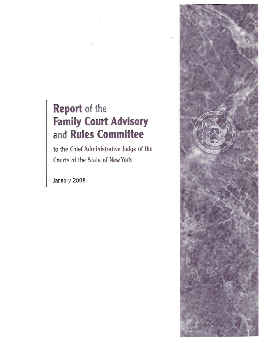# **Report** of the **Family Court Advisory** and Rules Committee

to the Chief Administrative Judge of the Courts of the State of New York

January 2008

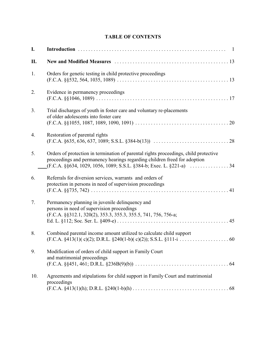| I.  |                                                                                                                                                                   |
|-----|-------------------------------------------------------------------------------------------------------------------------------------------------------------------|
| Π.  |                                                                                                                                                                   |
| 1.  | Orders for genetic testing in child protective proceedings                                                                                                        |
| 2.  | Evidence in permanency proceedings                                                                                                                                |
| 3.  | Trial discharges of youth in foster care and voluntary re-placements<br>of older adolescents into foster care                                                     |
| 4.  | Restoration of parental rights                                                                                                                                    |
| 5.  | Orders of protection in termination of parental rights proceedings, child protective<br>proceedings and permanency hearings regarding children freed for adoption |
| 6.  | Referrals for diversion services, warrants and orders of<br>protection in persons in need of supervision proceedings                                              |
| 7.  | Permanency planning in juvenile delinquency and<br>persons in need of supervision proceedings<br>(F.C.A. §§312.1, 320(2), 353.3, 355.3, 355.5, 741, 756, 756-a;   |
| 8.  | Combined parental income amount utilized to calculate child support<br>$(F.C.A. §413(1)(c)(2); D.R.L. §240(1-b)(c)(2)); S.S.L. §111-i 60$                         |
| 9.  | Modification of orders of child support in Family Court<br>and matrimonial proceedings                                                                            |
| 10. | Agreements and stipulations for child support in Family Court and matrimonial<br>proceedings                                                                      |

# **TABLE OF CONTENTS**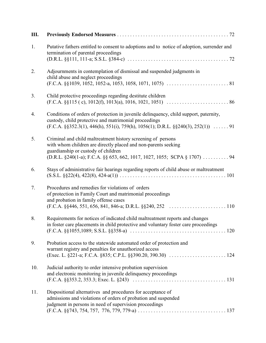| Ш.  |                                                                                                                                                                                                                                                   |
|-----|---------------------------------------------------------------------------------------------------------------------------------------------------------------------------------------------------------------------------------------------------|
| 1.  | Putative fathers entitled to consent to adoptions and to notice of adoption, surrender and<br>termination of parental proceedings                                                                                                                 |
| 2.  | Adjournments in contemplation of dismissal and suspended judgments in<br>child abuse and neglect proceedings                                                                                                                                      |
| 3.  | Child protective proceedings regarding destitute children                                                                                                                                                                                         |
| 4.  | Conditions of orders of protection in juvenile delinquency, child support, paternity,<br>custody, child protective and matrimonial proceedings<br>$(F.C.A. \S\S 352.3(1), 446(h), 551(i), 759(h), 1056(1); D.R.L. \S\S 240(3), 252(1)) \ldots$ 91 |
| 5.  | Criminal and child maltreatment history screening of persons<br>with whom children are directly placed and non-parents seeking<br>guardianship or custody of children<br>(D.R.L. §240(1-a); F.C.A. §§ 653, 662, 1017, 1027, 1055; SCPA § 1707) 94 |
| 6.  | Stays of administrative fair hearings regarding reports of child abuse or maltreatment                                                                                                                                                            |
| 7.  | Procedures and remedies for violations of orders<br>of protection in Family Court and matrimonial proceedings<br>and probation in family offense cases                                                                                            |
| 8.  | Requirements for notices of indicated child maltreatment reports and changes<br>in foster care placements in child protective and voluntary foster care proceedings                                                                               |
| 9.  | Probation access to the statewide automated order of protection and<br>warrant registry and penalties for unauthorized access                                                                                                                     |
| 10. | Judicial authority to order intensive probation supervision<br>and electronic monitoring in juvenile delinquency proceedings                                                                                                                      |
| 11. | Dispositional alternatives and procedures for acceptance of<br>admissions and violations of orders of probation and suspended<br>judgment in persons in need of supervision proceedings                                                           |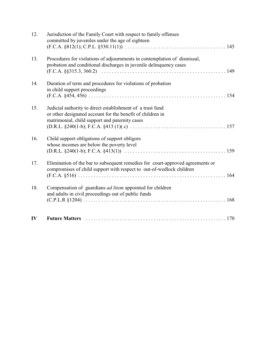| IV  |                                                                                                                                                                            |
|-----|----------------------------------------------------------------------------------------------------------------------------------------------------------------------------|
| 18. | Compensation of guardians <i>ad litem</i> appointed for children<br>and adults in civil proceedings out of public funds                                                    |
| 17. | Elimination of the bar to subsequent remedies for court-approved agreements or<br>compromises of child support with respect to out-of-wedlock children                     |
| 16. | Child support obligations of support obligors<br>whose incomes are below the poverty level                                                                                 |
| 15. | Judicial authority to direct establishment of a trust fund<br>or other designated account for the benefit of children in<br>matrimonial, child support and paternity cases |
| 14. | Duration of term and procedures for violations of probation<br>in child support proceedings                                                                                |
| 13. | Procedures for violations of adjournments in contemplation of dismissal,<br>probation and conditional discharges in juvenile delinquency cases                             |
| 12. | Jurisdiction of the Family Court with respect to family offenses<br>committed by juveniles under the age of eighteen                                                       |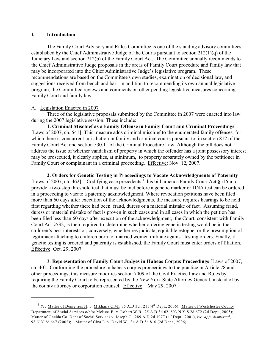# **I. Introduction**

The Family Court Advisory and Rules Committee is one of the standing advisory committees established by the Chief Administrative Judge of the Courts pursuant to section 212(1)(q) of the Judiciary Law and section 212(b) of the Family Court Act. The Committee annually recommends to the Chief Administrative Judge proposals in the areas of Family Court procedure and family law that may be incorporated into the Chief Administrative Judge's legislative program. These recommendations are based on the Committee's own studies, examination of decisional law, and suggestions received from bench and bar. In addition to recommending its own annual legislative program, the Committee reviews and comments on other pending legislative measures concerning Family Court and family law.

# A. Legislation Enacted in 2007

Three of the legislative proposals submitted by the Committee in 2007 were enacted into law during the 2007 legislative session. These include:

**1. Criminal Mischief as a Family Offense in Family Court and Criminal Proceedings** [Laws of 2007, ch. 541]: This measure adds criminal mischief to the enumerated family offenses for which there is concurrent jurisdiction in family and criminal courts pursuant to in section 812 of the Family Court Act and section 530.11 of the Criminal Procedure Law. Although the bill does not address the issue of whether vandalism of property in which the offender has a joint possessory interest may be prosecuted, it clearly applies, at minimum, to property separately owned by the petitioner in Family Court or complainant in a criminal proceeding. Effective: Nov. 12, 2007.

**2. Orders for Genetic Testing in Proceedings to Vacate Acknowledgments of Paternity** [Laws of 2007, ch. 462]: Codifying case precedents, this bill amends Family Court Act  $\S516$ -a to provide a two-step threshold test that must be met before a genetic marker or DNA test can be ordered in a proceeding to vacate a paternity acknowledgment. Where revocation petitions have been filed more than 60 days after execution of the acknowledgments, the measure requires hearings to be held first regarding whether there had been fraud, duress or a material mistake of fact. Assuming fraud, duress or material mistake of fact is proven in such cases and in all cases in which the petition has been filed less than 60 days after execution of the acknowledgment, the Court, consistent with Family Court Act §532, is then required to determine whether ordering genetic testing would be in the children's best interests or, conversely, whether res judicata, equitable estoppel or the presumption of legitimacy attaching to children born to married women militate against testing orders. Finally, if genetic testing is ordered and paternity is established, the Family Court must enter orders of filiation. Effective: Oct. 29, 2007.

3. **Representation of Family Court Judges in Habeas Corpus Proceedings** [Laws of 2007, ch. 40]: Conforming the procedure in habeas corpus proceedings to the practice in Article 78 and other proceedings, this measure modifies section 7009 of the Civil Practice Law and Rules by requiring the Family Court to be represented by the New York State Attorney General, instead of by the county attorney or corporation counsel. Effective: May 29, 2007.

<sup>&</sup>lt;sup>1</sup> See Matter of Demetrius H. v. Mikhaila C.M., 35 A.D.3d 1215( $4^{\text{th}}$  Dept., 2006); Matter of Westchester County Department of Social Services o/b/o/ Melissa B. v. Robert W.B., 25 A.D.3d 62, 803 N.Y.S.2d 672 (2d Dept., 2005); Matter of Oneida Co. Dept.of Social Services v. Joseph C., 289 A.D.2d 1077 (4<sup>th</sup> Dept., 2001), *lve. app. dismissed*, 98 N.Y.2d 647 (2002); Matter of Gina L. v. David W., 34 A.D.3d 810 (2d Dept., 2006).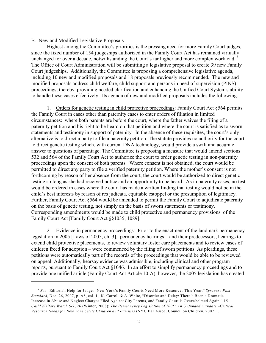# B. New and Modified Legislative Proposals

Highest among the Committee's priorities is the pressing need for more Family Court judges, since the fixed number of 154 judgeships authorized in the Family Court Act has remained virtually unchanged for over a decade, notwithstanding the Court's far higher and more complex workload.<sup>2</sup> The Office of Court Administration will be submitting a legislative proposal to create 39 new Family Court judgeships. Additionally, the Committee is proposing a comprehensive legislative agenda, including 10 new and modified proposals and 18 proposals previously recommended. The new and modified proposals address child welfare, child support and persons in need of supervision (PINS) proceedings, thereby providing needed clarification and enhancing the Unified Court System's ability to handle these cases effectively. Its agenda of new and modified proposals includes the following:

1. Orders for genetic testing in child protective proceedings: Family Court Act §564 permits the Family Court in cases other than paternity cases to enter orders of filiation in limited circumstances: where both parents are before the court, where the father waives the filing of a paternity petition and his right to be heard on that petition and where the court is satisfied as to sworn statements and testimony in support of paternity. In the absence of these requisites, the court's only alternative is to direct a party to file a paternity petition. The statute provides no authority for the court to direct genetic testing which, with current DNA technology, would provide a swift and accurate answer to questions of parentage. The Committee is proposing a measure that would amend sections 532 and 564 of the Family Court Act to authorize the court to order genetic testing in non-paternity proceedings upon the consent of both parents. Where consent is not obtained, the court would be permitted to direct any party to file a verified paternity petition. Where the mother's consent is not forthcoming by reason of her absence from the court, the court would be authorized to direct genetic testing so long as she had received notice and an opportunity to be heard.. As in paternity cases, no test would be ordered in cases where the court has made a written finding that testing would not be in the child's best interests by reason of res judicata, equitable estoppel or the presumption of legitimacy. Further, Family Court Act §564 would be amended to permit the Family Court to adjudicate paternity on the basis of genetic testing, not simply on the basis of sworn statements or testimony. Corresponding amendments would be made to child protective and permanency provisions of the Family Court Act [Family Court Act §§1035, 1089].

2. Evidence in permanency proceedings: Prior to the enactment of the landmark permanency legislation in 2005 [Laws of 2005, ch. 3], permanency hearings – and their predecessors, hearings to extend child protective placements, to review voluntary foster care placements and to review cases of children freed for adoption – were commenced by the filing of sworn petitions. As pleadings, these petitions were automatically part of the records of the proceedings that would be able to be reviewed on appeal. Additionally, hearsay evidence was admissible, including clinical and other program reports, pursuant to Family Court Act §1046. In an effort to simplify permanency proceedings and to provide one unified article (Family Court Act Article 10-A), however, the 2005 legislation has created

*See* "Editorial: Help for Judges: New York's Family Courts Need More Resources This Year," *Syracuse Post* <sup>2</sup> *Standard,* Dec. 26, 2007, p. A8, col. 1; K. Carroll & A. White, "Disorder and Delay: There's Been a Dramatic Increase in Abuse and Neglect Charges Filed Against City Parents, and Family Court is Overwhelmed Again," 15 *Child Welfare Watch* 5-7, 26 (Winter, 2008); *The Permanency Legislation of 2005: An Unfunded mandate –Critical Resource Needs for New York City's Children and Families* (NYC Bar Assoc. Council on Children, 2007). .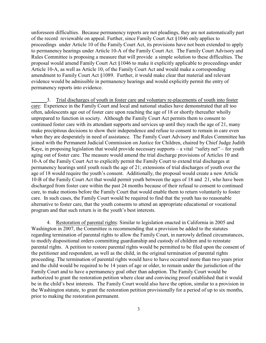unforeseen difficulties. Because permanency reports are not pleadings, they are not automatically part of the record reviewable on appeal. Further, since Family Court Act §1046 only applies to proceedings under Article 10 of the Family Court Act, its provisions have not been extended to apply to permanency hearings under Article 10-A of the Family Court Act. The Family Court Advisory and Rules Committee is proposing a measure that will provide a simple solution to these difficulties. The proposal would amend Family Court Act §1046 to make it explicitly applicable to proceedings under Article 10-A, as well as Article 10, of the Family Court Act and would make a corresponding amendment to Family Court Act §1089. Further, it would make clear that material and relevant evidence would be admissible in permanency hearings and would explicitly permit the entry of permanency reports into evidence.

3. Trial discharges of youth in foster care and voluntary re-placements of youth into foster care: Experience in the Family Court and local and national studies have demonstrated that all too often, adolescents age out of foster care upon reaching the age of 18 or shortly thereafter wholly unprepared to function in society. Although the Family Court Act permits them to consent to continued foster care with its attendant supports and services up until they reach the age of 21, many make precipitous decisions to show their independence and refuse to consent to remain in care even when they are desperately in need of assistance. The Family Court Advisory and Rules Committee has joined with the Permanent Judicial Commission on Justice for Children, chaired by Chief Judge Judith Kaye, in proposing legislation that would provide necessary supports – a vital "safety net" – for youth aging out of foster care. The measure would amend the trial discharge provisions of Articles 10 and 10-A of the Family Court Act to explicitly permit the Family Court to extend trial discharges at permanency hearings until youth reach the age of 21; extensions of trial discharges of youth over the age of 18 would require the youth's consent. Additionally, the proposal would create a new Article 10-B of the Family Court Act that would permit youth between the ages of 18 and 21, who have been discharged from foster care within the past 24 months because of their refusal to consent to continued care, to make motions before the Family Court that would enable them to return voluntarily to foster care. In such cases, the Family Court would be required to find that the youth has no reasonable alternative to foster care, that the youth consents to attend an appropriate educational or vocational program and that such return is in the youth's best interests.

4. Restoration of parental rights: Similar to legislation enacted in California in 2005 and Washington in 2007, the Committee is recommending that a provision be added to the statutes regarding termination of parental rights to allow the Family Court, in narrowly defined circumstances, to modify dispositional orders committing guardianship and custody of children and to reinstate parental rights. A petition to restore parental rights would be permitted to be filed upon the consent of the petitioner and respondent, as well as the child, in the original termination of parental rights proceeding. The termination of parental rights would have to have occurred more than two years prior and the child would be required to be 14 years of age or older, to remain under the jurisdiction of the Family Court and to have a permanency goal other than adoption. The Family Court would be authorized to grant the restoration petition where clear and convincing proof established that it would be in the child's best interests. The Family Court would also have the option, similar to a provision in the Washington statute, to grant the restoration petition provisionally for a period of up to six months, prior to making the restoration permanent.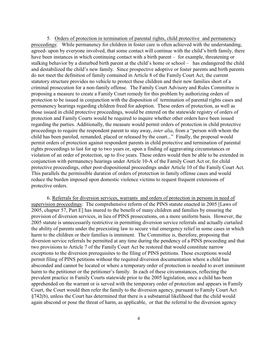5. Orders of protection in termination of parental rights, child protective and permanency proceedings: While permanency for children in foster care is often achieved with the understanding, agreed- upon by everyone involved, that some contact will continue with the child's birth family, there have been instances in which continuing contact with a birth parent – for example, threatening or stalking behavior by a disturbed birth parent at the child's home or school – has endangered the child and destabilized the child's new family. Since prospective adoptive or foster parents and birth parents do not meet the definition of family contained in Article 8 of the Family Court Act, the current statutory structure provides no vehicle to protect these children and their new families short of a criminal prosecution for a non-family offense. The Family Court Advisory and Rules Committee is proposing a measure to create a Family Court remedy for this problem by authorizing orders of protection to be issued in conjunction with the disposition of termination of parental rights cases and permanency hearings regarding children freed for adoption. These orders of protection, as well as those issued in child protective proceedings, would be entered on the statewide registry of orders of protection and Family Courts would be required to inquire whether other orders have been issued regarding the parties. Additionally, the measure would permit orders of protection in child protective proceedings to require the respondent parent to stay away, *inter alia*, from a "person with whom the child has been paroled, remanded, placed or released by the court..." Finally, the proposal would permit orders of protection against respondent parents in child protective and termination of parental rights proceedings to last for up to two years or, upon a finding of aggravating circumstances or violation of an order of protection, up to five years. These orders would then be able to be extended in conjunction with permanency hearings under Article 10-A of the Family Court Act or, for child protective proceedings, other post-dispositional proceedings under Article 10 of the Family Court Act. This parallels the permissible duration of orders of protection in family offense cases and would reduce the burden imposed upon domestic violence victims to request frequent extensions of protective orders.

6. Referrals for diversion services, warrants and orders of protection in persons in need of supervision proceedings: The comprehensive reform of the PINS statute enacted in 2005 [Laws of 2005, chapter 57, Part E] has inured to the benefit of many children and families by ensuring the provision of diversion services, in lieu of PINS prosecutions, on a more uniform basis. However, the 2005 statute is unnecessarily restrictive in permitting diversion service referrals and actually curtailed the ability of parents under the preexisting law to secure vital emergency relief in some cases in which harm to the children or their families is imminent. The Committee is, therefore, proposing that diversion service referrals be permitted at any time during the pendency of a PINS proceeding and that two provisions to Article 7 of the Family Court Act be restored that would constitute narrow exceptions to the diversion prerequisites to the filing of PINS petitions. These exceptions would permit filing of PINS petitions without the required diversion documentation where a child has absconded and cannot be located or where a temporary order of protection is needed to avert imminent harm to the petitioner or the petitioner's family. In each of these circumstances, reflecting the prevalent practice in Family Courts statewide prior to the 2005 legislation, once a child has been apprehended on the warrant or is served with the temporary order of protection and appears in Family Court, the Court would then refer the family to the diversion agency, pursuant to Family Court Act §742(b), unless the Court has determined that there is a substantial likelihood that the child would again abscond or pose the threat of harm, as applicable, or that the referral to the diversion agency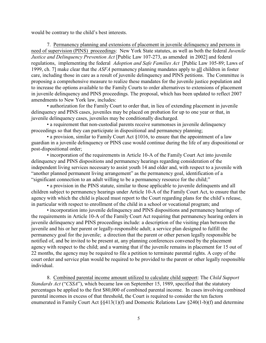would be contrary to the child's best interests.

7. Permanency planning and extensions of placement in juvenile delinquency and persons in need of supervision (PINS) proceedings: New York State statutes, as well as both the federal *Juvenile Justice and Delinquency Prevention Act* [Public Law 107-273, as amended in 2002] and federal regulations, implementing the federal *Adoption and Safe Families Act* [Public Law 105-89; Laws of 1999, ch. 7] make clear that the *ASFA* permanency planning mandates apply to all children in foster care, including those in care as a result of juvenile delinquency and PINS petitions. The Committee is proposing a comprehensive measure to realize these mandates for the juvenile justice population and to increase the options available to the Family Courts to order alternatives to extensions of placement in juvenile delinquency and PINS proceedings. The proposal, which has been updated to reflect 2007 amendments to New York law, includes:

• authorization for the Family Court to order that, in lieu of extending placement in juvenile delinquency and PINS cases, juveniles may be placed on probation for up to one year or that, in juvenile delinquency cases, juveniles may be conditionally discharged.

• a requirement that non-custodial parents receive summonses in juvenile delinquency proceedings so that they can participate in dispositional and permanency planning;

• a provision, similar to Family Court Act §1016, to ensure that the appointment of a law guardian in a juvenile delinquency or PINS case would continue during the life of any dispositional or post-dispositional order;

• incorporation of the requirements in Article 10-A of the Family Court Act into juvenile delinquency and PINS dispositions and permanency hearings regarding consideration of the independent living services necessary to assist youth 14 and older and, with respect to a juvenile with "another planned permanent living arrangement" as the permanency goal, identification of a "significant connection to an adult willing to be a permanency resource for the child;"

• a provision in the PINS statute, similar to those applicable to juvenile delinquents and all children subject to permanency hearings under Article 10-A of the Family Court Act, to ensure that the agency with which the child is placed must report to the Court regarding plans for the child's release, in particular with respect to enrollment of the child in a school or vocational program; and

• incorporation into juvenile delinquency and PINS dispositions and permanency hearings of the requirements in Article 10-A of the Family Court Act requiring that permanency hearing orders in juvenile delinquency and PINS proceedings include: a description of the visiting plan between the juvenile and his or her parent or legally-responsible adult; a service plan designed to fulfill the permanency goal for the juvenile; a direction that the parent or other person legally responsible be notified of, and be invited to be present at, any planning conferences convened by the placement agency with respect to the child; and a warning that if the juvenile remains in placement for 15 out of 22 months, the agency may be required to file a petition to terminate parental rights. A copy of the court order and service plan would be required to be provided to the parent or other legally responsible individual.

8. Combined parental income amount utilized to calculate child support: The *Child Support Standards Act* ("*CSSA*"), which became law on September 15, 1989, specified that the statutory percentages be applied to the first \$80,000 of combined parental income. In cases involving combined parental incomes in excess of that threshold, the Court is required to consider the ten factors enumerated in Family Court Act §§413(1)(f) and Domestic Relations Law §240(1-b)(f) and determine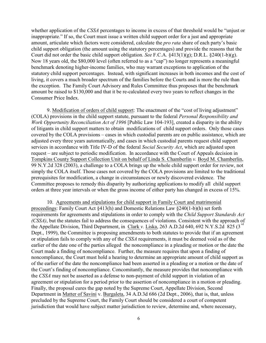whether application of the *CSSA* percentages to income in excess of that threshold would be "unjust or inappropriate." If so, the Court must issue a written child support order for a just and appropriate amount, articulate which factors were considered, calculate the *pro rata* share of each party's basic child support obligation (the amount using the statutory percentages) and provide the reasons that the Court did not order the basic child support obligation. *See* F.C.A. §413(1)(g); D.R.L. §240(1-b)(g). Now 18 years old, the \$80,000 level (often referred to as a "cap") no longer represents a meaningful benchmark denoting higher-income families, who may warrant exceptions to application of the statutory child support percentages. Instead, with significant increases in both incomes and the cost of living, it covers a much broader spectrum of the families before the Courts and is more the rule than the exception. The Family Court Advisory and Rules Committee thus proposes that the benchmark amount be raised to \$130,000 and that it be re-calculated every two years to reflect changes in the Consumer Price Index.

9. Modification of orders of child support: The enactment of the "cost of living adjustment" (COLA) provisions in the child support statute, pursuant to the federal *Personal Responsibility and Work Opportunity Reconciliation Act of 1996* [Public Law 104-193], created a disparity in the ability of litigants in child support matters to obtain modifications of child support orders. Only those cases covered by the COLA provisions – cases in which custodial parents are on public assistance, which are adjusted every three years automatically, and cases in which custodial parents request child support services in accordance with Title IV-D of the federal *Social Security Act*, which are adjusted upon request – are subject to periodic modification. In accordance with the Court of Appeals decision in Tompkins County Support Collection Unit on behalf of Linda S. Chamberlin *v.* Boyd M. Chamberlin, 99 N.Y.2d 328 (2003), a challenge to a COLA brings up the whole child support order for review, not simply the COLA itself. Those cases not covered by the COLA provisions are limited to the traditional prerequisites for modification, a change in circumstances or newly discovered evidence. The Committee proposes to remedy this disparity by authorizing applications to modify all child support orders at three year intervals or when the gross income of either party has changed in excess of 15%.

10. Agreements and stipulations for child support in Family Court and matrimonial proceedings: Family Court Act §413(h) and Domestic Relations Law §240(1-b)(h) set forth requirements for agreements and stipulations in order to comply with the *Child Support Standards Act (CSSA)*, but the statutes fail to address the consequences of violations. Consistent with the approach of the Appellate Division, Third Department, in Clark *v*. Liska, 263 A.D.2d 640, 692 N.Y.S.2d 825 (3<sup>rd</sup>) Dept., 1999), the Committee is proposing amendments to both statutes to provide that if an agreement or stipulation fails to comply with any of the *CSSA* requirements, it must be deemed void as of the earlier of the date one of the parties alleged the noncompliance in a pleading or motion or the date the Court made a finding of noncompliance. Further, the measure requires that upon a finding of noncompliance, the Court must hold a hearing to determine an appropriate amount of child support as of the earlier of the date the noncompliance had been asserted in a pleading or a motion or the date of the Court's finding of noncompliance. Concomitantly, the measure provides that noncompliance with the *CSSA* may not be asserted as a defense to non-payment of child support in violation of an agreement or stipulation for a period prior to the assertion of noncompliance in a motion or pleading. Finally, the proposal cures the gap noted by the Supreme Court, Appellate Division, Second Department in Matter of Savini v. Burgaleta, 34 A.D.3d 686 (2d Dept., 2006), that is, that, unless precluded by the Supreme Court, the Family Court should be considered a court of competent jurisdiction that would have subject matter jurisdiction to review, determine and, where necessary,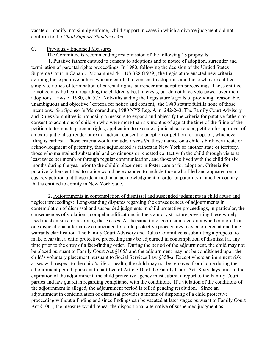vacate or modify, not simply enforce, child support in cases in which a divorce judgment did not conform to the *Child Support Standards Act*.

C. Previously Endorsed Measures

The Committee is recommending resubmission of the following 18 proposals:

 1. Putative fathers entitled to consent to adoptions and to notice of adoption, surrender and termination of parental rights proceedings: In 1980, following the decision of the Untied States Supreme Court in Caban *v.* Mohammed,441 US 388 (1979), the Legislature enacted new criteria defining those putative fathers who are entitled to consent to adoptions and those who are entitled simply to notice of termination of parental rights, surrender and adoption proceedings. Those entitled to notice may be heard regarding the children's best interests, but do not have veto power over their adoptions. Laws of 1980, ch. 575. Notwithstanding the Legislature's goals of providing "reasonable, unambiguous and objective" criteria for notice and consent, the 1980 statute fulfills none of those intentions. *See* Sponsor's Memorandum, 1980 NYS Leg. Ann. 242-243. The Family Court Advisory and Rules Committee is proposing a measure to expand and objectify the criteria for putative fathers to consent to adoptions of children who were more than six months of age at the time of the filing of the petition to terminate parental rights, application to execute a judicial surrender, petition for approval of an extra-judicial surrender or extra-judicial consent to adoption or petition for adoption, whichever filing is earliest. Those criteria would include, *inter alia*, those named on a child's birth certificate or acknowledgment of paternity, those adjudicated as fathers in New York or another state or territory, those who maintained substantial and continuous or repeated contact with the child through visits at least twice per month or through regular communication, and those who lived with the child for six months during the year prior to the child's placement in foster care or for adoption. Criteria for putative fathers entitled to notice would be expanded to include those who filed and appeared on a custody petition and those identified in an acknowledgment or order of paternity in another country that is entitled to comity in New York State.

 2. Adjournments in contemplation of dismissal and suspended judgments in child abuse and neglect proceedings: Long-standing disputes regarding the consequences of adjournments in contemplation of dismissal and suspended judgments in child protective proceedings, in particular, the consequences of violations, compel modifications in the statutory structure governing these widelyused mechanisms for resolving these cases. At the same time, confusion regarding whether more than one dispositional alternative enumerated for child protective proceedings may be ordered at one time warrants clarification. The Family Court Advisory and Rules Committee is submitting a proposal to make clear that a child protective proceeding may be adjourned in contemplation of dismissal at any time prior to the entry of a fact-finding order. During the period of the adjournment, the child may not be placed pursuant to Family Court Act §1055 and the adjournment may not be conditioned upon the child's voluntary placement pursuant to Social Services Law §358-a. Except where an imminent risk arises with respect to the child's life or health, the child may not be removed from home during the adjournment period, pursuant to part two of Article 10 of the Family Court Act. Sixty days prior to the expiration of the adjournment, the child protective agency must submit a report to the Family Court, parties and law guardian regarding compliance with the conditions. If a violation of the conditions of the adjournment is alleged, the adjournment period is tolled pending resolution. Since an adjournment in contemplation of dismissal provides a means of disposing of a child protective proceeding without a finding and since findings can be vacated at later stages pursuant to Family Court Act §1061, the measure would repeal the dispositional alternative of suspended judgment as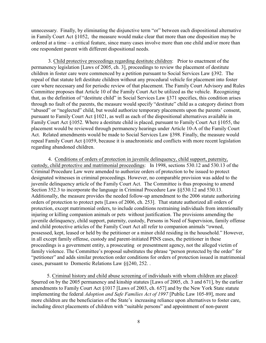unnecessary. Finally, by eliminating the disjunctive term "or" between each dispositional alternative in Family Court Act §1052, the measure would make clear that more than one disposition may be ordered at a time – a critical feature, since many cases involve more than one child and/or more than one respondent parent with different dispositional needs.

 3. Child protective proceedings regarding destitute children: Prior to enactment of the permanency legislation [Laws of 2005, ch. 3], proceedings to review the placement of destitute children in foster care were commenced by a petition pursuant to Social Services Law §392. The repeal of that statute left destitute children without any procedural vehicle for placement into foster care where necessary and for periodic review of that placement. The Family Court Advisory and Rules Committee proposes that Article 10 of the Family Court Act be utilized as the vehicle. Recognizing that, as the definition of "destitute child" in Social Services Law §371 specifies, this condition arises through no fault of the parents, the measure would specify "destitute" child as a category distinct from "abused" or "neglected" child, but would authorize temporary placements upon the parents' consent, pursuant to Family Court Act §1021, as well as each of the dispositional alternatives available in Family Court Act §1052. Where a destitute child is placed, pursuant to Family Court Act §1055, the placement would be reviewed through permanency hearings under Article 10-A of the Family Court Act. Related amendments would be made to Social Services Law §398. Finally, the measure would repeal Family Court Act §1059, because it is anachronistic and conflicts with more recent legislation regarding abandoned children.

 4. Conditions of orders of protection in juvenile delinquency, child support, paternity, custody, child protective and matrimonial proceedings: In 1998, sections 530.12 and 530.13 of the Criminal Procedure Law were amended to authorize orders of protection to be issued to protect designated witnesses in criminal proceedings. However, no comparable provision was added to the juvenile delinquency article of the Family Court Act. The Committee is thus proposing to amend Section 352.3 to incorporate the language in Criminal Procedure Law §§530.12 and 530.13. Additionally, the measure provides the needed follow-up amendment to the 2006 statute authorizing orders of protection to protect pets [Laws of 2006, ch. 253]. That statute authorized all orders of protection, except matrimonial orders, to include conditions restraining individuals from intentionally injuring or killing companion animals or pets without justification. The provisions amending the juvenile delinquency, child support, paternity, custody, Persons in Need of Supervision, family offense and child protective articles of the Family Court Act all refer to companion animals "owned, possessed, kept, leased or held by the petitioner or a minor child residing in the household." However, in all except family offense, custody and parent-initiated PINS cases, the petitioner in these proceedings is a government entity, a prosecuting or presentment agency, not the alleged victim of family violence. The Committee's proposal substitutes the phrase "person protected by the order" for "petitioner" and adds similar protection order conditions for orders of protection issued in matrimonial cases, pursuant to Domestic Relations Law §§240, 252. .

5. Criminal history and child abuse screening of individuals with whom children are placed: Spurred on by the 2005 permanency and kinship statutes [Laws of 2005, ch. 3 and 671], by the earlier amendments to Family Court Act §1017 [Laws of 2003, ch. 657] and by the New York State statute implementing the federal *Adoption and Safe Families Act of 1997* [Public Law 105-89], more and more children are the beneficiaries of the State's increasing reliance upon alternatives to foster care, including direct placements of children with "suitable persons" and appointment of non-parent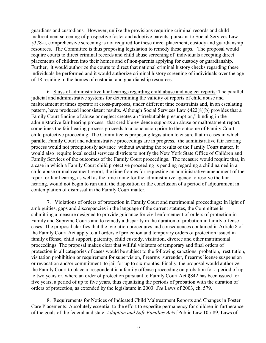guardians and custodians. However, unlike the provisions requiring criminal records and child maltreatment screening of prospective foster and adoptive parents, pursuant to Social Services Law §378-a, comprehensive screening is not required for these direct placement, custody and guardianship resources. The Committee is thus proposing legislation to remedy these gaps. The proposal would require courts to direct criminal records and child abuse screening of individuals accepting direct placements of children into their homes and of non-parents applying for custody or guardianship. Further, it would authorize the courts to direct that national criminal history checks regarding these individuals be performed and it would authorize criminal history screening of individuals over the age of 18 residing in the homes of custodial and guardianship resources.

6. Stays of administrative fair hearings regarding child abuse and neglect reports: The parallel judicial and administrative systems for determining the validity of reports of child abuse and maltreatment at times operate at cross-purposes, under different time constraints and, in an escalating pattern, have produced inconsistent results. Although Social Services Law §422(8)(b) provides that a Family Court finding of abuse or neglect creates an "irrebuttable presumption," binding in the administrative fair hearing process, that credible evidence supports an abuse or maltreatment report, sometimes the fair hearing process proceeds to a conclusion prior to the outcome of Family Court child protective proceeding. The Committee is proposing legislation to ensure that in cases in which parallel Family Court and administrative proceedings are in progress, the administrative fair hearing process would not precipitously advance without awaiting the results of the Family Court matter. It would also require local social services districts to notify the New York State Office of Children and Family Services of the outcomes of the Family Court proceedings. The measure would require that, in a case in which a Family Court child protective proceeding is pending regarding a child named in a child abuse or maltreatment report, the time frames for requesting an administrative amendment of the report or fair hearing, as well as the time frame for the administrative agency to resolve the fair hearing, would not begin to run until the disposition or the conclusion of a period of adjournment in contemplation of dismissal in the Family Court matter.

7. Violations of orders of protection in Family Court and matrimonial proceedings: In light of ambiguities, gaps and discrepancies in the language of the current statutes, the Committee is submitting a measure designed to provide guidance for civil enforcement of orders of protection in Family and Supreme Courts and to remedy a disparity in the duration of probation in family offense cases. The proposal clarifies that the violation procedures and consequences contained in Article 8 of the Family Court Act apply to all orders of protection and temporary orders of protection issued in family offense, child support, paternity, child custody, visitation, divorce and other matrimonial proceedings. The proposal makes clear that willful violators of temporary and final orders of protection in all categories of cases would be subject to the following sanctions: probation, restitution, visitation prohibition or requirement for supervision, firearms surrender, firearms license suspension or revocation and/or commitment to jail for up to six months. Finally, the proposal would authorize the Family Court to place a respondent in a family offense proceeding on probation for a period of up to two years or, where an order of protection pursuant to Family Court Act §842 has been issued for five years, a period of up to five years, thus equalizing the periods of probation with the duration of orders of protection, as extended by the legislature in 2003. *See* Laws of 2003, ch. 579.

8. Requirements for Notices of Indicated Child Maltreatment Reports and Changes in Foster Care Placements: Absolutely essential to the effort to expedite permanency for children in furtherance of the goals of the federal and state *Adoption and Safe Families Acts* [Public Law 105-89; Laws of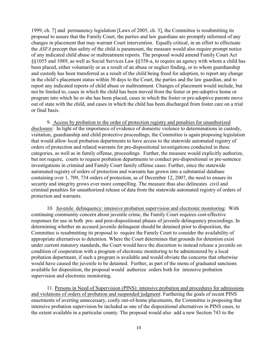1999, ch. 7] and permanency legislation [Laws of 2005, ch. 3], the Committee is resubmitting its proposal to assure that the Family Court, the parties and law guardians are promptly informed of any changes in placement that may warrant Court intervention. Equally critical, in an effort to effectuate the *ASFA* precept that safety of the child is paramount, the measure would also require prompt notice of any indicated child abuse or maltreatment reports. The proposal would amend Family Court Act §§1055 and 1089, as well as Social Services Law §§358-a, to require an agency with whom a child has been placed, either voluntarily or as a result of an abuse or neglect finding, or to whom guardianship and custody has been transferred as a result of the child being freed for adoption, to report any change in the child's placement status within 30 days to the Court, the parties and the law guardian, and to report any indicated reports of child abuse or maltreatment. Changes of placement would include, but not be limited to, cases in which the child has been moved from the foster or pre-adoptive home or program into which he or she has been placed, cases in which the foster or pre-adoptive parents move out of state with the child, and cases in which the child has been discharged from foster care on a trial or final basis.

9. Access by probation to the order of protection registry and penalties for unauthorized disclosure: In light of the importance of evidence of domestic violence to determinations in custody, visitation, guardianship and child protective proceedings, the Committee is again proposing legislation that would allow local probation departments to have access to the statewide automated registry of orders of protection and related warrants for pre-dispositional investigations conducted in these categories, as well as in family offense, proceedings. Further, the measure would explicitly authorize, but not require, courts to request probation departments to conduct pre-dispositional or pre-sentence investigations in criminal and Family Court family offense cases. Further, since the statewide automated registry of orders of protection and warrants has grown into a substantial database containing over 1, 709, 734 orders of protection, as of December 12, 2007, the need to ensure its security and integrity grows ever more compelling. The measure thus also delineates civil and criminal penalties for unauthorized release of data from the statewide automated registry of orders of protection and warrants.

10. Juvenile delinquency: intensive probation supervision and electronic monitoring: With continuing community concern about juvenile crime, the Family Court requires cost-effective responses for use in both pre- and post-dispositional phases of juvenile delinquency proceedings. In determining whether an accused juvenile delinquent should be detained prior to disposition, the Committee is resubmitting its proposal to require the Family Court to consider the availability of appropriate alternatives to detention. Where the Court determines that grounds for detention exist under current statutory standards, the Court would have the discretion to instead release a juvenile on condition of cooperation with a program of electronic monitoring to be administered by a local probation department, if such a program is available and would obviate the concerns that otherwise would have caused the juvenile to be detained. Further, as part of the menu of graduated sanctions available for disposition, the proposal would authorize orders both for intensive probation supervision and electronic monitoring.

11. Persons in Need of Supervision (PINS): intensive probation and procedures for admissions and violations of orders of probation and suspended judgment: Furthering the goals of recent PINS enactments of averting unnecessary, costly out-of-home placements, the Committee is proposing that intensive probation supervision be included as one of the dispositional alternatives in PINS cases, to the extent available in a particular county. The proposal would also add a new Section 743 to the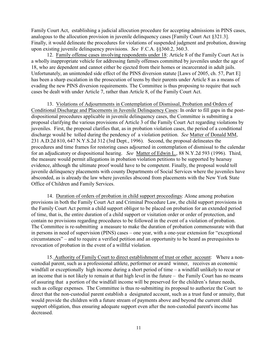Family Court Act, establishing a judicial allocution procedure for accepting admissions in PINS cases, analogous to the allocution provision in juvenile delinquency cases [Family Court Act §321.3]. Finally, it would delineate the procedures for violations of suspended judgment and probation, drawing upon existing juvenile delinquency provisions. *See* F.C.A. §§360.2, 360.3.

12. Family offense cases involving respondents under 18: Article 8 of the Family Court Act is a wholly inappropriate vehicle for addressing family offenses committed by juveniles under the age of 18, who are dependent and cannot either be ejected from their homes or incarcerated in adult jails. Unfortunately, an unintended side effect of the PINS diversion statute [Laws of 2005, ch. 57, Part E] has been a sharp escalation in the prosecution of teens by their parents under Article 8 as a means of evading the new PINS diversion requirements. The Committee is thus proposing to require that such cases be dealt with under Article 7, rather than Article 8, of the Family Court Act.

13. Violations of Adjournments in Contemplation of Dismissal, Probation and Orders of Conditional Discharge and Placements in Juvenile Delinquency Cases: In order to fill gaps in the postdispositional procedures applicable in juvenile delinquency cases, the Committee is submitting a proposal clarifying the various provisions of Article 3 of the Family Court Act regarding violations by juveniles. First, the proposal clarifies that, as in probation violation cases, the period of a conditional discharge would be tolled during the pendency of a violation petition. *See* Matter of Donald MM, 231 A.D.2d 810, 647 N.Y.S.2d 312 (3rd Dept., 1996). Second, the proposal delineates the procedures and time frames for restoring cases adjourned in contemplation of dismissal to the calendar for an adjudicatory or dispositional hearing. *See* Matter of Edwin L., 88 N.Y.2d 593 (1996). Third, the measure would permit allegations in probation violation petitions to be supported by hearsay evidence, although the ultimate proof would have to be competent. Finally, the proposal would toll juvenile delinquency placements with county Departments of Social Services where the juveniles have absconded, as is already the law where juveniles abscond from placements with the New York State Office of Children and Family Services.

14. Duration of orders of probation in child support proceedings: Alone among probation provisions in both the Family Court Act and Criminal Procedure Law, the child support provisions in the Family Court Act permit a child support obligor to be placed on probation for an extended period of time, that is, the entire duration of a child support or visitation order or order of protection, and contain no provisions regarding procedures to be followed in the event of a violation of probation. The Committee is re-submitting a measure to make the duration of probation commensurate with that in persons in need of supervision (PINS) cases – one year, with a one-year extension for "exceptional circumstances" – and to require a verified petition and an opportunity to be heard as prerequisites to revocation of probation in the event of a willful violation.

15. Authority of Family Court to direct establishment of trust or other account: Where a noncustodial parent, such as a professional athlete, performer or award winner, receives an economic windfall or exceptionally high income during a short period of time – a windfall unlikely to recur or an income that is not likely to remain at that high level in the future – the Family Court has no means of assuring that a portion of the windfall income will be preserved for the children's future needs, such as college expenses. The Committee is thus re-submitting its proposal to authorize the Court to direct that the non-custodial parent establish a designated account, such as a trust fund or annuity, that would provide the children with a future stream of payments above and beyond the current child support obligation, thus ensuring adequate support even after the non-custodial parent's income has decreased.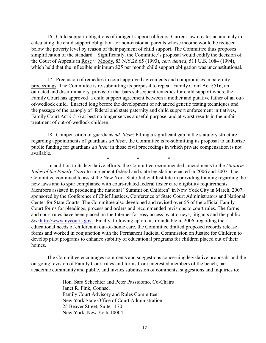16. Child support obligations of indigent support obligors: Current law creates an anomaly in calculating the child support obligation for non-custodial parents whose income would be reduced below the poverty level by reason of their payment of child support. The Committee thus proposes simplification of the standard. Significantly, the Committee's proposal would codify the decision of the Court of Appeals in Rose *v.* Moody, 83 N.Y.2d 65 (1993), *cert. denied*, 511 U.S. 1084 (1994), which held that the inflexible minimum \$25 per month child support obligation was unconstitutional.

17. Preclusion of remedies in court-approved agreements and compromises in paternity proceedings: The Committee is re-submitting its proposal to repeal Family Court Act §516, an outdated and discriminatory provision that bars subsequent remedies for child support where the Family Court has approved a child support agreement between a mother and putative father of an outof-wedlock child. Enacted long before the development of advanced genetic testing techniques and the passage of the panoply of federal and state paternity and child support enforcement initiatives, Family Court Act § 516 at best no longer serves a useful purpose, and at worst results in the unfair treatment of out-of-wedlock children.

18. Compensation of guardians *ad litem*: Filling a significant gap in the statutory structure regarding appointments of guardians *ad litem*, the Committee is re-submitting its proposal to authorize public funding for guardians *ad litem* in those civil proceedings in which private compensation is not available.

\* \* \*

In addition to its legislative efforts, the Committee recommended amendments to the *Uniform Rules of the Family Court* to implement federal and state legislation enacted in 2006 and 2007. The Committee continued to assist the New York State Judicial Institute in providing training regarding the new laws and to spur compliance with court-related federal foster care eligibility requirements. Members assisted in producing the national "Summit on Children" in New York City in March, 2007, sponsored by the Conference of Chief Justices, Conference of State Court Administrators and National Center for State Courts. The Committee also developed and revised over 55 of the official Family Court forms for pleadings, process and orders and recommended revisions to court rules. The forms and court rules have been placed on the Internet for easy access by attorneys, litigants and the public. *See* <http://www.nycourts.gov.> Finally, following up on its roundtable in 2006 regarding the educational needs of children in out-of-home care, the Committee drafted proposed records release forms and worked in conjunction with the Permanent Judicial Commission on Justice for Children to develop pilot programs to enhance stability of educational programs for children placed out of their homes.

The Committee encourages comments and suggestions concerning legislative proposals and the on-going revision of Family Court rules and forms from interested members of the bench, bar, academic community and public, and invites submission of comments, suggestions and inquiries to:

> Hon. Sara Schechter and Peter Passidomo, Co-Chairs Janet R. Fink, Counsel Family Court Advisory and Rules Committee New York State Office of Court Administration 25 Beaver Street, Suite 1170 New York, New York 10004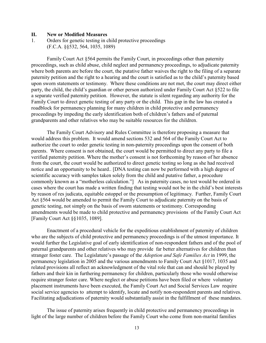#### **II. New or Modified Measures**

1. Orders for genetic testing in child protective proceedings (F.C.A. §§532, 564, 1035, 1089)

Family Court Act §564 permits the Family Court, in proceedings other than paternity proceedings, such as child abuse, child neglect and permanency proceedings, to adjudicate paternity where both parents are before the court, the putative father waives the right to the filing of a separate paternity petition and the right to a hearing and the court is satisfied as to the child's paternity based upon sworn statements or testimony. Where these conditions are not met, the court may direct either party, the child, the child's guardian or other person authorized under Family Court Act §522 to file a separate verified paternity petition. However, the statute is silent regarding any authority for the Family Court to direct genetic testing of any party or the child. This gap in the law has created a roadblock for permanency planning for many children in child protective and permanency proceedings by impeding the early identification both of children's fathers and of paternal grandparents and other relatives who may be suitable resources for the children.

The Family Court Advisory and Rules Committee is therefore proposing a measure that would address this problem. It would amend sections 532 and 564 of the Family Court Act to authorize the court to order genetic testing in non-paternity proceedings upon the consent of both parents. Where consent is not obtained, the court would be permitted to direct any party to file a verified paternity petition. Where the mother's consent is not forthcoming by reason of her absence from the court, the court would be authorized to direct genetic testing so long as she had received notice and an opportunity to be heard.. [DNA testing can now be performed with a high degree of scientific accuracy with samples taken solely from the child and putative father, a procedure commonly known as a "motherless calculation."] As in paternity cases, no test would be ordered in cases where the court has made a written finding that testing would not be in the child's best interests by reason of res judicata, equitable estoppel or the presumption of legitimacy. Further, Family Court Act §564 would be amended to permit the Family Court to adjudicate paternity on the basis of genetic testing, not simply on the basis of sworn statements or testimony. Corresponding amendments would be made to child protective and permanency provisions of the Family Court Act [Family Court Act §§1035, 1089].

 Enactment of a procedural vehicle for the expeditious establishment of paternity of children who are the subjects of child protective and permanency proceedings is of the utmost importance. It would further the Legislative goal of early identification of non-respondent fathers and of the pool of paternal grandparents and other relatives who may provide far better alternatives for children than stranger foster care. The Legislature's passage of the *Adoption and Safe Families Act* in 1999, the permanency legislation in 2005 and the various amendments to Family Court Act §1017, 1035 and related provisions all reflect an acknowledgment of the vital role that can and should be played by fathers and their kin in furthering permanency for children, particularly those who would otherwise require stranger foster care. Where neglect or abuse petitions have been filed or where voluntary placement instruments have been executed, the Family Court Act and Social Services Law require social service agencies to attempt to identify, locate and notify non-respondent parents and relatives. Facilitating adjudications of paternity would substantially assist in the fulfillment of these mandates.

The issue of paternity arises frequently in child protective and permanency proceedings in light of the large number of children before the Family Court who come from non-marital families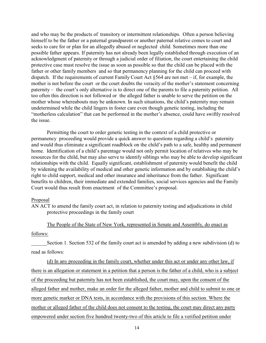and who may be the products of transitory or intermittent relationships. Often a person believing himself to be the father or a paternal grandparent or another paternal relative comes to court and seeks to care for or plan for an allegedly abused or neglected child. Sometimes more than one possible father appears. If paternity has not already been legally established through execution of an acknowledgment of paternity or through a judicial order of filiation, the court entertaining the child protective case must resolve the issue as soon as possible so that the child can be placed with the father or other family members and so that permanency planning for the child can proceed with dispatch. If the requirements of current Family Court Act §564 are not met – if, for example, the mother is not before the court or the court doubts the veracity of the mother's statement concerning paternity – the court's only alternative is to direct one of the parents to file a paternity petition. All too often this direction is not followed or the alleged father is unable to serve the petition on the mother whose whereabouts may be unknown. In such situations, the child's paternity may remain undetermined while the child lingers in foster care even though genetic testing, including the "motherless calculation" that can be performed in the mother's absence, could have swiftly resolved the issue.

Permitting the court to order genetic testing in the context of a child protective or permanency proceeding would provide a quick answer to questions regarding a child's paternity and would thus eliminate a significant roadblock on the child's path to a safe, healthy and permanent home. Identification of a child's parentage would not only permit location of relatives who may be resources for the child, but may also serve to identify siblings who may be able to develop significant relationships with the child. Equally significant, establishment of paternity would benefit the child by widening the availability of medical and other genetic information and by establishing the child's right to child support, medical and other insurance and inheritance from the father. Significant benefits to children, their immediate and extended families, social services agencies and the Family Court would thus result from enactment of the Committee's proposal.

#### Proposal

AN ACT to amend the family court act, in relation to paternity testing and adjudications in child protective proceedings in the family court

# The People of the State of New York, represented in Senate and Assembly, do enact as

#### follows:

Section 1. Section 532 of the family court act is amended by adding a new subdivision (d) to read as follows:

(d) In any proceeding in the family court, whether under this act or under any other law, if there is an allegation or statement in a petition that a person is the father of a child, who is a subject of the proceeding but paternity has not been established, the court may, upon the consent of the alleged father and mother, make an order for the alleged father, mother and child to submit to one or more genetic marker or DNA tests, in accordance with the provisions of this section. Where the mother or alleged father of the child does not consent to the testing, the court may direct any party empowered under section five hundred twenty-two of this article to file a verified petition under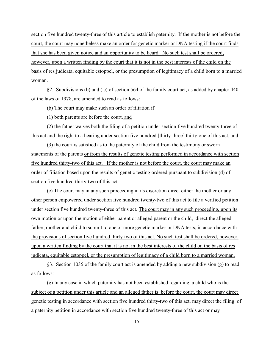section five hundred twenty-three of this article to establish paternity. If the mother is not before the court, the court may nonetheless make an order for genetic marker or DNA testing if the court finds that she has been given notice and an opportunity to be heard, No such test shall be ordered, however, upon a written finding by the court that it is not in the best interests of the child on the basis of res judicata, equitable estoppel, or the presumption of legitimacy of a child born to a married woman.

§2. Subdivisions (b) and ( c) of section 564 of the family court act, as added by chapter 440 of the laws of 1978, are amended to read as follows:

(b) The court may make such an order of filiation if

(1) both parents are before the court, and

(2) the father waives both the filing of a petition under section five hundred twenty-three of this act and the right to a hearing under section five hundred [thirty-three] thirty-one of this act, and

(3) the court is satisfied as to the paternity of the child from the testimony or sworn statements of the parents or from the results of genetic testing performed in accordance with section five hundred thirty-two of this act. If the mother is not before the court, the court may make an order of filiation based upon the results of genetic testing ordered pursuant to subdivision (d) of section five hundred thirty-two of this act.

(c) The court may in any such proceeding in its discretion direct either the mother or any other person empowered under section five hundred twenty-two of this act to file a verified petition under section five hundred twenty-three of this act. The court may in any such proceeding, upon its own motion or upon the motion of either parent or alleged parent or the child, direct the alleged father, mother and child to submit to one or more genetic marker or DNA tests, in accordance with the provisions of section five hundred thirty-two of this act. No such test shall be ordered, however, upon a written finding by the court that it is not in the best interests of the child on the basis of res judicata, equitable estoppel, or the presumption of legitimacy of a child born to a married woman.

§3. Section 1035 of the family court act is amended by adding a new subdivision (g) to read as follows:

(g) In any case in which paternity has not been established regarding a child who is the subject of a petition under this article and an alleged father is before the court, the court may direct genetic testing in accordance with section five hundred thirty-two of this act, may direct the filing of a paternity petition in accordance with section five hundred twenty-three of this act or may

15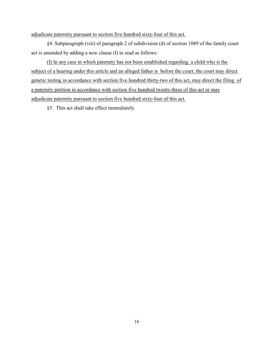adjudicate paternity pursuant to section five hundred sixty-four of this act.

§4. Subparagraph (viii) of paragraph 2 of subdivision (d) of section 1089 of the family court act is amended by adding a new clause (I) to read as follows:

(I) In any case in which paternity has not been established regarding a child who is the subject of a hearing under this article and an alleged father is before the court, the court may direct genetic testing in accordance with section five hundred thirty-two of this act, may direct the filing of a paternity petition in accordance with section five hundred twenty-three of this act or may adjudicate paternity pursuant to section five hundred sixty-four of this act.

§5. This act shall take effect immediately.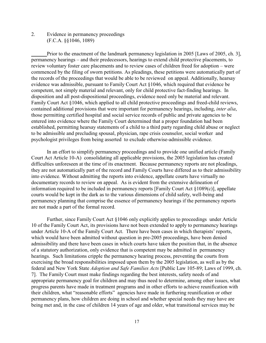2. Evidence in permanency proceedings (F.C.A. §§1046, 1089)

Prior to the enactment of the landmark permanency legislation in 2005 [Laws of 2005, ch. 3], permanency hearings – and their predecessors, hearings to extend child protective placements, to review voluntary foster care placements and to review cases of children freed for adoption – were commenced by the filing of sworn petitions. As pleadings, these petitions were automatically part of the records of the proceedings that would be able to be reviewed on appeal. Additionally, hearsay evidence was admissible, pursuant to Family Court Act §1046, which required that evidence be competent, not simply material and relevant, only for child protective fact-finding hearings. In disposition and all post-dispositional proceedings, evidence need only be material and relevant. Family Court Act §1046, which applied to all child protective proceedings and freed-child reviews, contained additional provisions that were important for permanency hearings, including, *inter alia*, those permitting certified hospital and social service records of public and private agencies to be entered into evidence where the Family Court determined that a proper foundation had been established, permitting hearsay statements of a child to a third party regarding child abuse or neglect to be admissible and precluding spousal, physician, rape crisis counselor, social worker and psychologist privileges from being asserted to exclude otherwise-admissible evidence.

In an effort to simplify permanency proceedings and to provide one unified article (Family Court Act Article 10-A) consolidating all applicable provisions, the 2005 legislation has created difficulties unforeseen at the time of its enactment. Because permanency reports are not pleadings, they are not automatically part of the record and Family Courts have differed as to their admissibility into evidence. Without admitting the reports into evidence, appellate courts have virtually no documentary records to review on appeal. As is evident from the extensive delineation of information required to be included in permanency reports [Family Court Act §1089(c)], appellate courts would be kept in the dark as to the various dimensions of child safety, well-being and permanency planning that comprise the essence of permanency hearings if the permanency reports are not made a part of the formal record.

Further, since Family Court Act §1046 only explicitly applies to proceedings under Article 10 of the Family Court Act, its provisions have not been extended to apply to permanency hearings under Article 10-A of the Family Court Act. There have been cases in which therapists' reports, which would have been admitted without question in pre-2005 proceedings, have been denied admissibility and there have been cases in which courts have taken the position that, in the absence of a statutory authorization, only evidence that is competent may be admitted in permanency hearings. Such limitations cripple the permanency hearing process, preventing the courts from exercising the broad responsibilities imposed upon them by the 2005 legislation, as well as by the federal and New York State *Adoption and Safe Families Acts* [Public Law 105-89; Laws of 1999, ch. 7]. The Family Court must make findings regarding the best interests, safety needs of and appropriate permanency goal for children and may thus need to determine, among other issues, what progress parents have made in treatment programs and in other efforts to achieve reunification with their children, what "reasonable efforts" agencies have made in furthering reunification or other permanency plans, how children are doing in school and whether special needs they may have are being met and, in the case of children 14 years of age and older, what transitional services may be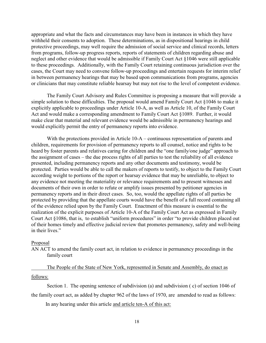appropriate and what the facts and circumstances may have been in instances in which they have withheld their consents to adoption. These determinations, as in dispositional hearings in child protective proceedings, may well require the admission of social service and clinical records, letters from programs, follow-up progress reports, reports of statements of children regarding abuse and neglect and other evidence that would be admissible if Family Court Act §1046 were still applicable to these proceedings. Additionally, with the Family Court retaining continuous jurisdiction over the cases, the Court may need to convene follow-up proceedings and entertain requests for interim relief in between permanency hearings that may be based upon communications from programs, agencies or clinicians that may constitute reliable hearsay but may not rise to the level of competent evidence.

The Family Court Advisory and Rules Committee is proposing a measure that will provide a simple solution to these difficulties. The proposal would amend Family Court Act §1046 to make it explicitly applicable to proceedings under Article 10-A, as well as Article 10, of the Family Court Act and would make a corresponding amendment to Family Court Act §1089. Further, it would make clear that material and relevant evidence would be admissible in permanency hearings and would explicitly permit the entry of permanency reports into evidence.

With the protections provided in Article 10-A – continuous representation of parents and children, requirements for provision of permanency reports to all counsel, notice and rights to be heard by foster parents and relatives caring for children and the "one family/one judge" approach to the assignment of cases – the due process rights of all parties to test the reliability of all evidence presented, including permanency reports and any other documents and testimony, would be protected. Parties would be able to call the makers of reports to testify, to object to the Family Court according weight to portions of the report or hearsay evidence that may be unreliable, to object to any evidence not meeting the materiality or relevance requirements and to present witnesses and documents of their own in order to refute or amplify issues presented by petitioner agencies in permanency reports and in their direct cases. So, too, would the appellate rights of all parties be protected by providing that the appellate courts would have the benefit of a full record containing all of the evidence relied upon by the Family Court. Enactment of this measure is essential to the realization of the explicit purposes of Article 10-A of the Family Court Act as expressed in Family Court Act §1086, that is, to establish "uniform procedures" in order "to provide children placed out of their homes timely and effective judicial review that promotes permanency, safety and well-being in their lives."

#### Proposal

AN ACT to amend the family court act, in relation to evidence in permanency proceedings in the family court

The People of the State of New York, represented in Senate and Assembly, do enact as follows:

Section 1. The opening sentence of subdivision (a) and subdivision (c) of section 1046 of the family court act, as added by chapter 962 of the laws of 1970, are amended to read as follows:

In any hearing under this article and article ten-A of this act: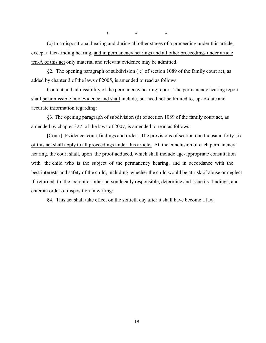\* \* \*

(c) In a dispositional hearing and during all other stages of a proceeding under this article, except a fact-finding hearing, and in permanency hearings and all other proceedings under article ten-A of this act only material and relevant evidence may be admitted.

§2. The opening paragraph of subdivision ( c) of section 1089 of the family court act, as added by chapter 3 of the laws of 2005, is amended to read as follows:

Content and admissibility of the permanency hearing report. The permanency hearing report shall be admissible into evidence and shall include, but need not be limited to, up-to-date and accurate information regarding:

§3. The opening paragraph of subdivision (d) of section 1089 of the family court act, as amended by chapter 327 of the laws of 2007, is amended to read as follows:

[Court] Evidence, court findings and order. The provisions of section one thousand forty-six of this act shall apply to all proceedings under this article. At the conclusion of each permanency hearing, the court shall, upon the proof adduced, which shall include age-appropriate consultation with the child who is the subject of the permanency hearing, and in accordance with the best interests and safety of the child, including whether the child would be at risk of abuse or neglect if returned to the parent or other person legally responsible, determine and issue its findings, and enter an order of disposition in writing:

§4. This act shall take effect on the sixtieth day after it shall have become a law.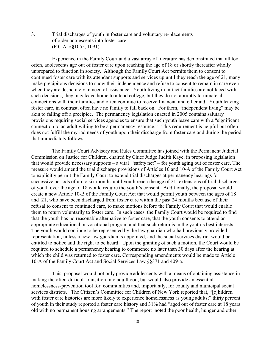3. Trial discharges of youth in foster care and voluntary re-placements of older adolescents into foster care (F.C.A. §§1055, 1091)

Experience in the Family Court and a vast array of literature has demonstrated that all too often, adolescents age out of foster care upon reaching the age of 18 or shortly thereafter wholly unprepared to function in society. Although the Family Court Act permits them to consent to continued foster care with its attendant supports and services up until they reach the age of 21, many make precipitous decisions to show their independence and refuse to consent to remain in care even when they are desperately in need of assistance. Youth living in in-tact families are not faced with such decisions; they may leave home to attend college, but they do not abruptly terminate all connections with their families and often continue to receive financial and other aid. Youth leaving foster care, in contrast, often have no family to fall back on. For them, "independent living" may be akin to falling off a precipice. The permanency legislation enacted in 2005 contains salutary provisions requiring social services agencies to ensure that such youth leave care with a "significant connection to an adult willing to be a permanency resource." This requirement is helpful but often does not fulfill the myriad needs of youth upon their discharge from foster care and during the period that immediately follows.

The Family Court Advisory and Rules Committee has joined with the Permanent Judicial Commission on Justice for Children, chaired by Chief Judge Judith Kaye, in proposing legislation that would provide necessary supports – a vital "safety net" – for youth aging out of foster care. The measure would amend the trial discharge provisions of Articles 10 and 10-A of the Family Court Act to explicitly permit the Family Court to extend trial discharges at permanency hearings for successive periods of up to six months until youth reach the age of 21; extensions of trial discharges of youth over the age of 18 would require the youth's consent. Additionally, the proposal would create a new Article 10-B of the Family Court Act that would permit youth between the ages of 18 and 21, who have been discharged from foster care within the past 24 months because of their refusal to consent to continued care, to make motions before the Family Court that would enable them to return voluntarily to foster care. In such cases, the Family Court would be required to find that the youth has no reasonable alternative to foster care, that the youth consents to attend an appropriate educational or vocational program and that such return is in the youth's best interests. The youth would continue to be represented by the law guardian who had previously provided representation, unless a new law guardian is appointed, and the social services district would be entitled to notice and the right to be heard. Upon the granting of such a motion, the Court would be required to schedule a permanency hearing to commence no later than 30 days after the hearing at which the child was returned to foster care. Corresponding amendments would be made to Article 10-A of the Family Court Act and Social Services Law §§371 and 409-a.

This proposal would not only provide adolescents with a means of obtaining assistance in making the often-difficult transition into adulthood, but would also provide an essential homelessness-prevention tool for communities and, importantly, for county and municipal social services districts. The Citizen's Committee for Children of New York reported that, "[c]hildren with foster care histories are more likely to experience homelessness as young adults;" thirty percent of youth in their study reported a foster care history and 31% had "aged out of foster care at 18 years old with no permanent housing arrangements." The report noted the poor health, hunger and other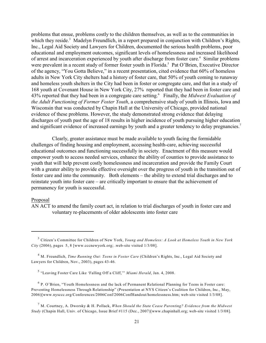problems that ensue, problems costly to the children themselves, as well as to the communities in which they reside.<sup>3</sup> Madelyn Freundlich, in a report prepared in conjunction with Children's Rights, Inc., Legal Aid Society and Lawyers for Children, documented the serious health problems, poor educational and employment outcomes, significant levels of homelessness and increased likelihood of arrest and incarceration experienced by youth after discharge from foster care.<sup>4</sup> Similar problems were prevalent in a recent study of former foster youth in Florida.<sup>5</sup> Pat O'Brien, Executive Director of the agency, "You Gotta Believe," in a recent presentation, cited evidence that 60% of homeless adults in New York City shelters had a history of foster care, that 50% of youth coming to runaway and homeless youth shelters in the City had been in foster or congregate care, and that in a study of 168 youth at Covenant House in New York City, 27% reported that they had been in foster care and 43% reported that they had been in a congregate care setting. Finally, the *Midwest Evaluation of* <sup>6</sup> *the Adult Functioning of Former Foster Youth*, a comprehensive study of youth in Illinois, Iowa and Wisconsin that was conducted by Chapin Hall at the University of Chicago, provided national evidence of these problems. However, the study demonstrated strong evidence that delaying discharges of youth past the age of 18 results in higher incidence of youth pursuing higher education and significant evidence of increased earnings by youth and a greater tendency to delay pregnancies.<sup>7</sup>

Clearly, greater assistance must be made available to youth facing the formidable challenges of finding housing and employment, accessing health-care, achieving successful educational outcomes and functioning successfully in society. Enactment of this measure would empower youth to access needed services, enhance the ability of counties to provide assistance to youth that will help prevent costly homelessness and incarceration and provide the Family Court with a greater ability to provide effective oversight over the progress of youth in the transition out of foster care and into the community. Both elements – the ability to extend trial discharges and to reinstate youth into foster care – are critically important to ensure that the achievement of permanency for youth is successful.

#### Proposal

AN ACT to amend the family court act, in relation to trial discharges of youth in foster care and voluntary re-placements of older adolescents into foster care

Citizen's Committee for Children of New York, *Young and Homeless: A Look at Homeless Youth in New York* <sup>3</sup> *City* (2006), pages 5, 8 [www.cccnewyork.org; .web-site visited 1/3/08].

<sup>&</sup>lt;sup>4</sup> M. Freundlich, *Time Running Out: Teens in Foster Care* (Children's Rights, Inc., Legal Aid Society and Lawyers for Children, Nov., 2003), pages 43-46.

<sup>&</sup>lt;sup>5</sup> "Leaving Foster Care Like 'Falling Off a Cliff," Miami Herald, Jan. 4, 2008.

 $6$  P. O'Brien, "Youth Homelessness and the lack of Permanent Relational Planning for Teens in Foster care: Preventing Homelessness Through Relationship" (Presentation at NYS Citizen's Coalition for Children, Inc., May, 2006)[www.nysccc.org/Conferences/2006Conf/2006ConfHandout/homelessness.htm; web-site visited 1/3/08].

M. Courtney, A. Dworsky & H. Pollack, *When Should the State Cease Parenting? Evidence from the Midwest* <sup>7</sup> *Study* (Chapin Hall, Univ. of Chicago, Issue Brief #115 (Dec., 2007)[www.chapinhall.org; web-site visited 1/3/08].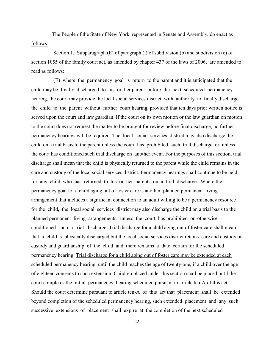The People of the State of New York, represented in Senate and Assembly, do enact as follows:

Section 1. Subparagraph  $(E)$  of paragraph  $(i)$  of subdivision  $(b)$  and subdivision  $(e)$  of section 1055 of the family court act, as amended by chapter 437 of the laws of 2006, are amended to read as follows:

 (E) where the permanency goal is return to the parent and it is anticipated that the child may be finally discharged to his or her parent before the next scheduled permanency hearing, the court may provide the local social services district with authority to finally discharge the child to the parent without further court hearing, provided that ten days prior written notice is served upon the court and law guardian. If the court on its own motion or the law guardian on motion to the court does not request the matter to be brought for review before final discharge, no further permanency hearings will be required. The local social services district may also discharge the child on a trial basis to the parent unless the court has prohibited such trial discharge or unless the court has conditioned such trial discharge on another event. For the purposes of this section, trial discharge shall mean that the child is physically returned to the parent while the child remains in the care and custody of the local social services district. Permanency hearings shall continue to be held for any child who has returned to his or her parents on a trial discharge. Where the permanency goal for a child aging out of foster care is another planned permanent living arrangement that includes a significant connection to an adult willing to be a permanency resource for the child, the local social services district may also discharge the child on a trial basis to the planned permanent living arrangements, unless the court has prohibited or otherwise conditioned such a trial discharge. Trial discharge for a child aging out of foster care shall mean that a child is physically discharged but the local social services district retains care and custody or custody and guardianship of the child and there remains a date certain for the scheduled permanency hearing. Trial discharge for a child aging out of foster care may be extended at each scheduled permanency hearing, until the child reaches the age of twenty-one, if a child over the age of eighteen consents to such extension. Children placed under this section shall be placed until the court completes the initial permanency hearing scheduled pursuant to article ten-A of this act. Should the court determine pursuant to article ten-A of this act that placement shall be extended beyond completion of the scheduled permanency hearing, such extended placement and any such successive extensions of placement shall expire at the completion of the next scheduled

22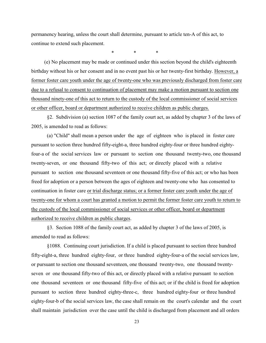permanency hearing, unless the court shall determine, pursuant to article ten-A of this act, to continue to extend such placement.

\* \* \*

 (e) No placement may be made or continued under this section beyond the child's eighteenth birthday without his or her consent and in no event past his or her twenty-first birthday. However, a former foster care youth under the age of twenty-one who was previously discharged from foster care due to a refusal to consent to continuation of placement may make a motion pursuant to section one thousand ninety-one of this act to return to the custody of the local commissioner of social services or other officer, board or department authorized to receive children as public charges.

§2. Subdivision (a) section 1087 of the family court act, as added by chapter 3 of the laws of 2005, is amended to read as follows:

(a) "Child" shall mean a person under the age of eighteen who is placed in foster care pursuant to section three hundred fifty-eight-a, three hundred eighty-four or three hundred eightyfour-a of the social services law or pursuant to section one thousand twenty-two, one thousand twenty-seven, or one thousand fifty-two of this act; or directly placed with a relative pursuant to section one thousand seventeen or one thousand fifty-five of this act; or who has been freed for adoption or a person between the ages of eighteen and twenty-one who has consented to continuation in foster care or trial discharge status; or a former foster care youth under the age of twenty-one for whom a court has granted a motion to permit the former foster care youth to return to the custody of the local commissioner of social services or other officer, board or department authorized to receive children as public charges.

§3. Section 1088 of the family court act, as added by chapter 3 of the laws of 2005, is amended to read as follows:

§1088. Continuing court jurisdiction. If a child is placed pursuant to section three hundred fifty-eight-a, three hundred eighty-four, or three hundred eighty-four-a of the social services law, or pursuant to section one thousand seventeen, one thousand twenty-two, one thousand twentyseven or one thousand fifty-two of this act, or directly placed with a relative pursuant to section one thousand seventeen or one thousand fifty-five of this act; or if the child is freed for adoption pursuant to section three hundred eighty-three-c, three hundred eighty-four or three hundred eighty-four-b of the social services law, the case shall remain on the court's calendar and the court shall maintain jurisdiction over the case until the child is discharged from placement and all orders

23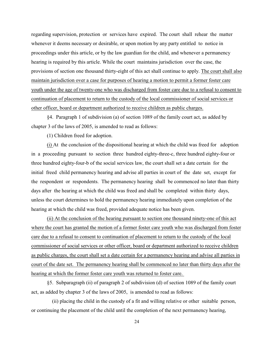regarding supervision, protection or services have expired. The court shall rehear the matter whenever it deems necessary or desirable, or upon motion by any party entitled to notice in proceedings under this article, or by the law guardian for the child, and whenever a permanency hearing is required by this article. While the court maintains jurisdiction over the case, the provisions of section one thousand thirty-eight of this act shall continue to apply. The court shall also maintain jurisdiction over a case for purposes of hearing a motion to permit a former foster care youth under the age of twenty-one who was discharged from foster care due to a refusal to consent to continuation of placement to return to the custody of the local commissioner of social services or other officer, board or department authorized to receive children as public charges.

§4. Paragraph 1 of subdivision (a) of section 1089 of the family court act, as added by chapter 3 of the laws of 2005, is amended to read as follows:

(1) Children freed for adoption.

(i) At the conclusion of the dispositional hearing at which the child was freed for adoption in a proceeding pursuant to section three hundred eighty-three-c, three hundred eighty-four or three hundred eighty-four-b of the social services law, the court shall set a date certain for the initial freed child permanency hearing and advise all parties in court of the date set, except for the respondent or respondents. The permanency hearing shall be commenced no later than thirty days after the hearing at which the child was freed and shall be completed within thirty days, unless the court determines to hold the permanency hearing immediately upon completion of the hearing at which the child was freed, provided adequate notice has been given.

(ii) At the conclusion of the hearing pursuant to section one thousand ninety-one of this act where the court has granted the motion of a former foster care youth who was discharged from foster care due to a refusal to consent to continuation of placement to return to the custody of the local commissioner of social services or other officer, board or department authorized to receive children as public charges, the court shall set a date certain for a permanency hearing and advise all parties in court of the date set. The permanency hearing shall be commenced no later than thirty days after the hearing at which the former foster care youth was returned to foster care.

§5. Subparagraph (ii) of paragraph 2 of subdivision (d) of section 1089 of the family court act, as added by chapter 3 of the laws of 2005, is amended to read as follows:

 (ii) placing the child in the custody of a fit and willing relative or other suitable person, or continuing the placement of the child until the completion of the next permanency hearing,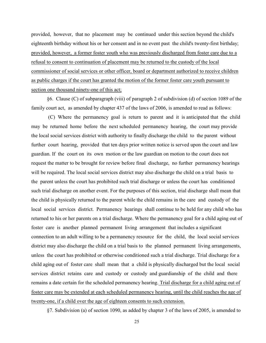provided, however, that no placement may be continued under this section beyond the child's eighteenth birthday without his or her consent and in no event past the child's twenty-first birthday; provided, however, a former foster youth who was previously discharged from foster care due to a refusal to consent to continuation of placement may be returned to the custody of the local commissioner of social services or other officer, board or department authorized to receive children as public charges if the court has granted the motion of the former foster care youth pursuant to section one thousand ninety-one of this act;

§6. Clause (C) of subparagraph (viii) of paragraph 2 of subdivision (d) of section 1089 of the family court act, as amended by chapter 437 of the laws of 2006, is amended to read as follows:

 (C) Where the permanency goal is return to parent and it is anticipated that the child may be returned home before the next scheduled permanency hearing, the court may provide the local social services district with authority to finally discharge the child to the parent without further court hearing, provided that ten days prior written notice is served upon the court and law guardian. If the court on its own motion or the law guardian on motion to the court does not request the matter to be brought for review before final discharge, no further permanency hearings will be required. The local social services district may also discharge the child on a trial basis to the parent unless the court has prohibited such trial discharge or unless the court has conditioned such trial discharge on another event. For the purposes of this section, trial discharge shall mean that the child is physically returned to the parent while the child remains in the care and custody of the local social services district. Permanency hearings shall continue to be held for any child who has returned to his or her parents on a trial discharge. Where the permanency goal for a child aging out of foster care is another planned permanent living arrangement that includes a significant connection to an adult willing to be a permanency resource for the child, the local social services district may also discharge the child on a trial basis to the planned permanent living arrangements, unless the court has prohibited or otherwise conditioned such a trial discharge. Trial discharge for a child aging out of foster care shall mean that a child is physically discharged but the local social services district retains care and custody or custody and guardianship of the child and there remains a date certain for the scheduled permanency hearing. Trial discharge for a child aging out of foster care may be extended at each scheduled permanency hearing, until the child reaches the age of twenty-one, if a child over the age of eighteen consents to such extension.

§7. Subdivision (a) of section 1090, as added by chapter 3 of the laws of 2005, is amended to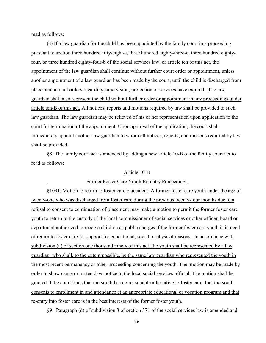read as follows:

(a) If a law guardian for the child has been appointed by the family court in a proceeding pursuant to section three hundred fifty-eight-a, three hundred eighty-three-c, three hundred eightyfour, or three hundred eighty-four-b of the social services law, or article ten of this act, the appointment of the law guardian shall continue without further court order or appointment, unless another appointment of a law guardian has been made by the court, until the child is discharged from placement and all orders regarding supervision, protection or services have expired. The law guardian shall also represent the child without further order or appointment in any proceedings under article ten-B of this act. All notices, reports and motions required by law shall be provided to such law guardian. The law guardian may be relieved of his or her representation upon application to the court for termination of the appointment. Upon approval of the application, the court shall immediately appoint another law guardian to whom all notices, reports, and motions required by law shall be provided.

§8. The family court act is amended by adding a new article 10-B of the family court act to read as follows:

#### Article 10-B

#### Former Foster Care Youth Re-entry Proceedings

§1091. Motion to return to foster care placement. A former foster care youth under the age of twenty-one who was discharged from foster care during the previous twenty-four months due to a refusal to consent to continuation of placement may make a motion to permit the former foster care youth to return to the custody of the local commissioner of social services or other officer, board or department authorized to receive children as public charges if the former foster care youth is in need of return to foster care for support for educational, social or physical reasons. In accordance with subdivision (a) of section one thousand ninety of this act, the youth shall be represented by a law guardian, who shall, to the extent possible, be the same law guardian who represented the youth in the most recent permanency or other proceeding concerning the youth. The motion may be made by order to show cause or on ten days notice to the local social services official. The motion shall be granted if the court finds that the youth has no reasonable alternative to foster care, that the youth consents to enrollment in and attendance at an appropriate educational or vocation program and that re-entry into foster care is in the best interests of the former foster youth.

§9. Paragraph (d) of subdivision 3 of section 371 of the social services law is amended and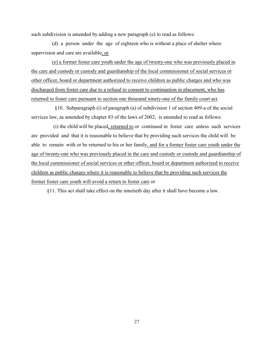such subdivision is amended by adding a new paragraph (e) to read as follows:

 (d) a person under the age of eighteen who is without a place of shelter where supervision and care are available, or

(e) a former foster care youth under the age of twenty-one who was previously placed in the care and custody or custody and guardianship of the local commissioner of social services or other officer, board or department authorized to receive children as public charges and who was discharged from foster care due to a refusal to consent to continuation in placement, who has returned to foster care pursuant to section one thousand ninety-one of the family court act.

 §10. Subparagraph (i) of paragraph (a) of subdivision 1 of section 409-a of the social services law, as amended by chapter 83 of the laws of 2002, is amended to read as follows:

 (i) the child will be placed, returned to or continued in foster care unless such services are provided and that it is reasonable to believe that by providing such services the child will be able to remain with or be returned to his or her family, and for a former foster care youth under the age of twenty-one who was previously placed in the care and custody or custody and guardianship of the local commissioner of social services or other officer, board or department authorized to receive children as public charges where it is reasonable to believe that by providing such services the former foster care youth will avoid a return to foster care or

§11. This act shall take effect on the ninetieth day after it shall have become a law.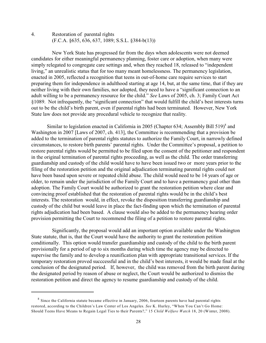4. Restoration of parental rights (F.C.A. §635, 636, 637, 1089; S.S.L. §384-b(13))

New York State has progressed far from the days when adolescents were not deemed candidates for either meaningful permanency planning, foster care or adoption, when many were simply relegated to congregate care settings and, when they reached 18, released to "independent living," an unrealistic status that for too many meant homelessness. The permanency legislation, enacted in 2005, reflected a recognition that teens in out-of-home care require services to start preparing them for independence in adulthood starting at age 14, but, at the same time, that if they are neither living with their own families, nor adopted, they need to have a "significant connection to an adult willing to be a permanency resource for the child." *See* Laws of 2005, ch. 3; Family Court Act §1089. Not infrequently, the "significant connection" that would fulfill the child's best interests turns out to be the child's birth parent, even if parental rights had been terminated. However, New York State law does not provide any procedural vehicle to recognize that reality.

Similar to legislation enacted in California in 2005 (Chapter 634; Assembly Bill 519)<sup>8</sup> and Washington in 2007 [Laws of 2007, ch. 413], the Committee is recommending that a provision be added to the termination of parental rights statutes to authorize the Family Court, in narrowly defined circumstances, to restore birth parents' parental rights. Under the Committee's proposal, a petition to restore parental rights would be permitted to be filed upon the consent of the petitioner and respondent in the original termination of parental rights proceeding, as well as the child. The order transferring guardianship and custody of the child would have to have been issued two or more years prior to the filing of the restoration petition and the original adjudication terminating parental rights could not have been based upon severe or repeated child abuse. The child would need to be 14 years of age or older, to remain under the jurisdiction of the Family Court and to have a permanency goal other than adoption. The Family Court would be authorized to grant the restoration petition where clear and convincing proof established that the restoration of parental rights would be in the child's best interests. The restoration would, in effect, revoke the disposition transferring guardianship and custody of the child but would leave in place the fact-finding upon which the termination of parental rights adjudication had been based. A clause would also be added to the permanency hearing order provision permitting the Court to recommend the filing of a petition to restore parental rights.

Significantly, the proposal would add an important option available under the Washington State statute, that is, that the Court would have the authority to grant the restoration petition conditionally. This option would transfer guardianship and custody of the child to the birth parent provisionally for a period of up to six months during which time the agency may be directed to supervise the family and to develop a reunification plan with appropriate transitional services. If the temporary restoration proved succcessful and in the child's best interests, it would be made final at the conclusion of the designated period. If, however, the child was removed from the birth parent during the designated period by reason of abuse or neglect, the Court would be authorized to dismiss the restoration petition and direct the agency to resume guardianship and custody of the child.

<sup>&</sup>lt;sup>8</sup> Since the California statute became effective in January, 2006, fourteen parents have had parental rights restored, according to the Children's Law Center of Los Angeles. *See* K. Hurley, "When You Can't Go Home: Should Teens Have Means to Regain Legal Ties to their Parents?," 15 *Child Welfare Watch* 18, 20 (Winter, 2008).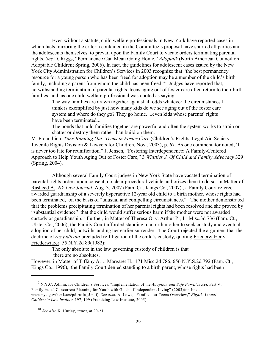Even without a statute, child welfare professionals in New York have reported cases in which facts mirroring the criteria contained in the Committee's proposal have spurred all parties and the adolescents themselves to prevail upon the Family Court to vacate orders terminating parental rights. *See* D. Riggs, "Permanence Can Mean Going Home," *Adoptalk* (North American Council on Adoptable Children; Spring, 2006). In fact, the guidelines for adolescent cases issued by the New York City Administration for Children's Services in 2003 recognize that "the best permanency resource for a young person who has been freed for adoption may be a member of the child's birth family, including a parent from whom the child has been freed."<sup>9</sup> Judges have reported that, notwithstanding termination of parental rights, teens aging out of foster care often return to their birth families, and, as one child welfare professional was quoted as saying:

The way families are drawn together against all odds whatever the circumstances I think is exemplified by just how many kids do we see aging out of the foster care system and where do they go? They go home. ...even kids whose parents' rights have been terminated...

The bonds that hold families together are powerful and often the system works to strain or shatter or destroy them rather than build on them.

M. Freundlich, *Time Running Out: Teens in Foster Care* (Children's Rights, Legal Aid Society Juvenile Rights Division & Lawyers for Children, Nov., 2003), p. 67. As one commentator noted, 'It is never too late for reunification." J. Jensen, "Fostering Interdependence: A Family-Centered Approach to Help Youth Aging Out of Foster Care," 3 *Whittier J. Of Child and Family Advocacy* 329 (Spring, 2004).

Although several Family Court judges in New York State have vacated termination of parental rights orders upon consent, no clear procedural vehicle authorizes them to do so. In Matter of Rasheed A., *NY Law Journal*, Aug. 3, 2007 (Fam. Ct., Kings Co., 2007) , a Family Court referee awarded guardianship of a severely hyperactive 12-year old child to a birth mother, whose rights had been terminated, on the basis of "unusual and compelling circumstances." The mother demonstrated that the problems precipitating termination of her parental rights had been resolved and she proved by "substantial evidence" that the child would suffer serious harm if the mother were not awarded custody or guardianship.<sup>10</sup> Further, in Matter of Theresa O. v. Arthur P., 11 Misc.3d 736 (Fam. Ct., Ulster Co., 2006), the Family Court afforded standing to a birth mother to seek custody and eventual adoption of her child, notwithstanding her earlier surrender. The Court rejected the argument that the doctrine of *res judicata* precluded re-litigation of the child's custody, quoting Friederwitzer v. Friederwitzer, 55 N.Y.2d 89(1982):

The only absolute in the law governing custody of children is that there are no absolutes.

However, in Matter of Tiffany A. *v.* Margaret H., 171 Misc.2d 786, 656 N.Y.S.2d 792 (Fam. Ct., Kings Co., 1996), the Family Court denied standing to a birth parent, whose rights had been

N.Y.C. Admin. for Children's Services, "Implementation of the *Adoption and Safe Families Act*, Part V: <sup>9</sup> Family-based Concurrent Planning for Youth with Goals of Independent Living" (2003)(on-line at [www.nyc.gov/html/acs/pdf/asfa\\_5.pdf](http://www.nyc.gov/html/acs/pdf/asfa_5.pdf))). *See also,* A. Lowe, "Families for Teens Overview," *Eighth Annual Children's Law Institute* 197, 199 (Practicing Law Institute, 2005).

 $^{10}$  *See also* K. Hurley, *supra*, at 20-21.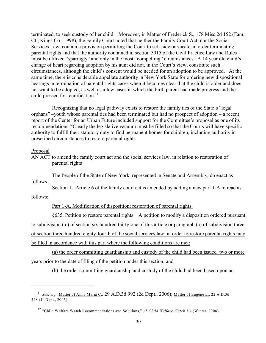terminated, to seek custody of her child.Moreover, in Matter of Frederick S., 178 Misc.2d 152 (Fam. Ct., Kings Co., 1998), the Family Court noted that neither the Family Court Act, nor the Social Services Law, contain a provision permitting the Court to set aside or vacate an order terminating parental rights and that the authority contained in section 5015 of the Civil Practice Law and Rules must be utilized "sparingly" and only in the most "compelling" circumstances. A 14 year old child's change of heart regarding adoption by his aunt did not, in the Court's view, constitute such circumstances, although the child's consent would be needed for an adoption to be approved. At the same time, there is considerable appellate authority in New York State for ordering new dispositional hearings in termination of parental rights cases when it becomes clear that the child is older and does not want to be adopted, as well as a few cases in which the birth parent had made progress and the child pressed for reunification.<sup>11</sup>

Recognizing that no legal pathway exists to restore the family ties of the State's "legal orphans" –youth whose parental ties had been terminated but had no prospect of adoption – a recent report of the Center for an Urban Future included support for the Committee's proposal as one of its recommendations.<sup>12</sup>Clearly the legislative vacuum must be filled so that the Courts will have specific authority to fulfill their statutory duty to find permanent homes for children, including authority in prescribed circumstances to restore parental rights.

#### Proposal

AN ACT to amend the family court act and the social services law, in relation to restoration of parental rights

The People of the State of New York, represented in Senate and Assembly, do enact as follows:

Section 1. Article 6 of the family court act is amended by adding a new part 1-A to read as

follows:

# Part 1-A. Modification of disposition; restoration of parental rights.

§635. Petition to restore parental rights. A petition to modify a disposition ordered pursuant to subdivision ( c) of section six hundred thirty-one of this article or paragraph (a) of subdivision three of section three hundred eighty-four-b of the social services law in order to restore parental rights may be filed in accordance with this part where the following conditions are met:

(a) the order committing guardianship and custody of the child had been issued two or more years prior to the date of filing of the petition under this section; and

(b) the order committing guardianship and custody of the child had been based upon an

<sup>&</sup>lt;sup>11</sup> See, e.g., Matter of Anna Maria C., 29 A.D.3d 992 (2d Dept., 2006); Matter of Eugene L., 22 A.D.3d 348 ( $1<sup>st</sup>$  Dept., 2005).

<sup>&</sup>lt;sup>12</sup> "Child Welfare Watch Recommendations and Solutions," 15 *Child Welfare Watch* 3,4 (Winter, 2008).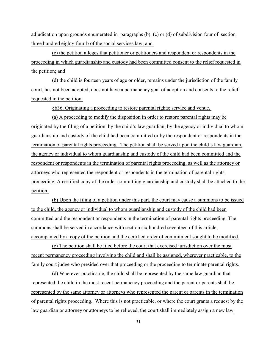adjudication upon grounds enumerated in paragraphs (b), (c) or (d) of subdivision four of section three hundred eighty-four-b of the social services law; and

(c) the petition alleges that petitioner or petitioners and respondent or respondents in the proceeding in which guardianship and custody had been committed consent to the relief requested in the petition; and

(d) the child is fourteen years of age or older, remains under the jurisdiction of the family court, has not been adopted, does not have a permanency goal of adoption and consents to the relief requested in the petition.

§636. Originating a proceeding to restore parental rights; service and venue.

(a) A proceeding to modify the disposition in order to restore parental rights may be originated by the filing of a petition by the child's law guardian, by the agency or individual to whom guardianship and custody of the child had been committed or by the respondent or respondents in the termination of parental rights proceeding. The petition shall be served upon the child's law guardian, the agency or individual to whom guardianship and custody of the child had been committed and the respondent or respondents in the termination of parental rights proceeding, as well as the attorney or attorneys who represented the respondent or respondents in the termination of parental rights proceeding. A certified copy of the order committing guardianship and custody shall be attached to the petition.

(b) Upon the filing of a petition under this part, the court may cause a summons to be issued to the child, the agency or individual to whom guardianship and custody of the child had been committed and the respondent or respondents in the termination of parental rights proceeding. The summons shall be served in accordance with section six hundred seventeen of this article, accompanied by a copy of the petition and the certified order of commitment sought to be modified.

(c) The petition shall be filed before the court that exercised jurisdiction over the most recent permanency proceeding involving the child and shall be assigned, wherever practicable, to the family court judge who presided over that proceeding or the proceeding to terminate parental rights.

(d) Wherever practicable, the child shall be represented by the same law guardian that represented the child in the most recent permanency proceeding and the parent or parents shall be represented by the same attorney or attorneys who represented the parent or parents in the termination of parental rights proceeding. Where this is not practicable, or where the court grants a request by the law guardian or attorney or attorneys to be relieved, the court shall immediately assign a new law

31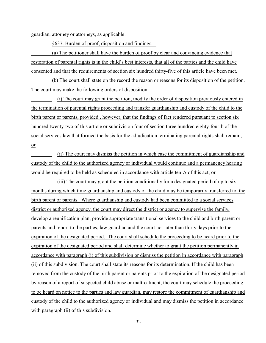guardian, attorney or attorneys, as applicable.

§637. Burden of proof, disposition and findings.

(a) The petitioner shall have the burden of proof by clear and convincing evidence that restoration of parental rights is in the child's best interests, that all of the parties and the child have consented and that the requirements of section six hundred thirty-five of this article have been met.

(b) The court shall state on the record the reason or reasons for its disposition of the petition. The court may make the following orders of disposition:

 (i) The court may grant the petition, modify the order of disposition previously entered in the termination of parental rights proceeding and transfer guardianship and custody of the child to the birth parent or parents, provided , however, that the findings of fact rendered pursuant to section six hundred twenty-two of this article or subdivision four of section three hundred eighty-four-b of the social services law that formed the basis for the adjudication terminating parental rights shall remain; or

 (ii) The court may dismiss the petition in which case the commitment of guardianship and custody of the child to the authorized agency or individual would continue and a permanency hearing would be required to be held as scheduled in accordance with article ten-A of this act; or

 (iii) The court may grant the petition conditionally for a designated period of up to six months during which time guardianship and custody of the child may be temporarily transferred to the birth parent or parents. Where guardianship and custody had been committed to a social services district or authorized agency, the court may direct the district or agency to supervise the family, develop a reunification plan, provide appropriate transitional services to the child and birth parent or parents and report to the parties, law guardian and the court not later than thirty days prior to the expiration of the designated period. The court shall schedule the proceeding to be heard prior to the expiration of the designated period and shall determine whether to grant the petition permanently in accordance with paragraph (i) of this subdivision or dismiss the petition in accordance with paragraph (ii) of this subdivision. The court shall state its reasons for its determination. If the child has been removed from the custody of the birth parent or parents prior to the expiration of the designated period by reason of a report of suspected child abuse or maltreatment, the court may schedule the proceeding to be heard on notice to the parties and law guardian, may restore the commitment of guardianship and custody of the child to the authorized agency or individual and may dismiss the petition in accordance with paragraph (ii) of this subdivision.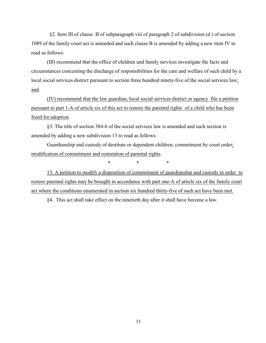§2. Item III of clause B of subparagraph viii of paragraph 2 of subdivision (d ) of section 1089 of the family court act is amended and such clause B is amended by adding a new item IV to read as follows:

(III) recommend that the office of children and family services investigate the facts and circumstances concerning the discharge of responsibilities for the care and welfare of such child by a local social services district pursuant to section three hundred ninety-five of the social services law; and.

(IV) recommend that the law guardian, local social services district or agency file a petition pursuant to part 1-A of article six of this act to restore the parental rights of a child who has been freed for adoption.

§3. The title of section 384-b of the social services law is amended and such section is amended by adding a new subdivision 13 to read as follows:

Guardianship and custody of destitute or dependent children; commitment by court order; modification of commitment and restoration of parental rights.

\* \* \*

13. A petition to modify a disposition of commitment of guardianship and custody in order to restore parental rights may be brought in accordance with part one-A of article six of the family court act where the conditions enumerated in section six hundred thirty-five of such act have been met.

§4. This act shall take effect on the ninetieth day after it shall have become a law.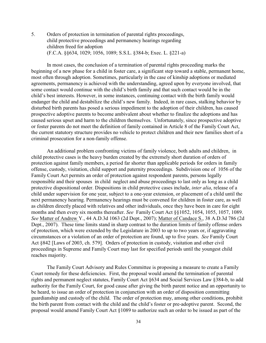5. Orders of protection in termination of parental rights proceedings, child protective proceedings and permanency hearings regarding children freed for adoption (F.C.A. §§634, 1029; 1056, 1089; S.S.L. §384-b; Exec. L. §221-a)

In most cases, the conclusion of a termination of parental rights proceeding marks the beginning of a new phase for a child in foster care, a significant step toward a stable, permanent home, most often through adoption. Sometimes, particularly in the case of kinship adoptions or mediated agreements, permanency is achieved with the understanding, agreed upon by everyone involved, that some contact would continue with the child's birth family and that such contact would be in the child's best interests. However, in some instances, continuing contact with the birth family would endanger the child and destabilize the child's new family. Indeed, in rare cases, stalking behavior by disturbed birth parents has posed a serious impediment to the adoption of their children, has caused prospective adoptive parents to become ambivalent about whether to finalize the adoptions and has caused serious upset and harm to the children themselves. Unfortunately, since prospective adoptive or foster parents do not meet the definition of family contained in Article 8 of the Family Court Act, the current statutory structure provides no vehicle to protect children and their new families short of a criminal prosecution for a non-family offense.

An additional problem confronting victims of family violence, both adults and children, in child protective cases is the heavy burden created by the extremely short duration of orders of protection against family members, a period far shorter than applicable periods for orders in family offense, custody, visitation, child support and paternity proceedings. Subdivision one of 1056 of the Family Court Act permits an order of protection against respondent parents, persons legally responsible and their spouses in child neglect and abuse proceedings to last only as long as a child protective dispositional order. Dispositions in child protective cases include, *inter alia*, release of a child under supervision for one year, subject to a one-year extension, or placement of a child until the next permanency hearing. Permanency hearings must be convened for children in foster care, as well as children directly placed with relatives and other individuals, once they have been in care for eight months and then every six months thereafter. *See* Family Court Act §§1052, 1054, 1055, 1057, 1089. *See* Matter of Andrew Y., 44 A.D.3d 1063 (2d Dept., 2007); Matter of Candace S., 38 A.D.3d 786 (2d Dept., 2007). These time limits stand in sharp contrast to the duration limits of family offense orders of protection, which were extended by the Legislature in 2003 to up to two years or, if aggravating circumstances or a violation of an order of protection are found, up to five years. *See* Family Court Act §842 [Laws of 2003, ch. 579]. Orders of protection in custody, visitation and other civil proceedings in Supreme and Family Court may last for specified periods until the youngest child reaches majority.

The Family Court Advisory and Rules Committee is proposing a measure to create a Family Court remedy for these deficiencies. First, the proposal would amend the termination of parental rights and permanent neglect statutes, Family Court Act §634 and Social Services Law §384-b, to add authority for the Family Court, for good cause after giving the birth parent notice and an opportunity to be heard, to issue an order of protection in conjunction with an order of disposition committing guardianship and custody of the child. The order of protection may, among other conditions, prohibit the birth parent from contact with the child and the child's foster or pre-adoptive parent. Second, the proposal would amend Family Court Act §1089 to authorize such an order to be issued as part of the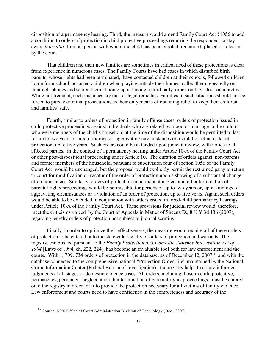disposition of a permanency hearing. Third, the measure would amend Family Court Act §1056 to add a condition to orders of protection in child protective proceedings requiring the respondent to stay away, *inter alia*, from a "person with whom the child has been paroled, remanded, placed or released by the court..."

That children and their new families are sometimes in critical need of these protections is clear from experience in numerous cases. The Family Courts have had cases in which disturbed birth parents, whose rights had been terminated, have contacted children at their schools, followed children home from school, accosted children when playing outside their homes, called them repeatedly on their cell-phones and scared them at home upon having a third party knock on their door on a pretext. While not frequent, such instances cry out for legal remedies. Families in such situations should not be forced to pursue criminal prosecutions as their only means of obtaining relief to keep their children and families safe.

Fourth, similar to orders of protection in family offense cases, orders of protection issued in child protective proceedings against individuals who are related by blood or marriage to the child or who were members of the child's household at the time of the disposition would be permitted to last for up to two years or, upon findings of aggravating circumstances or a violation of an order of protection, up to five years. Such orders could be extended upon judicial review, with notice to all affected parties, in the context of a permanency hearing under Article 10-A of the Family Court Act or other post-dispositional proceeding under Article 10. The duration of orders against non-parents and former members of the household, pursuant to subdivision four of section 1056 of the Family Court Act would be unchanged, but the proposal would explicitly permit the restrained party to return to court for modification or vacatur of the order of protection upon a showing of a substantial change of circumstances. Similarly, orders of protection in permanent neglect and other termination of parental rights proceedings would be permissible for periods of up to two years or, upon findings of aggravating circumstances or a violation of an order of protection, up to five years. Again, such orders would be able to be extended in conjunction with orders issued in freed-child permanency hearings under Article 10-A of the Family Court Act. These provisions for judicial review would, therefore, meet the criticisms voiced by the Court of Appeals in Matter of Sheena D., 8 N.Y.3d 136 (2007), regarding lengthy orders of protection not subject to judicial scrutiny.

Finally, in order to optimize their effectiveness, the measure would require all of these orders of protection to be entered onto the statewide registry of orders of protection and warrants. The registry, established pursuant to the *Family Protection and Domestic Violence Intervention Act of 1994* [Laws of 1994, ch. 222, 224], has become an invaluable tool both for law enforcement and the courts. With 1, 709, 734 orders of protection in the database, as of December 12, 2007,  $13$  and with the database connected to the comprehensive national "Protection Order File" maintained by the National Crime Information Center (Federal Bureau of Investigation), the registry helps to assure informed judgments at all stages of domestic violence cases. All orders, including those in child protective, permanency, permanent neglect and other termination of parental rights proceedings, must be entered onto the registry in order for it to provide the protection necessary for all victims of family violence. Law enforcement and courts need to have confidence in the completeness and accuracy of the

<sup>&</sup>lt;sup>13</sup> Source: NYS Office of Court Administration Division of Technology (Dec., 2007).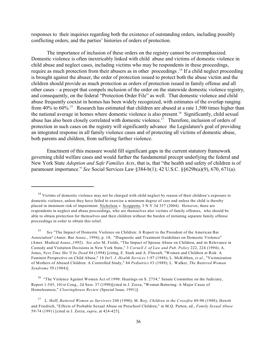responses to their inquiries regarding both the existence of outstanding orders, including possibly conflicting orders, and the parties' histories of orders of protection.

The importance of inclusion of these orders on the registry cannot be overemphasized. Domestic violence is often inextricably linked with child abuse and victims of domestic violence in child abuse and neglect cases, including victims who may be respondents in these proceedings, require as much protection from their abusers as in other proceedings.<sup>14</sup> If a child neglect proceeding is brought against the abuser, the order of protection issued to protect both the abuse victim and the children should provide as much protection as orders of protection issued in family offense and all other cases – a precept that compels inclusion of the order on the statewide domestic violence registry, and consequently, on the federal "Protection Order File" as well. That domestic violence and child abuse frequently coexist in homes has been widely recognized, with estimates of the overlap ranging from 40% to 60%.<sup>15</sup> Research has estimated that children are abused at a rate 1,500 times higher than the national average in homes where domestic violence is also present.<sup>16</sup> Significantly, child sexual abuse has also been closely correlated with domestic violence.<sup>17</sup> Therefore, inclusion of orders of protection in such cases on the registry will significantly advance the Legislature's goal of providing an integrated response in all family violence cases and of protecting all victims of domestic abuse, both parents and children, from suffering further violence.

Enactment of this measure would fill significant gaps in the current statutory framework governing child welfare cases and would further the fundamental precept underlying the federal and New York State *Adoption and Safe Families Acts*, that is, that "the health and safety of children is of paramount importance." *See* Social Services Law §384-b(1); 42 U.S.C. §§629b(a)(9), 670, 671(a).

 $14$  Victims of domestic violence may not be charged with child neglect by reason of their children's exposure to domestic violence, unless they have failed to exercise a minimum degree of care and unless the child is thereby placed in imminent risk of impairment. Nicholson *v.* Scoppetta, 3 N.Y.3d 357 (2004). However, there are respondents in neglect and abuse proceedings, who are themselves also victims of family offenses, who should be able to obtain protection for themselves and their children without the burden of initiating separate family offense proceedings in order to obtain this relief.

*See* "The Impact of Domestic Violence on Children: A Report to the President of the American Bar 15 Association" (Amer. Bar Assoc., 1994), p. 18; "Diagnostic and Treatment Guidelines on Domestic Violence" (Amer. Medical Assoc.,1992). *See also* M, Fields, "The Impact of Spouse Abuse on Children, and its Relevance in Custody and Visitation Decisions in New York State," 3 *Cornell J. of Law and Pub. Policy* 222, 224 (1994); A. Jones, *Next Time She'll be Dead* 84 (1994) [citing, E. Stark and A. Flitcraft, "Women and Children at Risk: A Feminist Perspective on Child Abuse," 18 *Int'l. J. Health Services* 1:97 (1988); L. McKibben, *et al.*, "Victimization of Mothers of Abused Children: A Controlled Study," 84 *Pediatrics* #3 (1989); L. Walker, *The Battered Woman Syndrome* 59 (1984)].

<sup>&</sup>lt;sup>16</sup> "The Violence Against Women Act of 1990: Hearings on S. 2754," Senate Committee on the Judiciary, Report 1-545, 101st Cong., 2d Sess. 37 (1990)[cited in J. Zorza, "Woman Battering: A Major Cause of Homelessness," *Clearinghouse Review* (Special Issue, 1991)].

<sup>&</sup>lt;sup>17</sup> L. Hoff, *Battered Women as Survivors* 240 (1990); M. Roy, *Children in the Crossfire* 89-90 (1988); Hewitt and Friedrich, "Effects of Probable Sexual Abuse on Preschool Children," in M.Q. Patton, ed., *Family Sexual Abuse* 59-74 (1991) [cited in J. Zorza, *supra*, at 424-425].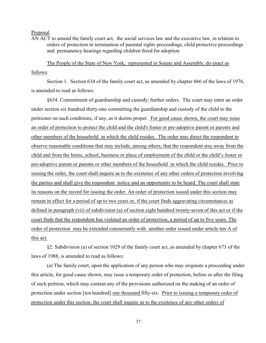### Proposal

AN ACT to amend the family court act, the social services law and the executive law, in relation to orders of protection in termination of parental rights proceedings, child protective proceedings and permanency hearings regarding children freed for adoption

The People of the State of New York, represented in Senate and Assembly, do enact as follows:

Section 1. Section 634 of the family court act, as amended by chapter 666 of the laws of 1976, is amended to read as follows:

§634. Commitment of guardianship and custody; further orders. The court may enter an order under section six hundred thirty-one committing the guardianship and custody of the child to the petitioner on such conditions, if any, as it deems proper. For good cause shown, the court may issue an order of protection to protect the child and the child's foster or pre-adoptive parent or parents and other members of the household in which the child resides. The order may direct the respondent to observe reasonable conditions that may include, among others, that the respondent stay away from the child and from the home, school, business or place of employment of the child or the child's foster or pre-adoptive parent or parents or other members of the household in which the child resides. Prior to issuing the order, the court shall inquire as to the existence of any other orders of protection involving the parties and shall give the respondent notice and an opportunity to be heard. The court shall state its reasons on the record for issuing the order. An order of protection issued under this section may remain in effect for a period of up to two years or, if the court finds aggravating circumstances as defined in paragraph (vii) of subdivision (a) of section eight hundred twenty-seven of this act or if the court finds that the respondent has violated an order of protection, a period of up to five years. The order of protection may be extended concurrently with another order issued under article ten-A of this act.

§2. Subdivision (a) of section 1029 of the family court act, as amended by chapter 673 of the laws of 1988, is amended to read as follows:

(a) The family court, upon the application of any person who may originate a proceeding under this article, for good cause shown, may issue a temporary order of protection, before or after the filing of such petition, which may contain any of the provisions authorized on the making of an order of protection under section [ten hundred] one thousand fifty-six. Prior to issuing a temporary order of protection under this section, the court shall inquire as to the existence of any other orders of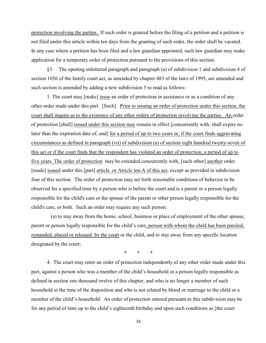protection involving the parties. If such order is granted before the filing of a petition and a petition is not filed under this article within ten days from the granting of such order, the order shall be vacated. In any case where a petition has been filed and a law guardian appointed, such law guardian may make application for a temporary order of protection pursuant to the provisions of this section.

§3. The opening unlettered paragraph and paragraph (a) of subdivision 1 and subdivision 4 of section 1056 of the family court act, as amended by chapter 483 of the laws of 1995, are amended and such section is amended by adding a new subdivision 5 to read as follows:

1. The court may [make] issue an order of protection in assistance or as a condition of any other order made under this part. [Such] Prior to issuing an order of protection under this section, the court shall inquire as to the existence of any other orders of protection involving the parties. An order of protection [shall] issued under this section may remain in effect [concurrently with, shall expire no later than the expiration date of, and for a period of up to two years or, if the court finds aggravating circumstances as defined in paragraph (vii) of subdivision (a) of section eight hundred twenty-seven of this act or if the court finds that the respondent has violated an order of protection, a period of up to five years. The order of protection may be extended concurrently with, [such other] another order [made] issued under this [part] article or Article ten-A of this act, except as provided in subdivision four of this section. The order of protection may set forth reasonable conditions of behavior to be observed for a specified time by a person who is before the court and is a parent or a person legally responsible for the child's care or the spouse of the parent or other person legally responsible for the child's care, or both. Such an order may require any such person:

 (a) to stay away from the home, school, business or place of employment of the other spouse, parent or person legally responsible for the child's care, person with whom the child has been paroled, remanded, placed or released by the court or the child, and to stay away from any specific location designated by the court;

\* \* \*

4. The court may enter an order of protection independently of any other order made under this part, against a person who was a member of the child's household or a person legally responsible as defined in section one thousand twelve of this chapter, and who is no longer a member of such household at the time of the disposition and who is not related by blood or marriage to the child or a member of the child's household. An order of protection entered pursuant to this subdivision may be for any period of time up to the child's eighteenth birthday and upon such conditions as [the court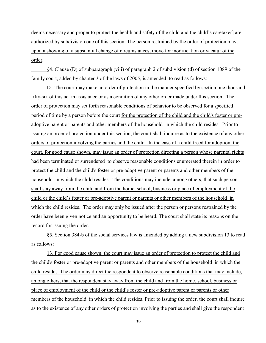deems necessary and proper to protect the health and safety of the child and the child's caretaker] are authorized by subdivision one of this section. The person restrained by the order of protection may, upon a showing of a substantial change of circumstances, move for modification or vacatur of the order.

§4. Clause (D) of subparagraph (viii) of paragraph 2 of subdivision (d) of section 1089 of the family court, added by chapter 3 of the laws of 2005, is amended to read as follows:

D. The court may make an order of protection in the manner specified by section one thousand fifty-six of this act in assistance or as a condition of any other order made under this section. The order of protection may set forth reasonable conditions of behavior to be observed for a specified period of time by a person before the court for the protection of the child and the child's foster or preadoptive parent or parents and other members of the household in which the child resides. Prior to issuing an order of protection under this section, the court shall inquire as to the existence of any other orders of protection involving the parties and the child. In the case of a child freed for adoption, the court, for good cause shown, may issue an order of protection directing a person whose parental rights had been terminated or surrendered to observe reasonable conditions enumerated therein in order to protect the child and the child's foster or pre-adoptive parent or parents and other members of the household in which the child resides. The conditions may include, among others, that such person shall stay away from the child and from the home, school, business or place of employment of the child or the child's foster or pre-adoptive parent or parents or other members of the household in which the child resides. The order may only be issued after the person or persons restrained by the order have been given notice and an opportunity to be heard. The court shall state its reasons on the record for issuing the order.

§5. Section 384-b of the social services law is amended by adding a new subdivision 13 to read as follows:

13. For good cause shown, the court may issue an order of protection to protect the child and the child's foster or pre-adoptive parent or parents and other members of the household in which the child resides. The order may direct the respondent to observe reasonable conditions that may include, among others, that the respondent stay away from the child and from the home, school, business or place of employment of the child or the child's foster or pre-adoptive parent or parents or other members of the household in which the child resides. Prior to issuing the order, the court shall inquire as to the existence of any other orders of protection involving the parties and shall give the respondent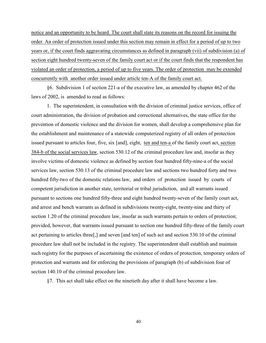notice and an opportunity to be heard. The court shall state its reasons on the record for issuing the order. An order of protection issued under this section may remain in effect for a period of up to two years or, if the court finds aggravating circumstances as defined in paragraph (vii) of subdivision (a) of section eight hundred twenty-seven of the family court act or if the court finds that the respondent has violated an order of protection, a period of up to five years. The order of protection may be extended concurrently with another order issued under article ten-A of the family court act.

§6. Subdivision 1 of section 221-a of the executive law, as amended by chapter 462 of the laws of 2002, is amended to read as follows:

1. The superintendent, in consultation with the division of criminal justice services, office of court administration, the division of probation and correctional alternatives, the state office for the prevention of domestic violence and the division for women, shall develop a comprehensive plan for the establishment and maintenance of a statewide computerized registry of all orders of protection issued pursuant to articles four, five, six [and], eight, ten and ten-a of the family court act, section 384-b of the social services law, section 530.12 of the criminal procedure law and, insofar as they involve victims of domestic violence as defined by section four hundred fifty-nine-a of the social services law, section 530.13 of the criminal procedure law and sections two hundred forty and two hundred fifty-two of the domestic relations law, and orders of protection issued by courts of competent jurisdiction in another state, territorial or tribal jurisdiction, and all warrants issued pursuant to sections one hundred fifty-three and eight hundred twenty-seven of the family court act, and arrest and bench warrants as defined in subdivisions twenty-eight, twenty-nine and thirty of section 1.20 of the criminal procedure law, insofar as such warrants pertain to orders of protection; provided, however, that warrants issued pursuant to section one hundred fifty-three of the family court act pertaining to articles three[,] and seven [and ten] of such act and section 530.10 of the criminal procedure law shall not be included in the registry. The superintendent shall establish and maintain such registry for the purposes of ascertaining the existence of orders of protection, temporary orders of protection and warrants and for enforcing the provisions of paragraph (b) of subdivision four of section 140.10 of the criminal procedure law.

§7. This act shall take effect on the ninetieth day after it shall have become a law.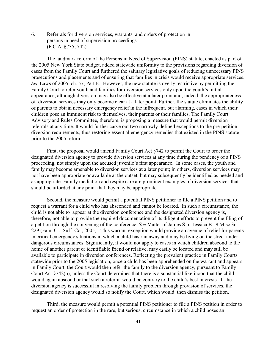6. Referrals for diversion services, warrants and orders of protection in persons in need of supervision proceedings (F.C.A. §735, 742)

The landmark reform of the Persons in Need of Supervision (PINS) statute, enacted as part of the 2005 New York State budget, added statewide uniformity to the provisions regarding diversion of cases from the Family Court and furthered the salutary legislative goals of reducing unnecessary PINS prosecutions and placements and of ensuring that families in crisis would receive appropriate services. *See* Laws of 2005, ch. 57, Part E. However, the new statute is overly restrictive by permitting the Family Court to refer youth and families for diversion services only upon the youth's initial appearance, although diversion may also be effective at a later point and, indeed, the appropriateness of diversion services may only become clear at a later point. Further, the statute eliminates the ability of parents to obtain necessary emergency relief in the infrequent, but alarming, cases in which their children pose an imminent risk to themselves, their parents or their families. The Family Court Advisory and Rules Committee, therefore, is proposing a measure that would permit diversion referrals at any time. It would further carve out two narrowly-defined exceptions to the pre-petition diversion requirements, thus restoring essential emergency remedies that existed in the PINS statute prior to the 2005 reform.

First, the proposal would amend Family Court Act §742 to permit the Court to order the designated diversion agency to provide diversion services at any time during the pendency of a PINS proceeding, not simply upon the accused juvenile's first appearance. In some cases, the youth and family may become amenable to diversion services at a later point; in others, diversion services may not have been appropriate or available at the outset, but may subsequently be identified as needed and as appropriate. Family mediation and respite care are prominent examples of diversion services that should be afforded at any point that they may be appropriate.

Second, the measure would permit a potential PINS petitioner to file a PINS petition and to request a warrant for a child who has absconded and cannot be located. In such a circumstance, the child is not able to appear at the diversion conference and the designated diversion agency is, therefore, not able to provide the required documentation of its diligent efforts to prevent the filing of a petition through the convening of the conference. *See* Matter of James S. *v.* Jessica B., 9 Misc.3d 229 (Fam. Ct., Suff. Co., 2005). This warrant exception would provide an avenue of relief for parents in critical emergency situations in which a child has run away and may be living on the street under dangerous circumstances. Significantly, it would not apply to cases in which children abscond to the home of another parent or identifiable friend or relative, may easily be located and may still be available to participate in diversion conferences. Reflecting the prevalent practice in Family Courts statewide prior to the 2005 legislation, once a child has been apprehended on the warrant and appears in Family Court, the Court would then refer the family to the diversion agency, pursuant to Family Court Act §742(b), unless the Court determines that there is a substantial likelihood that the child would again abscond or that such a referral would be contrary to the child's best interests. If the diversion agency is successful in resolving the family problem through provision of services, the designated diversion agency would so notify the Court, which would then dismiss the petition.

Third, the measure would permit a potential PINS petitioner to file a PINS petition in order to request an order of protection in the rare, but serious, circumstance in which a child poses an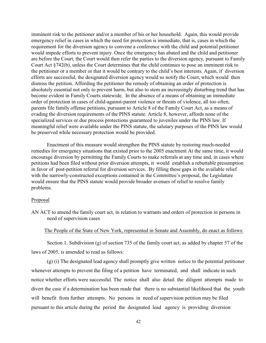imminent risk to the petitioner and/or a member of his or her household. Again, this would provide emergency relief in cases in which the need for protection is immediate, that is, cases in which the requirement for the diversion agency to convene a conference with the child and potential petitioner would impede efforts to prevent injury. Once the emergency has abated and the child and petitioner are before the Court, the Court would then refer the parties to the diversion agency, pursuant to Family Court Act §742(b), unless the Court determines that the child continues to pose an imminent risk to the petitioner or a member or that it would be contrary to the child's best interests. Again, if diversion efforts are successful, the designated diversion agency would so notify the Court, which would then dismiss the petition. Affording the petitioner the remedy of obtaining an order of protection is absolutely essential not only to prevent harm, but also to stem an increasingly disturbing trend that has become evident in Family Courts statewide. In the absence of a means of obtaining an immediate order of protection in cases of child-against-parent violence or threats of violence, all too often, parents file family offense petitions, pursuant to Article 8 of the Family Court Act, as a means of evading the diversion requirements of the PINS statute. Article 8, however, affords none of the specialized services or due process protections guaranteed to juveniles under the PINS law. If meaningful relief were available under the PINS statute, the salutary purposes of the PINS law would be preserved while necessary protection would be provided.

Enactment of this measure would strengthen the PINS statute by restoring much-needed remedies for emergency situations that existed prior to the 2005 enactment At the same time, it would encourage diversion by permitting the Family Courts to make referrals at any time and, in cases where petitions had been filed without prior diversion attempts, it would establish a rebuttable presumption in favor of post-petition referral for diversion services. By filling these gaps in the available relief with the narrowly-constructed exceptions contained in the Committee's proposal, the Legislature would ensure that the PINS statute would provide broader avenues of relief to resolve family problems.

# Proposal

AN ACT to amend the family court act, in relation to warrants and orders of protection in persons in need of supervision cases

# The People of the State of New York, represented in Senate and Assembly, do enact as follows:

Section 1. Subdivision (g) of section 735 of the family court act, as added by chapter 57 of the laws of 2005, is amended to read as follows:

(g) (i) The designated lead agency shall promptly give written notice to the potential petitioner whenever attempts to prevent the filing of a petition have terminated, and shall indicate in such notice whether efforts were successful. The notice shall also detail the diligent attempts made to divert the case if a determination has been made that there is no substantial likelihood that the youth will benefit from further attempts. No persons in need of supervision petition may be filed pursuant to this article during the period the designated lead agency is providing diversion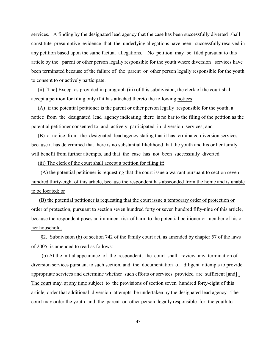services. A finding by the designated lead agency that the case has been successfully diverted shall constitute presumptive evidence that the underlying allegations have been successfully resolved in any petition based upon the same factual allegations. No petition may be filed pursuant to this article by the parent or other person legally responsible for the youth where diversion services have been terminated because of the failure of the parent or other person legally responsible for the youth to consent to or actively participate.

 (ii) [The] Except as provided in paragraph (iii) of this subdivision, the clerk of the court shall accept a petition for filing only if it has attached thereto the following notices:

 (A) if the potential petitioner is the parent or other person legally responsible for the youth, a notice from the designated lead agency indicating there is no bar to the filing of the petition as the potential petitioner consented to and actively participated in diversion services; and

 (B) a notice from the designated lead agency stating that it has terminated diversion services because it has determined that there is no substantial likelihood that the youth and his or her family will benefit from further attempts, and that the case has not been successfully diverted.

(iii) The clerk of the court shall accept a petition for filing if:

 (A) the potential petitioner is requesting that the court issue a warrant pursuant to section seven hundred thirty-eight of this article, because the respondent has absconded from the home and is unable to be located; or

 (B) the potential petitioner is requesting that the court issue a temporary order of protection or order of protection, pursuant to section seven hundred forty or seven hundred fifty-nine of this article, because the respondent poses an imminent risk of harm to the potential petitioner or member of his or her household.

 §2. Subdivision (b) of section 742 of the family court act, as amended by chapter 57 of the laws of 2005, is amended to read as follows:

 (b) At the initial appearance of the respondent, the court shall review any termination of diversion services pursuant to such section, and the documentation of diligent attempts to provide appropriate services and determine whether such efforts or services provided are sufficient [and] . The court may, at any time subject to the provisions of section seven hundred forty-eight of this article, order that additional diversion attempts be undertaken by the designated lead agency. The court may order the youth and the parent or other person legally responsible for the youth to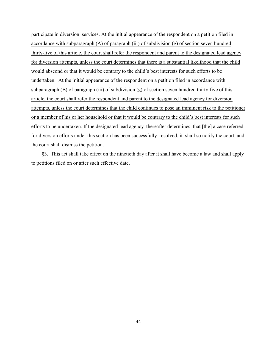participate in diversion services. At the initial appearance of the respondent on a petition filed in accordance with subparagraph (A) of paragraph (iii) of subdivision (g) of section seven hundred thirty-five of this article, the court shall refer the respondent and parent to the designated lead agency for diversion attempts, unless the court determines that there is a substantial likelihood that the child would abscond or that it would be contrary to the child's best interests for such efforts to be undertaken. At the initial appearance of the respondent on a petition filed in accordance with subparagraph (B) of paragraph (iii) of subdivision (g) of section seven hundred thirty-five of this article, the court shall refer the respondent and parent to the designated lead agency for diversion attempts, unless the court determines that the child continues to pose an imminent risk to the petitioner or a member of his or her household or that it would be contrary to the child's best interests for such efforts to be undertaken. If the designated lead agency thereafter determines that [the] a case referred for diversion efforts under this section has been successfully resolved, it shall so notify the court, and the court shall dismiss the petition.

 §3. This act shall take effect on the ninetieth day after it shall have become a law and shall apply to petitions filed on or after such effective date.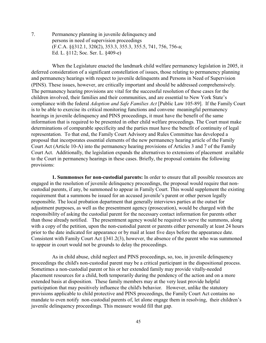7. Permanency planning in juvenile delinquency and persons in need of supervision proceedings (F.C.A. §§312.1, 320(2), 353.3, 355.3, 355.5, 741, 756, 756-a; Ed. L. §112; Soc. Ser. L. §409-e)

When the Legislature enacted the landmark child welfare permanency legislation in 2005, it deferred consideration of a significant constellation of issues, those relating to permanency planning and permanency hearings with respect to juvenile delinquents and Persons in Need of Supervision (PINS). These issues, however, are critically important and should be addressed comprehensively. The permanency hearing provisions are vital for the successful resolution of these cases for the children involved, their families and their communities, and are essential to New York State's compliance with the federal *Adoption and Safe Families Act* [Public Law 105-89]. If the Family Court is to be able to exercise its critical monitoring functions and convene meaningful permanency hearings in juvenile delinquency and PINS proceedings, it must have the benefit of the same information that is required to be presented in other child welfare proceedings. The Court must make determinations of comparable specificity and the parties must have the benefit of continuity of legal representation. To that end, the Family Court Advisory and Rules Committee has developed a proposal that incorporates essential elements of the new permanency hearing article of the Family Court Act (Article 10-A) into the permanency hearing provisions of Articles 3 and 7 of the Family Court Act. Additionally, the legislation expands the alternatives to extensions of placement available to the Court in permanency hearings in these cases. Briefly, the proposal contains the following provisions:

**1. Summonses for non-custodial parents:** In order to ensure that all possible resources are engaged in the resolution of juvenile delinquency proceedings, the proposal would require that noncustodial parents, if any, be summoned to appear in Family Court. This would supplement the existing requirement that a summons be issued for an accused juvenile's parent or other person legally responsible. The local probation department that generally interviews parties at the outset for adjustment purposes, as well as the presentment agency (prosecution), would be charged with the responsibility of asking the custodial parent for the necessary contact information for parents other than those already notified. The presentment agency would be required to serve the summons, along with a copy of the petition, upon the non-custodial parent or parents either personally at least 24 hours prior to the date indicated for appearance or by mail at least five days before the appearance date. Consistent with Family Court Act §341.2(3), however, the absence of the parent who was summoned to appear in court would not be grounds to delay the proceedings.

As in child abuse, child neglect and PINS proceedings, so, too, in juvenile delinquency proceedings the child's non-custodial parent may be a critical participant in the dispositional process. Sometimes a non-custodial parent or his or her extended family may provide vitally-needed placement resources for a child, both temporarily during the pendency of the action and on a more extended basis at disposition. These family members may at the very least provide helpful participation that may positively influence the child's behavior. However, unlike the statutory provisions applicable to child protective and PINS proceedings, the Family Court Act contains no mandate to even notify non-custodial parents of, let alone engage them in resolving, their children's juvenile delinquency proceedings. This measure would fill that gap.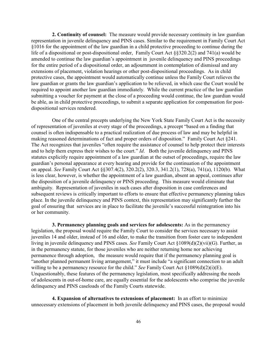**2. Continuity of counsel:** The measure would provide necessary continuity in law guardian representation in juvenile delinquency and PINS cases. Similar to the requirement in Family Court Act §1016 for the appointment of the law guardian in a child protective proceeding to continue during the life of a dispositional or post-dispositional order, Family Court Act §§320.2(2) and 741(a) would be amended to continue the law guardian's appointment in juvenile delinquency and PINS proceedings for the entire period of a dispositional order, an adjournment in contemplation of dismissal and any extensions of placement, violation hearings or other post-dispositional proceedings. As in child protective cases, the appointment would automatically continue unless the Family Court relieves the law guardian or grants the law guardian's application to be relieved, in which case the Court would be required to appoint another law guardian immediately. While the current practice of the law guardian submitting a voucher for payment at the close of a proceeding would continue, the law guardian would be able, as in child protective proceedings, to submit a separate application for compensation for postdispositional services rendered.

One of the central precepts underlying the New York State Family Court Act is the necessity of representation of juveniles at every stage of the proceedings, a precept "based on a finding that counsel is often indispensable to a practical realization of due process of law and may be helpful in making reasoned determinations of fact and proper orders of disposition." Family Court Act §241. The Act recognizes that juveniles "often require the assistance of counsel to help protect their interests and to help them express their wishes to the court." *Id*. Both the juvenile delinquency and PINS statutes explicitly require appointment of a law guardian at the outset of proceedings, require the law guardian's personal appearance at every hearing and provide for the continuation of the appointment on appeal. *See* Family Court Act §§307.4(2), 320.2(2), 320.3, 341.2(1), 728(a), 741(a), 1120(b). What is less clear, however, is whether the appointment of a law guardian, absent an appeal, continues after the disposition of a juvenile delinquency or PINS proceeding. This measure would eliminate that ambiguity. Representation of juveniles in such cases after disposition in case conferences and subsequent reviews is critically important to efforts to ensure that effective permanency planning takes place. In the juvenile delinquency and PINS context, this representation may significantly further the goal of ensuring that services are in place to facilitate the juvenile's successful reintegration into his or her community.

**3. Permanency planning goals and services for adolescents:** As in the permanency legislation, the proposal would require the Family Court to consider the services necessary to assist juveniles 14 and older, instead of 16 and older, to make the transition from foster care to independent living in juvenile delinquency and PINS cases. *See* Family Court Act §1089(d)(2)(vii)(G). Further, as in the permanency statute, for those juveniles who are neither returning home nor achieving permanence through adoption, the measure would require that if the permanency planning goal is "another planned permanent living arrangement," it must include "a significant connection to an adult willing to be a permanency resource for the child." *See* Family Court Act §1089(d)(2)(i)(E). Unquestionably, these features of the permanency legislation, most specifically addressing the needs of adolescents in out-of-home care, are equally essential for the adolescents who comprise the juvenile delinquency and PINS caseloads of the Family Courts statewide.

**4. Expansion of alternatives to extensions of placement:** In an effort to minimize unnecessary extensions of placement in both juvenile delinquency and PINS cases, the proposal would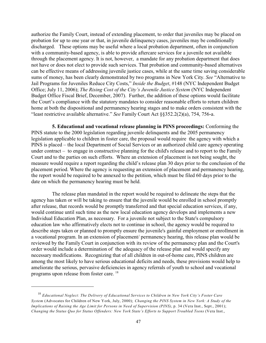authorize the Family Court, instead of extending placement, to order that juveniles may be placed on probation for up to one year or that, in juvenile delinquency cases, juveniles may be conditionally discharged. These options may be useful where a local probation department, often in conjunction with a community-based agency, is able to provide aftercare services for a juvenile not available through the placement agency. It is not, however, a mandate for any probation department that does not have or does not elect to provide such services. That probation and community-based alternatives can be effective means of addressing juvenile justice cases, while at the same time saving considerable sums of money, has been clearly demonstrated by two programs in New York City. *See* "Alternative to Jail Programs for Juveniles Reduce City Costs," *Inside the Budget*, #148 (NYC Independent Budget Office; July 11, 2006); *The Rising Cost of the City's Juvenile Justice System* (NYC Independent Budget Office Fiscal Brief, December, 2007). Further, the addition of these options would facilitate the Court's compliance with the statutory mandates to consider reasonable efforts to return children home at both the dispositional and permanency hearing stages and to make orders consistent with the "least restrictive available alternative." *See* Family Court Act §§352.2(2)(a), 754, 756-a.

**5. Educational and vocational release planning in PINS proceedings:** Conforming the PINS statute to the 2000 legislation regarding juvenile delinquents and the 2005 permanency legislation applicable to children in foster care, the proposal would require the agency with which a PINS is placed – the local Department of Social Services or an authorized child care agency operating under contract – to engage in constructive planning for the child's release and to report to the Family Court and to the parties on such efforts. Where an extension of placement is not being sought, the measure would require a report regarding the child's release plan 30 days prior to the conclusion of the placement period. Where the agency is requesting an extension of placement and permanency hearing, the report would be required to be annexed to the petition, which must be filed 60 days prior to the date on which the permanency hearing must be held.

The release plan mandated in the report would be required to delineate the steps that the agency has taken or will be taking to ensure that the juvenile would be enrolled in school promptly after release, that records would be promptly transferred and that special education services, if any, would continue until such time as the new local education agency develops and implements a new Individual Education Plan, as necessary. For a juvenile not subject to the State's compulsory education law who affirmatively elects not to continue in school, the agency would be required to describe steps taken or planned to promptly ensure the juvenile's gainful employment or enrollment in a vocational program. In an extension of placement/ permanency hearing, this release plan would be reviewed by the Family Court in conjunction with its review of the permanency plan and the Court's order would include a determination of the adequacy of the release plan and would specify any necessary modifications. Recognizing that of all children in out-of-home care, PINS children are among the most likely to have serious educational deficits and needs, these provisions would help to ameliorate the serious, pervasive deficiencies in agency referrals of youth to school and vocational programs upon release from foster care. 18

*Educational Neglect: The Delivery of Educational Services to Children in New York City's Foster Care* 18 *System* (Advocates for Children of New York, July, 2000); *Changing the PINS System in New York: A Study of the Implications of Raising the Age Limit for Persons in Need of Supervision (PINS)*, p. 34 (Vera Inst., Sept., 2001); *Changing the Status Quo for Status Offenders: New York State's Efforts to Support Troubled Teens* (Vera Inst.,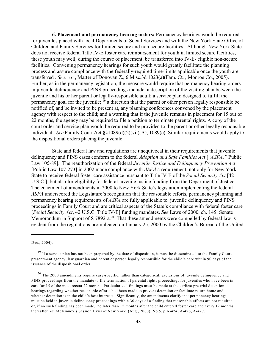**6. Placement and permanency hearing orders:** Permanency hearings would be required for juveniles placed with local Departments of Social Services and with the New York State Office of Children and Family Services for limited secure and non-secure facilities. Although New York State does not receive federal Title IV-E foster care reimbursement for youth in limited secure facilities, these youth may well, during the course of placement, be transferred into IV-E- eligible non-secure facilities. Convening permanency hearings for such youth would greatly facilitate the planning process and assure compliance with the federally-required time-limits applicable once the youth are transferred . *See, e.g.*, Matter of Donovan Z., 6 Misc.3d 1023(a)(Fam. Ct. , Monroe Co., 2005). Further, as in the permanency legislation, the measure would require that permanency hearing orders in juvenile delinquency and PINS proceedings include: a description of the visiting plan between the juvenile and his or her parent or legally-responsible adult; a service plan designed to fulfill the permanency goal for the juvenile;  $19$  a direction that the parent or other person legally responsible be notified of, and be invited to be present at, any planning conferences convened by the placement agency with respect to the child; and a warning that if the juvenile remains in placement for 15 out of 22 months, the agency may be required to file a petition to terminate parental rights. A copy of the court order and service plan would be required to be provided to the parent or other legally responsible individual. *See* Family Court Act §§1089(d)(2)(vii)(A), 1089(e). Similar requirements would apply to the dispositional orders placing the juvenile.

State and federal law and regulations are unequivocal in their requirements that juvenile delinquency and PINS cases conform to the federal *Adoption and Safe Families Act* ["*ASFA,"* Public Law 105-89]. The reauthorization of the federal *Juvenile Justice and Delinquency Prevention Act* [Public Law 107-273] in 2002 made compliance with *ASFA* a requirement, not only for New York State to receive federal foster care assistance pursuant to Title IV-E of the *Social Security Act* [42 U.S.C.], but also for eligibility for federal juvenile justice funding from the Department of Justice. The enactment of amendments in 2000 to New York State's legislation implementing the federal *ASFA* underscored the Legislature's recognition that the reasonable efforts, permanency planning and permanency hearing requirements of *ASFA* are fully applicable to juvenile delinquency and PINS proceedings in Family Court and are critical aspects of the State's compliance with federal foster care [*Social Security Act*, 42 U.S.C. Title IV-E] funding mandates. *See* Laws of 2000, ch. 145; Senate Memorandum in Support of S 7892-a.<sup>20</sup> That these amendments were compelled by federal law is evident from the regulations promulgated on January 25, 2000 by the Children's Bureau of the United

Dec., 2004).

 $19$  If a service plan has not been prepared by the date of disposition, it must be disseminated to the Family Court, presentment agency, law guardian and parent or person legally responsible for the child's care within 90 days of the issuance of the dispositional order.

 $20$  The 2000 amendments require case-specific, rather than categorical, exclusions of juvenile delinquency and PINS proceedings from the mandate to file termination of parental rights proceedings for juveniles who have been in care for 15 of the most recent 22 months. Particularized findings must be made at the earliest pre-trial detention hearings regarding whether reasonable efforts had been made to prevent detention or facilitate return home and whether detention is in the child's best interests. Significantly, the amendments clarify that permanency hearings must be held in juvenile delinquency proceedings within 30 days of a finding that reasonable efforts are not required or, if no such finding has been made, no later than 12 months after the child entered foster care and every 12 months thereafter. *Id.* McKinney's Session Laws of New York (Aug., 2000), No.5, p.A-424, A-426, A-427.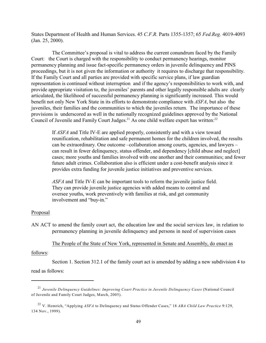States Department of Health and Human Services. 45 *C.F.R.* Parts 1355-1357; 65 *Fed.Reg.* 4019-4093 (Jan. 25, 2000).

The Committee's proposal is vital to address the current conundrum faced by the Family Court: the Court is charged with the responsibility to conduct permanency hearings, monitor permanency planning and issue fact-specific permanency orders in juvenile delinquency and PINS proceedings, but it is not given the information or authority it requires to discharge that responsibility. If the Family Court and all parties are provided with specific service plans, if law guardian representation is continued without interruption and if the agency's responsibilities to work with, and provide appropriate visitation to, the juveniles' parents and other legally responsible adults are clearly articulated, the likelihood of successful permanency planning is significantly increased. This would benefit not only New York State in its efforts to demonstrate compliance with *ASFA*, but also the juveniles, their families and the communities to which the juveniles return. The importance of these provisions is underscored as well in the nationally recognized guidelines approved by the National Council of Juvenile and Family Court Judges.<sup>21</sup> As one child welfare expert has written:<sup>22</sup>

If *ASFA* and Title IV-E are applied properly, consistently and with a view toward reunification, rehabilitation and safe permanent homes for the children involved, the results can be extraordinary. One outcome –collaboration among courts, agencies, and lawyers – can result in fewer delinquency, status offender, and dependency [child abuse and neglect] cases; more youths and families involved with one another and their communities; and fewer future adult crimes. Collaboration also is efficient under a cost-benefit analysis since it provides extra funding for juvenile justice initiatives and preventive services.

*ASFA* and Title IV-E can be important tools to reform the juvenile justice field. They can provide juvenile justice agencies with added means to control and oversee youths, work preventively with families at risk, and get community involvement and "buy-in."

# Proposal

AN ACT to amend the family court act, the education law and the social services law, in relation to permanency planning in juvenile delinquency and persons in need of supervision cases

# The People of the State of New York, represented in Senate and Assembly, do enact as

#### follows:

Section 1. Section 312.1 of the family court act is amended by adding a new subdivision 4 to read as follows:

*Juvenile Delinquency Guidelines: Improving Court Practice in Juvenile Delinquency Cases* (National Council <sup>21</sup> of Juvenile and Family Court Judges, March, 2005).

V. Hemrich, "Applying *ASFA* to Delinquency and Status Offender Cases," 18 *ABA Child Law Practice* 9:129, <sup>22</sup> 134 Nov., 1999).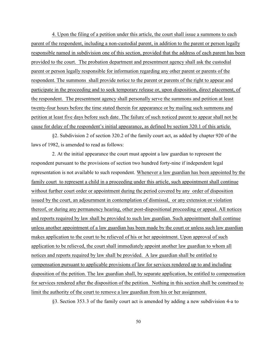4. Upon the filing of a petition under this article, the court shall issue a summons to each parent of the respondent, including a non-custodial parent, in addition to the parent or person legally responsible named in subdivision one of this section, provided that the address of each parent has been provided to the court. The probation department and presentment agency shall ask the custodial parent or person legally responsible for information regarding any other parent or parents of the respondent. The summons shall provide notice to the parent or parents of the right to appear and participate in the proceeding and to seek temporary release or, upon disposition, direct placement, of the respondent. The presentment agency shall personally serve the summons and petition at least twenty-four hours before the time stated therein for appearance or by mailing such summons and petition at least five days before such date. The failure of such noticed parent to appear shall not be cause for delay of the respondent's initial appearance, as defined by section 320.1 of this article.

§2. Subdivision 2 of section 320.2 of the family court act, as added by chapter 920 of the laws of 1982, is amended to read as follows:

2. At the initial appearance the court must appoint a law guardian to represent the respondent pursuant to the provisions of section two hundred forty-nine if independent legal representation is not available to such respondent. Whenever a law guardian has been appointed by the family court to represent a child in a proceeding under this article, such appointment shall continue without further court order or appointment during the period covered by any order of disposition issued by the court, an adjournment in contemplation of dismissal, or any extension or violation thereof, or during any permanency hearing, other post-dispositional proceeding or appeal. All notices and reports required by law shall be provided to such law guardian. Such appointment shall continue unless another appointment of a law guardian has been made by the court or unless such law guardian makes application to the court to be relieved of his or her appointment. Upon approval of such application to be relieved, the court shall immediately appoint another law guardian to whom all notices and reports required by law shall be provided. A law guardian shall be entitled to compensation pursuant to applicable provisions of law for services rendered up to and including disposition of the petition. The law guardian shall, by separate application, be entitled to compensation for services rendered after the disposition of the petition. Nothing in this section shall be construed to limit the authority of the court to remove a law guardian from his or her assignment.

§3. Section 353.3 of the family court act is amended by adding a new subdivision 4-a to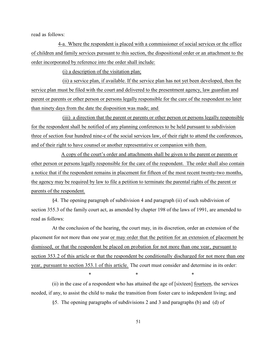read as follows:

4-a. Where the respondent is placed with a commissioner of social services or the office of children and family services pursuant to this section, the dispositional order or an attachment to the order incorporated by reference into the order shall include:

(i) a description of the visitation plan;

 (ii) a service plan, if available. If the service plan has not yet been developed, then the service plan must be filed with the court and delivered to the presentment agency, law guardian and parent or parents or other person or persons legally responsible for the care of the respondent no later than ninety days from the date the disposition was made; and

 (iii) a direction that the parent or parents or other person or persons legally responsible for the respondent shall be notified of any planning conferences to be held pursuant to subdivision three of section four hundred nine-e of the social services law, of their right to attend the conferences, and of their right to have counsel or another representative or companion with them.

 A copy of the court's order and attachments shall be given to the parent or parents or other person or persons legally responsible for the care of the respondent. The order shall also contain a notice that if the respondent remains in placement for fifteen of the most recent twenty-two months, the agency may be required by law to file a petition to terminate the parental rights of the parent or parents of the respondent.

§4. The opening paragraph of subdivision 4 and paragraph (ii) of such subdivision of section 355.3 of the family court act, as amended by chapter 198 of the laws of 1991, are amended to read as follows:

At the conclusion of the hearing, the court may, in its discretion, order an extension of the placement for not more than one year or may order that the petition for an extension of placement be dismissed, or that the respondent be placed on probation for not more than one year, pursuant to section 353.2 of this article or that the respondent be conditionally discharged for not more than one year, pursuant to section 353.1 of this article. The court must consider and determine in its order:

(ii) in the case of a respondent who has attained the age of [sixteen] fourteen, the services needed, if any, to assist the child to make the transition from foster care to independent living; and

 $\begin{array}{ccc} \ast & \ast & \ast \end{array}$ 

§5. The opening paragraphs of subdivisions 2 and 3 and paragraphs (b) and (d) of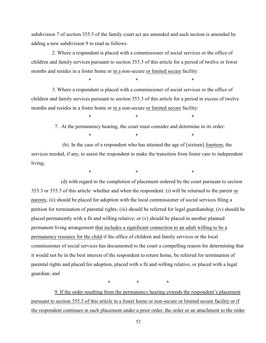subdivision 7 of section 355.5 of the family court act are amended and such section is amended by adding a new subdivision 9 to read as follows:

2. Where a respondent is placed with a commissioner of social services or the office of children and family services pursuant to section 353.3 of this article for a period of twelve or fewer months and resides in a foster home or in a non-secure or limited secure facility:

 $*$  \*  $*$  \* \*

 $*$  \*  $*$  \* \*

 $*$  \*  $*$  \* \*

3. Where a respondent is placed with a commissioner of social services or the office of children and family services pursuant to section 353.3 of this article for a period in excess of twelve months and resides in a foster home or in a non-secure or limited secure facility:

7. At the permanency hearing, the court must consider and determine in its order:

 (b). In the case of a respondent who has attained the age of [sixteen] fourteen, the services needed, if any, to assist the respondent to make the transition from foster care to independent living;

 $*$  \*  $*$  \* \*

 (d) with regard to the completion of placement ordered by the court pursuant to section 353.3 or 355.3 of this article: whether and when the respondent: (i) will be returned to the parent or parents; (ii) should be placed for adoption with the local commissioner of social services filing a petition for termination of parental rights; (iii) should be referred for legal guardianship; (iv) should be placed permanently with a fit and willing relative; or (v) should be placed in another planned permanent living arrangement that includes a significant connection to an adult willing to be a permanency resource for the child if the office of children and family services or the local commissioner of social services has documented to the court a compelling reason for determining that it would not be in the best interest of the respondent to return home, be referred for termination of parental rights and placed for adoption, placed with a fit and willing relative, or placed with a legal guardian; and

\* \* \*

 9. If the order resulting from the permanency hearing extends the respondent's placement pursuant to section 355.3 of this article in a foster home or non-secure or limited secure facility or if the respondent continues in such placement under a prior order, the order or an attachment to the order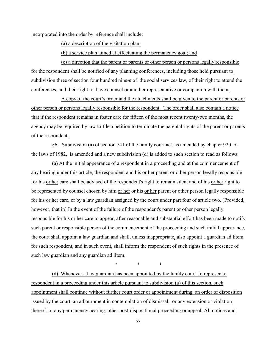incorporated into the order by reference shall include:

(a) a description of the visitation plan;

(b) a service plan aimed at effectuating the permanency goal; and

 (c) a direction that the parent or parents or other person or persons legally responsible for the respondent shall be notified of any planning conferences, including those held pursuant to subdivision three of section four hundred nine-e of the social services law, of their right to attend the conferences, and their right to have counsel or another representative or companion with them.

 A copy of the court's order and the attachments shall be given to the parent or parents or other person or persons legally responsible for the respondent. The order shall also contain a notice that if the respondent remains in foster care for fifteen of the most recent twenty-two months, the agency may be required by law to file a petition to terminate the parental rights of the parent or parents of the respondent.

§6. Subdivision (a) of section 741 of the family court act, as amended by chapter 920 of the laws of 1982, is amended and a new subdivision (d) is added to such section to read as follows:

(a) At the initial appearance of a respondent in a proceeding and at the commencement of any hearing under this article, the respondent and his or her parent or other person legally responsible for his or her care shall be advised of the respondent's right to remain silent and of his or her right to be represented by counsel chosen by him or her or his or her parent or other person legally responsible for his or her care, or by a law guardian assigned by the court under part four of article two. [Provided, however, that in] In the event of the failure of the respondent's parent or other person legally responsible for his or her care to appear, after reasonable and substantial effort has been made to notify such parent or responsible person of the commencement of the proceeding and such initial appearance, the court shall appoint a law guardian and shall, unless inappropriate, also appoint a guardian ad litem for such respondent, and in such event, shall inform the respondent of such rights in the presence of such law guardian and any guardian ad litem.

\* \* \*

(d) Whenever a law guardian has been appointed by the family court to represent a respondent in a proceeding under this article pursuant to subdivision (a) of this section, such appointment shall continue without further court order or appointment during an order of disposition issued by the court, an adjournment in contemplation of dismissal, or any extension or violation thereof, or any permanency hearing, other post-dispositional proceeding or appeal. All notices and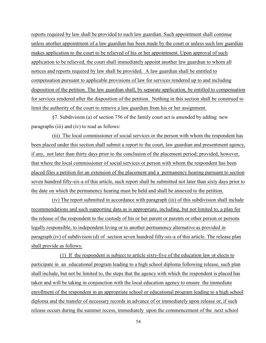reports required by law shall be provided to such law guardian. Such appointment shall continue unless another appointment of a law guardian has been made by the court or unless such law guardian makes application to the court to be relieved of his or her appointment. Upon approval of such application to be relieved, the court shall immediately appoint another law guardian to whom all notices and reports required by law shall be provided. A law guardian shall be entitled to compensation pursuant to applicable provisions of law for services rendered up to and including disposition of the petition. The law guardian shall, by separate application, be entitled to compensation for services rendered after the disposition of the petition. Nothing in this section shall be construed to limit the authority of the court to remove a law guardian from his or her assignment.

§7. Subdivision (a) of section 756 of the family court act is amended by adding new paragraphs (iii) and (iv) to read as follows:

(iii) The local commissioner of social services or the person with whom the respondent has been placed under this section shall submit a report to the court, law guardian and presentment agency, if any, not later than thirty days prior to the conclusion of the placement period; provided, however, that where the local commissioner of social services or person with whom the respondent has been placed files a petition for an extension of the placement and a permanency hearing pursuant to section seven hundred fifty-six-a of this article, such report shall be submitted not later than sixty days prior to the date on which the permanency hearing must be held and shall be annexed to the petition.

(iv) The report submitted in accordance with paragraph (iii) of this subdivision shall include recommendations and such supporting data as is appropriate, including, but not limited to, a plan for the release of the respondent to the custody of his or her parent or parents or other person or persons legally responsible, to independent living or to another permanency alternative as provided in paragraph (iv) of subdivision (d) of section seven hundred fifty-six-a of this article. The release plan shall provide as follows:

 (1) If the respondent is subject to article sixty-five of the education law or elects to participate in an educational program leading to a high school diploma following release, such plan shall include, but not be limited to, the steps that the agency with which the respondent is placed has taken and will be taking in conjunction with the local education agency to ensure the immediate enrollment of the respondent in an appropriate school or educational program leading to a high school diploma and the transfer of necessary records in advance of or immediately upon release or, if such release occurs during the summer recess, immediately upon the commencement of the next school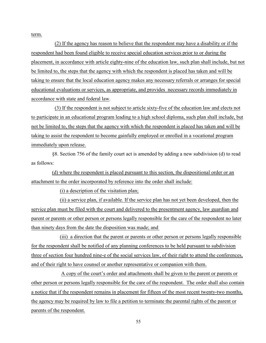term.

 (2) If the agency has reason to believe that the respondent may have a disability or if the respondent had been found eligible to receive special education services prior to or during the placement, in accordance with article eighty-nine of the education law, such plan shall include, but not be limited to, the steps that the agency with which the respondent is placed has taken and will be taking to ensure that the local education agency makes any necessary referrals or arranges for special educational evaluations or services, as appropriate, and provides necessary records immediately in accordance with state and federal law.

 (3) If the respondent is not subject to article sixty-five of the education law and elects not to participate in an educational program leading to a high school diploma, such plan shall include, but not be limited to, the steps that the agency with which the respondent is placed has taken and will be taking to assist the respondent to become gainfully employed or enrolled in a vocational program immediately upon release.

§8. Section 756 of the family court act is amended by adding a new subdivision (d) to read as follows:

(d) where the respondent is placed pursuant to this section, the dispositional order or an attachment to the order incorporated by reference into the order shall include:

(i) a description of the visitation plan;

 (ii) a service plan, if available. If the service plan has not yet been developed, then the service plan must be filed with the court and delivered to the presentment agency, law guardian and parent or parents or other person or persons legally responsible for the care of the respondent no later than ninety days from the date the disposition was made; and

 (iii) a direction that the parent or parents or other person or persons legally responsible for the respondent shall be notified of any planning conferences to be held pursuant to subdivision three of section four hundred nine-e of the social services law, of their right to attend the conferences, and of their right to have counsel or another representative or companion with them.

 A copy of the court's order and attachments shall be given to the parent or parents or other person or persons legally responsible for the care of the respondent. The order shall also contain a notice that if the respondent remains in placement for fifteen of the most recent twenty-two months, the agency may be required by law to file a petition to terminate the parental rights of the parent or parents of the respondent.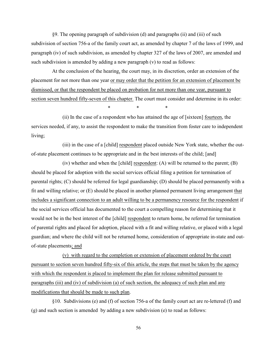§9. The opening paragraph of subdivision (d) and paragraphs (ii) and (iii) of such subdivision of section 756-a of the family court act, as amended by chapter 7 of the laws of 1999, and paragraph (iv) of such subdivision, as amended by chapter 327 of the laws of 2007, are amended and such subdivision is amended by adding a new paragraph (v) to read as follows:

At the conclusion of the hearing, the court may, in its discretion, order an extension of the placement for not more than one year or may order that the petition for an extension of placement be dismissed, or that the respondent be placed on probation for not more than one year, pursuant to section seven hundred fifty-seven of this chapter. The court must consider and determine in its order:

\* \* \*

 (ii) In the case of a respondent who has attained the age of [sixteen] fourteen, the services needed, if any, to assist the respondent to make the transition from foster care to independent living;

 (iii) in the case of a [child] respondent placed outside New York state, whether the outof-state placement continues to be appropriate and in the best interests of the child; [and]

(iv) whether and when the [child] respondent:  $(A)$  will be returned to the parent;  $(B)$ should be placed for adoption with the social services official filing a petition for termination of parental rights; (C) should be referred for legal guardianship; (D) should be placed permanently with a fit and willing relative; or (E) should be placed in another planned permanent living arrangement that includes a significant connection to an adult willing to be a permanency resource for the respondent if the social services official has documented to the court a compelling reason for determining that it would not be in the best interest of the [child] respondent to return home, be referred for termination of parental rights and placed for adoption, placed with a fit and willing relative, or placed with a legal guardian; and where the child will not be returned home, consideration of appropriate in-state and outof-state placements; and

 (v) with regard to the completion or extension of placement ordered by the court pursuant to section seven hundred fifty-six of this article, the steps that must be taken by the agency with which the respondent is placed to implement the plan for release submitted pursuant to paragraphs (iii) and (iv) of subdivision (a) of such section, the adequacy of such plan and any modifications that should be made to such plan.

§10. Subdivisions (e) and (f) of section 756-a of the family court act are re-lettered (f) and (g) and such section is amended by adding a new subdivision (e) to read as follows: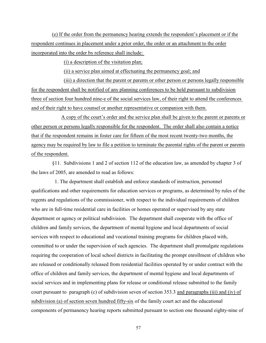(e) If the order from the permanency hearing extends the respondent's placement or if the respondent continues in placement under a prior order, the order or an attachment to the order incorporated into the order by reference shall include:

(i) a description of the visitation plan;

(ii) a service plan aimed at effectuating the permanency goal; and

 (iii) a direction that the parent or parents or other person or persons legally responsible for the respondent shall be notified of any planning conferences to be held pursuant to subdivision three of section four hundred nine-e of the social services law, of their right to attend the conferences and of their right to have counsel or another representative or companion with them.

 A copy of the court's order and the service plan shall be given to the parent or parents or other person or persons legally responsible for the respondent. The order shall also contain a notice that if the respondent remains in foster care for fifteen of the most recent twenty-two months, the agency may be required by law to file a petition to terminate the parental rights of the parent or parents of the respondent.

§11. Subdivisions 1 and 2 of section 112 of the education law, as amended by chapter 3 of the laws of 2005, are amended to read as follows:

 1. The department shall establish and enforce standards of instruction, personnel qualifications and other requirements for education services or programs, as determined by rules of the regents and regulations of the commissioner, with respect to the individual requirements of children who are in full-time residential care in facilities or homes operated or supervised by any state department or agency or political subdivision. The department shall cooperate with the office of children and family services, the department of mental hygiene and local departments of social services with respect to educational and vocational training programs for children placed with, committed to or under the supervision of such agencies. The department shall promulgate regulations requiring the cooperation of local school districts in facilitating the prompt enrollment of children who are released or conditionally released from residential facilities operated by or under contract with the office of children and family services, the department of mental hygiene and local departments of social services and in implementing plans for release or conditional release submitted to the family court pursuant to paragraph (c) of subdivision seven of section 353.3 and paragraphs (iii) and (iv) of subdivision (a) of section seven hundred fifty-six of the family court act and the educational components of permanency hearing reports submitted pursuant to section one thousand eighty-nine of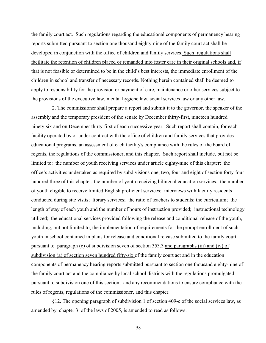the family court act. Such regulations regarding the educational components of permanency hearing reports submitted pursuant to section one thousand eighty-nine of the family court act shall be developed in conjunction with the office of children and family services. Such regulations shall facilitate the retention of children placed or remanded into foster care in their original schools and, if that is not feasible or determined to be in the child's best interests, the immediate enrollment of the children in school and transfer of necessary records. Nothing herein contained shall be deemed to apply to responsibility for the provision or payment of care, maintenance or other services subject to the provisions of the executive law, mental hygiene law, social services law or any other law.

2. The commissioner shall prepare a report and submit it to the governor, the speaker of the assembly and the temporary president of the senate by December thirty-first, nineteen hundred ninety-six and on December thirty-first of each successive year. Such report shall contain, for each facility operated by or under contract with the office of children and family services that provides educational programs, an assessment of each facility's compliance with the rules of the board of regents, the regulations of the commissioner, and this chapter. Such report shall include, but not be limited to: the number of youth receiving services under article eighty-nine of this chapter; the office's activities undertaken as required by subdivisions one, two, four and eight of section forty-four hundred three of this chapter; the number of youth receiving bilingual education services; the number of youth eligible to receive limited English proficient services; interviews with facility residents conducted during site visits; library services; the ratio of teachers to students; the curriculum; the length of stay of each youth and the number of hours of instruction provided; instructional technology utilized; the educational services provided following the release and conditional release of the youth, including, but not limited to, the implementation of requirements for the prompt enrollment of such youth in school contained in plans for release and conditional release submitted to the family court pursuant to paragraph (c) of subdivision seven of section 353.3 and paragraphs (iii) and (iv) of subdivision (a) of section seven hundred fifty-six of the family court act and in the education components of permanency hearing reports submitted pursuant to section one thousand eighty-nine of the family court act and the compliance by local school districts with the regulations promulgated pursuant to subdivision one of this section; and any recommendations to ensure compliance with the rules of regents, regulations of the commissioner, and this chapter.

§12. The opening paragraph of subdivision 1 of section 409-e of the social services law, as amended by chapter 3 of the laws of 2005, is amended to read as follows: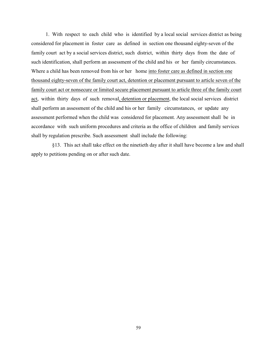1. With respect to each child who is identified by a local social services district as being considered for placement in foster care as defined in section one thousand eighty-seven of the family court act by a social services district, such district, within thirty days from the date of such identification, shall perform an assessment of the child and his or her family circumstances. Where a child has been removed from his or her home into foster care as defined in section one thousand eighty-seven of the family court act, detention or placement pursuant to article seven of the family court act or nonsecure or limited secure placement pursuant to article three of the family court act, within thirty days of such removal, detention or placement, the local social services district shall perform an assessment of the child and his or her family circumstances, or update any assessment performed when the child was considered for placement. Any assessment shall be in accordance with such uniform procedures and criteria as the office of children and family services shall by regulation prescribe. Such assessment shall include the following:

 §13. This act shall take effect on the ninetieth day after it shall have become a law and shall apply to petitions pending on or after such date.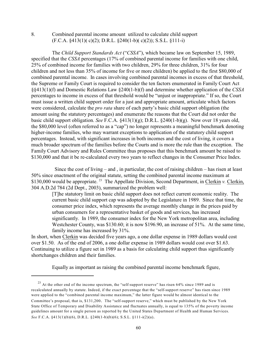8. Combined parental income amount utilized to calculate child support (F.C.A. §413(1)( c)(2); D.R.L. §240(1-b)( c)(2)); S.S.L. §111-i)

The *Child Support Standards Act* ("*CSSA*"), which became law on September 15, 1989, specified that the *CSSA* percentages (17% of combined parental income for families with one child, 25% of combined income for families with two children, 29% for three children, 31% for four children and not less than 35% of income for five or more children) be applied to the first \$80,000 of combined parental income. In cases involving combined parental incomes in excess of that threshold, the Supreme or Family Court is required to consider the ten factors enumerated in Family Court Act §§413(1)(f) and Domestic Relations Law §240(1-b)(f) and determine whether application of the *CSSA* percentages to income in excess of that threshold would be "unjust or inappropriate." If so, the Court must issue a written child support order for a just and appropriate amount, articulate which factors were considered, calculate the *pro rata* share of each party's basic child support obligation (the amount using the statutory percentages) and enumerate the reasons that the Court did not order the basic child support obligation. *See* F.C.A. §413(1)(g); D.R.L. §240(1-b)(g). Now over 18 years old, the \$80,000 level (often referred to as a "cap") no longer represents a meaningful benchmark denoting higher-income families, who may warrant exceptions to application of the statutory child support percentages. Instead, with significant increases in both incomes and the cost of living, it covers a much broader spectrum of the families before the Courts and is more the rule than the exception. The Family Court Advisory and Rules Committee thus proposes that this benchmark amount be raised to \$130,000 and that it be re-calculated every two years to reflect changes in the Consumer Price Index.

Since the cost of living – and, in particular, the cost of raising children – has risen at least 50% since enactment of the original statute, setting the combined parental income maximum at \$130,000 would be appropriate. <sup>23</sup> The Appellate Division, Second Department, in Clerkin *v*. Clerkin, 304 A.D.2d 784 (2d Dept., 2003), summarized the problem well:

[T]he statutory limit on basic child support does not reflect current economic reality. The current basic child support cap was adopted by the Legislature in 1989. Since that time, the consumer price index, which represents the average monthly change in the prices paid by urban consumers for a representative basket of goods and services, has increased significantly. In 1989, the consumer index for the New York metropolitan area, including Westchester County, was \$130.60; it is now \$196.90, an increase of 51%. At the same time, family income has increased by 31%.

In short, when Clerkin was decided five years ago, a one dollar expense in 1989 dollars would cost over \$1.50. As of the end of 2006, a one dollar expense in 1989 dollars would cost over \$1.63. Continuing to utilize a figure set in 1989 as a basis for calculating child support thus significantly shortchanges children and their families.

Equally as important as raising the combined parental income benchmark figure,

 $^{23}$  At the other end of the income spectrum, the "self-support reserve" has risen 64% since 1989 and is recalculated annually by statute. Indeed, if the exact percentage that the "self-support reserve" has risen since 1989 were applied to the "combined parental income maximum," the latter figure would be almost identical to the Committee's proposal, that is, \$131,200. The "self-support reserve," which must be published by the New York State Office of Temporary and Disability Assistance and fluctuates annually, is equal to 135% of the poverty income guidelines amount for a single person as reported by the United States Department of Health and Human Services. *See* F.C.A. §413(1)(b)(6), D.R.L. §240(1-b)(b)(6); S.S.L. §111-i(2)(a).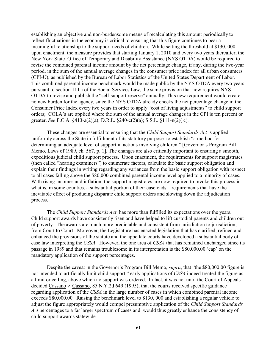establishing an objective and non-burdensome means of recalculating this amount periodically to reflect fluctuations in the economy is critical to ensuring that this figure continues to bear a meaningful relationship to the support needs of children. While setting the threshold at \$130, 000 upon enactment, the measure provides that starting January 1, 2010 and every two years thereafter, the New York State Office of Temporary and Disability Assistance (NYS OTDA) would be required to revise the combined parental income amount by the net percentage change, if any, during the two-year period, in the sum of the annual average changes in the consumer price index for all urban consumers (CPI-U), as published by the Bureau of Labor Statistics of the United States Department of Labor. This combined parental income benchmark would be made public by the NYS OTDA every two years pursuant to section 111-i of the Social Services Law, the same provision that now requires NYS OTDA to revise and publish the "self-support reserve" annually. This new requirement would create no new burden for the agency, since the NYS OTDA already checks the net percentage change in the Consumer Price Index every two years in order to apply "cost of living adjustments" to child support orders; COLA's are applied where the sum of the annual average changes in the CPI is ten percent or greater. *See* F.C.A. §413-a(2)(a); D.R.L. §240-c(2)(a); S.S.L. §111-n(2)( c).

These changes are essential to ensuring that the *Child Support Standards Act* is applied uniformly across the State in fulfillment of its statutory purpose to establish "a method for determining an adequate level of support in actions involving children." [Governor's Program Bill Memo, Laws of 1989, ch. 567, p. 1]. The changes are also critically important to ensuring a smooth, expeditious judicial child support process. Upon enactment, the requirements for support magistrates (then called "hearing examiners") to enumerate factors, calculate the basic support obligation and explain their findings in writing regarding any variances from the basic support obligation with respect to all cases falling above the \$80,000 combined parental income level applied to a minority of cases. With rising incomes and inflation, the support magistrates are now required to invoke this process in what is, in some counties, a substantial portion of their caseloads – requirements that have the inevitable effect of producing disparate child support orders and slowing down the adjudication process.

The *Child Support Standards Act* has more than fulfilled its expectations over the years. Child support awards have consistently risen and have helped to lift custodial parents and children out of poverty. The awards are much more predictable and consistent from jurisdiction to jurisdiction, from Court to Court. Moreover, the Legislature has enacted legislation that has clarified, refined and enhanced the provisions of the statute and the appellate courts have developed a substantial body of case law interpreting the *CSSA*. However, the one area of *CSSA* that has remained unchanged since its passage in 1989 and that remains troublesome in its interpretation is the \$80,000.00 'cap' on the mandatory application of the support percentages.

Despite the caveat in the Governor's Program Bill Memo, *supra*, that "the \$80,000.00 figure is not intended to artificially limit child support," early applications of *CSSA* indeed treated the figure as a limit or ceiling, above which no support was ordered. In fact, it was not until the Court of Appeals decided Cassano *v*. Cassano, 85 N.Y.2d 649 (1995), that the courts received specific guidance regarding application of the *CSSA* in the large number of cases in which combined parental income exceeds \$80,000.00. Raising the benchmark level to \$130, 000 and establishing a regular vehicle to adjust the figure appropriately would compel presumptive application of the *Child Support Standards Act* percentages to a far larger spectrum of cases and would thus greatly enhance the consistency of child support awards statewide.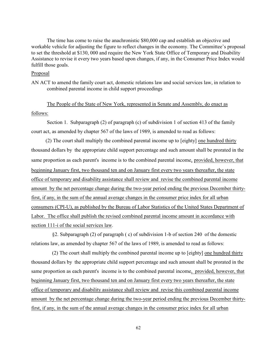The time has come to raise the anachronistic \$80,000 cap and establish an objective and workable vehicle for adjusting the figure to reflect changes in the economy. The Committee's proposal to set the threshold at \$130, 000 and require the New York State Office of Temporary and Disability Assistance to revise it every two years based upon changes, if any, in the Consumer Price Index would fulfill those goals.

## Proposal

AN ACT to amend the family court act, domestic relations law and social services law, in relation to combined parental income in child support proceedings

The People of the State of New York, represented in Senate and Assembly, do enact as follows:

Section 1. Subparagraph (2) of paragraph (c) of subdivision 1 of section 413 of the family court act, as amended by chapter 567 of the laws of 1989, is amended to read as follows:

 (2) The court shall multiply the combined parental income up to [eighty] one hundred thirty thousand dollars by the appropriate child support percentage and such amount shall be prorated in the same proportion as each parent's income is to the combined parental income, provided, however, that beginning January first, two thousand ten and on January first every two years thereafter, the state office of temporary and disability assistance shall review and revise the combined parental income amount by the net percentage change during the two-year period ending the previous December thirtyfirst, if any, in the sum of the annual average changes in the consumer price index for all urban consumers (CPI-U), as published by the Bureau of Labor Statistics of the United States Department of Labor. The office shall publish the revised combined parental income amount in accordance with section 111-i of the social services law.

§2. Subparagraph (2) of paragraph ( c) of subdivision 1-b of section 240 of the domestic relations law, as amended by chapter 567 of the laws of 1989, is amended to read as follows:

(2) The court shall multiply the combined parental income up to [eighty] one hundred thirty thousand dollars by the appropriate child support percentage and such amount shall be prorated in the same proportion as each parent's income is to the combined parental income, provided, however, that beginning January first, two thousand ten and on January first every two years thereafter, the state office of temporary and disability assistance shall review and revise this combined parental income amount by the net percentage change during the two-year period ending the previous December thirtyfirst, if any, in the sum of the annual average changes in the consumer price index for all urban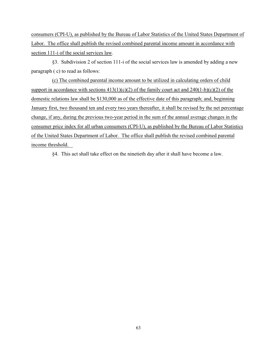consumers (CPI-U), as published by the Bureau of Labor Statistics of the United States Department of Labor. The office shall publish the revised combined parental income amount in accordance with section 111-i of the social services law.

§3. Subdivision 2 of section 111-i of the social services law is amended by adding a new paragraph ( c) to read as follows:

(c) The combined parental income amount to be utilized in calculating orders of child support in accordance with sections  $413(1)(c)(2)$  of the family court act and  $240(1-b)(c)(2)$  of the domestic relations law shall be \$130,000 as of the effective date of this paragraph; and, beginning January first, two thousand ten and every two years thereafter, it shall be revised by the net percentage change, if any, during the previous two-year period in the sum of the annual average changes in the consumer price index for all urban consumers (CPI-U), as published by the Bureau of Labor Statistics of the United States Department of Labor. The office shall publish the revised combined parental income threshold.

§4. This act shall take effect on the ninetieth day after it shall have become a law.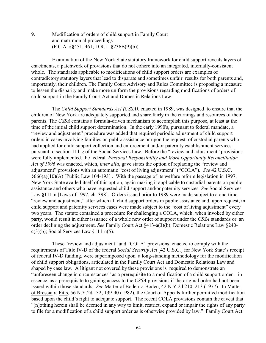9. . Modification of orders of child support in Family Court and matrimonial proceedings (F.C.A. §§451, 461; D.R.L. §236B(9)(b))

Examination of the New York State statutory framework for child support reveals layers of enactments, a patchwork of provisions that do not cohere into an integrated, internally-consistent whole. The standards applicable to modifications of child support orders are examples of contradictory statutory layers that lead to disparate and sometimes unfair results for both parents and, importantly, their children. The Family Court Advisory and Rules Committee is proposing a measure to lessen the disparity and make more uniform the provisions regarding modifications of orders of child support in the Family Court Act and Domestic Relations Law.

The *Child Support Standards Act (CSSA)*, enacted in 1989, was designed to ensure that the children of New York are adequately supported and share fairly in the earnings and resources of their parents. The *CSSA* contains a formula-driven mechanism to accomplish this purpose, at least at the time of the initial child support determination. In the early 1990's, pursuant to federal mandate, a "review and adjustment" procedure was added that required periodic adjustment of child support orders in cases involving families on public assistance or upon the request of custodial parents who had applied for child support collection and enforcement and/or paternity establishment services pursuant to section 111-g of the Social Services Law. Before the "review and adjustment" provisions were fully implemented, the federal *Personal Responsibility and Work Opportunity Reconciliation Act of 1996* was enacted, which, *inter alia*, gave states the option of replacing the "review and adjustment" provisions with an automatic "cost of living adjustment" ("COLA"). *See* 42 U.S.C. §666(a)(10)(A) [Public Law 104-193] . With the passage of its welfare reform legislation in 1997, New York State availed itself of this option, again making it applicable to custodial parents on public assistance and others who have requested child support and/or paternity services. *See* Social Services Law §111-n [Laws of 1997, ch. 398]. Orders issued prior to 1989 were made subject to a one-time "review and adjustment," after which all child support orders in public assistance and, upon request, in child support and paternity services cases were made subject to the "cost of living adjustment" every two years. The statute contained a procedure for challenging a COLA, which, when invoked by either party, would result in either issuance of a whole new order of support under the *CSSA* standards or an order declining the adjustment. *See* Family Court Act §413-a(3)(b); Domestic Relations Law §240 c(3)(b); Social Services Law §111-n(5).

These "review and adjustment" and "COLA" provisions, enacted to comply with the requirements of Title IV-D of the federal *Social Security Act* [42 U.S.C.] for New York State's receipt of federal IV-D funding, were superimposed upon a long-standing methodology for the modification of child support obligations, articulated in the Family Court Act and Domestic Relations Law and shaped by case law. A litigant not covered by these provisions is required to demonstrate an "unforeseen change in circumstances" as a prerequisite to a modification of a child support order – in essence, as a prerequisite to gaining access to the *CSSA* provisions if the original order had not been issued within those standards. *See* Matter of Boden *v.* Boden, 42 N.Y.2d 210, 213 (1977). In Matter of Brescia *v.* Fitts, 56 N.Y.2d 132, 139-40 (1982), the Court of Appeals further permitted modification based upon the child's right to adequate support. The recent COLA provisions contain the caveat that "[n]othing herein shall be deemed in any way to limit, restrict, expand or impair the rights of any party to file for a modification of a child support order as is otherwise provided by law." Family Court Act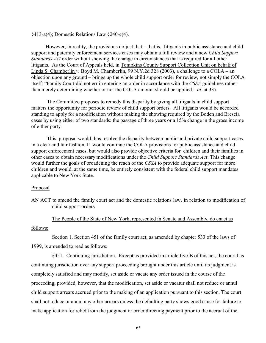§413-a(4); Domestic Relations Law §240-c(4).

However, in reality, the provisions do just that – that is, litigants in public assistance and child support and paternity enforcement services cases may obtain a full review and a new *Child Support Standards Act* order without showing the change in circumstances that is required for all other litigants. As the Court of Appeals held, in Tompkins County Support Collection Unit on behalf of Linda S. Chamberlin *v.* Boyd M. Chamberlin, 99 N.Y.2d 328 (2003), a challenge to a COLA – an objection upon any ground – brings up the whole child support order for review, not simply the COLA itself: "Family Court did not err in entering an order in accordance with the *CSSA* guidelines rather than merely determining whether or not the COLA amount should be applied." *Id*. at 337.

 The Committee proposes to remedy this disparity by giving all litigants in child support matters the opportunity for periodic review of child support orders. All litigants would be accorded standing to apply for a modification without making the showing required by the Boden and Brescia cases by using either of two standards: the passage of three years or a 15% change in the gross income of either party.

 This proposal would thus resolve the disparity between public and private child support cases in a clear and fair fashion. It would continue the COLA provisions for public assistance and child support enforcement cases, but would also provide objective criteria for children and their families in other cases to obtain necessary modifications under the *Child Support Standards Act*. This change would further the goals of broadening the reach of the *CSSA* to provide adequate support for more children and would, at the same time, be entirely consistent with the federal child support mandates applicable to New York State.

## Proposal

AN ACT to amend the family court act and the domestic relations law, in relation to modification of child support orders

# The People of the State of New York, represented in Senate and Assembly, do enact as

# follows:

Section 1. Section 451 of the family court act, as amended by chapter 533 of the laws of 1999, is amended to read as follows:

§451. Continuing jurisdiction. Except as provided in article five-B of this act, the court has continuing jurisdiction over any support proceeding brought under this article until its judgment is completely satisfied and may modify, set aside or vacate any order issued in the course of the proceeding, provided, however, that the modification, set aside or vacatur shall not reduce or annul child support arrears accrued prior to the making of an application pursuant to this section. The court shall not reduce or annul any other arrears unless the defaulting party shows good cause for failure to make application for relief from the judgment or order directing payment prior to the accrual of the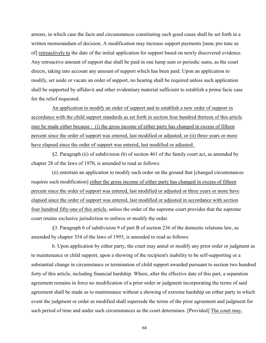arrears, in which case the facts and circumstances constituting such good cause shall be set forth in a written memorandum of decision. A modification may increase support payments [nunc pro tunc as of] retroactively to the date of the initial application for support based on newly discovered evidence. Any retroactive amount of support due shall be paid in one lump sum or periodic sums, as the court directs, taking into account any amount of support which has been paid. Upon an application to modify, set aside or vacate an order of support, no hearing shall be required unless such application shall be supported by affidavit and other evidentiary material sufficient to establish a prima facie case for the relief requested.

An application to modify an order of support and to establish a new order of support in accordance with the child support standards as set forth in section four hundred thirteen of this article may be made either because : (i) the gross income of either party has changed in excess of fifteen percent since the order of support was entered, last modified or adjusted; or (ii) three years or more have elapsed since the order of support was entered, last modified or adjusted.

§2. Paragraph (ii) of subdivision (b) of section 461 of the family court act, as amended by chapter 28 of the laws of 1970, is amended to read as follows:

(ii) entertain an application to modify such order on the ground that [changed circumstances requires such modification] either the gross income of either party has changed in excess of fifteen percent since the order of support was entered, last modified or adjusted or three years or more have elapsed since the order of support was entered, last modified or adjusted in accordance with section four hundred fifty-one of this article, unless the order of the supreme court provides that the supreme court retains exclusive jurisdiction to enforce or modify the order.

§3. Paragraph b of subdivision 9 of part B of section 236 of the domestic relations law, as amended by chapter 354 of the laws of 1993, is amended to read as follows:

b. Upon application by either party, the court may annul or modify any prior order or judgment as to maintenance or child support, upon a showing of the recipient's inability to be self-supporting or a substantial change in circumstance or termination of child support awarded pursuant to section two hundred forty of this article, including financial hardship. Where, after the effective date of this part, a separation agreement remains in force no modification of a prior order or judgment incorporating the terms of said agreement shall be made as to maintenance without a showing of extreme hardship on either party in which event the judgment or order as modified shall supersede the terms of the prior agreement and judgment for such period of time and under such circumstances as the court determines. [Provided] The court may,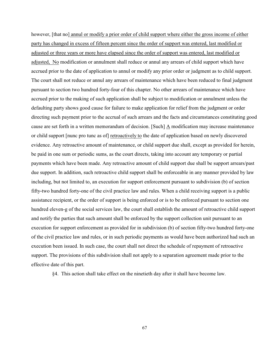however, [that no] annul or modify a prior order of child support where either the gross income of either party has changed in excess of fifteen percent since the order of support was entered, last modified or adjusted or three years or more have elapsed since the order of support was entered, last modified or adjusted, No modification or annulment shall reduce or annul any arrears of child support which have accrued prior to the date of application to annul or modify any prior order or judgment as to child support. The court shall not reduce or annul any arrears of maintenance which have been reduced to final judgment pursuant to section two hundred forty-four of this chapter. No other arrears of maintenance which have accrued prior to the making of such application shall be subject to modification or annulment unless the defaulting party shows good cause for failure to make application for relief from the judgment or order directing such payment prior to the accrual of such arrears and the facts and circumstances constituting good cause are set forth in a written memorandum of decision. [Such] A modification may increase maintenance or child support [nunc pro tunc as of] retroactively to the date of application based on newly discovered evidence. Any retroactive amount of maintenance, or child support due shall, except as provided for herein, be paid in one sum or periodic sums, as the court directs, taking into account any temporary or partial payments which have been made. Any retroactive amount of child support due shall be support arrears/past due support. In addition, such retroactive child support shall be enforceable in any manner provided by law including, but not limited to, an execution for support enforcement pursuant to subdivision (b) of section fifty-two hundred forty-one of the civil practice law and rules. When a child receiving support is a public assistance recipient, or the order of support is being enforced or is to be enforced pursuant to section one hundred eleven-g of the social services law, the court shall establish the amount of retroactive child support and notify the parties that such amount shall be enforced by the support collection unit pursuant to an execution for support enforcement as provided for in subdivision (b) of section fifty-two hundred forty-one of the civil practice law and rules, or in such periodic payments as would have been authorized had such an execution been issued. In such case, the court shall not direct the schedule of repayment of retroactive support. The provisions of this subdivision shall not apply to a separation agreement made prior to the effective date of this part.

§4. This action shall take effect on the ninetieth day after it shall have become law.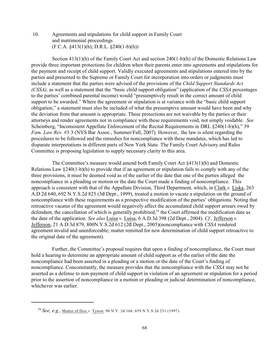10. Agreements and stipulations for child support in Family Court and matrimonial proceedings (F.C.A. §413(1)(h); D.R.L. §240(1-b)(h))

Section 413(1)(h) of the Family Court Act and section 240(1-b)(h) of the Domestic Relations Law provide three important protections for children when their parents enter into agreements and stipulations for the payment and receipt of child support. Validly executed agreements and stipulations entered into by the parties and presented to the Supreme or Family Court for incorporation into orders or judgments must include a statement that the parties were advised of the provisions of the *Child Support Standards Act (CSSA),* as well as a statement that the "basic child support obligation" (application of the *CSSA* percentages to the parties' combined parental income) would "presumptively result in the correct amount of child support to be awarded." Where the agreement or stipulation is at variance with the "basic child support obligation," a statement must also be included of what the presumptive amount would have been and why the deviation from that amount is appropriate. These protections are not waivable by the parties or their attorneys and render agreements not in compliance with these requirements void, not simply voidable. *See* Scheinberg, "Inconsistent Appellate Enforcement of the Recital Requirements in DRL §240(1-b)(h)," 39 *Fam. Law Rev.* #3:3 (NYS Bar Assoc., Summer/Fall, 2007). However, the law is silent regarding the procedures to be followed and the remedies for noncompliance with these mandates, which has led to disparate interpretations in different parts of New York State. The Family Court Advisory and Rules Committee is proposing legislation to supply necessary clarity to this area.

The Committee's measure would amend both Family Court Act §413(1)(h) and Domestic Relations Law §240(1-b)(h) to provide that if an agreement or stipulation fails to comply with any of the three provisions, it must be deemed void as of the earlier of the date that one of the parties alleged the noncompliance in a pleading or motion or the date the Court made a finding of noncompliance. This approach is consistent with that of the Appellate Division, Third Department, which, in Clark *v.* Liska, 263 A.D.2d 640, 692 N.Y.S.2d 825 (3d Dept., 1999), treated a motion to vacate a stipulation on the ground of noncompliance with these requirements as a prospective modification of the parties' obligations. Noting that retroactive vacatur of the agreement would negatively affect the accumulated child support arrears owed by defendant, the cancellation of which is generally prohibited, $24$  the Court affirmed the modification date as the date of the application. *See also* Luisa *v.* Luisa, 6 A.D.3d 398 (2d Dept., 2004). *Cf.,* Jefferson *v.* Jefferson, 21 A.D.3d 879, 800N.Y.S.2d 612 (2d Dept., 2005)(noncompliance with *CSSA* rendered agreement invalid and unenforceable; matter remitted for new determination of child support retroactive to the original date of the agreement).

Further, the Committee's proposal requires that upon a finding of noncompliance, the Court must hold a hearing to determine an appropriate amount of child support as of the earlier of the date the noncompliance had been asserted in a pleading or a motion or the date of the Court's finding of noncompliance. Concomitantly, the measure provides that the noncompliance with the *CSSA* may not be asserted as a defense to non-payment of child support in violation of an agreement or stipulation for a period prior to the assertion of noncompliance in a motion or pleading or judicial determination of noncompliance, whichever was earlier.

<sup>&</sup>lt;sup>24</sup> See, e.g., Matter of Dox *v.* Tynon, 90 N.Y. 2d 166, 659 N.Y.S.2d 231 (1997).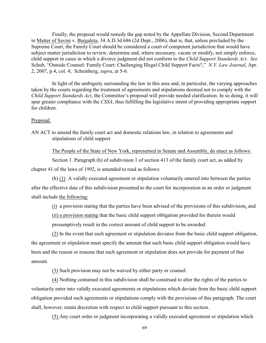Finally, the proposal would remedy the gap noted by the Appellate Division, Second Department in Matter of Savini v. Burgaleta, 34 A.D.3d 686 (2d Dept., 2006), that is, that, unless precluded by the Supreme Court, the Family Court should be considered a court of competent jurisdiction that would have subject matter jurisdiction to review, determine and, where necessary, vacate or modify, not simply enforce, child support in cases in which a divorce judgment did not conform to the *Child Support Standards Act*. *See* Schub, "Outside Counsel: Family Court: Challenging Illegal Child Support Facts?," *N.Y. Law Journal*, Apr. 2, 2007, p.4, col. 4; Scheinberg, *supra*, at 5-6.

In light of the ambiguity surrounding the law in this area and, in particular, the varying approaches taken by the courts regarding the treatment of agreements and stipulations deemed not to comply with the *Child Support Standards Act*, the Committee's proposal will provide needed clarification. In so doing, it will spur greater compliance with the *CSSA*, thus fulfilling the legislative intent of providing appropriate support for children.

# Proposal:

AN ACT to amend the family court act and domestic relations law, in relation to agreements and stipulations of child support

The People of the State of New York, represented in Senate and Assembly, do enact as follows:

Section 1. Paragraph (h) of subdivision 1 of section 413 of the family court act, as added by chapter 41 of the laws of 1992, is amended to read as follows:

(h) (1) A validly executed agreement or stipulation voluntarily entered into between the parties after the effective date of this subdivision presented to the court for incorporation in an order or judgment shall include the following:

(i) a provision stating that the parties have been advised of the provisions of this subdivision, and (ii) a provision stating that the basic child support obligation provided for therein would presumptively result in the correct amount of child support to be awarded.

(2) In the event that such agreement or stipulation deviates from the basic child support obligation, the agreement or stipulation must specify the amount that such basic child support obligation would have been and the reason or reasons that such agreement or stipulation does not provide for payment of that amount.

(3) Such provision may not be waived by either party or counsel.

(4) Nothing contained in this subdivision shall be construed to alter the rights of the parties to voluntarily enter into validly executed agreements or stipulations which deviate from the basic child support obligation provided such agreements or stipulations comply with the provisions of this paragraph. The court shall, however, retain discretion with respect to child support pursuant to this section.

(5) Any court order or judgment incorporating a validly executed agreement or stipulation which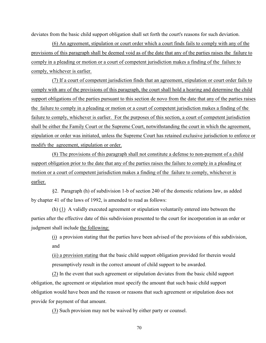deviates from the basic child support obligation shall set forth the court's reasons for such deviation.

(6) An agreement, stipulation or court order which a court finds fails to comply with any of the provisions of this paragraph shall be deemed void as of the date that any of the parties raises the failure to comply in a pleading or motion or a court of competent jurisdiction makes a finding of the failure to comply, whichever is earlier.

(7) If a court of competent jurisdiction finds that an agreement, stipulation or court order fails to comply with any of the provisions of this paragraph, the court shall hold a hearing and determine the child support obligations of the parties pursuant to this section de novo from the date that any of the parties raises the failure to comply in a pleading or motion or a court of competent jurisdiction makes a finding of the failure to comply, whichever is earlier. For the purposes of this section, a court of competent jurisdiction shall be either the Family Court or the Supreme Court, notwithstanding the court in which the agreement, stipulation or order was initiated, unless the Supreme Court has retained exclusive jurisdiction to enforce or modify the agreement, stipulation or order.

(8) The provisions of this paragraph shall not constitute a defense to non-payment of a child support obligation prior to the date that any of the parties raises the failure to comply in a pleading or motion or a court of competent jurisdiction makes a finding of the failure to comply, whichever is earlier.

§2. Paragraph (h) of subdivision 1-b of section 240 of the domestic relations law, as added by chapter 41 of the laws of 1992, is amended to read as follows:

(h) (1) A validly executed agreement or stipulation voluntarily entered into between the parties after the effective date of this subdivision presented to the court for incorporation in an order or judgment shall include the following:

(i) a provision stating that the parties have been advised of the provisions of this subdivision, and

(ii) a provision stating that the basic child support obligation provided for therein would presumptively result in the correct amount of child support to be awarded.

(2) In the event that such agreement or stipulation deviates from the basic child support obligation, the agreement or stipulation must specify the amount that such basic child support obligation would have been and the reason or reasons that such agreement or stipulation does not provide for payment of that amount.

(3) Such provision may not be waived by either party or counsel.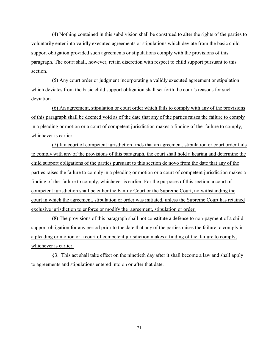(4) Nothing contained in this subdivision shall be construed to alter the rights of the parties to voluntarily enter into validly executed agreements or stipulations which deviate from the basic child support obligation provided such agreements or stipulations comply with the provisions of this paragraph. The court shall, however, retain discretion with respect to child support pursuant to this section.

(5) Any court order or judgment incorporating a validly executed agreement or stipulation which deviates from the basic child support obligation shall set forth the court's reasons for such deviation.

(6) An agreement, stipulation or court order which fails to comply with any of the provisions of this paragraph shall be deemed void as of the date that any of the parties raises the failure to comply in a pleading or motion or a court of competent jurisdiction makes a finding of the failure to comply, whichever is earlier.

(7) If a court of competent jurisdiction finds that an agreement, stipulation or court order fails to comply with any of the provisions of this paragraph, the court shall hold a hearing and determine the child support obligations of the parties pursuant to this section de novo from the date that any of the parties raises the failure to comply in a pleading or motion or a court of competent jurisdiction makes a finding of the failure to comply, whichever is earlier. For the purposes of this section, a court of competent jurisdiction shall be either the Family Court or the Supreme Court, notwithstanding the court in which the agreement, stipulation or order was initiated, unless the Supreme Court has retained exclusive jurisdiction to enforce or modify the agreement, stipulation or order.

(8) The provisions of this paragraph shall not constitute a defense to non-payment of a child support obligation for any period prior to the date that any of the parties raises the failure to comply in a pleading or motion or a court of competent jurisdiction makes a finding of the failure to comply, whichever is earlier.

§3. This act shall take effect on the ninetieth day after it shall become a law and shall apply to agreements and stipulations entered into on or after that date.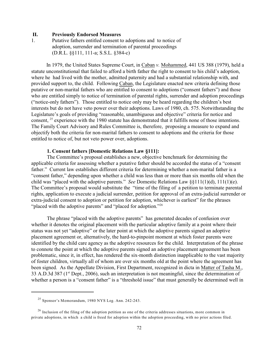## **II. Previously Endorsed Measures**

1. Putative fathers entitled consent to adoptions and to notice of adoption, surrender and termination of parental proceedings (D.R.L. §§111, 111-a; S.S.L. §384-c)

 In 1979, the United States Supreme Court, in Caban *v.* Mohammed, 441 US 388 (1979), held a statute unconstitutional that failed to afford a birth father the right to consent to his child's adoption, where he had lived with the mother, admitted paternity and had a substantial relationship with, and provided support to, the child. Following Caban, the Legislature enacted new criteria defining those putative or non-marital fathers who are entitled to consent to adoptions ("consent fathers") and those who are entitled simply to notice of termination of parental rights, surrender and adoption proceedings ("notice-only fathers"). Those entitled to notice only may be heard regarding the children's best interests but do not have veto power over their adoptions. Laws of 1980, ch. 575. Notwithstanding the Legislature's goals of providing "reasonable, unambiguous and objective" criteria for notice and consent,  $^{25}$  experience with the 1980 statute has demonstrated that it fulfills none of those intentions. The Family Court Advisory and Rules Committee is, therefore, proposing a measure to expand and objectify both the criteria for non-marital fathers to consent to adoptions and the criteria for those entitled to notice of, but not veto power over, adoptions.

## **1. Consent fathers [Domestic Relations Law §111]:**

The Committee's proposal establishes a new, objective benchmark for determining the applicable criteria for assessing whether a putative father should be accorded the status of a "consent father." Current law establishes different criteria for determining whether a non-marital father is a "consent father," depending upon whether a child was less than or more than six months old when the child was "placed with the adoptive parents." *See* Domestic Relations Law §§111(1)(d), 111(1)(e). The Committee's proposal would substitute the "time of the filing of a petition to terminate parental rights, application to execute a judicial surrender, petition for approval of an extra-judicial surrender or extra-judicial consent to adoption or petition for adoption, whichever is earliest" for the phrases "placed with the adoptive parents" and "placed for adoption."<sup>26</sup>

The phrase "placed with the adoptive parents" has generated decades of confusion over whether it denotes the original placement with the particular adoptive family at a point where their status was not yet "adoptive" or the later point at which the adoptive parents signed an adoptive placement agreement or, alternatively, the hard-to-pinpoint moment at which foster parents were identified by the child care agency as the adoptive resources for the child. Interpretation of the phrase to connote the point at which the adoptive parents signed an adoptive placement agreement has been problematic, since it, in effect, has rendered the six-month distinction inapplicable to the vast majority of foster children, virtually all of whom are over six months old at the point where the agreement has been signed. As the Appellate Division, First Department, recognized in dicta in Matter of Tasha M., 33 A.D.3d 387 ( $1<sup>st</sup>$  Dept., 2006), such an interpretation is not meaningful, since the determination of whether a person is a "consent father" is a "threshold issue" that must generally be determined well in

 $25$  Sponsor's Memorandum, 1980 NYS Leg. Ann. 242-243.

 $\frac{26}{10}$  Inclusion of the filing of the adoption petition as one of the criteria addresses situations, more common in private adoptions, in which a child is freed for adoption within the adoption proceeding, with no prior actions filed.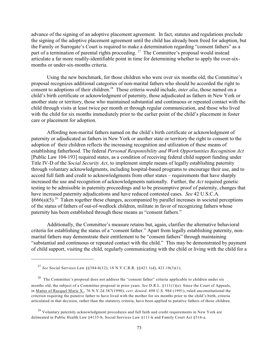advance of the signing of an adoptive placement agreement. In fact, statutes and regulations preclude the signing of the adoptive placement agreement until the child has already been freed for adoption, but the Family or Surrogate's Court is required to make a determination regarding "consent fathers" as a part of a termination of parental rights proceeding.<sup>27</sup> The Committee's proposal would instead articulate a far more readily-identifiable point in time for determining whether to apply the over-sixmonths or under-six-months criteria.

Using the new benchmark, for those children who were over six months old, the Committee's proposal recognizes additional categories of non-marital fathers who should be accorded the right to consent to adoptions of their children.<sup>28</sup> Those criteria would include, *inter alia*, those named on a child's birth certificate or acknowledgment of paternity, those adjudicated as fathers in New York or another state or territory, those who maintained substantial and continuous or repeated contact with the child through visits at least twice per month or through regular communication, and those who lived with the child for six months immediately prior to the earlier point of the child's placement in foster care or placement for adoption.

Affording non-marital fathers named on the child's birth certificate or acknowledgment of paternity or adjudicated as fathers in New York or another state or territory the right to consent to the adoption of their children reflects the increasing recognition and utilization of these means of establishing fatherhood. The federal *Personal Responsibility and Work Opportunities Recognition Act* [Public Law 104-193] required states, as a condition of receiving federal child support funding under Title IV-D of the *Social Security Act*, to implement simple means of legally establishing paternity through voluntary acknowledgments, including hospital-based programs to encourage their use, and to accord full faith and credit to acknowledgments from other states – requirements that have sharply increased the use and recognition of acknowledgments nationally. Further, the *Act* required genetic testing to be admissible in paternity proceedings and to be presumptive proof of paternity, changes that have increased paternity adjudications and have reduced contested cases. *See* 42 U.S.C.A.  $§666(a)(5).^{29}$  Taken together these changes, accompanied by parallel increases in societal perceptions of the status of fathers of out-of-wedlock children, militate in favor of recognizing fathers whose paternity has been established through these means as "consent fathers."

Additionally, the Committee's measure retains but, again, clarifies the alternative behavioral criteria for establishing the status of a "consent father." Apart from legally establishing paternity, nonmarital fathers may demonstrate their entitlement to be "consent fathers" through maintaining "substantial and continuous or repeated contact with the child." This may be demonstrated by payment of child support, visiting the child, regularly communicating with the child or living with the child for a

*See* Social Services Law §§384-b(12); 18 N.Y.C.R.R. §§421.1(d), 421.18(3)(1). <sup>27</sup>

 $28$  The Committee's proposal does not address the "consent father" criteria applicable to children under six months old, the subject of a Committee proposal in prior years. *See* D.R.L. §111(1)(e). Since the Court of Appeals, in Matter of Racquel Marie X., 76 N.Y.2d 387(1990), *cert. denied,* 498 U.S. 984 (1991), ruled unconstitutional the criterion requiring the putative father to have lived with the mother for six months prior to the child's birth, criteria articulated in that decision, rather than the statutory criteria, have been applied to putative fathers of those children.

 $^{29}$  Voluntary paternity acknowledgment procedures and full faith and credit requirements in New York are delineated in Public Health Law §4135-b, Social Services Law §111-k and Family Court Act §516-a.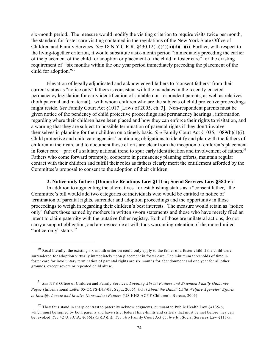six-month period.. The measure would modify the visiting criterion to require visits twice per month, the standard for foster care visiting contained in the regulations of the New York State Office of Children and Family Services. *See* 18 N.Y.C.R.R. §430.12( c)(4)(ii)(d)(1)(i). Further, with respect to the living-together criterion, it would substitute a six-month period "immediately preceding the earlier of the placement of the child for adoption or placement of the child in foster care" for the existing requirement of "six months within the one year period immediately preceding the placement of the child for adoption."<sup>30</sup>

Elevation of legally adjudicated and acknowledged fathers to "consent fathers" from their current status as "notice only" fathers is consistent with the mandates in the recently-enacted permanency legislation for early identification of suitable non-respondent parents, as well as relatives (both paternal and maternal), with whom children who are the subjects of child protective proceedings might reside. *See* Family Court Act §1017 [Laws of 2005, ch. 3]. Non-respondent parents must be given notice of the pendency of child protective proceedings and permanency hearings , information regarding where their children have been placed and how they can enforce their rights to visitation, and a warning that they are subject to possible termination of parental rights if they don't involve themselves in planning for their children on a timely basis. *See* Family Court Act §1035, 1089(b)(1)(i). Child protective and child care agencies' continuing obligations to identify and plan with the fathers of children in their care and to document those efforts are clear from the inception of children's placement in foster care – part of a salutary national trend to spur early identification and involvement of fathers.<sup>31</sup> Fathers who come forward promptly, cooperate in permanency planning efforts, maintain regular contact with their children and fulfill their roles as fathers clearly merit the entitlement afforded by the Committee's proposal to consent to the adoption of their children.

# **2. Notice-only fathers [Domestic Relations Law §111-a; Social Services Law §384-c]:**

 In addition to augmenting the alternatives for establishing status as a "consent father," the Committee's bill would add two categories of individuals who would be entitled to notice of termination of parental rights, surrender and adoption proceedings and the opportunity in those proceedings to weigh in regarding their children's best interests. The measure would retain as "notice only" fathers those named by mothers in written sworn statements and those who have merely filed an intent to claim paternity with the putative father registry. Both of those are unilateral actions, do not carry a support obligation, and are revocable at will, thus warranting retention of the more limited "notice-only" status.<sup>32</sup>

 $30$  Read literally, the existing six-month criterion could only apply to the father of a foster child if the child were surrendered for adoption virtually immediately upon placement in foster care. The minimum thresholds of time in foster care for involuntary termination of parental rights are six months for abandonment and one year for all other grounds, except severe or repeated child abuse.

<sup>&</sup>lt;sup>31</sup> See NYS Office of Children and Family Services, *Locating Absent Fathers and Extended Family Guidance Paper* (Informational Letter 05-OCFS-INF-05, Sept., 2005); *What About the Dads? Child Welfare Agencies' Efforts to Identify, Locate and Involve Nonresident Fathers* (US HHS ACYF Children's Bureau, 2006).

 $32$  They thus stand in sharp contrast to paternity acknowledgments, pursuant to Public Health Law §4135-b, which must be signed by both parents and have strict federal time-limits and criteria that must be met before they can be revoked. *See* 42 U.S.C.A. §666(a)(5)(D)(ii). *See also* Family Court Act §516-a(b); Social Services Law §111-k.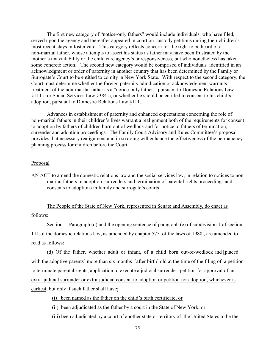The first new category of "notice-only fathers" would include individuals who have filed, served upon the agency and thereafter appeared in court on custody petitions during their children's most recent stays in foster care. This category reflects concern for the right to be heard of a non-marital father, whose attempts to assert his status as father may have been frustrated by the mother's unavailability or the child care agency's unresponsiveness, but who nonetheless has taken some concrete action. The second new category would be comprised of individuals identified in an acknowledgment or order of paternity in another country that has been determined by the Family or Surrogate's Court to be entitled to comity in New York State. With respect to the second category, the Court must determine whether the foreign paternity adjudication or acknowledgment warrants treatment of the non-marital father as a "notice-only father," pursuant to Domestic Relations Law §111-a or Social Services Law §384-c, or whether he should be entitled to consent to his child's adoption, pursuant to Domestic Relations Law §111.

Advances in establishment of paternity and enhanced expectations concerning the role of non-marital fathers in their children's lives warrant a realignment both of the requirements for consent to adoption by fathers of children born out of wedlock and for notice to fathers of termination, surrender and adoption proceedings. The Family Court Advisory and Rules Committee's proposal provides that necessary realignment and in so doing will enhance the effectiveness of the permanency planning process for children before the Court.

## Proposal

AN ACT to amend the domestic relations law and the social services law, in relation to notices to nonmarital fathers in adoption, surrenders and termination of parental rights proceedings and consents to adoptions in family and surrogate's courts

# The People of the State of New York, represented in Senate and Assembly, do enact as follows:

Section 1. Paragraph (d) and the opening sentence of paragraph (e) of subdivision 1 of section 111 of the domestic relations law, as amended by chapter 575 of the laws of 1980 , are amended to read as follows:

(d) Of the father, whether adult or infant, of a child born out-of-wedlock and [placed with the adoptive parents] more than six months [after birth] old at the time of the filing of a petition to terminate parental rights, application to execute a judicial surrender, petition for approval of an extra-judicial surrender or extra-judicial consent to adoption or petition for adoption, whichever is earliest, but only if such father shall have:

(i) been named as the father on the child's birth certificate; or

(ii) been adjudicated as the father by a court in the State of New York; or

(iii) been adjudicated by a court of another state or territory of the United States to be the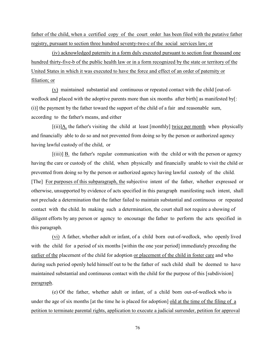father of the child, when a certified copy of the court order has been filed with the putative father registry, pursuant to section three hundred seventy-two-c of the social services law; or

(iv) acknowledged paternity in a form duly executed pursuant to section four thousand one hundred thirty-five-b of the public health law or in a form recognized by the state or territory of the United States in which it was executed to have the force and effect of an order of paternity or filiation; or

(v) maintained substantial and continuous or repeated contact with the child [out-ofwedlock and placed with the adoptive parents more than six months after birth] as manifested by[: (i)] the payment by the father toward the support of the child of a fair and reasonable sum, according to the father's means, and either

[(ii)]A. the father's visiting the child at least [monthly] twice per month when physically and financially able to do so and not prevented from doing so by the person or authorized agency having lawful custody of the child, or

[(iii)] B. the father's regular communication with the child or with the person or agency having the care or custody of the child, when physically and financially unable to visit the child or prevented from doing so by the person or authorized agency having lawful custody of the child. [The] For purposes of this subparagraph, the subjective intent of the father, whether expressed or otherwise, unsupported by evidence of acts specified in this paragraph manifesting such intent, shall not preclude a determination that the father failed to maintain substantial and continuous or repeated contact with the child. In making such a determination, the court shall not require a showing of diligent efforts by any person or agency to encourage the father to perform the acts specified in this paragraph.

(vi) A father, whether adult or infant, of a child born out-of-wedlock, who openly lived with the child for a period of six months [within the one year period] immediately preceding the earlier of the placement of the child for adoption or placement of the child in foster care and who during such period openly held himself out to be the father of such child shall be deemed to have maintained substantial and continuous contact with the child for the purpose of this [subdivision] paragraph.

(e) Of the father, whether adult or infant, of a child born out-of-wedlock who is under the age of six months [at the time he is placed for adoption] old at the time of the filing of a petition to terminate parental rights, application to execute a judicial surrender, petition for approval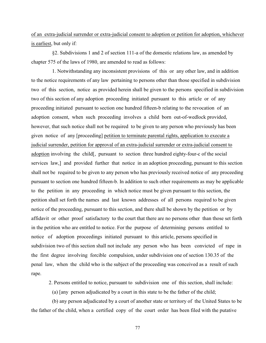of an extra-judicial surrender or extra-judicial consent to adoption or petition for adoption, whichever is earliest, but only if:

§2. Subdivisions 1 and 2 of section 111-a of the domestic relations law, as amended by chapter 575 of the laws of 1980, are amended to read as follows:

1. Notwithstanding any inconsistent provisions of this or any other law, and in addition to the notice requirements of any law pertaining to persons other than those specified in subdivision two of this section, notice as provided herein shall be given to the persons specified in subdivision two of this section of any adoption proceeding initiated pursuant to this article or of any proceeding initiated pursuant to section one hundred fifteen-b relating to the revocation of an adoption consent, when such proceeding involves a child born out-of-wedlock provided, however, that such notice shall not be required to be given to any person who previously has been given notice of any [proceeding] petition to terminate parental rights, application to execute a judicial surrender, petition for approval of an extra-judicial surrender or extra-judicial consent to adoption involving the child[, pursuant to section three hundred eighty-four-c of the social services law,] and provided further that notice in an adoption proceeding, pursuant to this section shall not be required to be given to any person who has previously received notice of any proceeding pursuant to section one hundred fifteen-b. In addition to such other requirements as may be applicable to the petition in any proceeding in which notice must be given pursuant to this section, the petition shall set forth the names and last known addresses of all persons required to be given notice of the proceeding, pursuant to this section, and there shall be shown by the petition or by affidavit or other proof satisfactory to the court that there are no persons other than those set forth in the petition who are entitled to notice. For the purpose of determining persons entitled to notice of adoption proceedings initiated pursuant to this article, persons specified in subdivision two of this section shall not include any person who has been convicted of rape in the first degree involving forcible compulsion, under subdivision one of section 130.35 of the penal law, when the child who is the subject of the proceeding was conceived as a result of such rape.

2. Persons entitled to notice, pursuant to subdivision one of this section, shall include:

(a) [any person adjudicated by a court in this state to be the father of the child;

 (b) any person adjudicated by a court of another state or territory of the United States to be the father of the child, when a certified copy of the court order has been filed with the putative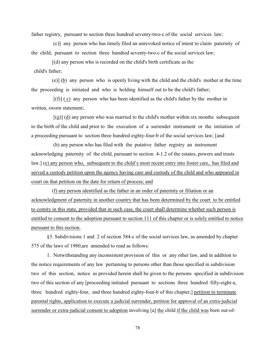father registry, pursuant to section three hundred seventy-two-c of the social services law;

 (c)] any person who has timely filed an unrevoked notice of intent to claim paternity of the child, pursuant to section three hundred seventy-two-c of the social services law;

 [(d) any person who is recorded on the child's birth certificate as the child's father;

 (e)] (b) any person who is openly living with the child and the child's mother at the time the proceeding is initiated and who is holding himself out to be the child's father;

 $[(f)]$  (c) any person who has been identified as the child's father by the mother in written, sworn statement;

 $[(g)]$  (d) any person who was married to the child's mother within six months subsequent to the birth of the child and prior to the execution of a surrender instrument or the initiation of a proceeding pursuant to section three hundred eighty-four-b of the social services law; [and

 (h) any person who has filed with the putative father registry an instrument acknowledging paternity of the child, pursuant to section 4-1.2 of the estates, powers and trusts law.] (e) any person who, subsequent to the child's most recent entry into foster care, has filed and served a custody petition upon the agency having care and custody of the child and who appeared in court on that petition on the date for return of process; and

(f) any person identified as the father in an order of paternity or filiation or an acknowledgment of paternity in another country that has been determined by the court to be entitled to comity in this state, provided that in such case, the court shall determine whether such person is entitled to consent to the adoption pursuant to section 111 of this chapter or is solely entitled to notice pursuant to this section.

§3. Subdivisions 1 and 2 of section 384-c of the social services law, as amended by chapter 575 of the laws of 1980,are amended to read as follows:

 1. Notwithstanding any inconsistent provision of this or any other law, and in addition to the notice requirements of any law pertaining to persons other than those specified in subdivision two of this section, notice as provided herein shall be given to the persons specified in subdivision two of this section of any [proceeding initiated pursuant to sections three hundred fifty-eight-a, three hundred eighty-four, and three hundred eighty-four-b of this chapter,] petition to terminate parental rights, application to execute a judicial surrender, petition for approval of an extra-judicial surrender or extra-judicial consent to adoption involving [a] the child if the child was born out-of-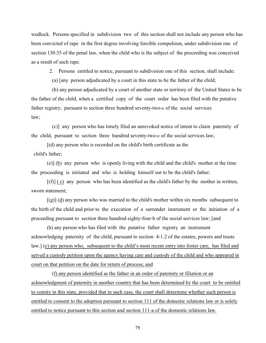wedlock. Persons specified in subdivision two of this section shall not include any person who has been convicted of rape in the first degree involving forcible compulsion, under subdivision one of section 130.35 of the penal law, when the child who is the subject of the proceeding was conceived as a result of such rape.

2. Persons entitled to notice, pursuant to subdivision one of this section, shall include:

(a) [any person adjudicated by a court in this state to be the father of the child;

 (b) any person adjudicated by a court of another state or territory of the United States to be the father of the child, when a certified copy of the court order has been filed with the putative father registry, pursuant to section three hundred seventy-two-c of the social services law;

(c)] any person who has timely filed an unrevoked notice of intent to claim paternity of the child, pursuant to section three hundred seventy-two-c of the social services law;

 [(d) any person who is recorded on the child's birth certificate as the child's father;

 (e)] (b) any person who is openly living with the child and the child's mother at the time the proceeding is initiated and who is holding himself out to be the child's father;

 $[(f)]$  (c) any person who has been identified as the child's father by the mother in written, sworn statement;

 $[(g)]$  (d) any person who was married to the child's mother within six months subsequent to the birth of the child and prior to the execution of a surrender instrument or the initiation of a proceeding pursuant to section three hundred eighty-four-b of the social services law; [and

 (h) any person who has filed with the putative father registry an instrument acknowledging paternity of the child, pursuant to section 4-1.2 of the estates, powers and trusts law.] (e) any person who, subsequent to the child's most recent entry into foster care, has filed and served a custody petition upon the agency having care and custody of the child and who appeared in court on that petition on the date for return of process; and

(f) any person identified as the father in an order of paternity or filiation or an acknowledgment of paternity in another country that has been determined by the court to be entitled to comity in this state, provided that in such case, the court shall determine whether such person is entitled to consent to the adoption pursuant to section 111 of the domestic relations law or is solely entitled to notice pursuant to this section and section 111-a of the domestic relations law.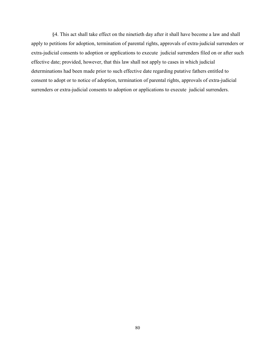§4. This act shall take effect on the ninetieth day after it shall have become a law and shall apply to petitions for adoption, termination of parental rights, approvals of extra-judicial surrenders or extra-judicial consents to adoption or applications to execute judicial surrenders filed on or after such effective date; provided, however, that this law shall not apply to cases in which judicial determinations had been made prior to such effective date regarding putative fathers entitled to consent to adopt or to notice of adoption, termination of parental rights, approvals of extra-judicial surrenders or extra-judicial consents to adoption or applications to execute judicial surrenders.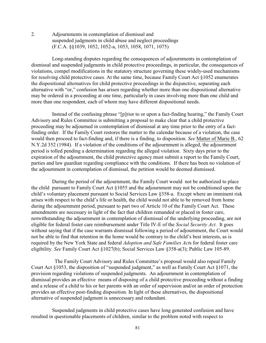2. Adjournments in contemplation of dismissal and suspended judgments in child abuse and neglect proceedings (F.C.A. §§1039, 1052, 1052-a, 1053, 1058, 1071, 1075)

Long-standing disputes regarding the consequences of adjournments in contemplation of dismissal and suspended judgments in child protective proceedings, in particular, the consequences of violations, compel modifications in the statutory structure governing these widely-used mechanisms for resolving child protective cases. At the same time, because Family Court Act §1052 enumerates the dispositional alternatives for child protective proceedings in the disjunctive, separating each alternative with "or," confusion has arisen regarding whether more than one dispositional alternative may be ordered in a proceeding at one time, particularly in cases involving more than one child and more than one respondent, each of whom may have different dispositional needs.

Instead of the confusing phrase "[p]rior to or upon a fact-finding hearing," the Family Court Advisory and Rules Committee is submitting a proposal to make clear that a child protective proceeding may be adjourned in contemplation of dismissal at any time prior to the entry of a factfinding order. If the Family Court restores the matter to the calendar because of a violation, the case would then proceed to fact-finding and, if there is a finding, to disposition. *See* Matter of Marie B., 62 N.Y.2d 352 (1984). If a violation of the conditions of the adjournment is alleged, the adjournment period is tolled pending a determination regarding the alleged violation. Sixty days prior to the expiration of the adjournment, the child protective agency must submit a report to the Family Court, parties and law guardian regarding compliance with the conditions. If there has been no violation of the adjournment in contemplation of dismissal, the petition would be deemed dismissed.

During the period of the adjournment, the Family Court would not be authorized to place the child pursuant to Family Court Act §1055 and the adjournment may not be conditioned upon the child's voluntary placement pursuant to Social Services Law §358-a. Except where an imminent risk arises with respect to the child's life or health, the child would not able to be removed from home during the adjournment period, pursuant to part two of Article 10 of the Family Court Act. These amendments are necessary in light of the fact that children remanded or placed in foster care, notwithstanding the adjournment in contemplation of dismissal of the underlying proceeding, are not eligible for federal foster care reimbursement under Title IV-E of the *Social Security Act*. It goes without saying that if the case warrants dismissal following a period of adjournment, the Court would not be able to find that retention in the home would be contrary to the child's best interests, as is required by the New York State and federal *Adoption and Safe Families Act*s for federal foster care eligibility. *See* Family Court Act §1027(b); Social Services Law §358-a(3); Public Law 105-89.

 The Family Court Advisory and Rules Committee's proposal would also repeal Family Court Act §1053, the disposition of "suspended judgment," as well as Family Court Act §1071, the provision regarding violations of suspended judgments. An adjournment in contemplation of dismissal provides an effective means of disposing of a child protective proceeding without a finding and a release of a child to his or her parents with an order of supervision and/or an order of protection provides an effective post-finding disposition. In light of these alternatives, the dispositional alternative of suspended judgment is unnecessary and redundant.

Suspended judgments in child protective cases have long generated confusion and have resulted in questionable placements of children, similar to the problem noted with respect to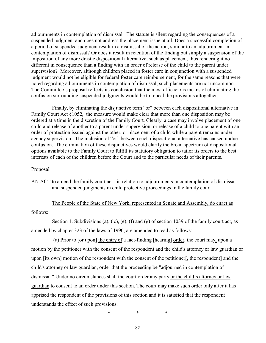adjournments in contemplation of dismissal. The statute is silent regarding the consequences of a suspended judgment and does not address the placement issue at all. Does a successful completion of a period of suspended judgment result in a dismissal of the action, similar to an adjournment in contemplation of dismissal? Or does it result in retention of the finding but simply a suspension of the imposition of any more drastic dispositional alternative, such as placement, thus rendering it no different in consequence than a finding with an order of release of the child to the parent under supervision? Moreover, although children placed in foster care in conjunction with a suspended judgment would not be eligible for federal foster care reimbursement, for the same reasons that were noted regarding adjournments in contemplation of dismissal, such placements are not uncommon. The Committee's proposal reflects its conclusion that the most efficacious means of eliminating the confusion surrounding suspended judgments would be to repeal the provisions altogether.

Finally, by eliminating the disjunctive term "or" between each dispositional alternative in Family Court Act §1052, the measure would make clear that more than one disposition may be ordered at a time in the discretion of the Family Court. Clearly, a case may involve placement of one child and release of another to a parent under supervision, or release of a child to one parent with an order of protection issued against the other, or placement of a child while a parent remains under agency supervision. The inclusion of "or" between each dispositional alternative has caused undue confusion. The elimination of these disjunctives would clarify the broad spectrum of dispositional options available to the Family Court to fulfill its statutory obligation to tailor its orders to the best interests of each of the children before the Court and to the particular needs of their parents.

## Proposal

AN ACT to amend the family court act , in relation to adjournments in contemplation of dismissal and suspended judgments in child protective proceedings in the family court

The People of the State of New York, represented in Senate and Assembly, do enact as follows:

Section 1. Subdivisions (a), (c), (e), (f) and (g) of section 1039 of the family court act, as amended by chapter 323 of the laws of 1990, are amended to read as follows:

 (a) Prior to [or upon] the entry of a fact-finding [hearing] order, the court may, upon a motion by the petitioner with the consent of the respondent and the child's attorney or law guardian or upon [its own] motion of the respondent with the consent of the petitioner[, the respondent] and the child's attorney or law guardian, order that the proceeding be "adjourned in contemplation of dismissal." Under no circumstances shall the court order any party or the child's attorney or law guardian to consent to an order under this section. The court may make such order only after it has apprised the respondent of the provisions of this section and it is satisfied that the respondent understands the effect of such provisions.

\* \* \*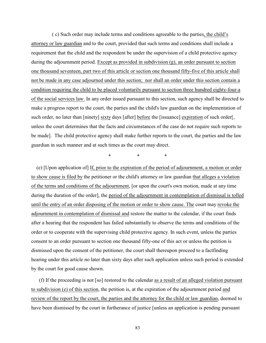( c) Such order may include terms and conditions agreeable to the parties, the child's attorney or law guardian and to the court, provided that such terms and conditions shall include a requirement that the child and the respondent be under the supervision of a child protective agency during the adjournment period. Except as provided in subdivision (g), an order pursuant to section one thousand seventeen, part two of this article or section one thousand fifty-five of this article shall not be made in any case adjourned under this section; nor shall an order under this section contain a condition requiring the child to be placed voluntarily pursuant to section three hundred eighty-four-a of the social services law. In any order issued pursuant to this section, such agency shall be directed to make a progress report to the court, the parties and the child's law guardian on the implementation of such order, no later than [ninety] sixty days [after] before the [issuance] expiration of such order[, unless the court determines that the facts and circumstances of the case do not require such reports to be made]. The child protective agency shall make further reports to the court, the parties and the law guardian in such manner and at such times as the court may direct.

\* \* \*

 (e) [Upon application of] If, prior to the expiration of the period of adjournment, a motion or order to show cause is filed by the petitioner or the child's attorney or law guardian that alleges a violation of the terms and conditions of the adjournment, [or upon the court's own motion, made at any time during the duration of the order], the period of the adjournment in contemplation of dismissal is tolled until the entry of an order disposing of the motion or order to show cause. The court may revoke the adjournment in contemplation of dismissal and restore the matter to the calendar, if the court finds after a hearing that the respondent has failed substantially to observe the terms and conditions of the order or to cooperate with the supervising child protective agency. In such event, unless the parties consent to an order pursuant to section one thousand fifty-one of this act or unless the petition is dismissed upon the consent of the petitioner, the court shall thereupon proceed to a factfinding hearing under this article no later than sixty days after such application unless such period is extended by the court for good cause shown.

 (f) If the proceeding is not [so] restored to the calendar as a result of an alleged violation pursuant to subdivision (e) of this section, the petition is, at the expiration of the adjournment period and review of the report by the court, the parties and the attorney for the child or law guardian, deemed to have been dismissed by the court in furtherance of justice [unless an application is pending pursuant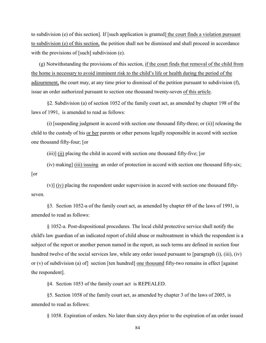to subdivision (e) of this section]. If [such application is granted] the court finds a violation pursuant to subdivision (e) of this section, the petition shall not be dismissed and shall proceed in accordance with the provisions of [such] subdivision (e).

 (g) Notwithstanding the provisions of this section, if the court finds that removal of the child from the home is necessary to avoid imminent risk to the child's life or health during the period of the adjournment, the court may, at any time prior to dismissal of the petition pursuant to subdivision (f), issue an order authorized pursuant to section one thousand twenty-seven of this article.

§2. Subdivision (a) of section 1052 of the family court act, as amended by chapter 198 of the laws of 1991, is amended to read as follows:

(i) [suspending judgment in accord with section one thousand fifty-three; or (ii)] releasing the child to the custody of his or her parents or other persons legally responsible in accord with section one thousand fifty-four; [or

(iii)] (ii) placing the child in accord with section one thousand fifty-five; [or

(iv) making] (iii) issuing an order of protection in accord with section one thousand fifty-six; [or

(v)] (iv) placing the respondent under supervision in accord with section one thousand fiftyseven.

§3. Section 1052-a of the family court act, as amended by chapter 69 of the laws of 1991, is amended to read as follows:

 § 1052-a. Post-dispositional procedures. The local child protective service shall notify the child's law guardian of an indicated report of child abuse or maltreatment in which the respondent is a subject of the report or another person named in the report, as such terms are defined in section four hundred twelve of the social services law, while any order issued pursuant to [paragraph (i), (iii), (iv) or (v) of subdivision (a) of] section [ten hundred] one thousand fifty-two remains in effect [against the respondent].

§4. Section 1053 of the family court act is REPEALED.

§5. Section 1058 of the family court act, as amended by chapter 3 of the laws of 2005, is amended to read as follows:

§ 1058. Expiration of orders. No later than sixty days prior to the expiration of an order issued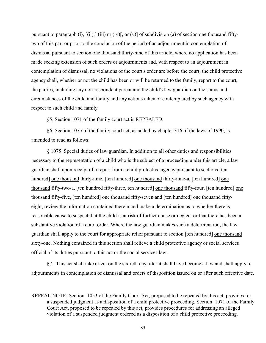pursuant to paragraph (i),  $[(ii),]$  (iii) or (iv) $[$ , or (v) $]$  of subdivision (a) of section one thousand fiftytwo of this part or prior to the conclusion of the period of an adjournment in contemplation of dismissal pursuant to section one thousand thirty-nine of this article, where no application has been made seeking extension of such orders or adjournments and, with respect to an adjournment in contemplation of dismissal, no violations of the court's order are before the court, the child protective agency shall, whether or not the child has been or will be returned to the family, report to the court, the parties, including any non-respondent parent and the child's law guardian on the status and circumstances of the child and family and any actions taken or contemplated by such agency with respect to such child and family.

§5. Section 1071 of the family court act is REPEALED.

§6. Section 1075 of the family court act, as added by chapter 316 of the laws of 1990, is amended to read as follows:

§ 1075. Special duties of law guardian. In addition to all other duties and responsibilities necessary to the representation of a child who is the subject of a proceeding under this article, a law guardian shall upon receipt of a report from a child protective agency pursuant to sections [ten hundred] one thousand thirty-nine, [ten hundred] one thousand thirty-nine-a, [ten hundred] one thousand fifty-two-a, [ten hundred fifty-three, ten hundred] one thousand fifty-four, [ten hundred] one thousand fifty-five, [ten hundred] one thousand fifty-seven and [ten hundred] one thousand fiftyeight, review the information contained therein and make a determination as to whether there is reasonable cause to suspect that the child is at risk of further abuse or neglect or that there has been a substantive violation of a court order. Where the law guardian makes such a determination, the law guardian shall apply to the court for appropriate relief pursuant to section [ten hundred] one thousand sixty-one. Nothing contained in this section shall relieve a child protective agency or social services official of its duties pursuant to this act or the social services law.

§7. This act shall take effect on the sixtieth day after it shall have become a law and shall apply to adjournments in contemplation of dismissal and orders of disposition issued on or after such effective date.

REPEAL NOTE: Section 1053 of the Family Court Act, proposed to be repealed by this act, provides for a suspended judgment as a disposition of a child protective proceeding. Section 1071 of the Family Court Act, proposed to be repealed by this act, provides procedures for addressing an alleged violation of a suspended judgment ordered as a disposition of a child protective proceeding.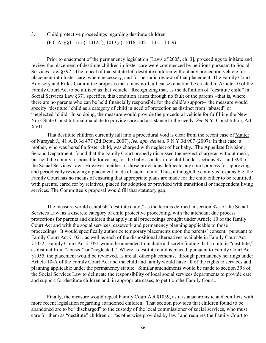3. Child protective proceedings regarding destitute children (F.C.A. §§115 ( c), 1012(f), 1013(a), 1016, 1021, 1051, 1059)

Prior to enactment of the permanency legislation [Laws of 2005, ch. 3], proceedings to initiate and review the placement of destitute children in foster care were commenced by petitions pursuant to Social Services Law §392. The repeal of that statute left destitute children without any procedural vehicle for placement into foster care, where necessary, and for periodic review of that placement. The Family Court Advisory and Rules Committee proposes that a new no-fault cause of action be created in Article 10 of the Family Court Act to be utilized as that vehicle. Recognizing that, as the definition of "destitute child" in Social Services Law §371 specifies, this condition arises through no fault of the parents –that is, where there are no parents who can be held financially responsible for the child's support– the measure would specify "destitute" child as a category of child in need of protection as distinct from "abused" or "neglected" child. In so doing, the measure would provide the procedural vehicle for fulfilling the New York State Constitutional mandate to provide care and assistance to the needy. *See* N.Y. Constitution, Art. XVII.

That destitute children currently fall into a procedural void is clear from the recent case of Matter of Nurayah J., 41 A.D.3d 477 (2d Dept., 2007), *lve. app. denied,* 9 N.Y.3d 907 (2007). In that case, a mother, who was herself a foster child, was charged with neglect of her baby. The Appellate Division, Second Department, found that the Family Court properly dismissed the neglect charge as without merit, but held the county responsible for caring for the baby as a destitute child under sections 371 and 398 of the Social Services Law. However, neither of those provisions delineate any court process for approving and periodically reviewing a placement made of such a child. Thus, although the county is responsible, the Family Court has no means of ensuring that appropriate plans are made for the child either to be reunified with parents, cared for by relatives, placed for adoption or provided with transitional or independent living services. The Committee's proposal would fill that statutory gap.

The measure would establish "destitute child," as the term is defined in section 371 of the Social Services Law, as a discrete category of child protective proceeding, with the attendant due process protections for parents and children that apply in all proceedings brought under Article 10 of the family Court Act and with the social services, casework and permanency planning applicable to those proceedings. It would specifically authorize temporary placements upon the parents' consent, pursuant to Family Court Act §1021, as well as each of the dispositional alternatives available in Family Court Act §1052. Family Court Act §1051 would be amended to include a discrete finding that a child is "destitute," as distinct from "abused" or "neglected." Where a destitute child is placed, pursuant to Family Court Act §1055, the placement would be reviewed, as are all other placements, through permanency hearings under Article 10-A of the Family Court Act and the child and family would have all of the rights to services and planning applicable under the permanency statute. Similar amendments would be made to section 398 of the Social Services Law to delineate the responsibility of local social services departments to provide care and support for destitute children and, in appropriate cases, to petition the Family Court..

Finally, the measure would repeal Family Court Act §1059, as it is anachronistic and conflicts with more recent legislation regarding abandoned children. That section provides that children found to be abandoned are to be "discharged" to the custody of the local commissioner of social services, who must care for them as "destitute" children or "as otherwise provided by law" and requires the Family Court to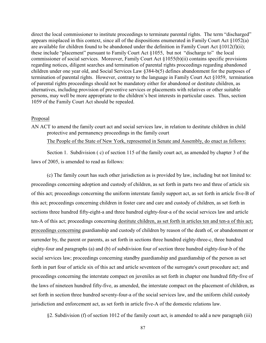direct the local commissioner to institute proceedings to terminate parental rights. The term "discharged" appears misplaced in this context, since all of the dispositions enumerated in Family Court Act §1052(a) are available for children found to be abandoned under the definition in Family Court Act §1012(f)(ii); these include "placement" pursuant to Family Court Act §1055, but not "discharge to" the local commissioner of social services. Moreover, Family Court Act §1055(b)(ii) contains specific provisions regarding notices, diligent searches and termination of parental rights proceedings regarding abandoned children under one year old, and Social Services Law §384-b(5) defines abandonment for the purposes of termination of parental rights. However, contrary to the language in Family Court Act §1059, termination of parental rights proceedings should not be mandatory either for abandoned or destitute children, as alternatives, including provision of preventive services or placements with relatives or other suitable persons, may well be more appropriate to the children's best interests in particular cases. Thus, section 1059 of the Family Court Act should be repealed.

#### Proposal

AN ACT to amend the family court act and social services law, in relation to destitute children in child protective and permanency proceedings in the family court

The People of the State of New York, represented in Senate and Assembly, do enact as follows:

Section 1. Subdivision (c) of section 115 of the family court act, as amended by chapter 3 of the laws of 2005, is amended to read as follows:

 (c) The family court has such other jurisdiction as is provided by law, including but not limited to: proceedings concerning adoption and custody of children, as set forth in parts two and three of article six of this act; proceedings concerning the uniform interstate family support act, as set forth in article five-B of this act; proceedings concerning children in foster care and care and custody of children, as set forth in sections three hundred fifty-eight-a and three hundred eighty-four-a of the social services law and article ten-A of this act; proceedings concerning destitute children, as set forth in articles ten and ten-a of this act; proceedings concerning guardianship and custody of children by reason of the death of, or abandonment or surrender by, the parent or parents, as set forth in sections three hundred eighty-three-c, three hundred eighty-four and paragraphs (a) and (b) of subdivision four of section three hundred eighty-four-b of the social services law; proceedings concerning standby guardianship and guardianship of the person as set forth in part four of article six of this act and article seventeen of the surrogate's court procedure act; and proceedings concerning the interstate compact on juveniles as set forth in chapter one hundred fifty-five of the laws of nineteen hundred fifty-five, as amended, the interstate compact on the placement of children, as set forth in section three hundred seventy-four-a of the social services law, and the uniform child custody jurisdiction and enforcement act, as set forth in article five-A of the domestic relations law.

§2. Subdivision (f) of section 1012 of the family court act, is amended to add a new paragraph (iii)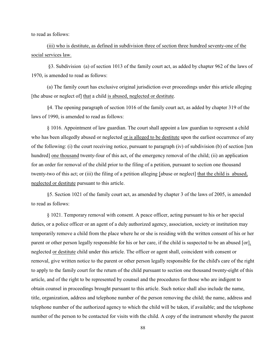to read as follows:

(iii) who is destitute, as defined in subdivision three of section three hundred seventy-one of the social services law.

 §3. Subdivision (a) of section 1013 of the family court act, as added by chapter 962 of the laws of 1970, is amended to read as follows:

(a) The family court has exclusive original jurisdiction over proceedings under this article alleging [the abuse or neglect of] that a child is abused, neglected or destitute.

§4. The opening paragraph of section 1016 of the family court act, as added by chapter 319 of the laws of 1990, is amended to read as follows:

§ 1016. Appointment of law guardian. The court shall appoint a law guardian to represent a child who has been allegedly abused or neglected or is alleged to be destitute upon the earliest occurrence of any of the following: (i) the court receiving notice, pursuant to paragraph (iv) of subdivision (b) of section [ten hundred] one thousand twenty-four of this act, of the emergency removal of the child; (ii) an application for an order for removal of the child prior to the filing of a petition, pursuant to section one thousand twenty-two of this act; or (iii) the filing of a petition alleging [abuse or neglect] that the child is abused, neglected or destitute pursuant to this article.

§5. Section 1021 of the family court act, as amended by chapter 3 of the laws of 2005, is amended to read as follows:

§ 1021. Temporary removal with consent. A peace officer, acting pursuant to his or her special duties, or a police officer or an agent of a duly authorized agency, association, society or institution may temporarily remove a child from the place where he or she is residing with the written consent of his or her parent or other person legally responsible for his or her care, if the child is suspected to be an abused [or], neglected or destitute child under this article. The officer or agent shall, coincident with consent or removal, give written notice to the parent or other person legally responsible for the child's care of the right to apply to the family court for the return of the child pursuant to section one thousand twenty-eight of this article, and of the right to be represented by counsel and the procedures for those who are indigent to obtain counsel in proceedings brought pursuant to this article. Such notice shall also include the name, title, organization, address and telephone number of the person removing the child; the name, address and telephone number of the authorized agency to which the child will be taken, if available; and the telephone number of the person to be contacted for visits with the child. A copy of the instrument whereby the parent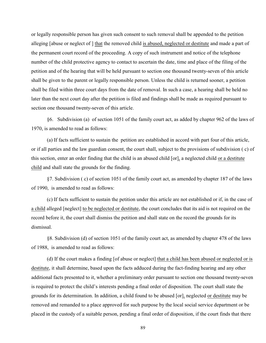or legally responsible person has given such consent to such removal shall be appended to the petition alleging [abuse or neglect of ] that the removed child is abused, neglected or destitute and made a part of the permanent court record of the proceeding. A copy of such instrument and notice of the telephone number of the child protective agency to contact to ascertain the date, time and place of the filing of the petition and of the hearing that will be held pursuant to section one thousand twenty-seven of this article shall be given to the parent or legally responsible person. Unless the child is returned sooner, a petition shall be filed within three court days from the date of removal. In such a case, a hearing shall be held no later than the next court day after the petition is filed and findings shall be made as required pursuant to section one thousand twenty-seven of this article.

§6. Subdivision (a) of section 1051 of the family court act, as added by chapter 962 of the laws of 1970, is amended to read as follows:

(a) If facts sufficient to sustain the petition are established in accord with part four of this article, or if all parties and the law guardian consent, the court shall, subject to the provisions of subdivision ( c) of this section, enter an order finding that the child is an abused child [or], a neglected child or a destitute child and shall state the grounds for the finding.

§7. Subdivision ( c) of section 1051 of the family court act, as amended by chapter 187 of the laws of 1990, is amended to read as follows:

(c) If facts sufficient to sustain the petition under this article are not established or if, in the case of a child alleged [neglect] to be neglected or destitute, the court concludes that its aid is not required on the record before it, the court shall dismiss the petition and shall state on the record the grounds for its dismissal.

§8. Subdivision (d) of section 1051 of the family court act, as amended by chapter 478 of the laws of 1988, is amended to read as follows:

(d) If the court makes a finding [of abuse or neglect] that a child has been abused or neglected or is destitute, it shall determine, based upon the facts adduced during the fact-finding hearing and any other additional facts presented to it, whether a preliminary order pursuant to section one thousand twenty-seven is required to protect the child's interests pending a final order of disposition. The court shall state the grounds for its determination. In addition, a child found to be abused [or], neglected or destitute may be removed and remanded to a place approved for such purpose by the local social service department or be placed in the custody of a suitable person, pending a final order of disposition, if the court finds that there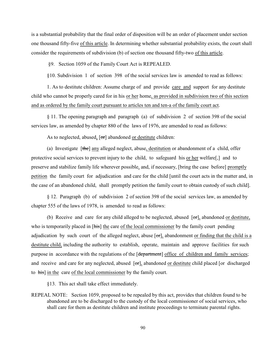is a substantial probability that the final order of disposition will be an order of placement under section one thousand fifty-five of this article. In determining whether substantial probability exists, the court shall consider the requirements of subdivision (b) of section one thousand fifty-two of this article.

§9. Section 1059 of the Family Court Act is REPEALED.

§10. Subdivision 1 of section 398 of the social services law is amended to read as follows:

1. As to destitute children: Assume charge of and provide care and support for any destitute child who cannot be properly cared for in his or her home, as provided in subdivision two of this section and as ordered by the family court pursuant to articles ten and ten-a of the family court act.

§ 11. The opening paragraph and paragraph (a) of subdivision 2 of section 398 of the social services law, as amended by chapter 880 of the laws of 1976, are amended to read as follows:

As to neglected, abused,  $[\sigma r]$  abandoned or destitute children:

(a) Investigate  $[\theta]$  any alleged neglect, abuse, destitution or abandonment of a child, offer protective social services to prevent injury to the child, to safeguard his or her welfare[,] and to preserve and stabilize family life wherever possible, and, if necessary, [bring the case before] promptly petition the family court for adjudication and care for the child [until the court acts in the matter and, in the case of an abandoned child, shall promptly petition the family court to obtain custody of such child].

§ 12. Paragraph (b) of subdivision 2 of section 398 of the social services law, as amended by chapter 555 of the laws of 1978, is amended to read as follows:

(b) Receive and care for any child alleged to be neglected, abused  $[\sigma r]$ , abandoned or destitute, who is temporarily placed in [his] the care of the local commissioner by the family court pending adjudication by such court of the alleged neglect, abuse  $[\sigma r]$ , abandonment or finding that the child is a destitute child, including the authority to establish, operate, maintain and approve facilities for such purpose in accordance with the regulations of the [department] office of children and family services; and receive and care for any neglected, abused [or], abandoned or destitute child placed [or discharged to his] in the care of the local commissioner by the family court.

§13. This act shall take effect immediately.

REPEAL NOTE: Section 1059, proposed to be repealed by this act, provides that children found to be abandoned are to be discharged to the custody of the local commissioner of social services, who shall care for them as destitute children and institute proceedings to terminate parental rights.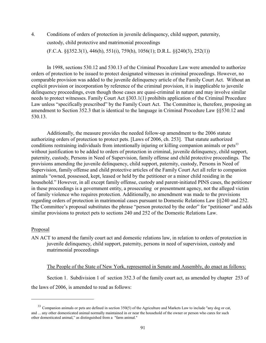4. Conditions of orders of protection in juvenile delinquency, child support, paternity, custody, child protective and matrimonial proceedings (F.C.A. §§352.3(1), 446(h), 551(i), 759(h), 1056(1); D.R.L. §§240(3), 252(1))

In 1998, sections 530.12 and 530.13 of the Criminal Procedure Law were amended to authorize orders of protection to be issued to protect designated witnesses in criminal proceedings. However, no comparable provision was added to the juvenile delinquency article of the Family Court Act. Without an explicit provision or incorporation by reference of the criminal provision, it is inapplicable to juvenile delinquency proceedings, even though those cases are quasi-criminal in nature and may involve similar needs to protect witnesses. Family Court Act §303.1(1) prohibits application of the Criminal Procedure Law unless "specifically prescribed" by the Family Court Act. The Committee is, therefore, proposing an amendment to Section 352.3 that is identical to the language in Criminal Procedure Law §§530.12 and 530.13.

Additionally, the measure provides the needed follow-up amendment to the 2006 statute authorizing orders of protection to protect pets. [Laws of 2006, ch. 253]. That statute authorized conditions restraining individuals from intentionally injuring or killing companion animals or pets<sup>33</sup> without justification to be added to orders of protection in criminal, juvenile delinquency, child support, paternity, custody, Persons in Need of Supervision, family offense and child protective proceedings. The provisions amending the juvenile delinquency, child support, paternity, custody, Persons in Need of Supervision, family offense and child protective articles of the Family Court Act all refer to companion animals "owned, possessed, kept, leased or held by the petitioner or a minor child residing in the household." However, in all except family offense, custody and parent-initiated PINS cases, the petitioner in these proceedings is a government entity, a prosecuting or presentment agency, not the alleged victim of family violence who requires protection. Additionally, no amendment was made to the provisions regarding orders of protection in matrimonial cases pursuant to Domestic Relations Law §§240 and 252. The Committee's proposal substitutes the phrase "person protected by the order" for "petitioner" and adds similar provisions to protect pets to sections 240 and 252 of the Domestic Relations Law.

# Proposal

AN ACT to amend the family court act and domestic relations law, in relation to orders of protection in juvenile delinquency, child support, paternity, persons in need of supervision, custody and matrimonial proceedings

# The People of the State of New York, represented in Senate and Assembly, do enact as follows:

Section 1. Subdivision 1 of section 352.3 of the family court act, as amended by chapter 253 of the laws of 2006, is amended to read as follows:

 $33$  Companion animals or pets are defined in section 350(5) of the Agriculture and Markets Law to include "any dog or cat, and ... any other domesticated animal normally maintained in or near the household of the owner or person who cares for such other domesticated animal," as distinguished from a "farm animal."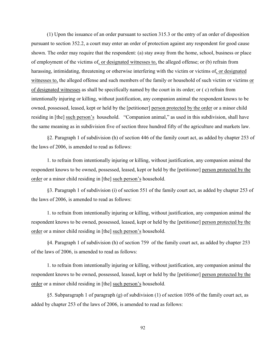(1) Upon the issuance of an order pursuant to section 315.3 or the entry of an order of disposition pursuant to section 352.2, a court may enter an order of protection against any respondent for good cause shown. The order may require that the respondent: (a) stay away from the home, school, business or place of employment of the victims of, or designated witnesses to, the alleged offense; or (b) refrain from harassing, intimidating, threatening or otherwise interfering with the victim or victims of, or designated witnesses to, the alleged offense and such members of the family or household of such victim or victims or of designated witnesses as shall be specifically named by the court in its order; or ( c) refrain from intentionally injuring or killing, without justification, any companion animal the respondent knows to be owned, possessed, leased, kept or held by the [petitioner] person protected by the order or a minor child residing in [the] such person's household. "Companion animal," as used in this subdivision, shall have the same meaning as in subdivision five of section three hundred fifty of the agriculture and markets law.

§2. Paragraph 1 of subdivision (h) of section 446 of the family court act, as added by chapter 253 of the laws of 2006, is amended to read as follows:

 1. to refrain from intentionally injuring or killing, without justification, any companion animal the respondent knows to be owned, possessed, leased, kept or held by the [petitioner] person protected by the order or a minor child residing in [the] such person's household.

§3. Paragraph 1 of subdivision (i) of section 551 of the family court act, as added by chapter 253 of the laws of 2006, is amended to read as follows:

 1. to refrain from intentionally injuring or killing, without justification, any companion animal the respondent knows to be owned, possessed, leased, kept or held by the [petitioner] person protected by the order or a minor child residing in [the] such person's household.

§4. Paragraph 1 of subdivision (h) of section 759 of the family court act, as added by chapter 253 of the laws of 2006, is amended to read as follows:

 1. to refrain from intentionally injuring or killing, without justification, any companion animal the respondent knows to be owned, possessed, leased, kept or held by the [petitioner] person protected by the order or a minor child residing in [the] such person's household.

§5. Subparagraph 1 of paragraph (g) of subdivision (1) of section 1056 of the family court act, as added by chapter 253 of the laws of 2006, is amended to read as follows: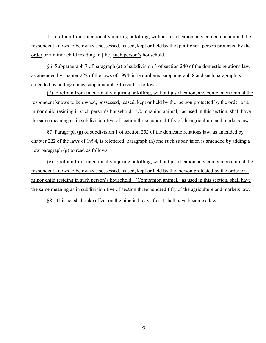1. to refrain from intentionally injuring or killing, without justification, any companion animal the respondent knows to be owned, possessed, leased, kept or held by the [petitioner] person protected by the order or a minor child residing in [the] such person's household.

§6. Subparagraph 7 of paragraph (a) of subdivision 3 of section 240 of the domestic relations law, as amended by chapter 222 of the laws of 1994, is renumbered subparagraph 8 and such paragraph is amended by adding a new subparagraph 7 to read as follows:

(7) to refrain from intentionally injuring or killing, without justification, any companion animal the respondent knows to be owned, possessed, leased, kept or held by the person protected by the order or a minor child residing in such person's household. "Companion animal," as used in this section, shall have the same meaning as in subdivision five of section three hundred fifty of the agriculture and markets law.

§7. Paragraph (g) of subdivision 1 of section 252 of the domestic relations law, as amended by chapter 222 of the laws of 1994, is relettered paragraph (h) and such subdivision is amended by adding a new paragraph (g) to read as follows:

(g) to refrain from intentionally injuring or killing, without justification, any companion animal the respondent knows to be owned, possessed, leased, kept or held by the person protected by the order or a minor child residing in such person's household. "Companion animal," as used in this section, shall have the same meaning as in subdivision five of section three hundred fifty of the agriculture and markets law.

§8. This act shall take effect on the ninetieth day after it shall have become a law.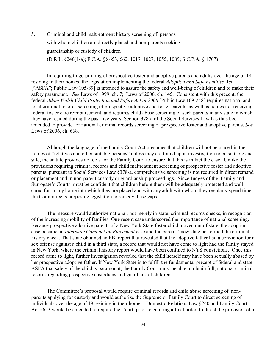5. Criminal and child maltreatment history screening of persons with whom children are directly placed and non-parents seeking guardianship or custody of children (D.R.L. §240(1-a); F.C.A. §§ 653, 662, 1017, 1027, 1055, 1089; S.C.P.A. § 1707)

In requiring fingerprinting of prospective foster and adoptive parents and adults over the age of 18 residing in their homes, the legislation implementing the federal *Adoption and Safe Families Act* ["ASFA"; Public Law 105-89] is intended to assure the safety and well-being of children and to make their safety paramount. *See* Laws of 1999, ch. 7; Laws of 2000, ch. 145. Consistent with this precept, the federal *Adam Walsh Child Protection and Safety Act of 2006* [Public Law 109-248] requires national and local criminal records screening of prospective adoptive and foster parents, as well as homes not receiving federal foster care reimbursement, and requires child abuse screening of such parents in any state in which they have resided during the past five years. Section 378-a of the Social Services Law has thus been amended to provide for national criminal records screening of prospective foster and adoptive parents. *See* Laws of 2006, ch. 668.

Although the language of the Family Court Act presumes that children will not be placed in the homes of "relatives and other suitable persons" unless they are found upon investigation to be suitable and safe, the statute provides no tools for the Family Court to ensure that this is in fact the case. Unlike the provisions requiring criminal records and child maltreatment screening of prospective foster and adoptive parents, pursuant to Social Services Law §378-a, comprehensive screening is not required in direct remand or placement and in non-parent custody or guardianship proceedings. Since Judges of the Family and Surrogate's Courts must be confident that children before them will be adequately protected and wellcared for in any home into which they are placed and with any adult with whom they regularly spend time, the Committee is proposing legislation to remedy these gaps.

The measure would authorize national, not merely in-state, criminal records checks, in recognition of the increasing mobility of families. One recent case underscored the importance of national screening. Because prospective adoptive parents of a New York State foster child moved out of state, the adoption case became an *Interstate Compact on Placement* case and the parents' new state performed the criminal history check. That state obtained an FBI report that revealed that the adoptive father had a conviction for a sex offense against a child in a third state, a record that would not have come to light had the family stayed in New York, where the criminal history report would have been confined to NYS convictions. Once this record came to light, further investigation revealed that the child herself may have been sexually abused by her prospective adoptive father. If New York State is to fulfill the fundamental precept of federal and state ASFA that safety of the child is paramount, the Family Court must be able to obtain full, national criminal records regarding prospective custodians and guardians of children.

The Committee's proposal would require criminal records and child abuse screening of nonparents applying for custody and would authorize the Supreme or Family Court to direct screening of individuals over the age of 18 residing in their homes. Domestic Relations Law §240 and Family Court Act §653 would be amended to require the Court, prior to entering a final order, to direct the provision of a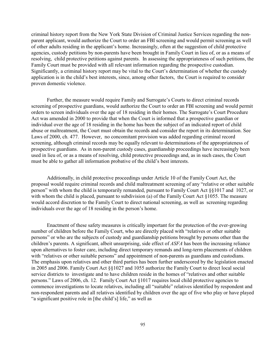criminal history report from the New York State Division of Criminal Justice Services regarding the nonparent applicant, would authorize the Court to order an FBI screening and would permit screening as well of other adults residing in the applicant's home. Increasingly, often at the suggestion of child protective agencies, custody petitions by non-parents have been brought in Family Court in lieu of, or as a means of resolving, child protective petitions against parents. In assessing the appropriateness of such petitions, the Family Court must be provided with all relevant information regarding the prospective custodian. Significantly, a criminal history report may be vital to the Court's determination of whether the custody application is in the child's best interests, since, among other factors, the Court is required to consider proven domestic violence.

Further, the measure would require Family and Surrogate's Courts to direct criminal records screening of prospective guardians, would authorize the Court to order an FBI screening and would permit orders to screen individuals over the age of 18 residing in their homes. The Surrogate's Court Procedure Act was amended in 2000 to provide that when the Court is informed that a prospective guardian or individual over the age of 18 residing in the home has been the subject of an indicated report of child abuse or maltreatment, the Court must obtain the records and consider the report in its determination. See Laws of 2000, ch. 477. However, no concomitant provision was added regarding criminal record screening, although criminal records may be equally relevant to determinations of the appropriateness of prospective guardians. As in non-parent custody cases, guardianship proceedings have increasingly been used in lieu of, or as a means of resolving, child protective proceedings and, as in such cases, the Court must be able to gather all information probative of the child's best interests.

Additionally, in child protective proceedings under Article 10 of the Family Court Act, the proposal would require criminal records and child maltreatment screening of any "relative or other suitable person" with whom the child is temporarily remanded, pursuant to Family Court Act §§1017 and 1027, or with whom the child is placed, pursuant to subdivision (a) of the Family Court Act §1055. The measure would accord discretion to the Family Court to direct national screening, as well as screening regarding individuals over the age of 18 residing in the person's home.

Enactment of these safety measures is critically important for the protection of the ever-growing number of children before the Family Court, who are directly placed with "relatives or other suitable persons" or who are the subjects of custody and guardianship petitions brought by persons other than the children's parents. A significant, albeit unsurprising, side effect of *ASFA* has been the increasing reliance upon alternatives to foster care, including direct temporary remands and long-term placements of children with "relatives or other suitable persons" and appointment of non-parents as guardians and custodians. The emphasis upon relatives and other third parties has been further underscored by the legislation enacted in 2005 and 2006. Family Court Act §§1027 and 1055 authorize the Family Court to direct local social service districts to investigate and to have children reside in the homes of "relatives and other suitable persons." Laws of 2006, ch. 12. Family Court Act §1017 requires local child protective agencies to commence investigations to locate relatives, including all "suitable" relatives identified by respondent and non-respondent parents and all relatives identified by children over the age of five who play or have played "a significant positive role in [the child's] life," as well as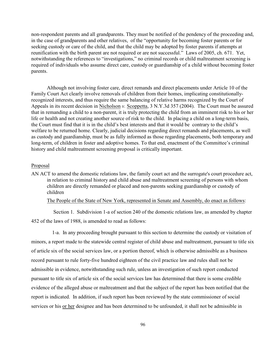non-respondent parents and all grandparents. They must be notified of the pendency of the proceeding and, in the case of grandparents and other relatives, of the "opportunity for becoming foster parents or for seeking custody or care of the child, and that the child may be adopted by foster parents if attempts at reunification with the birth parent are not required or are not successful." Laws of 2005, ch. 671. Yet, notwithstanding the references to "investigations," no criminal records or child maltreatment screening is required of individuals who assume direct care, custody or guardianship of a child without becoming foster parents.

Although not involving foster care, direct remands and direct placements under Article 10 of the Family Court Act clearly involve removals of children from their homes, implicating constitutionallyrecognized interests, and thus require the same balancing of relative harms recognized by the Court of Appeals in its recent decision in Nicholson *v.* Scoppetta, 3 N.Y.3d 357 (2004). The Court must be assured that in remanding a child to a non-parent, it is truly protecting the child from an imminent risk to his or her life or health and not creating another source of risk to the child. In placing a child on a long-term basis, the Court must find that it is in the child's best interests and that it would be contrary to the child's welfare to be returned home. Clearly, judicial decisions regarding direct remands and placements, as well as custody and guardianship, must be as fully informed as those regarding placements, both temporary and long-term, of children in foster and adoptive homes. To that end, enactment of the Committee's criminal history and child maltreatment screening proposal is critically important.

## Proposal

AN ACT to amend the domestic relations law, the family court act and the surrogate's court procedure act, in relation to criminal history and child abuse and maltreatment screening of persons with whom children are directly remanded or placed and non-parents seeking guardianship or custody of children

# The People of the State of New York, represented in Senate and Assembly, do enact as follows:

 Section 1. Subdivision 1-a of section 240 of the domestic relations law, as amended by chapter 452 of the laws of 1988, is amended to read as follows:

 1-a. In any proceeding brought pursuant to this section to determine the custody or visitation of minors, a report made to the statewide central register of child abuse and maltreatment, pursuant to title six of article six of the social services law, or a portion thereof, which is otherwise admissible as a business record pursuant to rule forty-five hundred eighteen of the civil practice law and rules shall not be admissible in evidence, notwithstanding such rule, unless an investigation of such report conducted pursuant to title six of article six of the social services law has determined that there is some credible evidence of the alleged abuse or maltreatment and that the subject of the report has been notified that the report is indicated. In addition, if such report has been reviewed by the state commissioner of social services or his or her designee and has been determined to be unfounded, it shall not be admissible in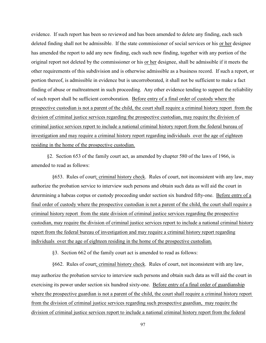evidence. If such report has been so reviewed and has been amended to delete any finding, each such deleted finding shall not be admissible. If the state commissioner of social services or his or her designee has amended the report to add any new finding, each such new finding, together with any portion of the original report not deleted by the commissioner or his or her designee, shall be admissible if it meets the other requirements of this subdivision and is otherwise admissible as a business record. If such a report, or portion thereof, is admissible in evidence but is uncorroborated, it shall not be sufficient to make a fact finding of abuse or maltreatment in such proceeding. Any other evidence tending to support the reliability of such report shall be sufficient corroboration. Before entry of a final order of custody where the prospective custodian is not a parent of the child, the court shall require a criminal history report from the division of criminal justice services regarding the prospective custodian, may require the division of criminal justice services report to include a national criminal history report from the federal bureau of investigation and may require a criminal history report regarding individuals over the age of eighteen residing in the home of the prospective custodian.

§2. Section 653 of the family court act, as amended by chapter 580 of the laws of 1966, is amended to read as follows:

 §653. Rules of court; criminal history check. Rules of court, not inconsistent with any law, may authorize the probation service to interview such persons and obtain such data as will aid the court in determining a habeas corpus or custody proceeding under section six hundred fifty-one. Before entry of a final order of custody where the prospective custodian is not a parent of the child, the court shall require a criminal history report from the state division of criminal justice services regarding the prospective custodian, may require the division of criminal justice services report to include a national criminal history report from the federal bureau of investigation and may require a criminal history report regarding individuals over the age of eighteen residing in the home of the prospective custodian.

§3. Section 662 of the family court act is amended to read as follows:

 §662. Rules of court; criminal history check. Rules of court, not inconsistent with any law, may authorize the probation service to interview such persons and obtain such data as will aid the court in exercising its power under section six hundred sixty-one. Before entry of a final order of guardianship where the prospective guardian is not a parent of the child, the court shall require a criminal history report from the division of criminal justice services regarding such prospective guardian, may require the division of criminal justice services report to include a national criminal history report from the federal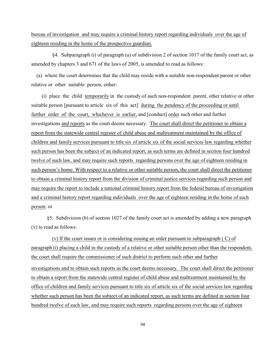bureau of investigation and may require a criminal history report regarding individuals over the age of eighteen residing in the home of the prospective guardian.

 §4. Subparagraph (i) of paragraph (a) of subdivision 2 of section 1017 of the family court act, as amended by chapters 3 and 671 of the laws of 2005, is amended to read as follows:

 (a) where the court determines that the child may reside with a suitable non-respondent parent or other relative or other suitable person, either:

 (i) place the child temporarily in the custody of such non-respondent parent, other relative or other suitable person [pursuant to article six of this act] during the pendency of the proceeding or until further order of the court, whichever is earlier, and [conduct] order such other and further investigations and reports as the court deems necessary. The court shall direct the petitioner to obtain a report from the statewide central register of child abuse and maltreatment maintained by the office of children and family services pursuant to title six of article six of the social services law regarding whether such person has been the subject of an indicated report, as such terms are defined in section four hundred twelve of such law, and may require such reports regarding persons over the age of eighteen residing in such person's home. With respect to a relative or other suitable person, the court shall direct the petitioner to obtain a criminal history report from the division of criminal justice services regarding such person and may require the report to include a national criminal history report from the federal bureau of investigation and a criminal history report regarding individuals over the age of eighteen residing in the home of such person; or

§5. Subdivision (b) of section 1027 of the family court act is amended by adding a new paragraph (v) to read as follows:

 (v) If the court issues or is considering issuing an order pursuant to subparagraph ( C) of paragraph (i) placing a child in the custody of a relative or other suitable person other than the respondent, the court shall require the commissioner of such district to perform such other and further investigations and to obtain such reports as the court deems necessary. The court shall direct the petitioner to obtain a report from the statewide central register of child abuse and maltreatment maintained by the office of children and family services pursuant to title six of article six of the social services law regarding whether such person has been the subject of an indicated report, as such terms are defined in section four hundred twelve of such law, and may require such reports regarding persons over the age of eighteen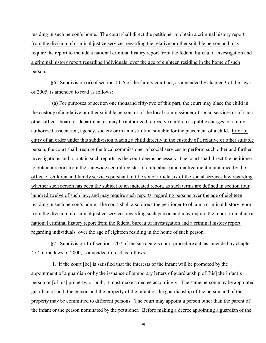residing in such person's home. The court shall direct the petitioner to obtain a criminal history report from the division of criminal justice services regarding the relative or other suitable person and may require the report to include a national criminal history report from the federal bureau of investigation and a criminal history report regarding individuals over the age of eighteen residing in the home of such person.

 §6. Subdivision (a) of section 1055 of the family court act, as amended by chapter 3 of the laws of 2005, is amended to read as follows:

 (a) For purposes of section one thousand fifty-two of this part, the court may place the child in the custody of a relative or other suitable person, or of the local commissioner of social services or of such other officer, board or department as may be authorized to receive children as public charges, or a duly authorized association, agency, society or in an institution suitable for the placement of a child. Prior to entry of an order under this subdivision placing a child directly in the custody of a relative or other suitable person, the court shall require the local commissioner of social services to perform such other and further investigations and to obtain such reports as the court deems necessary. The court shall direct the petitioner to obtain a report from the statewide central register of child abuse and maltreatment maintained by the office of children and family services pursuant to title six of article six of the social services law regarding whether such person has been the subject of an indicated report, as such terms are defined in section four hundred twelve of such law, and may require such reports regarding persons over the age of eighteen residing in such person's home. The court shall also direct the petitioner to obtain a criminal history report from the division of criminal justice services regarding such person and may require the report to include a national criminal history report from the federal bureau of investigation and a criminal history report regarding individuals over the age of eighteen residing in the home of such person.

 §7. Subdivision 1 of section 1707 of the surrogate's court procedure act, as amended by chapter 477 of the laws of 2000, is amended to read as follows:

 1. If the court [be] is satisfied that the interests of the infant will be promoted by the appointment of a guardian or by the issuance of temporary letters of guardianship of [his] the infant's person or [of his] property, or both, it must make a decree accordingly. The same person may be appointed guardian of both the person and the property of the infant or the guardianship of the person and of the property may be committed to different persons. The court may appoint a person other than the parent of the infant or the person nominated by the petitioner. Before making a decree appointing a guardian of the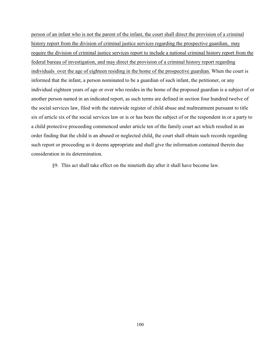person of an infant who is not the parent of the infant, the court shall direct the provision of a criminal history report from the division of criminal justice services regarding the prospective guardian, may require the division of criminal justice services report to include a national criminal history report from the federal bureau of investigation, and may direct the provision of a criminal history report regarding individuals over the age of eighteen residing in the home of the prospective guardian. When the court is informed that the infant, a person nominated to be a guardian of such infant, the petitioner, or any individual eighteen years of age or over who resides in the home of the proposed guardian is a subject of or another person named in an indicated report, as such terms are defined in section four hundred twelve of the social services law, filed with the statewide register of child abuse and maltreatment pursuant to title six of article six of the social services law or is or has been the subject of or the respondent in or a party to a child protective proceeding commenced under article ten of the family court act which resulted in an order finding that the child is an abused or neglected child, the court shall obtain such records regarding such report or proceeding as it deems appropriate and shall give the information contained therein due consideration in its determination.

§9. This act shall take effect on the ninetieth day after it shall have become law.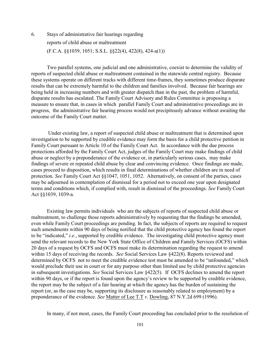6. Stays of administrative fair hearings regarding reports of child abuse or maltreatment (F.C.A. §§1039, 1051; S.S.L. §§22(4), 422(8), 424-a(1))

Two parallel systems, one judicial and one administrative, coexist to determine the validity of reports of suspected child abuse or maltreatment contained in the statewide central registry. Because these systems operate on different tracks with different time-frames, they sometimes produce disparate results that can be extremely harmful to the children and families involved. Because fair hearings are being held in increasing numbers and with greater dispatch than in the past, the problem of harmful, disparate results has escalated. The Family Court Advisory and Rules Committee is proposing a measure to ensure that, in cases in which parallel Family Court and administrative proceedings are in progress, the administrative fair hearing process would not precipitously advance without awaiting the outcome of the Family Court matter.

 Under existing law, a report of suspected child abuse or maltreatment that is determined upon investigation to be supported by credible evidence may form the basis for a child protective petition in Family Court pursuant to Article 10 of the Family Court Act. In accordance with the due process protections afforded by the Family Court Act, judges of the Family Court may make findings of child abuse or neglect by a preponderance of the evidence or, in particularly serious cases, may make findings of severe or repeated child abuse by clear and convincing evidence. Once findings are made, cases proceed to disposition, which results in final determinations of whether children are in need of protection. *See* Family Court Act §§1047, 1051, 1052. Alternatively, on consent of the parties, cases may be adjourned in contemplation of dismissal for a period not to exceed one year upon designated terms and conditions which, if complied with, result in dismissal of the proceedings. *See* Family Court Act §§1039, 1039-a.

Existing law permits individuals who are the subjects of reports of suspected child abuse or maltreatment, to challenge those reports administratively by requesting that the findings be amended, even while Family Court proceedings are pending. In fact, the subjects of reports are required to request such amendments within 90 days of being notified that the child protective agency has found the report to be "indicated," *i.e.*, supported by credible evidence. The investigating child protective agency must send the relevant records to the New York State Office of Children and Family Services (OCFS) within 20 days of a request by OCFS and OCFS must make its determination regarding the request to amend within 15 days of receiving the records. *See* Social Services Law §422(8). Reports reviewed and determined by OCFS not to meet the credible evidence test must be amended to be "unfounded," which would preclude their use in court or for any purpose other than limited use by child protective agencies in subsequent investigations. *See* Social Services Law §422(5). If OCFS declines to amend the report within 90 days, or if the report is found upon the agency's review to be supported by credible evidence, the report may be the subject of a fair hearing at which the agency has the burden of sustaining the report (or, as the case may be, supporting its disclosure as reasonably related to employment) by a preponderance of the evidence. *See* Matter of Lee T.T *v.* Dowling, 87 N.Y.2d 699 (1996).

In many, if not most, cases, the Family Court proceeding has concluded prior to the resolution of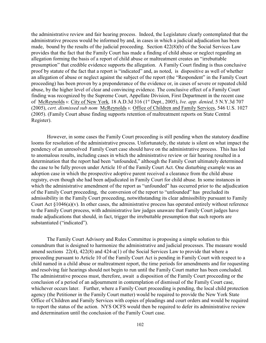the administrative review and fair hearing process. Indeed, the Legislature clearly contemplated that the administrative process would be informed by and, in cases in which a judicial adjudication has been made, bound by the results of the judicial proceeding. Section 422(8)(b) of the Social Services Law provides that the fact that the Family Court has made a finding of child abuse or neglect regarding an allegation forming the basis of a report of child abuse or maltreatment creates an "irrebuttable presumption" that credible evidence supports the allegation. A Family Court finding is thus conclusive proof by statute of the fact that a report is "indicated" and, as noted, is dispositive as well of whether an allegation of abuse or neglect against the subject of the report (the "Respondent" in the Family Court proceeding) has been proven by a preponderance of the evidence or, in cases of severe or repeated child abuse, by the higher level of clear and convincing evidence. The conclusive effect of a Family Court finding was recognized by the Supreme Court, Appellate Division, First Department in the recent case of McReynolds *v.* City of New York, 18 A.D.3d 316 (1<sup>st</sup> Dept., 2005), *lve. app. denied*, 5 N.Y.3d 707 (2005), *cert. dismissed sub nom* McReynolds *v.* Office of Children and Family Services, 546 U.S. 1027 (2005). (Family Court abuse finding supports retention of maltreatment reports on State Central Register).

However, in some cases the Family Court proceeding is still pending when the statutory deadline looms for resolution of the administrative process. Unfortunately, the statute is silent on what impact the pendency of an unresolved Family Court case should have on the administrative process. This has led to anomalous results, including cases in which the administrative review or fair hearing resulted in a determination that the report had been "unfounded," although the Family Court ultimately determined the case to be fully proven under Article 10 of the Family Court Act. One disturbing example was an adoption case in which the prospective adoptive parent received a clearance from the child abuse registry, even though she had been adjudicated in Family Court for child abuse. In some instances in which the administrative amendment of the report as "unfounded" has occurred prior to the adjudication of the Family Court proceeding, the conversion of the report to "unfounded" has precluded its admissibility in the Family Court proceeding, notwithstanding its clear admissibility pursuant to Family Court Act  $\S 1046(a)(v)$ . In other cases, the administrative process has operated entirely without reference to the Family Court process, with administrative law judges unaware that Family Court judges have made adjudications that should, in fact, trigger the irrebuttable presumption that such reports are substantiated ("indicated").

The Family Court Advisory and Rules Committee is proposing a simple solution to this conundrum that is designed to harmonize the administrative and judicial processes. The measure would amend sections 22(4), 422(8) and 424-a(1) of the Social Services Law to provide that where a proceeding pursuant to Article 10 of the Family Court Act is pending in Family Court with respect to a child named in a child abuse or maltreatment report, the time periods for amendments and for requesting and resolving fair hearings should not begin to run until the Family Court matter has been concluded. The administrative process must, therefore, await a disposition of the Family Court proceeding or the conclusion of a period of an adjournment in contemplation of dismissal of the Family Court case, whichever occurs later. Further, where a Family Court proceeding is pending, the local child protection agency (the Petitioner in the Family Court matter) would be required to provide the New York State Office of Children and Family Services with copies of pleadings and court orders and would be required to report the status of the action. NYS OCFS would then be required to defer its administrative review and determination until the conclusion of the Family Court case.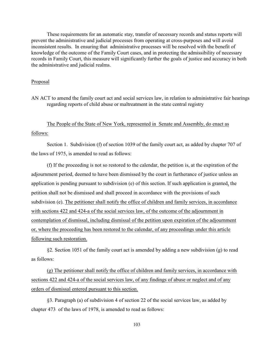These requirements for an automatic stay, transfer of necessary records and status reports will prevent the administrative and judicial processes from operating at cross-purposes and will avoid inconsistent results. In ensuring that administrative processes will be resolved with the benefit of knowledge of the outcome of the Family Court cases, and in protecting the admissibility of necessary records in Family Court, this measure will significantly further the goals of justice and accuracy in both the administrative and judicial realms.

## Proposal

AN ACT to amend the family court act and social services law, in relation to administrative fair hearings regarding reports of child abuse or maltreatment in the state central registry

The People of the State of New York, represented in Senate and Assembly, do enact as follows:

Section 1. Subdivision (f) of section 1039 of the family court act, as added by chapter 707 of the laws of 1975, is amended to read as follows:

(f) If the proceeding is not so restored to the calendar, the petition is, at the expiration of the adjournment period, deemed to have been dismissed by the court in furtherance of justice unless an application is pending pursuant to subdivision (e) of this section. If such application is granted, the petition shall not be dismissed and shall proceed in accordance with the provisions of such subdivision (e). The petitioner shall notify the office of children and family services, in accordance with sections 422 and 424-a of the social services law, of the outcome of the adjournment in contemplation of dismissal, including dismissal of the petition upon expiration of the adjournment or, where the proceeding has been restored to the calendar, of any proceedings under this article following such restoration.

§2. Section 1051 of the family court act is amended by adding a new subdivision (g) to read as follows:

(g) The petitioner shall notify the office of children and family services, in accordance with sections 422 and 424-a of the social services law, of any findings of abuse or neglect and of any orders of dismissal entered pursuant to this section.

§3. Paragraph (a) of subdivision 4 of section 22 of the social services law, as added by chapter 473 of the laws of 1978, is amended to read as follows: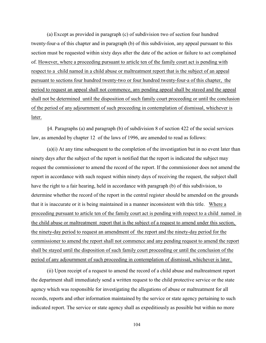(a) Except as provided in paragraph (c) of subdivision two of section four hundred twenty-four-a of this chapter and in paragraph (b) of this subdivision, any appeal pursuant to this section must be requested within sixty days after the date of the action or failure to act complained of. However, where a proceeding pursuant to article ten of the family court act is pending with respect to a child named in a child abuse or maltreatment report that is the subject of an appeal pursuant to sections four hundred twenty-two or four hundred twenty-four-a of this chapter, the period to request an appeal shall not commence, any pending appeal shall be stayed and the appeal shall not be determined until the disposition of such family court proceeding or until the conclusion of the period of any adjournment of such proceeding in contemplation of dismissal, whichever is later.

§4. Paragraphs (a) and paragraph (b) of subdivision 8 of section 422 of the social services law, as amended by chapter 12 of the laws of 1996, are amended to read as follows:

(a)(i) At any time subsequent to the completion of the investigation but in no event later than ninety days after the subject of the report is notified that the report is indicated the subject may request the commissioner to amend the record of the report. If the commissioner does not amend the report in accordance with such request within ninety days of receiving the request, the subject shall have the right to a fair hearing, held in accordance with paragraph (b) of this subdivision, to determine whether the record of the report in the central register should be amended on the grounds that it is inaccurate or it is being maintained in a manner inconsistent with this title. Where a proceeding pursuant to article ten of the family court act is pending with respect to a child named in the child abuse or maltreatment report that is the subject of a request to amend under this section, the ninety-day period to request an amendment of the report and the ninety-day period for the commissioner to amend the report shall not commence and any pending request to amend the report shall be stayed until the disposition of such family court proceeding or until the conclusion of the period of any adjournment of such proceeding in contemplation of dismissal, whichever is later.

(ii) Upon receipt of a request to amend the record of a child abuse and maltreatment report the department shall immediately send a written request to the child protective service or the state agency which was responsible for investigating the allegations of abuse or maltreatment for all records, reports and other information maintained by the service or state agency pertaining to such indicated report. The service or state agency shall as expeditiously as possible but within no more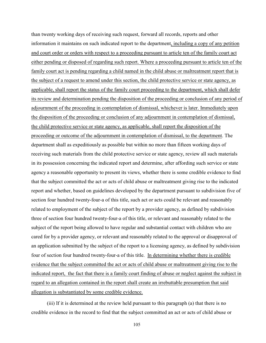than twenty working days of receiving such request, forward all records, reports and other information it maintains on such indicated report to the department, including a copy of any petition and court order or orders with respect to a proceeding pursuant to article ten of the family court act either pending or disposed of regarding such report. Where a proceeding pursuant to article ten of the family court act is pending regarding a child named in the child abuse or maltreatment report that is the subject of a request to amend under this section, the child protective service or state agency, as applicable, shall report the status of the family court proceeding to the department, which shall defer its review and determination pending the disposition of the proceeding or conclusion of any period of adjournment of the proceeding in contemplation of dismissal, whichever is later. Immediately upon the disposition of the proceeding or conclusion of any adjournment in contemplation of dismissal, the child protective service or state agency, as applicable, shall report the disposition of the proceeding or outcome of the adjournment in contemplation of dismissal, to the department. The department shall as expeditiously as possible but within no more than fifteen working days of receiving such materials from the child protective service or state agency, review all such materials in its possession concerning the indicated report and determine, after affording such service or state agency a reasonable opportunity to present its views, whether there is some credible evidence to find that the subject committed the act or acts of child abuse or maltreatment giving rise to the indicated report and whether, based on guidelines developed by the department pursuant to subdivision five of section four hundred twenty-four-a of this title, such act or acts could be relevant and reasonably related to employment of the subject of the report by a provider agency, as defined by subdivision three of section four hundred twenty-four-a of this title, or relevant and reasonably related to the subject of the report being allowed to have regular and substantial contact with children who are cared for by a provider agency, or relevant and reasonably related to the approval or disapproval of an application submitted by the subject of the report to a licensing agency, as defined by subdivision four of section four hundred twenty-four-a of this title. In determining whether there is credible evidence that the subject committed the act or acts of child abuse or maltreatment giving rise to the indicated report, the fact that there is a family court finding of abuse or neglect against the subject in regard to an allegation contained in the report shall create an irrebuttable presumption that said allegation is substantiated by some credible evidence.

(iii) If it is determined at the review held pursuant to this paragraph (a) that there is no credible evidence in the record to find that the subject committed an act or acts of child abuse or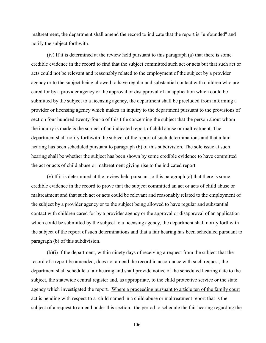maltreatment, the department shall amend the record to indicate that the report is "unfounded" and notify the subject forthwith.

(iv) If it is determined at the review held pursuant to this paragraph (a) that there is some credible evidence in the record to find that the subject committed such act or acts but that such act or acts could not be relevant and reasonably related to the employment of the subject by a provider agency or to the subject being allowed to have regular and substantial contact with children who are cared for by a provider agency or the approval or disapproval of an application which could be submitted by the subject to a licensing agency, the department shall be precluded from informing a provider or licensing agency which makes an inquiry to the department pursuant to the provisions of section four hundred twenty-four-a of this title concerning the subject that the person about whom the inquiry is made is the subject of an indicated report of child abuse or maltreatment. The department shall notify forthwith the subject of the report of such determinations and that a fair hearing has been scheduled pursuant to paragraph (b) of this subdivision. The sole issue at such hearing shall be whether the subject has been shown by some credible evidence to have committed the act or acts of child abuse or maltreatment giving rise to the indicated report.

(v) If it is determined at the review held pursuant to this paragraph (a) that there is some credible evidence in the record to prove that the subject committed an act or acts of child abuse or maltreatment and that such act or acts could be relevant and reasonably related to the employment of the subject by a provider agency or to the subject being allowed to have regular and substantial contact with children cared for by a provider agency or the approval or disapproval of an application which could be submitted by the subject to a licensing agency, the department shall notify forthwith the subject of the report of such determinations and that a fair hearing has been scheduled pursuant to paragraph (b) of this subdivision.

(b)(i) If the department, within ninety days of receiving a request from the subject that the record of a report be amended, does not amend the record in accordance with such request, the department shall schedule a fair hearing and shall provide notice of the scheduled hearing date to the subject, the statewide central register and, as appropriate, to the child protective service or the state agency which investigated the report. Where a proceeding pursuant to article ten of the family court act is pending with respect to a child named in a child abuse or maltreatment report that is the subject of a request to amend under this section, the period to schedule the fair hearing regarding the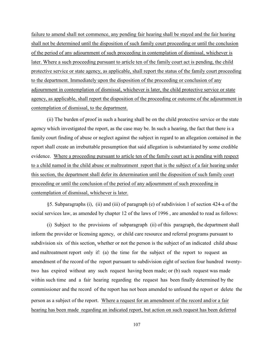failure to amend shall not commence, any pending fair hearing shall be stayed and the fair hearing shall not be determined until the disposition of such family court proceeding or until the conclusion of the period of any adjournment of such proceeding in contemplation of dismissal, whichever is later. Where a such proceeding pursuant to article ten of the family court act is pending, the child protective service or state agency, as applicable, shall report the status of the family court proceeding to the department. Immediately upon the disposition of the proceeding or conclusion of any adjournment in contemplation of dismissal, whichever is later, the child protective service or state agency, as applicable, shall report the disposition of the proceeding or outcome of the adjournment in contemplation of dismissal, to the department.

(ii) The burden of proof in such a hearing shall be on the child protective service or the state agency which investigated the report, as the case may be. In such a hearing, the fact that there is a family court finding of abuse or neglect against the subject in regard to an allegation contained in the report shall create an irrebuttable presumption that said allegation is substantiated by some credible evidence. Where a proceeding pursuant to article ten of the family court act is pending with respect to a child named in the child abuse or maltreatment report that is the subject of a fair hearing under this section, the department shall defer its determination until the disposition of such family court proceeding or until the conclusion of the period of any adjournment of such proceeding in contemplation of dismissal, whichever is later.

§5. Subparagraphs (i), (ii) and (iii) of paragraph (e) of subdivision 1 of section 424-a of the social services law, as amended by chapter 12 of the laws of 1996 , are amended to read as follows:

(i) Subject to the provisions of subparagraph (ii) of this paragraph, the department shall inform the provider or licensing agency, or child care resource and referral programs pursuant to subdivision six of this section, whether or not the person is the subject of an indicated child abuse and maltreatment report only if: (a) the time for the subject of the report to request an amendment of the record of the report pursuant to subdivision eight of section four hundred twentytwo has expired without any such request having been made; or (b) such request was made within such time and a fair hearing regarding the request has been finally determined by the commissioner and the record of the report has not been amended to unfound the report or delete the person as a subject of the report. Where a request for an amendment of the record and/or a fair hearing has been made regarding an indicated report, but action on such request has been deferred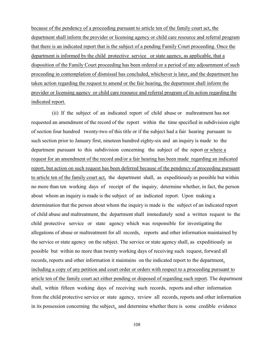because of the pendency of a proceeding pursuant to article ten of the family court act, the department shall inform the provider or licensing agency or child care resource and referral program that there is an indicated report that is the subject of a pending Family Court proceeding. Once the department is informed by the child protective service or state agency, as applicable, that a disposition of the Family Court proceeding has been ordered or a period of any adjournment of such proceeding in contemplation of dismissal has concluded, whichever is later, and the department has taken action regarding the request to amend or the fair hearing, the department shall inform the provider or licensing agency or child care resource and referral program of its action regarding the indicated report.

(ii) If the subject of an indicated report of child abuse or maltreatment has not requested an amendment of the record of the report within the time specified in subdivision eight of section four hundred twenty-two of this title or if the subject had a fair hearing pursuant to such section prior to January first, nineteen hundred eighty-six and an inquiry is made to the department pursuant to this subdivision concerning the subject of the report or where a request for an amendment of the record and/or a fair hearing has been made regarding an indicated report, but action on such request has been deferred because of the pendency of proceeding pursuant to article ten of the family court act, the department shall, as expeditiously as possible but within no more than ten working days of receipt of the inquiry, determine whether, in fact, the person about whom an inquiry is made is the subject of an indicated report. Upon making a determination that the person about whom the inquiry is made is the subject of an indicated report of child abuse and maltreatment, the department shall immediately send a written request to the child protective service or state agency which was responsible for investigating the allegations of abuse or maltreatment for all records, reports and other information maintained by the service or state agency on the subject. The service or state agency shall, as expeditiously as possible but within no more than twenty working days of receiving such request, forward all records, reports and other information it maintains on the indicated report to the department, including a copy of any petition and court order or orders with respect to a proceeding pursuant to article ten of the family court act either pending or disposed of regarding such report. The department shall, within fifteen working days of receiving such records, reports and other information from the child protective service or state agency, review all records, reports and other information in its possession concerning the subject, and determine whether there is some credible evidence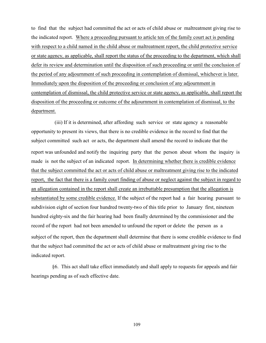to find that the subject had committed the act or acts of child abuse or maltreatment giving rise to the indicated report. Where a proceeding pursuant to article ten of the family court act is pending with respect to a child named in the child abuse or maltreatment report, the child protective service or state agency, as applicable, shall report the status of the proceeding to the department, which shall defer its review and determination until the disposition of such proceeding or until the conclusion of the period of any adjournment of such proceeding in contemplation of dismissal, whichever is later. Immediately upon the disposition of the proceeding or conclusion of any adjournment in contemplation of dismissal, the child protective service or state agency, as applicable, shall report the disposition of the proceeding or outcome of the adjournment in contemplation of dismissal, to the department.

(iii) If it is determined, after affording such service or state agency a reasonable opportunity to present its views, that there is no credible evidence in the record to find that the subject committed such act or acts, the department shall amend the record to indicate that the report was unfounded and notify the inquiring party that the person about whom the inquiry is made is not the subject of an indicated report. In determining whether there is credible evidence that the subject committed the act or acts of child abuse or maltreatment giving rise to the indicated report, the fact that there is a family court finding of abuse or neglect against the subject in regard to an allegation contained in the report shall create an irrebuttable presumption that the allegation is substantiated by some credible evidence. If the subject of the report had a fair hearing pursuant to subdivision eight of section four hundred twenty-two of this title prior to January first, nineteen hundred eighty-six and the fair hearing had been finally determined by the commissioner and the record of the report had not been amended to unfound the report or delete the person as a subject of the report, then the department shall determine that there is some credible evidence to find that the subject had committed the act or acts of child abuse or maltreatment giving rise to the indicated report.

§6. This act shall take effect immediately and shall apply to requests for appeals and fair hearings pending as of such effective date.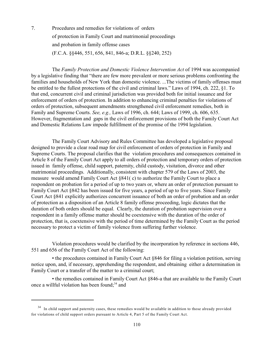7. Procedures and remedies for violations of orders of protection in Family Court and matrimonial proceedings and probation in family offense cases (F.C.A. §§446, 551, 656, 841, 846-a; D.R.L. §§240, 252)

The *Family Protection and Domestic Violence Intervention Act* of 1994 was accompanied by a legislative finding that "there are few more prevalent or more serious problems confronting the families and households of New York than domestic violence. ...The victims of family offenses must be entitled to the fullest protections of the civil and criminal laws." Laws of 1994, ch. 222, §1. To that end, concurrent civil and criminal jurisdiction was provided both for initial issuance and for enforcement of orders of protection. In addition to enhancing criminal penalties for violations of orders of protection, subsequent amendments strengthened civil enforcement remedies, both in Family and Supreme Courts. *See, e.g.,* Laws of 1996, ch. 644; Laws of 1999, ch. 606, 635. However, fragmentation and gaps in the civil enforcement provisions of both the Family Court Act and Domestic Relations Law impede fulfillment of the promise of the 1994 legislation.

The Family Court Advisory and Rules Committee has developed a legislative proposal designed to provide a clear road map for civil enforcement of orders of protection in Family and Supreme Courts. The proposal clarifies that the violation procedures and consequences contained in Article 8 of the Family Court Act apply to all orders of protection and temporary orders of protection issued in family offense, child support, paternity, child custody, visitation, divorce and other matrimonial proceedings. Additionally, consistent with chapter 579 of the Laws of 2003, the measure would amend Family Court Act §841( c) to authorize the Family Court to place a respondent on probation for a period of up to two years or, where an order of protection pursuant to Family Court Act §842 has been issued for five years, a period of up to five years. Since Family Court Act §841 explicitly authorizes concurrent issuance of both an order of probation and an order of protection as a disposition of an Article 8 family offense proceeding, logic dictates that the duration of both orders should be equal. Clearly, the duration of probation supervision over a respondent in a family offense matter should be coextensive with the duration of the order of protection, that is, coextensive with the period of time determined by the Family Court as the period necessary to protect a victim of family violence from suffering further violence.

Violation procedures would be clarified by the incorporation by reference in sections 446, 551 and 656 of the Family Court Act of the following:

• the procedures contained in Family Court Act §846 for filing a violation petition, serving notice upon, and, if necessary, apprehending the respondent, and obtaining either a determination in Family Court or a transfer of the matter to a criminal court;

• the remedies contained in Family Court Act §846-a that are available to the Family Court once a willful violation has been found; $34$  and

 $34$  In child support and paternity cases, these remedies would be available in addition to those already provided for violations of child support orders pursuant to Article 4, Part 5 of the Family Court Act.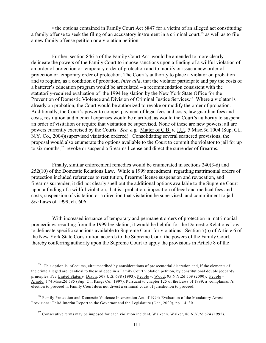• the options contained in Family Court Act §847 for a victim of an alleged act constituting a family offense to seek the filing of an accusatory instrument in a criminal court,  $35$  as well as to file a new family offense petition or a violation petition.

Further, section 846-a of the Family Court Act would be amended to more clearly delineate the powers of the Family Court to impose sanctions upon a finding of a willful violation of an order of protection or temporary order of protection and to modify or issue a new order of protection or temporary order of protection. The Court's authority to place a violator on probation and to require, as a condition of probation, *inter alia*, that the violator participate and pay the costs of a batterer's education program would be articulated – a recommendation consistent with the statutorily-required evaluation of the 1994 legislation by the New York State Office for the Prevention of Domestic Violence and Division of Criminal Justice Services.<sup>36</sup> Where a violator is already on probation, the Court would be authorized to revoke or modify the order of probation. Additionally, the Court's power to compel payment of legal fees and costs, law guardian fees and costs, restitution and medical expenses would be clarified, as would the Court's authority to suspend an order of visitation or require that visitation be supervised. None of these are new powers; all are powers currently exercised by the Courts. *See, e.g.,* Matter of C.B. *v.* J.U., 5 Misc.3d 1004 (Sup. Ct., N.Y. Co., 2004)(supervised visitation ordered). Consolidating several scattered provisions, the proposal would also enumerate the options available to the Court to commit the violator to jail for up to six months, $37$  revoke or suspend a firearms license and direct the surrender of firearms.

Finally, similar enforcement remedies would be enumerated in sections 240(3-d) and 252(10) of the Domestic Relations Law. While a 1999 amendment regarding matrimonial orders of protection included references to restitution, firearms license suspension and revocation, and firearms surrender, it did not clearly spell out the additional options available to the Supreme Court upon a finding of a willful violation, that is, probation, imposition of legal and medical fees and costs, suspension of visitation or a direction that visitation be supervised, and commitment to jail. *See* Laws of 1999, ch. 606.

With increased issuance of temporary and permanent orders of protection in matrimonial proceedings resulting from the 1999 legislation, it would be helpful for the Domestic Relations Law to delineate specific sanctions available to Supreme Court for violations. Section 7(b) of Article 6 of the New York State Constitution accords to the Supreme Court the powers of the Family Court, thereby conferring authority upon the Supreme Court to apply the provisions in Article 8 of the

 $35$  This option is, of course, circumscribed by considerations of prosecutorial discretion and, if the elements of the crime alleged are identical to those alleged in a Family Court violation petition, by constitutional double jeopardy principles. *See* United States *v.* Dixon, 509 U.S. 688 (1993); People *v.* Wood, 95 N.Y.2d 509 (2000); People *v* Arnold, 174 Misc.2d 585 (Sup. Ct., Kings Co., 1997). Pursuant to chapter 125 of the Laws of 1999, a complainant's election to proceed in Family Court does not divest a criminal court of jurisdiction to proceed.

<sup>&</sup>lt;sup>36</sup> Family Protection and Domestic Violence Intervention Act of 1994: Evaluation of the Mandatory Arrest Provisions: Third Interim Report to the Governor and the Legislature (Oct., 2000), pp. 14, 30.

<sup>&</sup>lt;sup>37</sup> Consecutive terms may be imposed for each violation incident. Walker *v*. Walker, 86 N.Y.2d 624 (1995).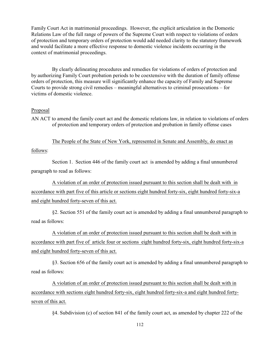Family Court Act in matrimonial proceedings. However, the explicit articulation in the Domestic Relations Law of the full range of powers of the Supreme Court with respect to violations of orders of protection and temporary orders of protection would add needed clarity to the statutory framework and would facilitate a more effective response to domestic violence incidents occurring in the context of matrimonial proceedings.

By clearly delineating procedures and remedies for violations of orders of protection and by authorizing Family Court probation periods to be coextensive with the duration of family offense orders of protection, this measure will significantly enhance the capacity of Family and Supreme Courts to provide strong civil remedies – meaningful alternatives to criminal prosecutions – for victims of domestic violence.

### Proposal

AN ACT to amend the family court act and the domestic relations law, in relation to violations of orders of protection and temporary orders of protection and probation in family offense cases

The People of the State of New York, represented in Senate and Assembly, do enact as follows:

Section 1. Section 446 of the family court act is amended by adding a final unnumbered paragraph to read as follows:

A violation of an order of protection issued pursuant to this section shall be dealt with in accordance with part five of this article or sections eight hundred forty-six, eight hundred forty-six-a and eight hundred forty-seven of this act.

§2. Section 551 of the family court act is amended by adding a final unnumbered paragraph to read as follows:

A violation of an order of protection issued pursuant to this section shall be dealt with in accordance with part five of article four or sections eight hundred forty-six, eight hundred forty-six-a and eight hundred forty-seven of this act.

§3. Section 656 of the family court act is amended by adding a final unnumbered paragraph to read as follows:

A violation of an order of protection issued pursuant to this section shall be dealt with in accordance with sections eight hundred forty-six, eight hundred forty-six-a and eight hundred fortyseven of this act.

§4. Subdivision (c) of section 841 of the family court act, as amended by chapter 222 of the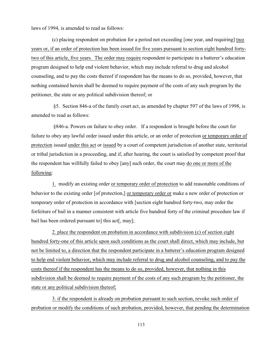laws of 1994, is amended to read as follows:

(c) placing respondent on probation for a period not exceeding [one year, and requiring] two years or, if an order of protection has been issued for five years pursuant to section eight hundred fortytwo of this article, five years. The order may require respondent to participate in a batterer's education program designed to help end violent behavior, which may include referral to drug and alcohol counseling, and to pay the costs thereof if respondent has the means to do so, provided, however, that nothing contained herein shall be deemed to require payment of the costs of any such program by the petitioner, the state or any political subdivision thereof; or

 §5. Section 846-a of the family court act, as amended by chapter 597 of the laws of 1998, is amended to read as follows:

 §846-a. Powers on failure to obey order. If a respondent is brought before the court for failure to obey any lawful order issued under this article, or an order of protection or temporary order of protection issued under this act or issued by a court of competent jurisdiction of another state, territorial or tribal jurisdiction in a proceeding, and if, after hearing, the court is satisfied by competent proof that the respondent has willfully failed to obey [any] such order, the court may do one or more of the following:

1. modify an existing order or temporary order of protection to add reasonable conditions of behavior to the existing order [of protection,] or temporary order or make a new order of protection or temporary order of protection in accordance with [section eight hundred forty-two, may order the forfeiture of bail in a manner consistent with article five hundred forty of the criminal procedure law if bail has been ordered pursuant to] this act[, may];

2. place the respondent on probation in accordance with subdivision (c) of section eight hundred forty-one of this article upon such conditions as the court shall direct, which may include, but not be limited to, a direction that the respondent participate in a batterer's education program designed to help end violent behavior, which may include referral to drug and alcohol counseling, and to pay the costs thereof if the respondent has the means to do so, provided, however, that nothing in this subdivision shall be deemed to require payment of the costs of any such program by the petitioner, the state or any political subdivision thereof;

3. if the respondent is already on probation pursuant to such section, revoke such order of probation or modify the conditions of such probation, provided, however, that pending the determination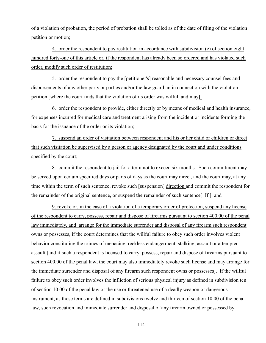of a violation of probation, the period of probation shall be tolled as of the date of filing of the violation petition or motion;

4. order the respondent to pay restitution in accordance with subdivision (e) of section eight hundred forty-one of this article or, if the respondent has already been so ordered and has violated such order, modify such order of restitution;

5. order the respondent to pay the [petitioner's] reasonable and necessary counsel fees and disbursements of any other party or parties and/or the law guardian in connection with the violation petition [where the court finds that the violation of its order was wilful, and may];

6. order the respondent to provide, either directly or by means of medical and health insurance, for expenses incurred for medical care and treatment arising from the incident or incidents forming the basis for the issuance of the order or its violation;

7. suspend an order of visitation between respondent and his or her child or children or direct that such visitation be supervised by a person or agency designated by the court and under conditions specified by the court;

8. commit the respondent to jail for a term not to exceed six months. Such commitment may be served upon certain specified days or parts of days as the court may direct, and the court may, at any time within the term of such sentence, revoke such [suspension] direction and commit the respondent for the remainder of the original sentence, or suspend the remainder of such sentence[. If ]; and

9. revoke or, in the case of a violation of a temporary order of protection, suspend any license of the respondent to carry, possess, repair and dispose of firearms pursuant to section 400.00 of the penal law immediately, and arrange for the immediate surrender and disposal of any firearm such respondent owns or possesses, if the court determines that the willful failure to obey such order involves violent behavior constituting the crimes of menacing, reckless endangerment, stalking, assault or attempted assault [and if such a respondent is licensed to carry, possess, repair and dispose of firearms pursuant to section 400.00 of the penal law, the court may also immediately revoke such license and may arrange for the immediate surrender and disposal of any firearm such respondent owns or possesses]. If the willful failure to obey such order involves the infliction of serious physical injury as defined in subdivision ten of section 10.00 of the penal law or the use or threatened use of a deadly weapon or dangerous instrument, as those terms are defined in subdivisions twelve and thirteen of section 10.00 of the penal law, such revocation and immediate surrender and disposal of any firearm owned or possessed by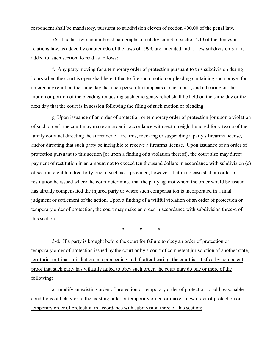respondent shall be mandatory, pursuant to subdivision eleven of section 400.00 of the penal law.

§6. The last two unnumbered paragraphs of subdivision 3 of section 240 of the domestic relations law, as added by chapter 606 of the laws of 1999, are amended and a new subdivision 3-d is added to such section to read as follows:

f. Any party moving for a temporary order of protection pursuant to this subdivision during hours when the court is open shall be entitled to file such motion or pleading containing such prayer for emergency relief on the same day that such person first appears at such court, and a hearing on the motion or portion of the pleading requesting such emergency relief shall be held on the same day or the next day that the court is in session following the filing of such motion or pleading.

g. Upon issuance of an order of protection or temporary order of protection [or upon a violation of such order], the court may make an order in accordance with section eight hundred forty-two-a of the family court act directing the surrender of firearms, revoking or suspending a party's firearms license, and/or directing that such party be ineligible to receive a firearms license. Upon issuance of an order of protection pursuant to this section [or upon a finding of a violation thereof], the court also may direct payment of restitution in an amount not to exceed ten thousand dollars in accordance with subdivision (e) of section eight hundred forty-one of such act; provided, however, that in no case shall an order of restitution be issued where the court determines that the party against whom the order would be issued has already compensated the injured party or where such compensation is incorporated in a final judgment or settlement of the action. Upon a finding of a willful violation of an order of protection or temporary order of protection, the court may make an order in accordance with subdivision three-d of this section.

\* \* \*

3-d. If a party is brought before the court for failure to obey an order of protection or temporary order of protection issued by the court or by a court of competent jurisdiction of another state, territorial or tribal jurisdiction in a proceeding and if, after hearing, the court is satisfied by competent proof that such party has willfully failed to obey such order, the court may do one or more of the following:

a. modify an existing order of protection or temporary order of protection to add reasonable conditions of behavior to the existing order or temporary order or make a new order of protection or temporary order of protection in accordance with subdivision three of this section;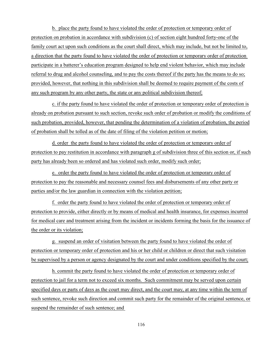b. place the party found to have violated the order of protection or temporary order of protection on probation in accordance with subdivision (c) of section eight hundred forty-one of the family court act upon such conditions as the court shall direct, which may include, but not be limited to, a direction that the party found to have violated the order of protection or temporary order of protection participate in a batterer's education program designed to help end violent behavior, which may include referral to drug and alcohol counseling, and to pay the costs thereof if the party has the means to do so; provided, however, that nothing in this subdivision shall be deemed to require payment of the costs of any such program by any other party, the state or any political subdivision thereof;

c. if the party found to have violated the order of protection or temporary order of protection is already on probation pursuant to such section, revoke such order of probation or modify the conditions of such probation, provided, however, that pending the determination of a violation of probation, the period of probation shall be tolled as of the date of filing of the violation petition or motion;

d. order the party found to have violated the order of protection or temporary order of protection to pay restitution in accordance with paragraph g of subdivision three of this section or, if such party has already been so ordered and has violated such order, modify such order;

e. order the party found to have violated the order of protection or temporary order of protection to pay the reasonable and necessary counsel fees and disbursements of any other party or parties and/or the law guardian in connection with the violation petition;

f. order the party found to have violated the order of protection or temporary order of protection to provide, either directly or by means of medical and health insurance, for expenses incurred for medical care and treatment arising from the incident or incidents forming the basis for the issuance of the order or its violation;

g. suspend an order of visitation between the party found to have violated the order of protection or temporary order of protection and his or her child or children or direct that such visitation be supervised by a person or agency designated by the court and under conditions specified by the court;

h. commit the party found to have violated the order of protection or temporary order of protection to jail for a term not to exceed six months. Such commitment may be served upon certain specified days or parts of days as the court may direct, and the court may, at any time within the term of such sentence, revoke such direction and commit such party for the remainder of the original sentence, or suspend the remainder of such sentence; and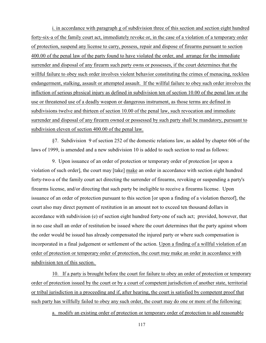i. in accordance with paragraph g of subdivision three of this section and section eight hundred forty-six-a of the family court act, immediately revoke or, in the case of a violation of a temporary order of protection, suspend any license to carry, possess, repair and dispose of firearms pursuant to section 400.00 of the penal law of the party found to have violated the order, and arrange for the immediate surrender and disposal of any firearm such party owns or possesses, if the court determines that the willful failure to obey such order involves violent behavior constituting the crimes of menacing, reckless endangerment, stalking, assault or attempted assault. If the willful failure to obey such order involves the infliction of serious physical injury as defined in subdivision ten of section 10.00 of the penal law or the use or threatened use of a deadly weapon or dangerous instrument, as those terms are defined in subdivisions twelve and thirteen of section 10.00 of the penal law, such revocation and immediate surrender and disposal of any firearm owned or possessed by such party shall be mandatory, pursuant to subdivision eleven of section 400.00 of the penal law.

§7. Subdivision 9 of section 252 of the domestic relations law, as added by chapter 606 of the laws of 1999, is amended and a new subdivision 10 is added to such section to read as follows:

9. Upon issuance of an order of protection or temporary order of protection [or upon a violation of such order], the court may [take] make an order in accordance with section eight hundred forty-two-a of the family court act directing the surrender of firearms, revoking or suspending a party's firearms license, and/or directing that such party be ineligible to receive a firearms license. Upon issuance of an order of protection pursuant to this section [or upon a finding of a violation thereof], the court also may direct payment of restitution in an amount not to exceed ten thousand dollars in accordance with subdivision (e) of section eight hundred forty-one of such act; provided, however, that in no case shall an order of restitution be issued where the court determines that the party against whom the order would be issued has already compensated the injured party or where such compensation is incorporated in a final judgement or settlement of the action. Upon a finding of a willful violation of an order of protection or temporary order of protection, the court may make an order in accordance with subdivision ten of this section.

10. If a party is brought before the court for failure to obey an order of protection or temporary order of protection issued by the court or by a court of competent jurisdiction of another state, territorial or tribal jurisdiction in a proceeding and if, after hearing, the court is satisfied by competent proof that such party has willfully failed to obey any such order, the court may do one or more of the following:

a. modify an existing order of protection or temporary order of protection to add reasonable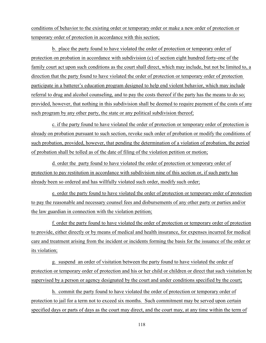conditions of behavior to the existing order or temporary order or make a new order of protection or temporary order of protection in accordance with this section;

b. place the party found to have violated the order of protection or temporary order of protection on probation in accordance with subdivision (c) of section eight hundred forty-one of the family court act upon such conditions as the court shall direct, which may include, but not be limited to, a direction that the party found to have violated the order of protection or temporary order of protection participate in a batterer's education program designed to help end violent behavior, which may include referral to drug and alcohol counseling, and to pay the costs thereof if the party has the means to do so; provided, however, that nothing in this subdivision shall be deemed to require payment of the costs of any such program by any other party, the state or any political subdivision thereof;

c. if the party found to have violated the order of protection or temporary order of protection is already on probation pursuant to such section, revoke such order of probation or modify the conditions of such probation, provided, however, that pending the determination of a violation of probation, the period of probation shall be tolled as of the date of filing of the violation petition or motion;

d. order the party found to have violated the order of protection or temporary order of protection to pay restitution in accordance with subdivision nine of this section or, if such party has already been so ordered and has willfully violated such order, modify such order;

e. order the party found to have violated the order of protection or temporary order of protection to pay the reasonable and necessary counsel fees and disbursements of any other party or parties and/or the law guardian in connection with the violation petition;

f. order the party found to have violated the order of protection or temporary order of protection to provide, either directly or by means of medical and health insurance, for expenses incurred for medical care and treatment arising from the incident or incidents forming the basis for the issuance of the order or its violation;

g. suspend an order of visitation between the party found to have violated the order of protection or temporary order of protection and his or her child or children or direct that such visitation be supervised by a person or agency designated by the court and under conditions specified by the court;

h. commit the party found to have violated the order of protection or temporary order of protection to jail for a term not to exceed six months. Such commitment may be served upon certain specified days or parts of days as the court may direct, and the court may, at any time within the term of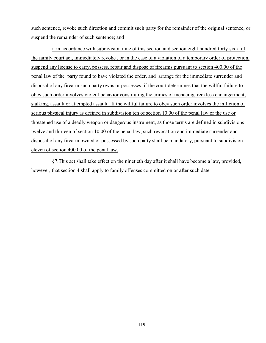such sentence, revoke such direction and commit such party for the remainder of the original sentence, or suspend the remainder of such sentence; and

i. in accordance with subdivision nine of this section and section eight hundred forty-six-a of the family court act, immediately revoke , or in the case of a violation of a temporary order of protection, suspend any license to carry, possess, repair and dispose of firearms pursuant to section 400.00 of the penal law of the party found to have violated the order, and arrange for the immediate surrender and disposal of any firearm such party owns or possesses, if the court determines that the willful failure to obey such order involves violent behavior constituting the crimes of menacing, reckless endangerment, stalking, assault or attempted assault. If the willful failure to obey such order involves the infliction of serious physical injury as defined in subdivision ten of section 10.00 of the penal law or the use or threatened use of a deadly weapon or dangerous instrument, as those terms are defined in subdivisions twelve and thirteen of section 10.00 of the penal law, such revocation and immediate surrender and disposal of any firearm owned or possessed by such party shall be mandatory, pursuant to subdivision eleven of section 400.00 of the penal law.

§7.This act shall take effect on the ninetieth day after it shall have become a law, provided, however, that section 4 shall apply to family offenses committed on or after such date.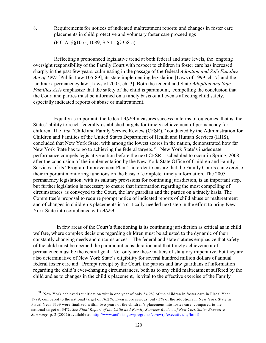8. Requirements for notices of indicated maltreatment reports and changes in foster care placements in child protective and voluntary foster care proceedings

(F.C.A. §§1055, 1089; S.S.L. §§358-a)

Reflecting a pronounced legislative trend at both federal and state levels, the ongoing oversight responsibility of the Family Court with respect to children in foster care has increased sharply in the past few years, culminating in the passage of the federal *Adoption and Safe Families Act of 1997* [Public Law 105-89], its state implementing legislation [Laws of 1999, ch. 7] and the landmark permanency law [Laws of 2005, ch. 3]. Both the federal and State *Adoption and Safe Families Act*s emphasize that the safety of the child is paramount, compelling the conclusion that the Court and parties must be informed on a timely basis of all events affecting child safety, especially indicated reports of abuse or maltreatment.

Equally as important, the federal *ASFA* measures success in terms of outcomes, that is, the States' ability to reach federally-established targets for timely achievement of permanency for children. The first "Child and Family Service Review (CFSR)," conducted by the Administration for Children and Families of the United States Department of Health and Human Services (HHS), concluded that New York State, with among the lowest scores in the nation, demonstrated how far New York State has to go to achieving the federal targets.<sup>38</sup> New York State's inadequate performance compels legislative action before the next CFSR – scheduled to occur in Spring, 2008, after the conclusion of the implementation by the New York State Office of Children and Family Services of its "Program Improvement Plan"– in order to ensure that the Family Courts can exercise their important monitoring functions on the basis of complete, timely information. The 2005 permanency legislation, with its salutary provisions for continuing jurisdiction, is an important step, but further legislation is necessary to ensure that information regarding the most compelling of circumstances is conveyed to the Court, the law guardian and the parties on a timely basis. The Committee's proposal to require prompt notice of indicated reports of child abuse or maltreatment and of changes in children's placements is a critically-needed next step in the effort to bring New York State into compliance with *ASFA*.

 In few areas of the Court's functioning is its continuing jurisdiction as critical as in child welfare, where complex decisions regarding children must be adjusted to the dynamic of their constantly changing needs and circumstances. The federal and state statutes emphasize that safety of the child must be deemed the paramount consideration and that timely achievement of permanence must be the central goal. Not only are these matters of statutory imperative, but they are also determinative of New York State's eligibility for several hundred million dollars of annual federal foster care aid. Prompt receipt by the Court, the parties and law guardians of information regarding the child's ever-changing circumstances, both as to any child maltreatment suffered by the child and as to changes in the child's placement, is vital to the effective exercise of the Family

<sup>&</sup>lt;sup>38</sup> New York achieved reunification within one year of only 54.2% of the children in foster care in Fiscal Year 1999, compared to the national target of 76.2%. Even more serious, only 3% of the adoptions in New York State in Fiscal Year 1999 were finalized within two years of the children's placement into foster care, compared to the national target of 34%. *See Final Report of the Child and Family Services Review of New York State: Executive Summary*, p. 2 (2002)(available at [http://www.acf.hhs.gov/programs/cb/cwrp/executive/ny/html\)](http://(http://www.acf.hhs.gov/programs/cb/cwrp/executive/ny/html)) .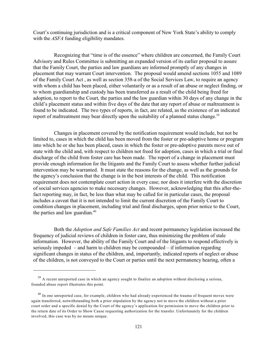Court's continuing jurisdiction and is a critical component of New York State's ability to comply with the *ASFA* funding eligibility mandates.

Recognizing that "time is of the essence" where children are concerned, the Family Court Advisory and Rules Committee is submitting an expanded version of its earlier proposal to assure that the Family Court, the parties and law guardians are informed promptly of any changes in placement that may warrant Court intervention. The proposal would amend sections 1055 and 1089 of the Family Court Act , as well as section 358-a of the Social Services Law, to require an agency with whom a child has been placed, either voluntarily or as a result of an abuse or neglect finding, or to whom guardianship and custody has been transferred as a result of the child being freed for adoption, to report to the Court, the parties and the law guardian within 30 days of any change in the child's placement status and within five days of the date that any report of abuse or maltreatment is found to be indicated. The two types of reports, in fact, are related, as the existence of an indicated report of maltreatment may bear directly upon the suitability of a planned status change.<sup>39</sup>

Changes in placement covered by the notification requirement would include, but not be limited to, cases in which the child has been moved from the foster or pre-adoptive home or program into which he or she has been placed, cases in which the foster or pre-adoptive parents move out of state with the child and, with respect to children not freed for adoption, cases in which a trial or final discharge of the child from foster care has been made. The report of a change in placement must provide enough information for the litigants and the Family Court to assess whether further judicial intervention may be warranted. It must state the reasons for the change, as well as the grounds for the agency's conclusion that the change is in the best interests of the child. This notification requirement does not contemplate court action in every case; nor does it interfere with the discretion of social services agencies to make necessary changes. However, acknowledging that this after-thefact reporting may, in fact, be less than what may be called for in particular cases, the proposal includes a caveat that it is not intended to limit the current discretion of the Family Court to condition changes in placement, including trial and final discharges, upon prior notice to the Court, the parties and law guardian.<sup>40</sup>

Both the *Adoption and Safe Families Act* and recent permanency legislation increased the frequency of judicial reviews of children in foster care, thus minimizing the problem of stale information. However, the ability of the Family Court and of the litigants to respond effectively is seriously impeded – and harm to children may be compounded – if information regarding significant changes in status of the children, and, importantly, indicated reports of neglect or abuse of the children, is not conveyed to the Court or parties until the next permanency hearing, often a

 $39$  A recent unreported case in which an agency sought to finalize an adoption without disclosing a serious, founded abuse report illustrates this point.

 $^{40}$  In one unreported case, for example, children who had already experienced the trauma of frequent moves were again transferred, notwithstanding both a prior stipulation by the agency not to move the children without a prior court order and a specific denial by the Court of the agency's application for permission to move the children prior to the return date of its Order to Show Cause requesting authorization for the transfer. Unfortunately for the children involved, this case was by no means unique.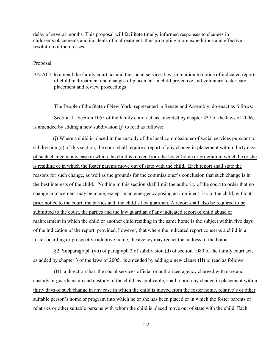delay of several months. This proposal will facilitate timely, informed responses to changes in children's placements and incidents of maltreatment, thus prompting more expeditious and effective resolution of their cases.

### Proposal

AN ACT to amend the family court act and the social services law, in relation to notice of indicated reports of child maltreatment and changes of placement in child protective and voluntary foster care placement and review proceedings

#### The People of the State of New York, represented in Senate and Assembly, do enact as follows:

Section 1. Section 1055 of the family court act, as amended by chapter 437 of the laws of 2006, is amended by adding a new subdivision (j) to read as follows:

(j) Where a child is placed in the custody of the local commissioner of social services pursuant to subdivision (a) of this section, the court shall require a report of any change in placement within thirty days of such change in any case in which the child is moved from the foster home or program in which he or she is residing or in which the foster parents move out of state with the child. Each report shall state the reasons for such change, as well as the grounds for the commissioner's conclusion that such change is in the best interests of the child. Nothing in this section shall limit the authority of the court to order that no change in placement may be made, except in an emergency posing an imminent risk to the child, without prior notice to the court, the parties and the child's law guardian. A report shall also be required to be submitted to the court, the parties and the law guardian of any indicated report of child abuse or maltreatment in which the child or another child residing in the same home is the subject within five days of the indication of the report; provided, however, that where the indicated report concerns a child in a foster boarding or prospective adoptive home, the agency may redact the address of the home.

§2. Subparagraph (vii) of paragraph 2 of subdivision (d) of section 1089 of the family court act, as added by chapter 3 of the laws of 2005, is amended by adding a new clause (H) to read as follows:

(H) a direction that the social services official or authorized agency charged with care and custody or guardianship and custody of the child, as applicable, shall report any change in placement within thirty days of such change in any case in which the child is moved from the foster home, relative's or other suitable person's home or program into which he or she has been placed or in which the foster parents or relatives or other suitable persons with whom the child is placed move out of state with the child. Each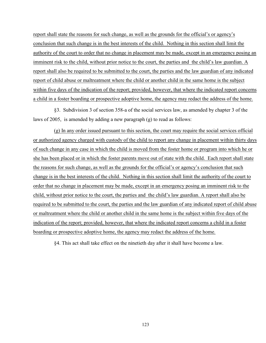report shall state the reasons for such change, as well as the grounds for the official's or agency's conclusion that such change is in the best interests of the child. Nothing in this section shall limit the authority of the court to order that no change in placement may be made, except in an emergency posing an imminent risk to the child, without prior notice to the court, the parties and the child's law guardian. A report shall also be required to be submitted to the court, the parties and the law guardian of any indicated report of child abuse or maltreatment where the child or another child in the same home is the subject within five days of the indication of the report; provided, however, that where the indicated report concerns a child in a foster boarding or prospective adoptive home, the agency may redact the address of the home.

§3. Subdivision 3 of section 358-a of the social services law, as amended by chapter 3 of the laws of 2005, is amended by adding a new paragraph (g) to read as follows:

(g) In any order issued pursuant to this section, the court may require the social services official or authorized agency charged with custody of the child to report any change in placement within thirty days of such change in any case in which the child is moved from the foster home or program into which he or she has been placed or in which the foster parents move out of state with the child. Each report shall state the reasons for such change, as well as the grounds for the official's or agency's conclusion that such change is in the best interests of the child. Nothing in this section shall limit the authority of the court to order that no change in placement may be made, except in an emergency posing an imminent risk to the child, without prior notice to the court, the parties and the child's law guardian. A report shall also be required to be submitted to the court, the parties and the law guardian of any indicated report of child abuse or maltreatment where the child or another child in the same home is the subject within five days of the indication of the report; provided, however, that where the indicated report concerns a child in a foster boarding or prospective adoptive home, the agency may redact the address of the home.

§4. This act shall take effect on the ninetieth day after it shall have become a law.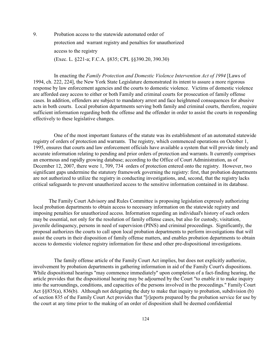9. Probation access to the statewide automated order of protection and warrant registry and penalties for unauthorized access to the registry (Exec. L. §221-a; F.C.A. §835; CPL §§390.20, 390.30)

In enacting the *Family Protection and Domestic Violence Intervention Act of 1994* [Laws of 1994, ch. 222, 224], the New York State Legislature demonstrated its intent to assure a more rigorous response by law enforcement agencies and the courts to domestic violence. Victims of domestic violence are afforded easy access to either or both Family and criminal courts for prosecution of family offense cases. In addition, offenders are subject to mandatory arrest and face heightened consequences for abusive acts in both courts. Local probation departments serving both family and criminal courts, therefore, require sufficient information regarding both the offense and the offender in order to assist the courts in responding effectively to these legislative changes.

One of the most important features of the statute was its establishment of an automated statewide registry of orders of protection and warrants. The registry, which commenced operations on October 1, 1995, ensures that courts and law enforcement officials have available a system that will provide timely and accurate information relating to pending and prior orders of protection and warrants. It currently comprises an enormous and rapidly growing database; according to the Office of Court Administration, as of December 12, 2007, there were 1, 709, 734 orders of protection entered onto the registry. However, two significant gaps undermine the statutory framework governing the registry: first, that probation departments are not authorized to utilize the registry in conducting investigations, and, second, that the registry lacks critical safeguards to prevent unauthorized access to the sensitive information contained in its database.

The Family Court Advisory and Rules Committee is proposing legislation expressly authorizing local probation departments to obtain access to necessary information on the statewide registry and imposing penalties for unauthorized access. Information regarding an individual's history of such orders may be essential, not only for the resolution of family offense cases, but also for custody, visitation, juvenile delinquency, persons in need of supervision (PINS) and criminal proceedings. Significantly, the proposal authorizes the courts to call upon local probation departments to perform investigations that will assist the courts in their disposition of family offense matters, and enables probation departments to obtain access to domestic violence registry information for these and other pre-dispositional investigations.

 The family offense article of the Family Court Act implies, but does not explicitly authorize, involvement by probation departments in gathering information in aid of the Family Court's dispositions. While dispositional hearings "may commence immediately" upon completion of a fact-finding hearing, the article provides that the dispositional hearing may be adjourned by the Court "to enable it to make inquiry into the surroundings, conditions, and capacities of the persons involved in the proceedings." Family Court Act §§835(a), 836(b). Although not delegating the duty to make that inquiry to probation, subdivision (b) of section 835 of the Family Court Act provides that "[r]eports prepared by the probation service for use by the court at any time prior to the making of an order of disposition shall be deemed confidential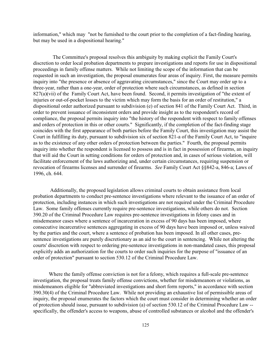information," which may "not be furnished to the court prior to the completion of a fact-finding hearing, but may be used in a dispositional hearing."

 The Committee's proposal resolves this ambiguity by making explicit the Family Court's discretion to order local probation departments to prepare investigations and reports for use in dispositional proceedings in family offense matters. While not limiting the scope of the information that can be requested in such an investigation, the proposal enumerates four areas of inquiry. First, the measure permits inquiry into "the presence or absence of aggravating circumstances," since the Court may order up to a three-year, rather than a one-year, order of protection where such circumstances, as defined in section 827(a)(vii) of the Family Court Act, have been found. Second, it permits investigation of "the extent of injuries or out-of-pocket losses to the victim which may form the basis for an order of restitution," a dispositional order authorized pursuant to subdivision (e) of section 841 of the Family Court Act. Third, in order to prevent issuance of inconsistent orders and provide insight as to the respondent's record of compliance, the proposal permits inquiry into "the history of the respondent with respect to family offenses and orders of protection in this or other courts." Significantly, if the completion of the fact-finding stage coincides with the first appearance of both parties before the Family Court, this investigation may assist the Court in fulfilling its duty, pursuant to subdivision six of section 821-a of the Family Court Act, to "inquire as to the existence of any other orders of protection between the parties." Fourth, the proposal permits inquiry into whether the respondent is licensed to possess and is in fact in possession of firearms, an inquiry that will aid the Court in setting conditions for orders of protection and, in cases of serious violation, will facilitate enforcement of the laws authorizing and, under certain circumstances, requiring suspension or revocation of firearms licenses and surrender of firearms. *See* Family Court Act §§842-a, 846-a; Laws of 1996, ch. 644.

 Additionally, the proposed legislation allows criminal courts to obtain assistance from local probation departments to conduct pre-sentence investigations where relevant to the issuance of an order of protection, including instances in which such investigations are not required under the Criminal Procedure Law. Some family offenses currently require pre-sentence investigations, while others do not. Section 390.20 of the Criminal Procedure Law requires pre-sentence investigations in felony cases and in misdemeanor cases where a sentence of incarceration in excess of 90 days has been imposed, where consecutive incarcerative sentences aggregating in excess of 90 days have been imposed or, unless waived by the parties and the court, where a sentence of probation has been imposed. In all other cases, presentence investigations are purely discretionary as an aid to the court in sentencing. While not altering the courts' discretion with respect to ordering pre-sentence investigations in non-mandated cases, this proposal explicitly adds an authorization for the courts to order such inquiries for the purpose of "issuance of an order of protection" pursuant to section 530.12 of the Criminal Procedure Law.

Where the family offense conviction is not for a felony, which requires a full-scale pre-sentence investigation, the proposal treats family offense convictions, whether for misdemeanors or violations, as misdemeanors eligible for "abbreviated investigations and short form reports," in accordance with section 390.30(4) of the Criminal Procedure Law. While not providing an exhaustive list of permissible areas of inquiry, the proposal enumerates the factors which the court must consider in determining whether an order of protection should issue, pursuant to subdivision (a) of section 530.12 of the Criminal Procedure Law - specifically, the offender's access to weapons, abuse of controlled substances or alcohol and the offender's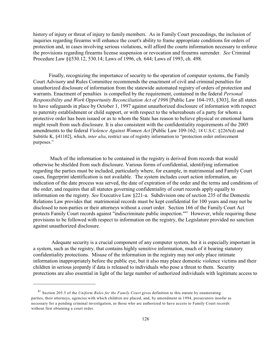history of injury or threat of injury to family members. As in Family Court proceedings, the inclusion of inquiries regarding firearms will enhance the court's ability to frame appropriate conditions for orders of protection and, in cases involving serious violations, will afford the courts information necessary to enforce the provisions regarding firearms license suspension or revocation and firearms surrender. *See* Criminal Procedure Law §§530.12, 530.14; Laws of 1996, ch. 644; Laws of 1993, ch. 498.

Finally, recognizing the importance of security to the operation of computer systems, the Family Court Advisory and Rules Committee recommends the enactment of civil and criminal penalties for unauthorized disclosure of information from the statewide automated registry of orders of protection and warrants. Enactment of penalties is compelled by the requirement, contained in the federal *Personal Responsibility and Work Opportunity Reconciliation Act of 1996* [Public Law 104-193, §303], for all states to have safeguards in place by October 1, 1997 against unauthorized disclosure of information with respect to paternity establishment or child support, or with respect to the whereabouts of a party for whom a protective order has been issued or as to whom the State has reason to believe physical or emotional harm might result from such disclosure. It is also consistent with the confidentiality requirements of the 2005 amendments to the federal *Violence Against Women Act* [Public Law 109-162; 18 U.S.C. §2265(d) and Subtitle K, §41102], which, *inter alia*, restrict use of registry information to "protection order enforcement purposes."

 Much of the information to be contained in the registry is derived from records that would otherwise be shielded from such disclosure. Various forms of confidential, identifying information regarding the parties must be included, particularly where, for example, in matrimonial and Family Court cases, fingerprint identification is not available. The system includes court action information, an indication of the date process was served, the date of expiration of the order and the terms and conditions of the order, and requires that all statutes governing confidentiality of court records apply equally to information on the registry. *See* Executive Law §221-a. Subdivision one of section 235 of the Domestic Relations Law provides that matrimonial records must be kept confidential for 100 years and may not be disclosed to non-parties or their attorneys without a court order. Section 166 of the Family Court Act protects Family Court records against "indiscriminate public inspection."<sup>41</sup> However, while requiring these provisions to be followed with respect to information on the registry, the Legislature provided no sanction against unauthorized disclosure.

 Adequate security is a crucial component of any computer system, but it is especially important in a system, such as the registry, that contains highly sensitive information, much of it bearing statutory confidentiality protections. Misuse of the information in the registry may not only place intimate information inappropriately before the public eye, but it also may place domestic violence victims and their children in serious jeopardy if data is released to individuals who pose a threat to them. Security protections are also essential in light of the large number of authorized individuals with legitimate access to

<sup>&</sup>lt;sup>41</sup> Section 205.5 of the *Uniform Rules for the Family Court* gives definition to this statute by enumerating parties, their attorneys, agencies with which children are placed, and, by amendment in 1994, prosecutors insofar as necessary for a pending criminal investigation, as those who are authorized to have access to Family Court records without first obtaining a court order.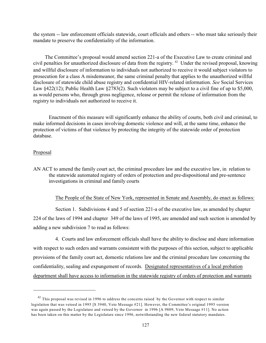the system -- law enforcement officials statewide, court officials and others -- who must take seriously their mandate to preserve the confidentiality of the information.

 The Committee's proposal would amend section 221-a of the Executive Law to create criminal and civil penalties for unauthorized disclosure of data from the registry.  $42$  Under the revised proposal, knowing and willful disclosure of information to individuals not authorized to receive it would subject violators to prosecution for a class A misdemeanor, the same criminal penalty that applies to the unauthorized willful disclosure of statewide child abuse registry and confidential HIV-related information. *See* Social Services Law §422(12); Public Health Law §2783(2). Such violators may be subject to a civil fine of up to \$5,000, as would persons who, through gross negligence, release or permit the release of information from the registry to individuals not authorized to receive it.

Enactment of this measure will significantly enhance the ability of courts, both civil and criminal, to make informed decisions in cases involving domestic violence and will, at the same time, enhance the protection of victims of that violence by protecting the integrity of the statewide order of protection database.

# Proposal

AN ACT to amend the family court act, the criminal procedure law and the executive law, in relation to the statewide automated registry of orders of protection and pre-dispositional and pre-sentence investigations in criminal and family courts

### The People of the State of New York, represented in Senate and Assembly, do enact as follows:

 Section 1. Subdivisions 4 and 5 of section 221-a of the executive law, as amended by chapter 224 of the laws of 1994 and chapter 349 of the laws of 1995, are amended and such section is amended by adding a new subdivision 7 to read as follows:

 4. Courts and law enforcement officials shall have the ability to disclose and share information with respect to such orders and warrants consistent with the purposes of this section, subject to applicable provisions of the family court act, domestic relations law and the criminal procedure law concerning the confidentiality, sealing and expungement of records. Designated representatives of a local probation department shall have access to information in the statewide registry of orders of protection and warrants

 $42$  This proposal was revised in 1996 to address the concerns raised by the Governor with respect to similar legislation that was vetoed in 1995 [S 3940, Veto Message #21]. However, the Committee's original 1995 version was again passed by the Legislature and vetoed by the Governor in 1996 [A 9809, Veto Message #11]. No action has been taken on this matter by the Legislature since 1996, notwithstanding the new federal statutory mandates.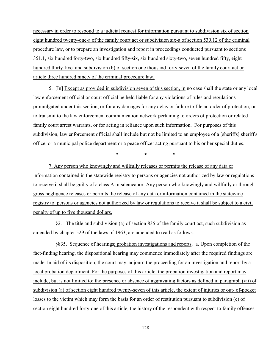necessary in order to respond to a judicial request for information pursuant to subdivision six of section eight hundred twenty-one-a of the family court act or subdivision six-a of section 530.12 of the criminal procedure law, or to prepare an investigation and report in proceedings conducted pursuant to sections 351.1, six hundred forty-two, six hundred fifty-six, six hundred sixty-two, seven hundred fifty, eight hundred thirty-five and subdivision (b) of section one thousand forty-seven of the family court act or article three hundred ninety of the criminal procedure law.

5. [In] Except as provided in subdivision seven of this section, in no case shall the state or any local law enforcement official or court official be held liable for any violations of rules and regulations promulgated under this section, or for any damages for any delay or failure to file an order of protection, or to transmit to the law enforcement communication network pertaining to orders of protection or related family court arrest warrants, or for acting in reliance upon such information. For purposes of this subdivision, law enforcement official shall include but not be limited to an employee of a [sheriffs] sheriff's office, or a municipal police department or a peace officer acting pursuant to his or her special duties.

\* \* \*

7. Any person who knowingly and willfully releases or permits the release of any data or information contained in the statewide registry to persons or agencies not authorized by law or regulations to receive it shall be guilty of a class A misdemeanor. Any person who knowingly and willfully or through gross negligence releases or permits the release of any data or information contained in the statewide registry to persons or agencies not authorized by law or regulations to receive it shall be subject to a civil penalty of up to five thousand dollars.

 §2. The title and subdivision (a) of section 835 of the family court act, such subdivision as amended by chapter 529 of the laws of 1963, are amended to read as follows:

 §835. Sequence of hearings; probation investigations and reports. a. Upon completion of the fact-finding hearing, the dispositional hearing may commence immediately after the required findings are made. In aid of its disposition, the court may adjourn the proceeding for an investigation and report by a local probation department. For the purposes of this article, the probation investigation and report may include, but is not limited to: the presence or absence of aggravating factors as defined in paragraph (vii) of subdivision (a) of section eight hundred twenty-seven of this article, the extent of injuries or out- of-pocket losses to the victim which may form the basis for an order of restitution pursuant to subdivision (e) of section eight hundred forty-one of this article, the history of the respondent with respect to family offenses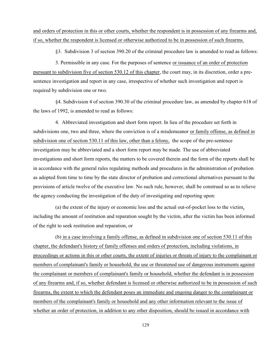and orders of protection in this or other courts, whether the respondent is in possession of any firearms and, if so, whether the respondent is licensed or otherwise authorized to be in possession of such firearms.

§3. Subdivision 3 of section 390.20 of the criminal procedure law is amended to read as follows:

 3. Permissible in any case. For the purposes of sentence or issuance of an order of protection pursuant to subdivision five of section 530.12 of this chapter, the court may, in its discretion, order a presentence investigation and report in any case, irrespective of whether such investigation and report is required by subdivision one or two.

 §4. Subdivision 4 of section 390.30 of the criminal procedure law, as amended by chapter 618 of the laws of 1992, is amended to read as follows:

 4. Abbreviated investigation and short form report. In lieu of the procedure set forth in subdivisions one, two and three, where the conviction is of a misdemeanor or family offense, as defined in subdivision one of section 530.11 of this law, other than a felony, the scope of the pre-sentence investigation may be abbreviated and a short form report may be made. The use of abbreviated investigations and short form reports, the matters to be covered therein and the form of the reports shall be in accordance with the general rules regulating methods and procedures in the administration of probation as adopted from time to time by the state director of probation and correctional alternatives pursuant to the provisions of article twelve of the executive law. No such rule, however, shall be construed so as to relieve the agency conducting the investigation of the duty of investigating and reporting upon:

 (a) the extent of the injury or economic loss and the actual out-of-pocket loss to the victim, including the amount of restitution and reparation sought by the victim, after the victim has been informed of the right to seek restitution and reparation, or

 (b) in a case involving a family offense, as defined in subdivision one of section 530.11 of this chapter, the defendant's history of family offenses and orders of protection, including violations, in proceedings or actions in this or other courts, the extent of injuries or threats of injury to the complainant or members of complainant's family or household, the use or threatened use of dangerous instruments against the complainant or members of complainant's family or household, whether the defendant is in possession of any firearms and, if so, whether defendant is licensed or otherwise authorized to be in possession of such firearms, the extent to which the defendant poses an immediate and ongoing danger to the complainant or members of the complainant's family or household and any other information relevant to the issue of whether an order of protection, in addition to any other disposition, should be issued in accordance with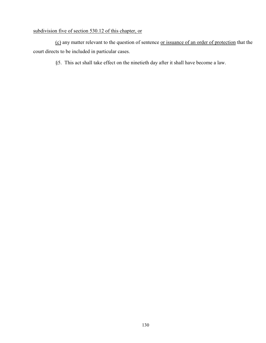# subdivision five of section 530.12 of this chapter, or

 (c) any matter relevant to the question of sentence or issuance of an order of protection that the court directs to be included in particular cases.

§5. This act shall take effect on the ninetieth day after it shall have become a law.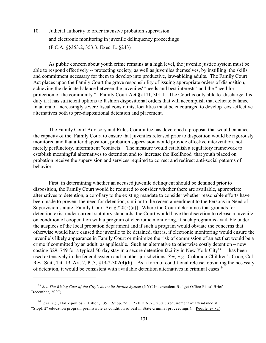10. Judicial authority to order intensive probation supervision and electronic monitoring in juvenile delinquency proceedings (F.C.A. §§353.2, 353.3; Exec. L. §243)

As public concern about youth crime remains at a high level, the juvenile justice system must be able to respond effectively -- protecting society, as well as juveniles themselves, by instilling the skills and commitment necessary for them to develop into productive, law-abiding adults. The Family Court Act places upon the Family Court the grave responsibility of issuing appropriate orders of disposition, achieving the delicate balance between the juveniles' "needs and best interests" and the "need for protection of the community." Family Court Act  $\S$ §141, 301.1. The Court is only able to discharge this duty if it has sufficient options to fashion dispositional orders that will accomplish that delicate balance. In an era of increasingly severe fiscal constraints, localities must be encouraged to develop cost-effective alternatives both to pre-dispositional detention and placement.

The Family Court Advisory and Rules Committee has developed a proposal that would enhance the capacity of the Family Court to ensure that juveniles released prior to disposition would be rigorously monitored and that after disposition, probation supervision would provide effective intervention, not merely perfunctory, intermittent "contacts." The measure would establish a regulatory framework to establish meaningful alternatives to detention and to increase the likelihood that youth placed on probation receive the supervision and services required to correct and redirect anti-social patterns of behavior.

First, in determining whether an accused juvenile delinquent should be detained prior to disposition, the Family Court would be required to consider whether there are available, appropriate alternatives to detention, a corollary to the existing mandate to consider whether reasonable efforts have been made to prevent the need for detention, similar to the recent amendment to the Persons in Need of Supervision statute [Family Court Act  $\S720(5)(a)$ ]. Where the Court determines that grounds for detention exist under current statutory standards, the Court would have the discretion to release a juvenile on condition of cooperation with a program of electronic monitoring, if such program is available under the auspices of the local probation department and if such a program would obviate the concerns that otherwise would have caused the juvenile to be detained, that is, if electronic monitoring would ensure the juvenile's likely appearance in Family Court or minimize the risk of commission of an act that would be a crime if committed by an adult, as applicable. Such an alternative to otherwise costly detention – now costing \$29, 749 for a typical 50-day stay in a secure detention facility in New York City<sup>43</sup> – has been used extensively in the federal system and in other jurisdictions. *See, e.g.*, Colorado Children's Code, Col. Rev. Stat., Tit. 19, Art. 2, Pt.3, §19-2-302(4)(h). As a form of conditional release, obviating the necessity of detention, it would be consistent with available detention alternatives in criminal cases.<sup>44</sup>

*See The Rising Cost of the City's Juvenile Justice System* (NYC Independent Budget Office Fiscal Brief, <sup>43</sup> December, 2007).

*See*, *e.g*., Halikipoulos *v.* Dillon, 139 F.Supp. 2d 312 (E.D.N.Y., 2001)(requirement of attendance at <sup>44</sup> "Stoplift" education program permissible as condition of bail in State criminal proceedings ); People *ex rel*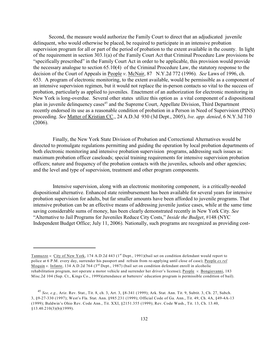Second, the measure would authorize the Family Court to direct that an adjudicated juvenile delinquent, who would otherwise be placed, be required to participate in an intensive probation supervision program for all or part of the period of probation to the extent available in the county. In light of the requirement in section 303.1(a) of the Family Court Act that Criminal Procedure Law provisions be "specifically prescribed" in the Family Court Act in order to be applicable, this provision would provide the necessary analogue to section 65.10(4) of the Criminal Procedure Law, the statutory response to the decision of the Court of Appeals in People *v*. McNair, 87 N.Y.2d 772 (1996). *See* Laws of 1996, ch. 653. A program of electronic monitoring, to the extent available, would be permissible as a component of an intensive supervision regimen, but it would not replace the in-person contacts so vital to the success of probation, particularly as applied to juveniles. Enactment of an authorization for electronic monitoring in New York is long-overdue. Several other states utilize this option as a vital component of a dispositional plan in juvenile delinquency cases<sup>45</sup> and the Supreme Court, Appellate Division, Third Department recently endorsed its use as a reasonable condition of probation in a Person in Need of Supervision (PINS) proceeding. *See* Matter of Kristian CC., 24 A.D.3d 930 (3d Dept., 2005), *lve. app. denied*, 6 N.Y.3d 710 (2006).

 Finally, the New York State Division of Probation and Correctional Alternatives would be directed to promulgate regulations permitting and guiding the operation by local probation departments of both electronic monitoring and intensive probation supervision programs, addressing such issues as: maximum probation officer caseloads; special training requirements for intensive supervision probation officers; nature and frequency of the probation contacts with the juveniles, schools and other agencies; and the level and type of supervision, treatment and other program components.

 Intensive supervision, along with an electronic monitoring component, is a critically-needed dispositional alternative. Enhanced state reimbursement has been available for several years for intensive probation supervision for adults, but far smaller amounts have been afforded to juvenile programs. That intensive probation can be an effective means of addressing juvenile justice cases, while at the same time saving considerable sums of money, has been clearly demonstrated recently in New York City. *See* "Alternative to Jail Programs for Juveniles Reduce City Costs," *Inside the Budget*, #148 (NYC Independent Budget Office; July 11, 2006). Nationally, such programs are recognized as providing cost-

Tannuzzo *v*. City of New York, 174 A.D.2d 443 (1<sup>st</sup> Dept., 1991)(bail set on condition defendant would report to police at 6 P.M. every day, surrender his passport and refrain from re-applying until close of case); People *ex rel* Moquin *v.* Infante, 134 A.D.2d 764 ( $3<sup>rd</sup>$  Dept., 1987) (bail set on condition defendant enroll in alcoholic rehabilitation program, not operate a motor vehicle and surrender her driver's license); People *v.* Bongiovanni, 183 Misc.2d 104 (Sup. Ct., Kings Co., 1999)(attendance at batterers' education program is permissible condition of bail).

*See, e.g.,* Ariz. Rev. Stat., Tit. 8, ch. 3, Art. 3, §8-341 (1999); Ark. Stat. Ann. Tit. 9, Subtit. 3, Ch. 27, Subch. <sup>45</sup> 3, §9-27-330 (1997); West's Fla. Stat. Ann. §985.231 (1999); Official Code of Ga. Ann., Tit. 49, Ch. 4A, §49-4A-13 (1999); Baldwin's Ohio Rev. Code Ann., Tit. XXI, §2151.355 (1999); Rev. Code Wash., Tit. 13, Ch. 13.40, §13.40.210(3)(b)(1999).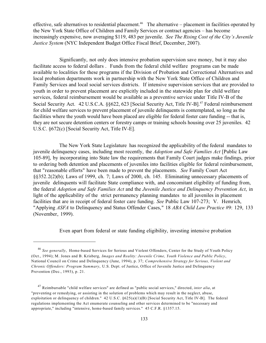effective, safe alternatives to residential placement.<sup>46</sup> The alternative – placement in facilities operated by the New York State Office of Children and Family Services or contract agencies – has become increasingly expensive, now averaging \$119, 483 per juvenile. *See The Rising Cost of the City's Juvenile Justice System* (NYC Independent Budget Office Fiscal Brief, December, 2007).

 Significantly, not only does intensive probation supervision save money, but it may also facilitate access to federal dollars . Funds from the federal child welfare programs can be made available to localities for these programs if the Division of Probation and Correctional Alternatives and local probation departments work in partnership with the New York State Office of Children and Family Services and local social services districts. If intensive supervision services that are provided to youth in order to prevent placement are explicitly included in the statewide plan for child welfare services, federal reimbursement would be available as a preventive service under Title IV-B of the Social Security Act. 42 U.S.C.A. §§622, 623 [Social Security Act, Title IV-B].<sup>47</sup> Federal reimbursement for child welfare services to prevent placement of juvenile delinquents is contemplated, so long as the facilities where the youth would have been placed are eligible for federal foster care funding -- that is, they are not secure detention centers or forestry camps or training schools housing over 25 juveniles. 42 U.S.C. §672(c) [Social Security Act, Title IV-E].

 The New York State Legislature has recognized the applicability of the federal mandates to juvenile delinquency cases, including most recently, the *Adoption and Safe Families Act* [Public Law 105-89], by incorporating into State law the requirements that Family Court judges make findings, prior to ordering both detention and placements of juveniles into facilities eligible for federal reimbursement, that "reasonable efforts" have been made to prevent the placements. *See* Family Court Act §§352.2(2)(b); Laws of 1999, ch. 7; Laws of 2000, ch. 145. Eliminating unnecessary placements of juvenile delinquents will facilitate State compliance with, and concomitant eligibility of funding from, the federal *Adoption and Safe Families Act* and the *Juvenile Justice and Delinquency Prevention Act*, in light of the applicability of the strict permanency planning mandates to all juveniles in placement facilities that are in receipt of federal foster care funding. *See* Public Law 107-273; V. Hemrich, "Applying *ASFA* to Delinquency and Status Offender Cases," 18 *ABA Child Law Practice* #9: 129, 133 (November, 1999).

Even apart from federal or state funding eligibility, investing intensive probation

*See generally*, Home-based Services for Serious and Violent Offenders, Center for the Study of Youth Policy 46 (Oct., 1994); M. Jones and B. Krisberg, *Images and Reality: Juvenile Crime, Youth Violence and Public Policy*, National Council on Crime and Delinquency (June, 1994), p. 37; *Comprehensive Strategy for Serious, Violent and Chronic Offenders: Program Summary*, U.S. Dept. of Justice, Office of Juvenile Justice and Delinquency Prevention (Dec., 1993), p. 21.

Reimbursable "child welfare services" are defined as "public social services," directed, *inter alia*, at <sup>47</sup> "preventing or remedying, or assisting in the solution of problems which may result in the neglect, abuse, exploitation or delinquency of children." 42 U.S.C. §625(a)(1)(B) [Social Security Act, Title IV-B]. The federal regulations implementing the Act enumerate counseling and other services determined to be "necessary and appropriate," including "intensive, home-based family services." 45 C.F.R. §1357.15.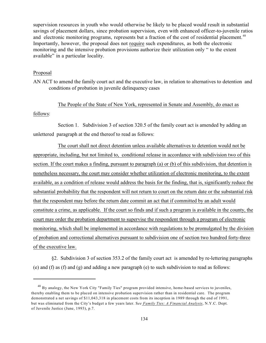supervision resources in youth who would otherwise be likely to be placed would result in substantial savings of placement dollars, since probation supervision, even with enhanced officer-to-juvenile ratios and electronic monitoring programs, represents but a fraction of the cost of residential placement.<sup>48</sup> Importantly, however, the proposal does not require such expenditures, as both the electronic monitoring and the intensive probation provisions authorize their utilization only " to the extent available" in a particular locality.

## Proposal

AN ACT to amend the family court act and the executive law, in relation to alternatives to detention and conditions of probation in juvenile delinquency cases

# The People of the State of New York, represented in Senate and Assembly, do enact as

#### follows:

 Section 1. Subdivision 3 of section 320.5 of the family court act is amended by adding an unlettered paragraph at the end thereof to read as follows:

 The court shall not direct detention unless available alternatives to detention would not be appropriate, including, but not limited to, conditional release in accordance with subdivision two of this section. If the court makes a finding, pursuant to paragraph (a) or (b) of this subdivision, that detention is nonetheless necessary, the court may consider whether utilization of electronic monitoring, to the extent available, as a condition of release would address the basis for the finding, that is, significantly reduce the substantial probability that the respondent will not return to court on the return date or the substantial risk that the respondent may before the return date commit an act that if committed by an adult would constitute a crime, as applicable. If the court so finds and if such a program is available in the county, the court may order the probation department to supervise the respondent through a program of electronic monitoring, which shall be implemented in accordance with regulations to be promulgated by the division of probation and correctional alternatives pursuant to subdivision one of section two hundred forty-three of the executive law.

 §2. Subdivision 3 of section 353.2 of the family court act is amended by re-lettering paragraphs (e) and (f) as (f) and (g) and adding a new paragraph (e) to such subdivision to read as follows:

<sup>&</sup>lt;sup>48</sup> By analogy, the New York City "Family Ties" program provided intensive, home-based services to juveniles, thereby enabling them to be placed on intensive probation supervision rather than in residential care. The program demonstrated a net savings of \$11,043,318 in placement costs from its inception in 1989 through the end of 1991, but was eliminated from the City's budget a few years later. S*ee Family Ties: A Financial Analysis*, N.Y.C. Dept. of Juvenile Justice (June, 1993), p.7.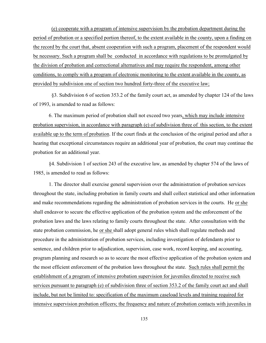(e) cooperate with a program of intensive supervision by the probation department during the period of probation or a specified portion thereof, to the extent available in the county, upon a finding on the record by the court that, absent cooperation with such a program, placement of the respondent would be necessary. Such a program shall be conducted in accordance with regulations to be promulgated by the division of probation and correctional alternatives and may require the respondent, among other conditions, to comply with a program of electronic monitoring to the extent available in the county, as provided by subdivision one of section two hundred forty-three of the executive law;

 §3. Subdivision 6 of section 353.2 of the family court act, as amended by chapter 124 of the laws of 1993, is amended to read as follows:

 6. The maximum period of probation shall not exceed two years, which may include intensive probation supervision, in accordance with paragraph (e) of subdivision three of this section, to the extent available up to the term of probation. If the court finds at the conclusion of the original period and after a hearing that exceptional circumstances require an additional year of probation, the court may continue the probation for an additional year.

 §4. Subdivision 1 of section 243 of the executive law, as amended by chapter 574 of the laws of 1985, is amended to read as follows:

 1. The director shall exercise general supervision over the administration of probation services throughout the state, including probation in family courts and shall collect statistical and other information and make recommendations regarding the administration of probation services in the courts. He or she shall endeavor to secure the effective application of the probation system and the enforcement of the probation laws and the laws relating to family courts throughout the state. After consultation with the state probation commission, he or she shall adopt general rules which shall regulate methods and procedure in the administration of probation services, including investigation of defendants prior to sentence, and children prior to adjudication, supervision, case work, record keeping, and accounting, program planning and research so as to secure the most effective application of the probation system and the most efficient enforcement of the probation laws throughout the state. Such rules shall permit the establishment of a program of intensive probation supervision for juveniles directed to receive such services pursuant to paragraph (e) of subdivision three of section 353.2 of the family court act and shall include, but not be limited to: specification of the maximum caseload levels and training required for intensive supervision probation officers; the frequency and nature of probation contacts with juveniles in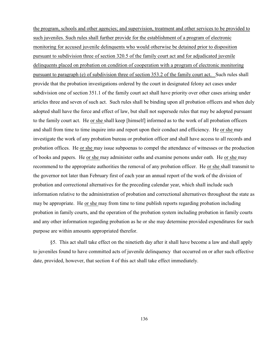the program, schools and other agencies; and supervision, treatment and other services to be provided to such juveniles. Such rules shall further provide for the establishment of a program of electronic monitoring for accused juvenile delinquents who would otherwise be detained prior to disposition pursuant to subdivision three of section 320.5 of the family court act and for adjudicated juvenile delinquents placed on probation on condition of cooperation with a program of electronic monitoring pursuant to paragraph (e) of subdivision three of section 353.2 of the family court act. Such rules shall provide that the probation investigations ordered by the court in designated felony act cases under subdivision one of section 351.1 of the family court act shall have priority over other cases arising under articles three and seven of such act. Such rules shall be binding upon all probation officers and when duly adopted shall have the force and effect of law, but shall not supersede rules that may be adopted pursuant to the family court act. He or she shall keep [himself] informed as to the work of all probation officers and shall from time to time inquire into and report upon their conduct and efficiency. He or she may investigate the work of any probation bureau or probation officer and shall have access to all records and probation offices. He or she may issue subpoenas to compel the attendance of witnesses or the production of books and papers. He or she may administer oaths and examine persons under oath. He or she may recommend to the appropriate authorities the removal of any probation officer. He or she shall transmit to the governor not later than February first of each year an annual report of the work of the division of probation and correctional alternatives for the preceding calendar year, which shall include such information relative to the administration of probation and correctional alternatives throughout the state as may be appropriate. He or she may from time to time publish reports regarding probation including probation in family courts, and the operation of the probation system including probation in family courts and any other information regarding probation as he or she may determine provided expenditures for such purpose are within amounts appropriated therefor.

 §5. This act shall take effect on the ninetieth day after it shall have become a law and shall apply to juveniles found to have committed acts of juvenile delinquency that occurred on or after such effective date, provided, however, that section 4 of this act shall take effect immediately.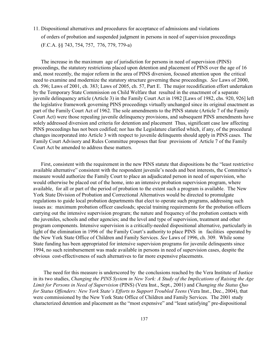11. Dispositional alternatives and procedures for acceptance of admissions and violations of orders of probation and suspended judgment in persons in need of supervision proceedings (F.C.A. §§ 743, 754, 757, 776, 779, 779-a)

The increase in the maximum age of jurisdiction for persons in need of supervision (PINS) proceedings, the statutory restrictions placed upon detention and placement of PINS over the age of 16 and, most recently, the major reform in the area of PINS diversion, focused attention upon the critical need to examine and modernize the statutory structure governing these proceedings. *See* Laws of 2000, ch. 596; Laws of 2001, ch. 383; Laws of 2005, ch. 57, Part E. The major recodification effort undertaken by the Temporary State Commission on Child Welfare that resulted in the enactment of a separate juvenile delinquency article (Article 3) in the Family Court Act in 1982 [Laws of 1982, chs. 920, 926] left the legislative framework governing PINS proceedings virtually unchanged since its original enactment as part of the Family Court Act of 1962. The sole amendments to the PINS statute (Article 7 of the Family Court Act) were those repealing juvenile delinquency provisions, and subsequent PINS amendments have solely addressed diversion and criteria for detention and placement Thus, significant case law affecting PINS proceedings has not been codified; nor has the Legislature clarified which, if any, of the procedural changes incorporated into Article 3 with respect to juvenile delinquents should apply in PINS cases. The Family Court Advisory and Rules Committee proposes that four provisions of Article 7 of the Family Court Act be amended to address these matters.

First, consistent with the requirement in the new PINS statute that dispositions be the "least restrictive available alternative" consistent with the respondent juvenile's needs and best interests, the Committee's measure would authorize the Family Court to place an adjudicated person in need of supervision, who would otherwise be placed out of the home, into an intensive probation supervision program, where available, for all or part of the period of probation to the extent such a program is available. The New York State Division of Probation and Correctional Alternatives would be directed to promulgate regulations to guide local probation departments that elect to operate such programs, addressing such issues as: maximum probation officer caseloads; special training requirements for the probation officers carrying out the intensive supervision program; the nature and frequency of the probation contacts with the juveniles, schools and other agencies; and the level and type of supervision, treatment and other program components. Intensive supervision is a critically-needed dispositional alternative, particularly in light of the elimination in 1996 of the Family Court's authority to place PINS in facilities operated by the New York State Office of Children and Family Services. *See* Laws of 1996, ch. 309. While some State funding has been appropriated for intensive supervision programs for juvenile delinquents since 1994, no such reimbursement was made available in persons in need of supervision cases, despite the obvious cost-effectiveness of such alternatives to far more expensive placements.

 The need for this measure is underscored by the conclusions reached by the Vera Institute of Justice in its two studies, *Changing the PINS System in New York: A Study of the Implications of Raising the Age Limit for Persons in Need of Supervision* (PINS) (Vera Inst., Sept., 2001) and *Changing the Status Quo for Status Offenders: New York State's Efforts to Support Troubled Teens* (Vera Inst., Dec., 2004), that were commissioned by the New York State Office of Children and Family Services. The 2001 study characterized detention and placement as the "most expensive" and "least satisfying" pre-dispositional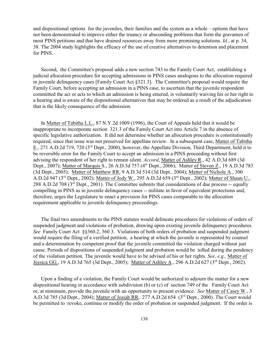and dispositional options for the juveniles, their families and the system as a whole – options that have not been demonstrated to improve either the truancy or absconding problems that form the gravamen of most PINS petitions and that have drained resources away from more promising solutions. *Id.*, at p. 34, 38. The 2004 study highlights the efficacy of the use of creative alternatives to detention and placement for PINS.

Second, the Committee's proposal adds a new section 743 to the Family Court Act, establishing a judicial allocution procedure for accepting admissions in PINS cases analogous to the allocution required in juvenile delinquency cases [Family Court Act §321.3]. The Committee's proposal would require the Family Court, before accepting an admission in a PINS case, to ascertain that the juvenile respondent committed the act or acts to which an admission is being entered, is voluntarily waiving his or her right to a hearing and is aware of the dispositional alternatives that may be ordered as a result of the adjudication that is the likely consequence of the admission.

In Matter of Tabitha L.L., 87 N.Y.2d 1009 (1996), the Court of Appeals held that it would be inappropriate to incorporate section 321.3 of the Family Court Act into Article 7 in the absence of specific legislative authorization. It did not determine whether an allocution procedure is constitutionally required, since that issue was not preserved for appellate review. In a subsequent case, Matter of Tabitha E., 271 A.D.2d 719, 720 ( $3<sup>rd</sup>$  Dept., 2000), however, the Appellate Division, Third Department, held it to be reversible error for the Family Court to accept an admission in a PINS proceeding without first advising the respondent of her right to remain silent. *Accord*, Matter of Ashley R., 42 A.D.3d 689 (3d Dept., 2007); Matter of Marquis S., 26 A.D.3d 757 (4<sup>th</sup> Dept., 2006); Matter of Steven Z., 19 A.D.3d 783 (3d Dept., 2005); Matter of Matthew RR, 9 A.D.3d 514 (3d Dept., 2004); Matter of Nichole A., 300 A.D.2d 947 (3<sup>rd</sup> Dept., 2002); Matter of Jody W., 295 A.D.2d 659 (3<sup>rd</sup> Dept., 2002); Matter of Shaun U., 288 A.D.2d  $708$  ( $3<sup>rd</sup>$  Dept., 2001). The Committee submits that considerations of due process -- equally compelling in PINS as in juvenile delinquency cases -- militate in favor of equivalent protections and, therefore, urges the Legislature to enact a provision for PINS cases comparable to the allocution requirement applicable to juvenile delinquency proceedings.

The final two amendments to the PINS statutes would delineate procedures for violations of orders of suspended judgment and violations of probation, drawing upon existing juvenile delinquency procedures. *See* Family Court Act §§360.2, 360.3. Violations of both orders of probation and suspended judgment would require the filing of a verified petition, a hearing at which the juvenile is represented by counsel and a determination by competent proof that the juvenile committed the violation charged without just cause. Periods of dispositions of suspended judgment and probation would be tolled during the pendency of the violation petition. The juvenile would have to be advised of his or her rights. *See, e.g.,* Matter of Jessica GG., 19 A.D.3d 765 (3d Dept., 2005); Matter of Ashley A., 296 A.D.2d 627 (3<sup>rd</sup> Dept., 2002).

Upon a finding of a violation, the Family Court would be authorized to adjourn the matter for a new dispositional hearing in accordance with subdivision (b) or (c) of section 749 of the Family Court Act or, at minimum, provide the juvenile with an opportunity to present evidence. *See* Matter of Casey W., 3 A.D.3d 785 (3d Dept., 2004); Matter of Josiah RR, 277 A.D.2d 654 (3<sup>rd</sup> Dept., 2000). The Court would be permitted to revoke, continue or modify the order of probation or suspended judgment. If the order is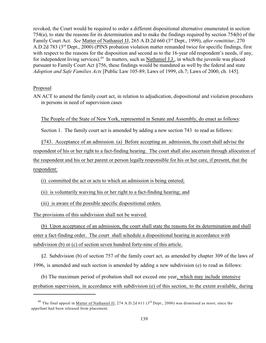revoked, the Court would be required to order a different dispositional alternative enumerated in section 754(a), to state the reasons for its determination and to make the findings required by section 754(b) of the Family Court Act. *See* Matter of Nathaniel JJ, 265 A.D.2d 660 (3<sup>rd</sup> Dept., 1999), *after remittitur*, 270 A.D.2d 783 ( $3<sup>rd</sup>$  Dept., 2000) (PINS probation violation matter remanded twice for specific findings, first with respect to the reasons for the disposition and second as to the 16-year old respondent's needs, if any, for independent living services).<sup>49</sup> In matters, such as **Nathaniel J.J.**, in which the juvenile was placed pursuant to Family Court Act §756, these findings would be mandated as well by the federal and state *Adoption and Safe Families Acts* [Public Law 105-89; Laws of 1999, ch.7; Laws of 2000, ch. 145].

# Proposal

AN ACT to amend the family court act, in relation to adjudication, dispositional and violation procedures in persons in need of supervision cases

# The People of the State of New York, represented in Senate and Assembly, do enact as follows:

Section 1. The family court act is amended by adding a new section 743 to read as follows:

§743. Acceptance of an admission. (a) Before accepting an admission, the court shall advise the respondent of his or her right to a fact-finding hearing. The court shall also ascertain through allocution of the respondent and his or her parent or person legally responsible for his or her care, if present, that the respondent:

(i) committed the act or acts to which an admission is being entered;

(ii) is voluntarily waiving his or her right to a fact-finding hearing; and

(iii) is aware of the possible specific dispositional orders.

The provisions of this subdivision shall not be waived.

(b) Upon acceptance of an admission, the court shall state the reasons for its determination and shall enter a fact-finding order. The court shall schedule a dispositional hearing in accordance with subdivision (b) or (c) of section seven hundred forty-nine of this article.

§2. Subdivision (b) of section 757 of the family court act, as amended by chapter 309 of the laws of 1996, is amended and such section is amended by adding a new subdivision (e) to read as follows:

(b) The maximum period of probation shall not exceed one year, which may include intensive probation supervision, in accordance with subdivision (e) of this section, to the extent available, during

<sup>&</sup>lt;sup>49</sup> The final appeal in Matter of Nathaniel JJ, 274 A.D.2d 611 ( $3<sup>rd</sup>$  Dept., 2000) was dismissed as moot, since the appellant had been released from placement.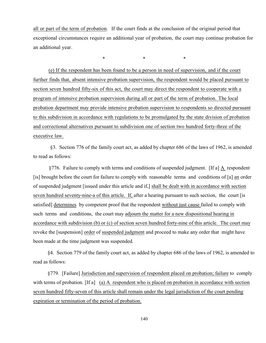all or part of the term of probation. If the court finds at the conclusion of the original period that exceptional circumstances require an additional year of probation, the court may continue probation for an additional year.

 $*$  \*  $*$  \*

 (e) If the respondent has been found to be a person in need of supervision, and if the court further finds that, absent intensive probation supervision, the respondent would be placed pursuant to section seven hundred fifty-six of this act, the court may direct the respondent to cooperate with a program of intensive probation supervision during all or part of the term of probation. The local probation department may provide intensive probation supervision to respondents so directed pursuant to this subdivision in accordance with regulations to be promulgated by the state division of probation and correctional alternatives pursuant to subdivision one of section two hundred forty-three of the executive law.

 §3. Section 776 of the family court act, as added by chapter 686 of the laws of 1962, is amended to read as follows:

 §776. Failure to comply with terms and conditions of suspended judgment. [If a] A respondent [is] brought before the court for failure to comply with reasonable terms and conditions of [a] an order of suspended judgment [issued under this article and if,] shall be dealt with in accordance with section seven hundred seventy-nine-a of this article. If, after a hearing pursuant to such section, the court [is satisfied] determines by competent proof that the respondent without just cause failed to comply with such terms and conditions, the court may adjourn the matter for a new dispositional hearing in accordance with subdivision (b) or (c) of section seven hundred forty-nine of this article. The court may revoke the [suspension] order of suspended judgment and proceed to make any order that might have been made at the time judgment was suspended.

 §4. Section 779 of the family court act, as added by chapter 686 of the laws of 1962, is amended to read as follows:

 §779. [Failure] Jurisdiction and supervision of respondent placed on probation; failure to comply with terms of probation. [If a] (a) A respondent who is placed on probation in accordance with section seven hundred fifty-seven of this article shall remain under the legal jurisdiction of the court pending expiration or termination of the period of probation.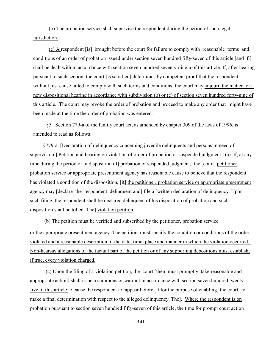(b) The probation service shall supervise the respondent during the period of such legal jurisdiction.

 (c) A respondent [is] brought before the court for failure to comply with reasonable terms and conditions of an order of probation issued under section seven hundred fifty-seven of this article [and if,] shall be dealt with in accordance with section seven hundred seventy-nine-a of this article. If, after hearing pursuant to such section, the court [is satisfied] determines by competent proof that the respondent without just cause failed to comply with such terms and conditions, the court may adjourn the matter for a new dispositional hearing in accordance with subdivision (b) or (c) of section seven hundred forty-nine of this article. The court may revoke the order of probation and proceed to make any order that might have been made at the time the order of probation was entered.

 §5. Section 779-a of the family court act, as amended by chapter 309 of the laws of 1996, is amended to read as follows:

 §779-a. [Declaration of delinquency concerning juvenile delinquents and persons in need of supervision.] Petition and hearing on violation of order of probation or suspended judgment. (a) If, at any time during the period of [a disposition of] probation or suspended judgment, the [court] petitioner, probation service or appropriate presentment agency has reasonable cause to believe that the respondent has violated a condition of the disposition, [it] the petitioner, probation service or appropriate presentment agency may [declare the respondent delinquent and] file a [written declaration of delinquency. Upon such filing, the respondent shall be declared delinquent of his disposition of probation and such disposition shall be tolled. The] violation petition.

 (b) The petition must be verified and subscribed by the petitioner, probation service or the appropriate presentment agency. The petition must specify the condition or conditions of the order violated and a reasonable description of the date, time, place and manner in which the violation occurred. Non-hearsay allegations of the factual part of the petition or of any supporting depositions must establish, if true, every violation charged.

 (c) Upon the filing of a violation petition, the court [then must promptly take reasonable and appropriate action] shall issue a summons or warrant in accordance with section seven hundred twentyfive of this article to cause the respondent to appear before [it for the purpose of enabling] the court [to make a final determination with respect to the alleged delinquency. The]. Where the respondent is on probation pursuant to section seven hundred fifty-seven of this article, the time for prompt court action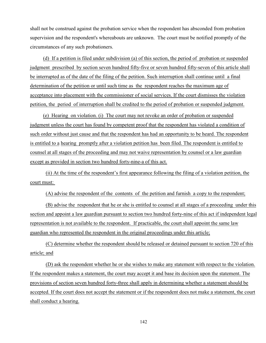shall not be construed against the probation service when the respondent has absconded from probation supervision and the respondent's whereabouts are unknown. The court must be notified promptly of the circumstances of any such probationers.

 (d) If a petition is filed under subdivision (a) of this section, the period of probation or suspended judgment prescribed by section seven hundred fifty-five or seven hundred fifty-seven of this article shall be interrupted as of the date of the filing of the petition. Such interruption shall continue until a final determination of the petition or until such time as the respondent reaches the maximum age of acceptance into placement with the commissioner of social services. If the court dismisses the violation petition, the period of interruption shall be credited to the period of probation or suspended judgment.

 (e) Hearing on violation. (i) The court may not revoke an order of probation or suspended judgment unless the court has found by competent proof that the respondent has violated a condition of such order without just cause and that the respondent has had an opportunity to be heard. The respondent is entitled to a hearing promptly after a violation petition has been filed. The respondent is entitled to counsel at all stages of the proceeding and may not waive representation by counsel or a law guardian except as provided in section two hundred forty-nine-a of this act.

(ii) At the time of the respondent's first appearance following the filing of a violation petition, the court must:

(A) advise the respondent of the contents of the petition and furnish a copy to the respondent;

(B) advise the respondent that he or she is entitled to counsel at all stages of a proceeding under this section and appoint a law guardian pursuant to section two hundred forty-nine of this act if independent legal representation is not available to the respondent. If practicable, the court shall appoint the same law guardian who represented the respondent in the original proceedings under this article;

(C) determine whether the respondent should be released or detained pursuant to section 720 of this article; and

(D) ask the respondent whether he or she wishes to make any statement with respect to the violation. If the respondent makes a statement, the court may accept it and base its decision upon the statement. The provisions of section seven hundred forty-three shall apply in determining whether a statement should be accepted. If the court does not accept the statement or if the respondent does not make a statement, the court shall conduct a hearing.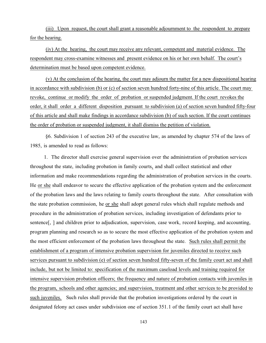(iii) Upon request, the court shall grant a reasonable adjournment to the respondent to prepare for the hearing.

(iv) At the hearing, the court may receive any relevant, competent and material evidence. The respondent may cross-examine witnesses and present evidence on his or her own behalf. The court's determination must be based upon competent evidence.

(v) At the conclusion of the hearing, the court may adjourn the matter for a new dispositional hearing in accordance with subdivision (b) or (c) of section seven hundred forty-nine of this article. The court may revoke, continue or modify the order of probation or suspended judgment. If the court revokes the order, it shall order a different disposition pursuant to subdivision (a) of section seven hundred fifty-four of this article and shall make findings in accordance subdivision (b) of such section. If the court continues the order of probation or suspended judgment, it shall dismiss the petition of violation.

 §6. Subdivision 1 of section 243 of the executive law, as amended by chapter 574 of the laws of 1985, is amended to read as follows:

 1. The director shall exercise general supervision over the administration of probation services throughout the state, including probation in family courts, and shall collect statistical and other information and make recommendations regarding the administration of probation services in the courts. He or she shall endeavor to secure the effective application of the probation system and the enforcement of the probation laws and the laws relating to family courts throughout the state. After consultation with the state probation commission, he or she shall adopt general rules which shall regulate methods and procedure in the administration of probation services, including investigation of defendants prior to sentence[, ] and children prior to adjudication, supervision, case work, record keeping, and accounting, program planning and research so as to secure the most effective application of the probation system and the most efficient enforcement of the probation laws throughout the state. Such rules shall permit the establishment of a program of intensive probation supervision for juveniles directed to receive such services pursuant to subdivision (e) of section seven hundred fifty-seven of the family court act and shall include, but not be limited to: specification of the maximum caseload levels and training required for intensive supervision probation officers; the frequency and nature of probation contacts with juveniles in the program, schools and other agencies; and supervision, treatment and other services to be provided to such juveniles. Such rules shall provide that the probation investigations ordered by the court in designated felony act cases under subdivision one of section 351.1 of the family court act shall have

143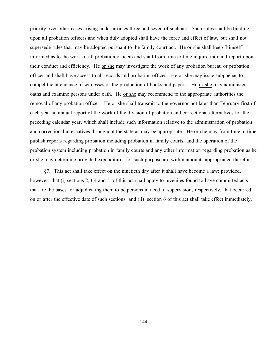priority over other cases arising under articles three and seven of such act. Such rules shall be binding upon all probation officers and when duly adopted shall have the force and effect of law, but shall not supersede rules that may be adopted pursuant to the family court act. He or she shall keep [himself] informed as to the work of all probation officers and shall from time to time inquire into and report upon their conduct and efficiency. He or she may investigate the work of any probation bureau or probation officer and shall have access to all records and probation offices. He or she may issue subpoenas to compel the attendance of witnesses or the production of books and papers. He or she may administer oaths and examine persons under oath. He or she may recommend to the appropriate authorities the removal of any probation officer. He or she shall transmit to the governor not later than February first of each year an annual report of the work of the division of probation and correctional alternatives for the preceding calendar year, which shall include such information relative to the administration of probation and correctional alternatives throughout the state as may be appropriate. He or she may from time to time publish reports regarding probation including probation in family courts, and the operation of the probation system including probation in family courts and any other information regarding probation as he or she may determine provided expenditures for such purpose are within amounts appropriated therefor.

 §7. This act shall take effect on the ninetieth day after it shall have become a law; provided, however, that (i) sections 2,3,4 and 5 of this act shall apply to juveniles found to have committed acts that are the bases for adjudicating them to be persons in need of supervision, respectively, that occurred on or after the effective date of such sections, and (ii) section 6 of this act shall take effect immediately.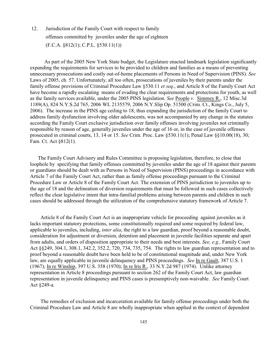12. Jurisdiction of the Family Court with respect to family offenses committed by juveniles under the age of eighteen (F.C.A. §812(1); C.P.L. §530.11(1))

 As part of the 2005 New York State budget, the Legislature enacted landmark legislation significantly expanding the requirements for services to be provided to children and families as a means of preventing unnecessary prosecutions and costly out-of-home placements of Persons in Need of Supervision (PINS). *See* Laws of 2005, ch. 57. Unfortunately, all too often, prosecutions of juveniles by their parents under the family offense provisions of Criminal Procedure Law §530.11 *et seq.*, and Article 8 of the Family Court Act have become a rapidly escalating means of evading the clear requirements and protections for youth, as well as the family services available, under the 2005 PINS legislation. *See* People *v.* Simmey R., 12 Misc.3d 1189(A), 824 N.Y.S.2d 765, 2006 WL 2135579, 2006 N.Y.Slip Op. 51500 (Crim. Ct., Kings Co., July 5, 2006). The increase in the PINS age ceiling to 18, thus expanding the jurisdiction of the family Court to address family dysfunction involving older adolescents, was not accompanied by any change in the statutes according the Family Court exclusive jurisdiction over family offenses involving juveniles not criminally responsible by reason of age, generally juveniles under the age of 16 or, in the case of juvenile offenses prosecuted in criminal courts, 13, 14 or 15. *See* Crim. Proc. Law §530.11(1); Penal Law §§10.00(18), 30; Fam. Ct. Act §812(1).

The Family Court Advisory and Rules Committee is proposing legislation, therefore, to close that loophole by specifying that family offenses committed by juveniles under the age of 18 against their parents or guardians should be dealt with as Persons in Need of Supervision (PINS) proceedings in accordance with Article 7 of the Family Court Act, rather than as family offense proceedings pursuant to the Criminal Procedure Law or Article 8 of the Family Court Act. The extension of PINS jurisdiction to juveniles up to the age of 18 and the delineation of diversion requirements that must be followed in such cases collectively reflect the clear legislative intent that intra-familial problems arising between parents and children in such cases should be addressed through the utilization of the comprehensive statutory framework of Article 7.

 Article 8 of the Family Court Act is an inappropriate vehicle for proceeding against juveniles as it lacks important statutory protections, some constitutionally required and some required by federal law, applicable to juveniles, including, *inter alia*, the right to a law guardian, proof beyond a reasonable doubt, consideration for adjustment or diversion, detention and placement in juvenile facilities separate and apart from adults, and orders of disposition appropriate to their needs and best interests. *See, e.g.,* Family Court Act §§249, 304.1, 308.1, 342.2, 352.2, 720, 734, 735, 754. The rights to law guardian representation and to proof beyond a reasonable doubt have been held to be of constitutional magnitude and, under New York law, are equally applicable in juvenile delinquency and PINS proceedings. *See* In re Gault, 387 U.S. 1 (1967); In re Winship, 397 U.S. 358 (1970); In re Iris R., 33 N.Y.2d 987 (1974). Unlike attorney representation in Article 8 proceedings pursuant to section 262 of the Family Court Act, law guardian representation in juvenile delinquency and PINS cases is presumptively non-waivable. *See* Family Court Act §249-a.

 The remedies of exclusion and incarceration available for family offense proceedings under both the Criminal Procedure Law and Article 8 are wholly inappropriate when applied in the context of dependent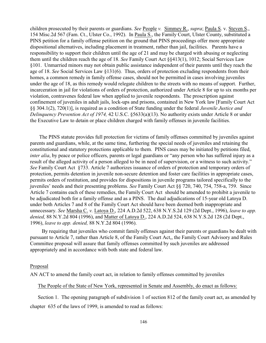children prosecuted by their parents or guardians. *See* People *v.* Simmey R., *supra*; Paula S. v. Steven S., 154 Misc.2d 567 (Fam. Ct., Ulster Co., 1992). In Paula S., the Family Court, Ulster County, substituted a PINS petition for a family offense petition on the ground that PINS proceedings offer more appropriate dispositional alternatives, including placement in treatment, rather than jail, facilities. Parents have a responsibility to support their children until the age of 21 and may be charged with abusing or neglecting them until the children reach the age of 18. *See* Family Court Act §§413(1), 1012; Social Services Law §101. Unmarried minors may not obtain public assistance independent of their parents until they reach the age of 18. *See* Social Services Law §131(6). Thus, orders of protection excluding respondents from their homes, a common remedy in family offense cases, should not be permitted in cases involving juveniles under the age of 18, as this remedy would relegate children to the streets with no means of support. Further, incarceration in jail for violations of orders of protection, authorized under Article 8 for up to six months per violation, contravenes federal law when applied to juvenile respondents. The proscription against confinement of juveniles in adult jails, lock-ups and prisons, contained in New York law [Family Court Act §§ 304.1(2), 720(1)], is required as a condition of State funding under the federal *Juvenile Justice and Delinquency Prevention Act of 1974,* 42 U.S.C. §5633(a)(13). No authority exists under Article 8 or under the Executive Law to detain or place children charged with family offenses in juvenile facilities.

 The PINS statute provides full protection for victims of family offenses committed by juveniles against parents and guardians, while, at the same time, furthering the special needs of juveniles and retaining the constitutional and statutory protections applicable to them. PINS cases may be initiated by petitions filed, *inter alia*, by peace or police officers, parents or legal guardians or "any person who has suffered injury as a result of the alleged activity of a person alleged to be in need of supervision, or a witness to such activity." *See* Family Court Act §733. Article 7 authorizes issuance of orders of protection and temporary orders of protection, permits detention in juvenile non-secure detention and foster care facilities in appropriate cases, permits orders of restitution, and provides for dispositions in juvenile programs tailored specifically to the juveniles' needs and their presenting problems. *See* Family Court Act §§ 720, 740, 754, 758-a, 759. Since Article 7 contains each of these remedies, the Family Court Act should be amended to prohibit a juvenile to be adjudicated both for a family offense and as a PINS. The dual adjudications of 15-year old Latoya D. under both Articles 7 and 8 of the Family Court Act should have been deemed both inappropriate and unnecessary. *See* Marsha C. *v.* Latoya D., 224 A.D.2d 522, 638 N.Y.S.2d 129 (2d Dept., 1996), *leave to app. denied,* 88 N.Y.2d 804 (1996), and Matter of Latoya D., 224 A.D.2d 524, 638 N.Y.S.2d 128 (2d Dept., 1996), *leave to app. denied,* 88 N.Y.2d 804 (1996).

 By requiring that juveniles who commit family offenses against their parents or guardians be dealt with pursuant to Article 7, rather than Article 8, of the Family Court Act,, the Family Court Advisory and Rules Committee proposal will assure that family offenses committed by such juveniles are addressed appropriately and in accordance with both state and federal law.

## Proposal

AN ACT to amend the family court act, in relation to family offenses committed by juveniles

## The People of the State of New York, represented in Senate and Assembly, do enact as follows:

Section 1. The opening paragraph of subdivision 1 of section 812 of the family court act, as amended by chapter 635 of the laws of 1999, is amended to read as follows: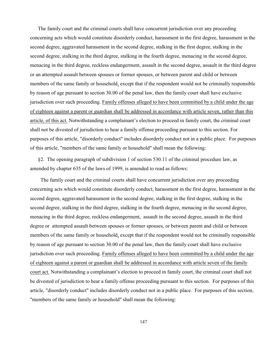The family court and the criminal courts shall have concurrent jurisdiction over any proceeding concerning acts which would constitute disorderly conduct, harassment in the first degree, harassment in the second degree, aggravated harassment in the second degree, stalking in the first degree, stalking in the second degree, stalking in the third degree, stalking in the fourth degree, menacing in the second degree, menacing in the third degree, reckless endangerment, assault in the second degree, assault in the third degree or an attempted assault between spouses or former spouses, or between parent and child or between members of the same family or household, except that if the respondent would not be criminally responsible by reason of age pursuant to section 30.00 of the penal law, then the family court shall have exclusive jurisdiction over such proceeding. Family offenses alleged to have been committed by a child under the age of eighteen against a parent or guardian shall be addressed in accordance with article seven, rather than this article, of this act. Notwithstanding a complainant's election to proceed in family court, the criminal court shall not be divested of jurisdiction to hear a family offense proceeding pursuant to this section. For purposes of this article, "disorderly conduct" includes disorderly conduct not in a public place. For purposes of this article, "members of the same family or household" shall mean the following:

§2. The opening paragraph of subdivision 1 of section 530.11 of the criminal procedure law, as amended by chapter 635 of the laws of 1999, is amended to read as follows:

 The family court and the criminal courts shall have concurrent jurisdiction over any proceeding concerning acts which would constitute disorderly conduct, harassment in the first degree, harassment in the second degree, aggravated harassment in the second degree, stalking in the first degree, stalking in the second degree, stalking in the third degree, stalking in the fourth degree, menacing in the second degree, menacing in the third degree, reckless endangerment, assault in the second degree, assault in the third degree or attempted assault between spouses or former spouses, or between parent and child or between members of the same family or household, except that if the respondent would not be criminally responsible by reason of age pursuant to section 30.00 of the penal law, then the family court shall have exclusive jurisdiction over such proceeding. Family offenses alleged to have been committed by a child under the age of eighteen against a parent or guardian shall be addressed in accordance with article seven of the family court act. Notwithstanding a complainant's election to proceed in family court, the criminal court shall not be divested of jurisdiction to hear a family offense proceeding pursuant to this section. For purposes of this article, "disorderly conduct" includes disorderly conduct not in a public place. For purposes of this section, "members of the same family or household" shall mean the following:

147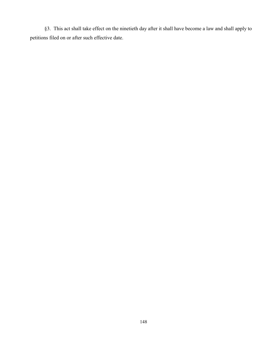§3. This act shall take effect on the ninetieth day after it shall have become a law and shall apply to petitions filed on or after such effective date.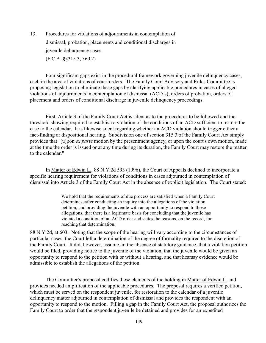13. Procedures for violations of adjournments in contemplation of dismissal, probation, placements and conditional discharges in juvenile delinquency cases (F.C.A. §§315.3, 360.2)

Four significant gaps exist in the procedural framework governing juvenile delinquency cases, each in the area of violations of court orders. The Family Court Advisory and Rules Committee is proposing legislation to eliminate these gaps by clarifying applicable procedures in cases of alleged violations of adjournments in contemplation of dismissal (ACD's), orders of probation, orders of placement and orders of conditional discharge in juvenile delinquency proceedings.

First, Article 3 of the Family Court Act is silent as to the procedures to be followed and the threshold showing required to establish a violation of the conditions of an ACD sufficient to restore the case to the calendar. It is likewise silent regarding whether an ACD violation should trigger either a fact-finding or dispositional hearing. Subdivision one of section 315.3 of the Family Court Act simply provides that "[u]pon *ex parte* motion by the presentment agency, or upon the court's own motion, made at the time the order is issued or at any time during its duration, the Family Court may restore the matter to the calendar."

In Matter of Edwin L., 88 N.Y.2d 593 (1996), the Court of Appeals declined to incorporate a specific hearing requirement for violations of conditions in cases adjourned in contemplation of dismissal into Article 3 of the Family Court Act in the absence of explicit legislation. The Court stated:

> We hold that the requirements of due process are satisfied when a Family Court determines, after conducting an inquiry into the allegations of the violation petition, and providing the juvenile with an opportunity to respond to those allegations, that there is a legitimate basis for concluding that the juvenile has violated a condition of an ACD order and states the reasons, on the record, for reaching that determination.

88 N.Y.2d, at 603. Noting that the scope of the hearing will vary according to the circumstances of particular cases, the Court left a determination of the degree of formality required to the discretion of the Family Court. It did, however, assume, in the absence of statutory guidance, that a violation petition would be filed, providing notice to the juvenile of the violation, that the juvenile would be given an opportunity to respond to the petition with or without a hearing, and that hearsay evidence would be admissible to establish the allegations of the petition.

The Committee's proposal codifies these elements of the holding in Matter of Edwin L. and provides needed amplification of the applicable procedures. The proposal requires a verified petition, which must be served on the respondent juvenile, for restoration to the calendar of a juvenile delinquency matter adjourned in contemplation of dismissal and provides the respondent with an opportunity to respond to the motion. Filling a gap in the Family Court Act, the proposal authorizes the Family Court to order that the respondent juvenile be detained and provides for an expedited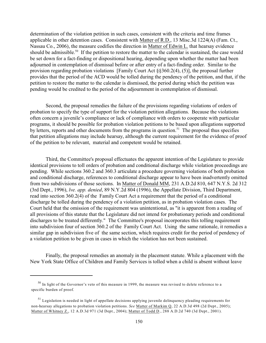determination of the violation petition in such cases, consistent with the criteria and time frames applicable in other detention cases. Consistent with Matter of R.D., 13 Misc.3d 1224(A) (Fam. Ct., Nassau Co., 2006), the measure codifies the direction in Matter of Edwin L. that hearsay evidence should be admissible.<sup>50</sup> If the petition to restore the matter to the calendar is sustained, the case would be set down for a fact-finding or dispositional hearing, depending upon whether the matter had been adjourned in contemplation of dismissal before or after entry of a fact-finding order. Similar to the provision regarding probation violations [Family Court Act §§360.2(4), (5)], the proposal further provides that the period of the ACD would be tolled during the pendency of the petition, and that, if the petition to restore the matter to the calendar is dismissed, the period during which the petition was pending would be credited to the period of the adjournment in contemplation of dismissal.

Second, the proposal remedies the failure of the provisions regarding violations of orders of probation to specify the type of support for the violation petition allegations. Because the violations often concern a juvenile's compliance or lack of compliance with orders to cooperate with particular programs, it should be possible for probation violation petitions to be based upon allegations supported by letters, reports and other documents from the programs in question.<sup>51</sup> The proposal thus specifies that petition allegations may include hearsay, although the current requirement for the evidence of proof of the petition to be relevant, material and competent would be retained.

Third, the Committee's proposal effectuates the apparent intention of the Legislature to provide identical provisions to toll orders of probation and conditional discharge while violation proceedings are pending. While sections 360.2 and 360.3 articulate a procedure governing violations of both probation and conditional discharge, references to conditional discharge appear to have been inadvertently omitted from two subdivisions of those sections. In Matter of Donald MM, 231 A.D.2d 810, 647 N.Y.S. 2d 312 (3rd Dept., 1996), *lve. app. denied*, 89 N.Y.2d 804 (1996), the Appellate Division, Third Department, read into section 360.2(4) of the Family Court Act a requirement that the period of a conditional discharge be tolled during the pendency of a violation petition, as in probation violation cases. The Court held that the omission of the requirement was unintentional, as "it is apparent from a reading of all provisions of this statute that the Legislature did not intend for probationary periods and conditional discharges to be treated differently." The Committee's proposal incorporates this tolling requirement into subdivision four of section 360.2 of the Family Court Act. Using the same rationale, it remedies a similar gap in subdivision five of the same section, which requires credit for the period of pendency of a violation petition to be given in cases in which the violation has not been sustained.

Finally, the proposal remedies an anomaly in the placement statute. While a placement with the New York State Office of Children and Family Services is tolled when a child is absent without leave

 $50$  In light of the Governor's veto of this measure in 1999, the measure was revised to delete reference to a specific burden of proof.

<sup>&</sup>lt;sup>51</sup> Legislation is needed in light of appellate decisions applying juvenile delinquency pleading requirements for non-hearsay allegations to probation violation petitions. *See* Matter of Markim Q, 22 A.D.3d 498 (2d Dept., 2005); Matter of Whitney Z., 12 A.D.3d 971 (3d Dept., 2004); Matter of Todd D., 288 A.D.2d 740 (3d Dept., 2001).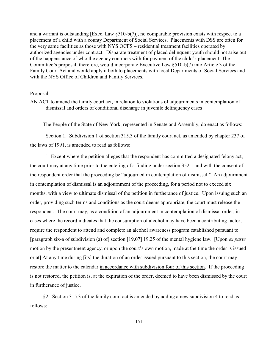and a warrant is outstanding [Exec. Law  $\S510-b(7)$ ], no comparable provision exists with respect to a placement of a child with a county Department of Social Services. Placements with DSS are often for the very same facilities as those with NYS OCFS – residential treatment facilities operated by authorized agencies under contract. Disparate treatment of placed delinquent youth should not arise out of the happenstance of who the agency contracts with for payment of the child's placement. The Committee's proposal, therefore, would incorporate Executive Law §510-b(7) into Article 3 of the Family Court Act and would apply it both to placements with local Departments of Social Services and with the NYS Office of Children and Family Services.

#### Proposal

AN ACT to amend the family court act, in relation to violations of adjournments in contemplation of dismissal and orders of conditional discharge in juvenile delinquency cases

### The People of the State of New York, represented in Senate and Assembly, do enact as follows:

Section 1. Subdivision 1 of section 315.3 of the family court act, as amended by chapter 237 of the laws of 1991, is amended to read as follows:

1. Except where the petition alleges that the respondent has committed a designated felony act, the court may at any time prior to the entering of a finding under section 352.1 and with the consent of the respondent order that the proceeding be "adjourned in contemplation of dismissal." An adjournment in contemplation of dismissal is an adjournment of the proceeding, for a period not to exceed six months, with a view to ultimate dismissal of the petition in furtherance of justice. Upon issuing such an order, providing such terms and conditions as the court deems appropriate, the court must release the respondent. The court may, as a condition of an adjournment in contemplation of dismissal order, in cases where the record indicates that the consumption of alcohol may have been a contributing factor, require the respondent to attend and complete an alcohol awareness program established pursuant to [paragraph six-a of subdivision (a) of] section [19.07] 19.25 of the mental hygiene law. [Upon *ex parte* motion by the presentment agency, or upon the court's own motion, made at the time the order is issued or at] At any time during [its] the duration of an order issued pursuant to this section, the court may restore the matter to the calendar in accordance with subdivision four of this section. If the proceeding is not restored, the petition is, at the expiration of the order, deemed to have been dismissed by the court in furtherance of justice.

 §2. Section 315.3 of the family court act is amended by adding a new subdivision 4 to read as follows: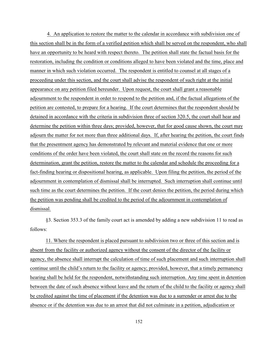4. An application to restore the matter to the calendar in accordance with subdivision one of this section shall be in the form of a verified petition which shall be served on the respondent, who shall have an opportunity to be heard with respect thereto. The petition shall state the factual basis for the restoration, including the condition or conditions alleged to have been violated and the time, place and manner in which such violation occurred. The respondent is entitled to counsel at all stages of a proceeding under this section, and the court shall advise the respondent of such right at the initial appearance on any petition filed hereunder. Upon request, the court shall grant a reasonable adjournment to the respondent in order to respond to the petition and, if the factual allegations of the petition are contested, to prepare for a hearing. If the court determines that the respondent should be detained in accordance with the criteria in subdivision three of section 320.5, the court shall hear and determine the petition within three days; provided, however, that for good cause shown, the court may adjourn the matter for not more than three additional days. If, after hearing the petition, the court finds that the presentment agency has demonstrated by relevant and material evidence that one or more conditions of the order have been violated, the court shall state on the record the reasons for such determination, grant the petition, restore the matter to the calendar and schedule the proceeding for a fact-finding hearing or dispositional hearing, as applicable. Upon filing the petition, the period of the adjournment in contemplation of dismissal shall be interrupted. Such interruption shall continue until such time as the court determines the petition. If the court denies the petition, the period during which the petition was pending shall be credited to the period of the adjournment in contemplation of dismissal.

§3. Section 353.3 of the family court act is amended by adding a new subdivision 11 to read as follows:

11. Where the respondent is placed pursuant to subdivision two or three of this section and is absent from the facility or authorized agency without the consent of the director of the facility or agency, the absence shall interrupt the calculation of time of such placement and such interruption shall continue until the child's return to the facility or agency; provided, however, that a timely permanency hearing shall be held for the respondent, notwithstanding such interruption. Any time spent in detention between the date of such absence without leave and the return of the child to the facility or agency shall be credited against the time of placement if the detention was due to a surrender or arrest due to the absence or if the detention was due to an arrest that did not culminate in a petition, adjudication or

152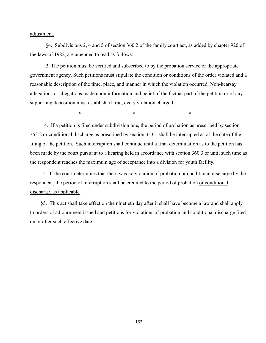adjustment.

 §4. Subdivisions 2, 4 and 5 of section 360.2 of the family court act, as added by chapter 920 of the laws of 1982, are amended to read as follows:

2. The petition must be verified and subscribed to by the probation service or the appropriate government agency. Such petitions must stipulate the condition or conditions of the order violated and a reasonable description of the time, place, and manner in which the violation occurred. Non-hearsay allegations or allegations made upon information and belief of the factual part of the petition or of any supporting deposition must establish, if true, every violation charged.

\* \* \*

 4. If a petition is filed under subdivision one, the period of probation as prescribed by section 353.2 or conditional discharge as prescribed by section 353.1 shall be interrupted as of the date of the filing of the petition. Such interruption shall continue until a final determination as to the petition has been made by the court pursuant to a hearing held in accordance with section 360.3 or until such time as the respondent reaches the maximum age of acceptance into a division for youth facility.

 5. If the court determines that there was no violation of probation or conditional discharge by the respondent, the period of interruption shall be credited to the period of probation or conditional discharge, as applicable.

 §5. This act shall take effect on the ninetieth day after it shall have become a law and shall apply to orders of adjournment issued and petitions for violations of probation and conditional discharge filed on or after such effective date.

153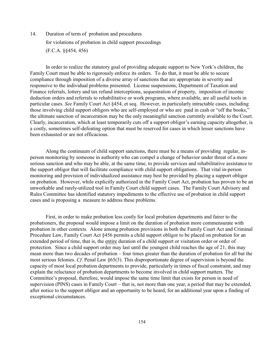14. Duration of term of probation and procedures for violations of probation in child support proceedings (F.C.A. §§454, 456)

In order to realize the statutory goal of providing adequate support to New York's children, the Family Court must be able to rigorously enforce its orders. To do that, it must be able to secure compliance through imposition of a diverse array of sanctions that are appropriate in severity and responsive to the individual problems presented. License suspensions, Department of Taxation and Finance referrals, lottery and tax refund interceptions, sequestration of property, imposition of income deduction orders and referrals to rehabilitative or work programs, where available, are all useful tools in particular cases. *See* Family Court Act §454, et seq. However, in particularly intractable cases, including those involving child support obligors who are self-employed or who are paid in cash or "off the books," the ultimate sanction of incarceration may be the only meaningful sanction currently available to the Court. Clearly, incarceration, which at least temporarily cuts off a support obligor's earning capacity altogether, is a costly, sometimes self-defeating option that must be reserved for cases in which lesser sanctions have been exhausted or are not efficacious.

Along the continuum of child support sanctions, there must be a means of providing regular, inperson monitoring by someone in authority who can compel a change of behavior under threat of a more serious sanction and who may be able, at the same time, to provide services and rehabilitative assistance to the support obligor that will facilitate compliance with child support obligations. That vital in-person monitoring and provision of individualized assistance may best be provided by placing a support obligor on probation. However, while explicitly authorized in the Family Court Act, probation has proven to be an unworkable and rarely-utilized tool in Family Court child support cases. The Family Court Advisory and Rules Committee has identified statutory impediments to the effective use of probation in child support cases and is proposing a measure to address these problems.

First, in order to make probation less costly for local probation departments and fairer to the probationers, the proposal would impose a limit on the duration of probation more commensurate with probation in other contexts. Alone among probation provisions in both the Family Court Act and Criminal Procedure Law, Family Court Act §456 permits a child support obligor to be placed on probation for an extended period of time, that is, the entire duration of a child support or visitation order or order of protection. Since a child support order may last until the youngest child reaches the age of 21, this may mean more than two decades of probation – four times greater than the duration of probation for all but the most serious felonies. *Cf*. Penal Law §65(3). This disproportionate degree of supervision is beyond the capacity of most local probation departments to provide, particularly in times of fiscal constraint, and may explain the reluctance of probation departments to become involved in child support matters. The Committee's proposal, therefore, would impose the same time limit that exists for person in need of supervision (PINS) cases in Family Court – that is, not more than one year, a period that may be extended, after notice to the support obligor and an opportunity to be heard, for an additional year upon a finding of exceptional circumstances.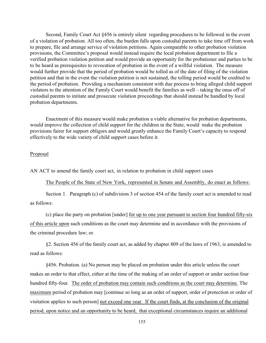Second, Family Court Act §456 is entirely silent regarding procedures to be followed in the event of a violation of probation. All too often, the burden falls upon custodial parents to take time off from work to prepare, file and arrange service of violation petitions. Again comparable to other probation violation provisions, the Committee's proposal would instead require the local probation department to file a verified probation violation petition and would provide an opportunity for the probationer and parties to be to be heard as prerequisites to revocation of probation in the event of a willful violation. The measure would further provide that the period of probation would be tolled as of the date of filing of the violation petition and that in the event the violation petition is not sustained, the tolling period would be credited to the period of probation. Providing a mechanism consistent with due process to bring alleged child support violators to the attention of the Family Court would benefit the families as well – taking the onus off of custodial parents to initiate and prosecute violation proceedings that should instead be handled by local probation departments.

Enactment of this measure would make probation a viable alternative for probation departments, would improve the collection of child support for the children in the State, would make the probation provisions fairer for support obligors and would greatly enhance the Family Court's capacity to respond effectively to the wide variety of child support cases before it.

#### Proposal

AN ACT to amend the family court act, in relation to probation in child support cases

The People of the State of New York, represented in Senate and Assembly, do enact as follows:

Section 1. Paragraph (c) of subdivision 3 of section 454 of the family court act is amended to read as follows:

(c) place the party on probation [under] for up to one year pursuant to section four hundred fifty-six of this article upon such conditions as the court may determine and in accordance with the provisions of the criminal procedure law; or.

§2. Section 456 of the family court act, as added by chapter 809 of the laws of 1963, is amended to read as follows:

§456. Probation. (a) No person may be placed on probation under this article unless the court makes an order to that effect, either at the time of the making of an order of support or under section four hundred fifty-four. The order of probation may contain such conditions as the court may determine. The maximum period of probation may [continue so long as an order of support, order of protection or order of visitation applies to such person] not exceed one year. If the court finds, at the conclusion of the original period, upon notice and an opportunity to be heard, that exceptional circumstances require an additional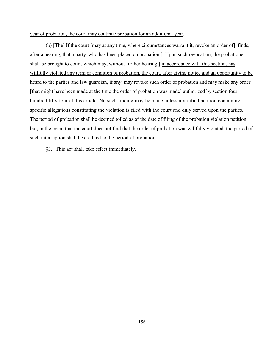year of probation, the court may continue probation for an additional year.

(b) [The] If the court [may at any time, where circumstances warrant it, revoke an order of] finds, after a hearing, that a party who has been placed on probation [. Upon such revocation, the probationer shall be brought to court, which may, without further hearing,] in accordance with this section, has willfully violated any term or condition of probation, the court, after giving notice and an opportunity to be heard to the parties and law guardian, if any, may revoke such order of probation and may make any order [that might have been made at the time the order of probation was made] authorized by section four hundred fifty-four of this article. No such finding may be made unless a verified petition containing specific allegations constituting the violation is filed with the court and duly served upon the parties. The period of probation shall be deemed tolled as of the date of filing of the probation violation petition, but, in the event that the court does not find that the order of probation was willfully violated, the period of such interruption shall be credited to the period of probation.

§3. This act shall take effect immediately.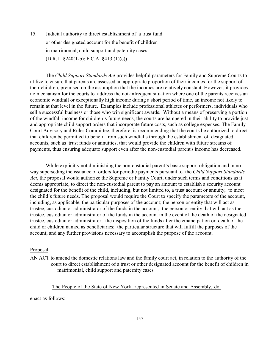15. Judicial authority to direct establishment of a trust fund or other designated account for the benefit of children in matrimonial, child support and paternity cases (D.R.L. §240(1-b); F.C.A. §413 (1)(c))

The *Child Support Standards Act* provides helpful parameters for Family and Supreme Courts to utilize to ensure that parents are assessed an appropriate proportion of their incomes for the support of their children, premised on the assumption that the incomes are relatively constant. However, it provides no mechanism for the courts to address the not-infrequent situation where one of the parents receives an economic windfall or exceptionally high income during a short period of time, an income not likely to remain at that level in the future. Examples include professional athletes or performers, individuals who sell a successful business or those who win significant awards. Without a means of preserving a portion of the windfall income for children's future needs, the courts are hampered in their ability to provide just and appropriate child support orders that incorporate future costs, such as college expenses. The Family Court Advisory and Rules Committee, therefore, is recommending that the courts be authorized to direct that children be permitted to benefit from such windfalls through the establishment of designated accounts, such as trust funds or annuities, that would provide the children with future streams of payments, thus ensuring adequate support even after the non-custodial parent's income has decreased.

While explicitly not diminishing the non-custodial parent's basic support obligation and in no way superseding the issuance of orders for periodic payments pursuant to the *Child Support Standards Act*, the proposal would authorize the Supreme or Family Court, under such terms and conditions as it deems appropriate, to direct the non-custodial parent to pay an amount to establish a security account designated for the benefit of the child, including, but not limited to, a trust account or annuity, to meet the child's future needs. The proposal would require the Court to specify the parameters of the account, including, as applicable, the particular purposes of the account; the person or entity that will act as trustee, custodian or administrator of the funds in the account; the person or entity that will act as the trustee, custodian or administrator of the funds in the account in the event of the death of the designated trustee, custodian or administrator; the disposition of the funds after the emancipation or death of the child or children named as beneficiaries; the particular structure that will fulfill the purposes of the account; and any further provisions necessary to accomplish the purpose of the account.

## Proposal:

AN ACT to amend the domestic relations law and the family court act, in relation to the authority of the court to direct establishment of a trust or other designated account for the benefit of children in matrimonial, child support and paternity cases

### The People of the State of New York, represented in Senate and Assembly, do

#### enact as follows: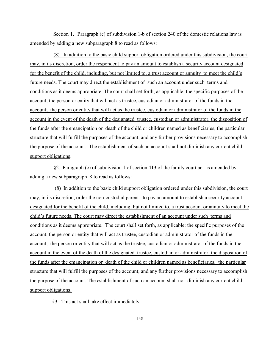Section 1. Paragraph (c) of subdivision 1-b of section 240 of the domestic relations law is amended by adding a new subparagraph 8 to read as follows:

 (8). In addition to the basic child support obligation ordered under this subdivision, the court may, in its discretion, order the respondent to pay an amount to establish a security account designated for the benefit of the child, including, but not limited to, a trust account or annuity to meet the child's future needs. The court may direct the establishment of such an account under such terms and conditions as it deems appropriate. The court shall set forth, as applicable: the specific purposes of the account; the person or entity that will act as trustee, custodian or administrator of the funds in the account; the person or entity that will act as the trustee, custodian or administrator of the funds in the account in the event of the death of the designated trustee, custodian or administrator; the disposition of the funds after the emancipation or death of the child or children named as beneficiaries; the particular structure that will fulfill the purposes of the account; and any further provisions necessary to accomplish the purpose of the account. The establishment of such an account shall not diminish any current child support obligations.

 §2. Paragraph (c) of subdivision 1 of section 413 of the family court act is amended by adding a new subparagraph 8 to read as follows:

 (8) In addition to the basic child support obligation ordered under this subdivision, the court may, in its discretion, order the non-custodial parentto pay an amount to establish a security account designated for the benefit of the child, including, but not limited to, a trust account or annuity to meet the child's future needs. The court may direct the establishment of an account under such terms and conditions as it deems appropriate. The court shall set forth, as applicable: the specific purposes of the account; the person or entity that will act as trustee, custodian or administrator of the funds in the account; the person or entity that will act as the trustee, custodian or administrator of the funds in the account in the event of the death of the designated trustee, custodian or administrator; the disposition of the funds after the emancipation or death of the child or children named as beneficiaries; the particular structure that will fulfill the purposes of the account; and any further provisions necessary to accomplish the purpose of the account. The establishment of such an account shall not diminish any current child support obligations.

§3. This act shall take effect immediately.

158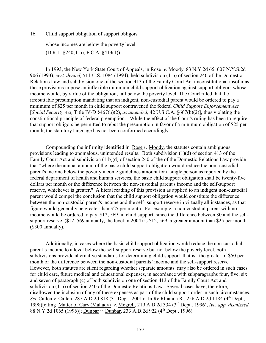16. Child support obligation of support obligors whose incomes are below the poverty level (D.R.L. §240(1-b); F.C.A. §413(1))

In 1993, the New York State Court of Appeals, in Rose *v.* Moody, 83 N.Y.2d 65, 607 N.Y.S.2d 906 (1993), *cert. denied,* 511 U.S. 1084 (1994), held subdivision (1-b) of section 240 of the Domestic Relations Law and subdivision one of the section 413 of the Family Court Act unconstitutional insofar as these provisions impose an inflexible minimum child support obligation against support obligors whose income would, by virtue of the obligation, fall below the poverty level. The Court ruled that the irrebuttable presumption mandating that an indigent, non-custodial parent would be ordered to pay a minimum of \$25 per month in child support contravened the federal *Child Support Enforcement Act*  [*Social Security Act,* Title IV-D §467(b)(2), *as amended,* 42 U.S.C.A. §667(b)(2)], thus violating the constitutional principle of federal preemption. While the effect of the Court's ruling has been to require that support obligors be permitted to rebut the presumption in favor of a minimum obligation of \$25 per month, the statutory language has not been conformed accordingly.

Compounding the infirmity identified in Rose *v.* Moody, the statutes contain ambiguous provisions leading to anomalous, unintended results. Both subdivision (1)(d) of section 413 of the Family Court Act and subdivision (1-b)(d) of section 240 of the of the Domestic Relations Law provide that "where the annual amount of the basic child support obligation would reduce the non- custodial parent's income below the poverty income guidelines amount for a single person as reported by the federal department of health and human services, the basic child support obligation shall be twenty-five dollars per month or the difference between the non-custodial parent's income and the self-support reserve, whichever is greater." A literal reading of this provision as applied to an indigent non-custodial parent would compel the conclusion that the child support obligation would constitute the difference between the non-custodial parent's income and the self- support reserve in virtually all instances, as that figure would generally be greater than \$25 per month. For example, a non-custodial parent with no income would be ordered to pay \$12, 569 in child support, since the difference between \$0 and the selfsupport reserve (\$12, 569 annually, the level in 2004) is \$12, 569, a greater amount than \$25 per month (\$300 annually).

Additionally, in cases where the basic child support obligation would reduce the non-custodial parent's income to a level below the self-support reserve but not below the poverty level, both subdivisions provide alternative standards for determining child support, that is, the greater of \$50 per month or the difference between the non-custodial parents' income and the self-support reserve. However, both statutes are silent regarding whether separate amounts may also be ordered in such cases for child care, future medical and educational expenses, in accordance with subparagraphs four, five, six and seven of paragraph (c) of both subdivision one of section 413 of the Family Court Act and subdivision (1-b) of section 240 of the Domestic Relations Law. Several cases have, therefore, disallowed the inclusion of any of these expenses as part of the child support order in such circumstances. *See* Callen *v.* Callen, 287 A.D.2d 818 (3<sup>rd</sup> Dept., 2001); In Re Rhianna R., 256 A.D.2d 1184 (4<sup>th</sup> Dept., 1998)[citing Matter of Cary (Mahady) *v*. Megrell, 219 A.D.2d 334 (3<sup>rd</sup> Dept., 1996), *lve. app. dismissed,* 88 N.Y.2d 1065 (1996)]; Dunbar *v.* Dunbar, 233 A.D.2d 922 (4<sup>th</sup> Dept., 1996).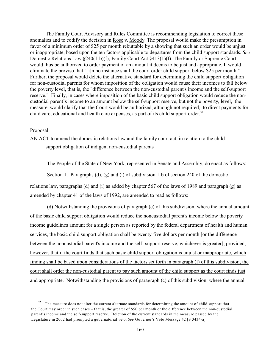The Family Court Advisory and Rules Committee is recommending legislation to correct these anomalies and to codify the decision in Rose *v*. Moody. The proposal would make the presumption in favor of a minimum order of \$25 per month rebuttable by a showing that such an order would be unjust or inappropriate, based upon the ten factors applicable to departures from the child support standards. *See* Domestic Relations Law §240(1-b)(f); Family Court Act §413(1)(f). The Family or Supreme Court would thus be authorized to order payment of an amount it deems to be just and appropriate. It would eliminate the proviso that "[i]n no instance shall the court order child support below \$25 per month." Further, the proposal would delete the alternative standard for determining the child support obligation for non-custodial parents for whom imposition of the obligation would cause their incomes to fall below the poverty level, that is, the "difference between the non-custodial parent's income and the self-support reserve." Finally, in cases where imposition of the basic child support obligation would reduce the noncustodial parent's income to an amount below the self-support reserve, but not the poverty, level, the measure would clarify that the Court would be authorized, although not required, to direct payments for child care, educational and health care expenses, as part of its child support order. 52

# Proposal

AN ACT to amend the domestic relations law and the family court act, in relation to the child support obligation of indigent non-custodial parents

## The People of the State of New York, represented in Senate and Assembly, do enact as follows:

Section 1. Paragraphs (d), (g) and (i) of subdivision 1-b of section 240 of the domestic

relations law, paragraphs (d) and (i) as added by chapter 567 of the laws of 1989 and paragraph (g) as amended by chapter 41 of the laws of 1992, are amended to read as follows:

 (d) Notwithstanding the provisions of paragraph (c) of this subdivision, where the annual amount of the basic child support obligation would reduce the noncustodial parent's income below the poverty income guidelines amount for a single person as reported by the federal department of health and human services, the basic child support obligation shall be twenty-five dollars per month [or the difference between the noncustodial parent's income and the self- support reserve, whichever is greater], provided, however, that if the court finds that such basic child support obligation is unjust or inappropriate, which finding shall be based upon considerations of the factors set forth in paragraph (f) of this subdivision, the court shall order the non-custodial parent to pay such amount of the child support as the court finds just and appropriate. Notwithstanding the provisions of paragraph (c) of this subdivision, where the annual

 $52$  The measure does not alter the current alternate standards for determining the amount of child support that the Court may order in such cases – that is, the greater of \$50 per month or the difference between the non-custodial parent's income and the self-support reserve. Deletion of the current standards in the measure passed by the Legislature in 2002 had prompted a gubernatorial veto. *See* Governor's Veto Message #2 [S 3434-a].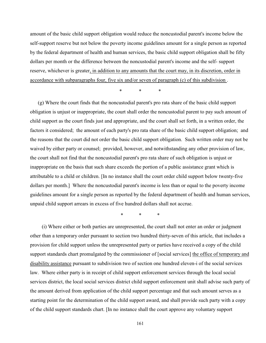amount of the basic child support obligation would reduce the noncustodial parent's income below the self-support reserve but not below the poverty income guidelines amount for a single person as reported by the federal department of health and human services, the basic child support obligation shall be fifty dollars per month or the difference between the noncustodial parent's income and the self- support reserve, whichever is greater, in addition to any amounts that the court may, in its discretion, order in accordance with subparagraphs four, five six and/or seven of paragraph (c) of this subdivision .

\* \* \*

(g) Where the court finds that the noncustodial parent's pro rata share of the basic child support obligation is unjust or inappropriate, the court shall order the noncustodial parent to pay such amount of child support as the court finds just and appropriate, and the court shall set forth, in a written order, the factors it considered; the amount of each party's pro rata share of the basic child support obligation; and the reasons that the court did not order the basic child support obligation. Such written order may not be waived by either party or counsel; provided, however, and notwithstanding any other provision of law, the court shall not find that the noncustodial parent's pro rata share of such obligation is unjust or inappropriate on the basis that such share exceeds the portion of a public assistance grant which is attributable to a child or children. [In no instance shall the court order child support below twenty-five dollars per month.] Where the noncustodial parent's income is less than or equal to the poverty income guidelines amount for a single person as reported by the federal department of health and human services, unpaid child support arrears in excess of five hundred dollars shall not accrue.

\* \* \*

(i) Where either or both parties are unrepresented, the court shall not enter an order or judgment other than a temporary order pursuant to section two hundred thirty-seven of this article, that includes a provision for child support unless the unrepresented party or parties have received a copy of the child support standards chart promulgated by the commissioner of [social services] the office of temporary and disability assistance pursuant to subdivision two of section one hundred eleven-i of the social services law. Where either party is in receipt of child support enforcement services through the local social services district, the local social services district child support enforcement unit shall advise such party of the amount derived from application of the child support percentage and that such amount serves as a starting point for the determination of the child support award, and shall provide such party with a copy of the child support standards chart. [In no instance shall the court approve any voluntary support

161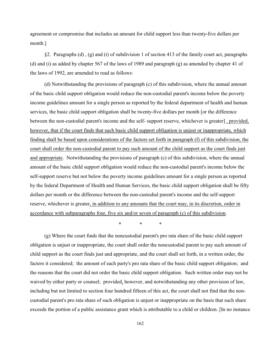agreement or compromise that includes an amount for child support less than twenty-five dollars per month.]

 §2. Paragraphs (d) , (g) and (i) of subdivision 1 of section 413 of the family court act, paragraphs (d) and (i) as added by chapter 567 of the laws of 1989 and paragraph (g) as amended by chapter 41 of the laws of 1992, are amended to read as follows:

 (d) Notwithstanding the provisions of paragraph (c) of this subdivision, where the annual amount of the basic child support obligation would reduce the non-custodial parent's income below the poverty income guidelines amount for a single person as reported by the federal department of health and human services, the basic child support obligation shall be twenty-five dollars per month [or the difference between the non-custodial parent's income and the self- support reserve, whichever is greater] , provided, however, that if the court finds that such basic child support obligation is unjust or inappropriate, which finding shall be based upon considerations of the factors set forth in paragraph (f) of this subdivision, the court shall order the non-custodial parent to pay such amount of the child support as the court finds just and appropriate. Notwithstanding the provisions of paragraph (c) of this subdivision, where the annual amount of the basic child support obligation would reduce the non-custodial parent's income below the self-support reserve but not below the poverty income guidelines amount for a single person as reported by the federal Department of Health and Human Services, the basic child support obligation shall be fifty dollars per month or the difference between the non-custodial parent's income and the self-support reserve, whichever is greater, in addition to any amounts that the court may, in its discretion, order in accordance with subparagraphs four, five six and/or seven of paragraph (c) of this subdivision.

\* \* \*

 (g) Where the court finds that the noncustodial parent's pro rata share of the basic child support obligation is unjust or inappropriate, the court shall order the noncustodial parent to pay such amount of child support as the court finds just and appropriate, and the court shall set forth, in a written order, the factors it considered; the amount of each party's pro rata share of the basic child support obligation; and the reasons that the court did not order the basic child support obligation. Such written order may not be waived by either party or counsel; provided, however, and notwithstanding any other provision of law, including but not limited to section four hundred fifteen of this act, the court shall not find that the noncustodial parent's pro rata share of such obligation is unjust or inappropriate on the basis that such share exceeds the portion of a public assistance grant which is attributable to a child or children. [In no instance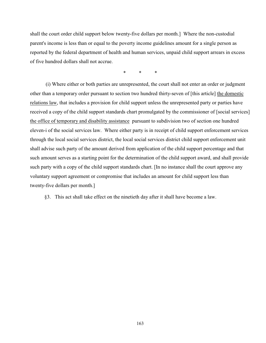shall the court order child support below twenty-five dollars per month.] Where the non-custodial parent's income is less than or equal to the poverty income guidelines amount for a single person as reported by the federal department of health and human services, unpaid child support arrears in excess of five hundred dollars shall not accrue.

\* \* \*

 (i) Where either or both parties are unrepresented, the court shall not enter an order or judgment other than a temporary order pursuant to section two hundred thirty-seven of [this article] the domestic relations law, that includes a provision for child support unless the unrepresented party or parties have received a copy of the child support standards chart promulgated by the commissioner of [social services] the office of temporary and disability assistance pursuant to subdivision two of section one hundred eleven-i of the social services law. Where either party is in receipt of child support enforcement services through the local social services district, the local social services district child support enforcement unit shall advise such party of the amount derived from application of the child support percentage and that such amount serves as a starting point for the determination of the child support award, and shall provide such party with a copy of the child support standards chart. [In no instance shall the court approve any voluntary support agreement or compromise that includes an amount for child support less than twenty-five dollars per month.]

§3. This act shall take effect on the ninetieth day after it shall have become a law.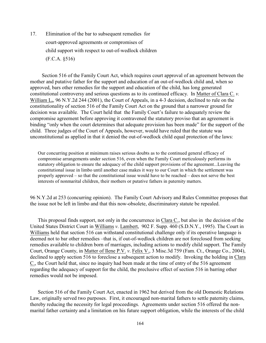17. Elimination of the bar to subsequent remedies for court-approved agreements or compromises of child support with respect to out-of-wedlock children (F.C.A. §516)

 Section 516 of the Family Court Act, which requires court approval of an agreement between the mother and putative father for the support and education of an out-of-wedlock child and, when so approved, bars other remedies for the support and education of the child, has long generated constitutional controversy and serious questions as to its continued efficacy. In Matter of Clara C. *v.* William L**.**, 96 N.Y.2d 244 (2001), the Court of Appeals, in a 4-3 decision, declined to rule on the constitutionality of section 516 of the Family Court Act on the ground that a narrower ground for decision was available. The Court held that the Family Court's failure to adequately review the compromise agreement before approving it contravened the statutory proviso that an agreement is binding "only when the court determines that adequate provision has been made" for the support of the child. Three judges of the Court of Appeals, however, would have ruled that the statute was unconstitutional as applied in that it denied the out-of-wedlock child equal protection of the laws:

Our concurring position at minimum raises serious doubts as to the continued general efficacy of compromise arrangements under section 516, even when the Family Court meticulously performs its statutory obligation to ensure the adequacy of the child support provisions of the agreement...Leaving the constitutional issue in limbo until another case makes it way to our Court in which the settlement was properly approved – so that the constitutional issue would have to be reached – does not serve the best interests of nonmarital children, their mothers or putative fathers in paternity matters.

96 N.Y.2d at 253 (concurring opinion). The Family Court Advisory and Rules Committee proposes that the issue not be left in limbo and that this now-obsolete, discriminatory statute be repealed.

This proposal finds support, not only in the concurrence in Clara C., but also in the decision of the United States District Court in Williams *v*. Lambert, 902 F. Supp. 460 (S.D.N.Y., 1995). The Court in Williams held that section 516 can withstand constitutional challenge only if its operative language is deemed not to bar other remedies –that is, if out-of-wedlock children are not foreclosed from seeking remedies available to children born of marriages, including actions to modify child support. The Family Court, Orange County, in Matter of Ilene P.V. *v*. Felix V., 3 Misc.3d 759 (Fam. Ct., Orange Co., 2004), declined to apply section 516 to foreclose a subsequent action to modify. Invoking the holding in Clara C., the Court held that, since no inquiry had been made at the time of entry of the 516 agreement regarding the adequacy of support for the child, the preclusive effect of section 516 in barring other remedies would not be imposed.

Section 516 of the Family Court Act, enacted in 1962 but derived from the old Domestic Relations Law, originally served two purposes. First, it encouraged non-marital fathers to settle paternity claims, thereby reducing the necessity for legal proceedings. Agreements under section 516 offered the nonmarital father certainty and a limitation on his future support obligation, while the interests of the child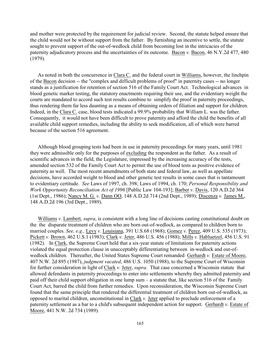and mother were protected by the requirement for judicial review. Second, the statute helped ensure that the child would not be without support from the father. By furnishing an incentive to settle, the statute sought to prevent support of the out-of-wedlock child from becoming lost in the intricacies of the paternity adjudicatory process and the uncertainties of its outcome. Bacon *v.* Bacon, 46 N.Y.2d 477, 480 (1979).

As noted in both the concurrence in Clara C. and the federal court in Williams, however, the linchpin of the Bacon decision -- the "complex and difficult problems of proof" in paternity cases -- no longer stands as a justification for retention of section 516 of the Family Court Act. Technological advances in blood genetic marker testing, the statutory enactments requiring their use, and the evidentiary weight the courts are mandated to accord such test results combine to simplify the proof in paternity proceedings, thus rendering them far less daunting as a means of obtaining orders of filiation and support for children. Indeed, in the Clara C. case, blood tests indicated a 99.9% probability that William L. was the father. Consequently, it would not have been difficult to prove paternity and afford the child the benefits of all available child support remedies, including the ability to seek modification, all of which were barred because of the section 516 agreement.

Although blood grouping tests had been in use in paternity proceedings for many years, until 1981 they were admissible only for the purposes of excluding the respondent as the father. As a result of scientific advances in the field, the Legislature, impressed by the increasing accuracy of the tests, amended section 532 of the Family Court Act to permit the use of blood tests as positive evidence of paternity as well. The most recent amendments of both state and federal law, as well as appellate decisions, have accorded weight to blood and other genetic test results in some cases that is tantamount to evidentiary certitude. *See* Laws of 1997, ch. 398; Laws of 1994, ch. 170; *Personal Responsibility and Work Opportunity Reconciliation Act of 1996* [Public Law 104-193]; Barber *v.* Davis, 120 A.D.2d 364 (1st Dept., 1986); Nancy M. G. *v.* Dann OO, 148 A.D.2d 714 (2nd Dept., 1989); Discenza *v.* James M., 148 A.D.2d 196 (3rd Dept., 1989).

Williams *v.* Lambert, *supra*, is consistent with a long line of decisions casting constitutional doubt on the the disparate treatment of children who are born out-of-wedlock, as compared to children born to married couples. *See, e.g.,* Levy *v.* Louisiana, 391 U.S.68 (1968); Gomez *v.* Perez, 409 U.S. 535 (1973); Pickett *v.* Brown, 462 U.S.1 (1983); Clark *v*. Jeter, 486 U.S. 456 (1988); Mills *v.* Habluetzel, 456 U.S. 91 (1982). In Clark, the Supreme Court held that a six-year statute of limitations for paternity actions violated the equal protection clause in unacceptably differentiating between in-wedlock and out-ofwedlock children. Thereafter, the United States Supreme Court remanded Gerhardt *v.* Estate of Moore, 407 N.W. 2d 895 (1987), *judgment vacated*, 486 U.S. 1050 (1988), to the Supreme Court of Wisconsin for further consideration in light of Clark *v.* Jeter, *supra*. That case concerned a Wisconsin statute that allowed defendants in paternity proceedings to enter into settlements whereby they admitted paternity and paid off their child support obligation in one lump sum – a statute that, like section 516 of the Family Court Act, barred the child from further remedies. Upon reconsideration, the Wisconsin Supreme Court found that the same principle that rendered the differential treatment of children born out-of-wedlock, as opposed to marital children, unconstitutional in Clark *v.* Jeter applied to preclude enforcement of a paternity settlement as a bar to a child's subsequent independent action for support. Gerhardt *v*. Estate of Moore, 441 N.W. 2d 734 (1989).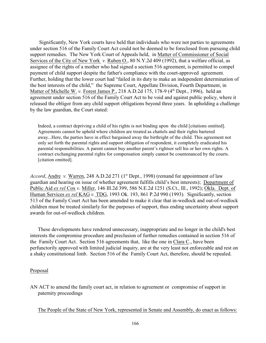Significantly, New York courts have held that individuals who were not parties to agreements under section 516 of the Family Court Act could not be deemed to be foreclosed from pursuing child support remedies. The New York Court of Appeals held, in Matter of Commissioner of Social Services of the City of New York *v*. Ruben O., 80 N.Y.2d 409 (1992), that a welfare official, as assignee of the rights of a mother who had signed a section 516 agreement, is permitted to compel payment of child support despite the father's compliance with the court-approved agreement. Further, holding that the lower court had "failed in its duty to make an independent determination of the best interests of the child," the Supreme Court, Appellate Division, Fourth Department, in Matter of Michelle W. *v.* Forest James P., 218 A.D.2d 175, 178-9 (4<sup>th</sup> Dept., 1996), held an agreement under section 516 of the Family Court Act to be void and against public policy, where it released the obligor from any child support obligations beyond three years. In upholding a challenge by the law guardian, the Court stated:

Indeed, a contract depriving a child of his rights is not binding upon the child [citations omitted]. Agreements cannot be upheld where children are treated as chattels and their rights bartered away...Here, the parties have in effect bargained away the birthright of the child. This agreement not only set forth the parental rights and support obligation of respondent, it completely eradicated his parental responsibilities. A parent cannot buy another parent's rightsor sell his or her own rights. A contract exchanging parental rights for compensation simply cannot be countenanced by the courts. [citation omitted].

*Accord*, Andre *v.* Warren, 248 A.D.2d 271 (1<sup>st</sup> Dept., 1998) (remand for appointment of law guardian and hearing on issue of whether agreement fulfills child's best interests); Department of Public Aid *ex rel* Cox *v*. Miller, 146 Ill.2d 399, 586 N.E.2d 1251 (S.Ct., Ill., 1992); Okla. Dept. of Human Services *ex rel* KAG *v.* TDG, 1993 Ok. 193, 861 P.2d 990 (1993). Significantly, section 513 of the Family Court Act has been amended to make it clear that in-wedlock and out-of-wedlock children must be treated similarly for the purposes of support, thus ending uncertainty about support awards for out-of-wedlock children.

These developments have rendered unnecessary, inappropriate and no longer in the child's best interests the compromise procedure and preclusion of further remedies contained in section 516 of the Family Court Act. Section 516 agreements that, like the one in Clara C., have been perfunctorily approved with limited judicial inquiry, are at the very least not enforceable and rest on a shaky constitutional limb. Section 516 of the Family Court Act, therefore, should be repealed.

# Proposal

AN ACT to amend the family court act, in relation to agreement or compromise of support in paternity proceedings

The People of the State of New York, represented in Senate and Assembly, do enact as follows: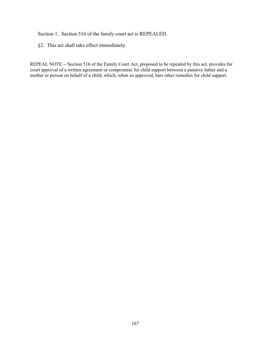Section 1. Section 516 of the family court act is REPEALED.

§2. This act shall take effect immediately.

REPEAL NOTE -- Section 516 of the Family Court Act, proposed to be repealed by this act, provides for court approval of a written agreement or compromise for child support between a putative father and a mother or person on behalf of a child, which, when so approved, bars other remedies for child support.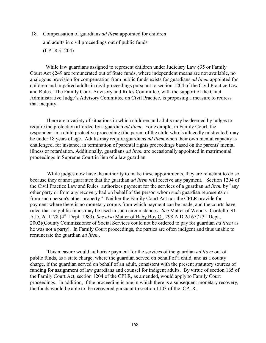18. Compensation of guardians *ad litem* appointed for children and adults in civil proceedings out of public funds (CPLR §1204)

 While law guardians assigned to represent children under Judiciary Law §35 or Family Court Act §249 are remunerated out of State funds, where independent means are not available, no analogous provision for compensation from public funds exists for guardians *ad litem* appointed for children and impaired adults in civil proceedings pursuant to section 1204 of the Civil Practice Law and Rules. The Family Court Advisory and Rules Committee, with the support of the Chief Administrative Judge's Advisory Committee on Civil Practice, is proposing a measure to redress that inequity.

 There are a variety of situations in which children and adults may be deemed by judges to require the protection afforded by a guardian *ad litem*. For example, in Family Court, the respondent in a child protective proceeding (the parent of the child who is allegedly mistreated) may be under 18 years of age. Adults may require guardians *ad litem* when their own mental capacity is challenged, for instance, in termination of parental rights proceedings based on the parents' mental illness or retardation. Additionally, guardians *ad litem* are occasionally appointed in matrimonial proceedings in Supreme Court in lieu of a law guardian.

While judges now have the authority to make these appointments, they are reluctant to do so because they cannot guarantee that the guardian *ad litem* will receive any payment. Section 1204 of the Civil Practice Law and Rules authorizes payment for the services of a guardian *ad litem* by "any other party or from any recovery had on behalf of the person whom such guardian represents or from such person's other property." Neither the Family Court Act nor the CPLR provide for payment where there is no monetary corpus from which payment can be made, and the courts have ruled that no public funds may be used in such circumstances. *See* Matter of Wood *v.* Cordello, 91 A.D. 2d 1178 (4<sup>th</sup> Dept. 1983). *See also* Matter of Baby Boy O., 298 A.D.2d 677 (3<sup>rd</sup> Dept., 2002)(County Commissioner of Social Services could not be ordered to pay for guardian *ad litem* as he was not a party). In Family Court proceedings, the parties are often indigent and thus unable to remunerate the guardian *ad litem*.

 This measure would authorize payment for the services of the guardian *ad litem* out of public funds, as a state charge, where the guardian served on behalf of a child, and as a county charge, if the guardian served on behalf of an adult, consistent with the present statutory sources of funding for assignment of law guardians and counsel for indigent adults. By virtue of section 165 of the Family Court Act, section 1204 of the CPLR, as amended, would apply to Family Court proceedings. In addition, if the proceeding is one in which there is a subsequent monetary recovery, the funds would be able to be recovered pursuant to section 1103 of the CPLR.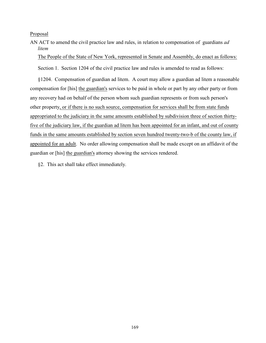Proposal

AN ACT to amend the civil practice law and rules, in relation to compensation of guardians *ad litem*

The People of the State of New York, represented in Senate and Assembly, do enact as follows:

Section 1. Section 1204 of the civil practice law and rules is amended to read as follows:

§1204. Compensation of guardian ad litem. A court may allow a guardian ad litem a reasonable compensation for [his] the guardian's services to be paid in whole or part by any other party or from any recovery had on behalf of the person whom such guardian represents or from such person's other property, or if there is no such source, compensation for services shall be from state funds appropriated to the judiciary in the same amounts established by subdivision three of section thirtyfive of the judiciary law, if the guardian ad litem has been appointed for an infant, and out of county funds in the same amounts established by section seven hundred twenty-two-b of the county law, if appointed for an adult. No order allowing compensation shall be made except on an affidavit of the guardian or [his] the guardian's attorney showing the services rendered.

§2. This act shall take effect immediately.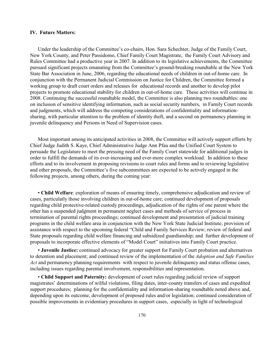## **IV. Future Matters:**

Under the leadership of the Committee's co-chairs, Hon. Sara Schechter, Judge of the Family Court, New York County, and Peter Passidomo, Chief Family Court Magistrate, the Family Court Advisory and Rules Committee had a productive year in 2007. In addition to its legislative achievements, the Committee pursued significant projects emanating from the Committee's ground-breaking roundtable at the New York State Bar Association in June, 2006, regarding the educational needs of children in out-of-home care. In conjunction with the Permanent Judicial Commission on Justice for Children, the Committee formed a working group to draft court orders and releases for educational records and another to develop pilot projects to promote educational stability for children in out-of-home care. These activities will continue in 2008. Continuing the successful roundtable model, the Committee is also planning two roundtables: one on inclusion of sensitive identifying information, such as social security numbers, in Family Court records and judgments, which will address the competing considerations of confidentiality and informationsharing, with particular attention to the problem of identity theft, and a second on permanency planning in juvenile delinquency and Persons in Need of Supervision cases.

Most important among its anticipated activities in 2008, the Committee will actively support efforts by Chief Judge Judith S. Kaye, Chief Administrative Judge Ann Pfau and the Unified Court System to persuade the Legislature to meet the pressing need of the Family Court statewide for additional judges in order to fulfill the demands of its ever-increasing and ever-more complex workload. In addition to these efforts and to its involvement in proposing revisions to court rules and forms and to reviewing legislative and other proposals, the Committee's five subcommittees are expected to be actively engaged in the following projects, among others, during the coming year:

• **Child Welfare**: exploration of means of ensuring timely, comprehensive adjudication and review of cases, particulatly those involving children in out-of-home care; continued development of proposals regarding child protective-related custody proceedings, adjudication of the rights of one parent where the other has a suspended judgment in permanent neglect cases and methods of service of process in termination of parental rights proceedings; continued development and presentation of judicial training programs in the child welfare area in conjunction with the New York State Judicial Institute; provision of assistance with respect to the upcoming federal "Child and Family Services Review; review of federal and State proposals regarding child welfare financing and subsidized guardianship; and further development of proposals to incorporate effective elements of "Model Court" initiatives into Family Court practice.

• **Juvenile Justice:** continued advocacy for greater support for Family Court probation and alternatives to detention and placement; and continued review of the implementation of the *Adoption and Safe Families Act* and permanency planning requirements with respect to juvenile delinquency and status offense cases, including issues regarding parental involvement, responsibilities and representation.

• **Child Support and Paternity:** development of court rules regarding judicial review of support magistrates' determinations of wilful violations, filing dates, inter-county transfers of cases and expedited support procedures; planning for the confidentiality and information-sharing roundtable noted above and, depending upon its outcome, development of proposed rules and/or legislation; continued consideration of possible improvements in evidentiary procedures in support cases, especially in light of technological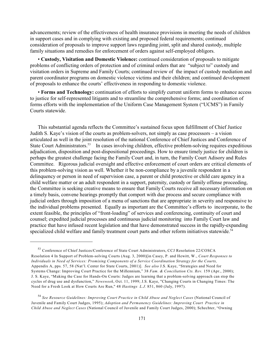advancements; review of the effectiveness of health insurance provisions in meeting the needs of children in support cases and in complying with existing and proposed federal requirements; continued consideration of proposals to improve support laws regarding joint, split and shared custody, multiple family situations and remedies for enforcement of orders against self-employed obligors.

• **Custody, Visitation and Domestic Violence:** continued consideration of proposals to mitigate problems of conflicting orders of protection and of criminal orders that are "subject to" custody and visitation orders in Supreme and Family Courts; continued review of the impact of custody mediation and parent coordinator programs on domestic violence victims and their children; and continued development of proposals to enhance the courts' effectiveness in responding to domestic violence.

• **Forms and Technology:** continuation of efforts to simplify current uniform forms to enhance access to justice for self-represented litigants and to streamline the comprehensive forms; and coordination of forms efforts with the implementation of the Uniform Case Management System ("UCMS") in Family Courts statewide.

This substantial agenda reflects the Committee's sustained focus upon fulfillment of Chief Justice Judith S. Kaye's vision of the courts as problem-solvers, not simply as case processors – a vision articulated as well in the joint resolution of the national Conference of Chief Justices and Conference of State Court Administrators.<sup>53</sup> In cases involving children, effective problem-solving requires expeditious adjudication, disposition and post-dispositional proceedings. How to ensure timely justice for children is perhaps the greatest challenge facing the Family Court and, in turn, the Family Court Adisory and Rules Committee. Rigorous judicial oversight and effective enforcement of court orders are critical elements of this problem-solving vision as well. Whether it be non-compliance by a juvenile respondent in a delinquency or person in need of supervision case, a parent or child protective or child care agency in a child welfare matter or an adult respondent in a support, paternity, custody or family offense proceeding, the Committee is seeking creative means to ensure that Family Courts receive all necessary information on a timely basis, convene hearings promptly that comport with due process and secure compliance with judicial orders through imposition of a menu of sanctions that are appropriate in severity and responsive to the individual problems presented. Equally as important are the Committee's efforts to incorporate, to the extent feasible, the principles of "front-loading" of services and conferencing, continuity of court and counsel; expedited judicial processes and continuous judicial monitoring into Family Court law and practice that have infused recent legislation and that have demonstrated success in the rapidly-expanding specialized child welfare and family treatment court parts and other reform initiatives statewide.<sup>54</sup>

<sup>53</sup> Conference of Chief Justices/Conference of State Court Administrators, CCJ Resolution 22/COSCA Resolution 4 In Support of Problem-solving Courts (Aug. 3, 2000)[in Casey, P. and Hewitt, W., *Court Responses to Individuals in Need of Services: Promising Components of a Service Coordination Strategy for the Courts,* Appendix A, pps. 57, 58 (Nat'l. Center for State Courts, 2001)]. *See also* J.S. Kaye, "Strategies and Need for Systems Change: Improving Court Practice for the Millennium," 38 *Fam. & Conciliation Cts. Rev.* 159 (Apr., 2000); J. S. Kaye, "Making the Case for Hands-On Courts: Judges are learning that a problem-solving approach can stop the cycles of drug use and dysfunction," *Newsweek*, Oct. 11, 1999; J.S. Kaye, "Changing Courts in Changing Times: The Need for a Fresh Look at How Courts Are Run," 48 *Hastings L.J.* 851, 860 (July, 1997).

*See Resource Guidelines: Improving Court Practice in Child Abuse and Neglect Cases* (National Council of <sup>54</sup> Juvenile and Family Court Judges, 1995); *Adoption and Permanency Guidelines: Improving Court Practice in Child Abuse and Neglect Cases* (National Council of Juvenile and Family Court Judges, 2000); Schechter, "Owning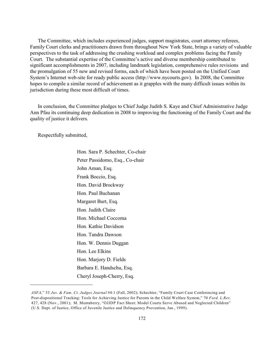The Committee, which includes experienced judges, support magistrates, court attorney referees, Family Court clerks and practitioners drawn from throughout New York State, brings a variety of valuable perspectives to the task of addressing the crushing workload and complex problems facing the Family Court. The substantial expertise of the Committee's active and diverse membership contributed to significant accomplishments in 2007, including landmark legislation, comprehensive rules revisions and the promulgation of 55 new and revised forms, each of which have been posted on the Unified Court System's Internet web-site for ready public access (http://www.nycourts.gov). In 2008, the Committee hopes to compile a similar record of achievement as it grapples with the many difficult issues within its jurisdiction during these most difficult of times.

In conclusion, the Committee pledges to Chief Judge Judith S. Kaye and Chief Administrative Judge Ann Pfau its continuing deep dedication in 2008 to improving the functioning of the Family Court and the quality of justice it delivers.

Respectfully submitted,

Hon. Sara P. Schechter, Co-chair Peter Passidomo, Esq., Co-chair John Aman, Esq. Frank Boccio, Esq. Hon. David Brockway Hon. Paul Buchanan Margaret Burt, Esq. Hon. Judith Claire Hon. Michael Coccoma Hon. Kathie Davidson Hon. Tandra Dawson Hon. W. Dennis Duggan Hon. Lee Elkins Hon. Marjory D. Fields Barbara E. Handschu, Esq. Cheryl Joseph-Cherry, Esq.

*ASFA*," 53 *Juv. & Fam. Ct. Judges Journal* #4:1 (Fall, 2002); Schechter, "Family Court Case Conferencing and Post-dispositional Tracking: Tools for Achieving Justice for Parents in the Child Welfare System," 70 *Ford. L.Rev.* 427, 428 (Nov., 2001); M. Mentaberry, "OJJDP Fact Sheet: Model Courts Serve Abused and Neglected Children" (U.S. Dept. of Justice, Office of Juvenile Justice and Delinquency Prevention, Jan., 1999).